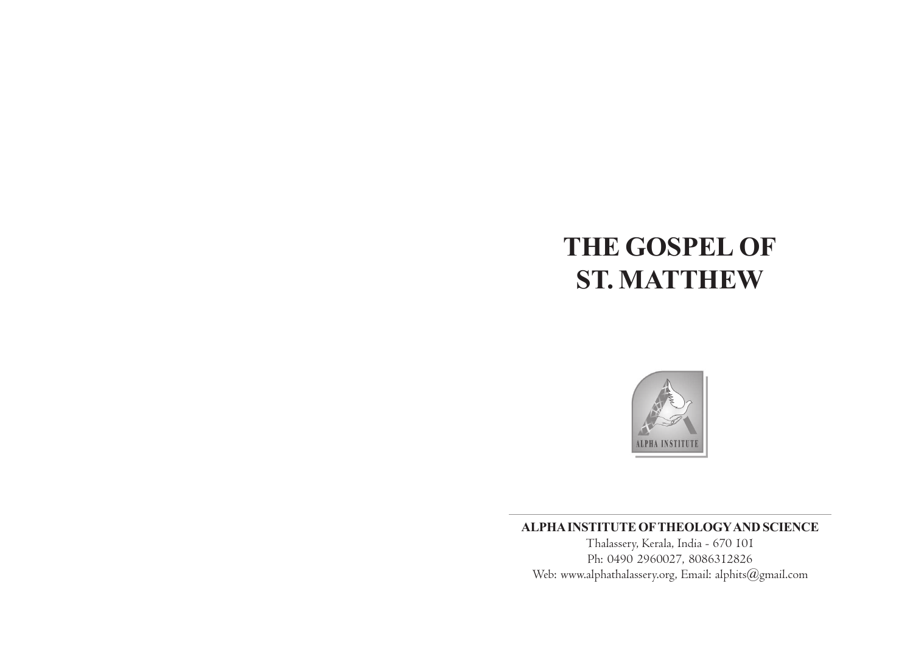# **THE GOSPEL OF ST. MATTHEW**



## **ALPHA INSTITUTE OFTHEOLOGYAND SCIENCE**

Thalasser y, Kerala, India - 670 101 Ph: 0490 2960027, 8086312826 Web: www.alphathalasser y.or g, Email: alphits@gmail.com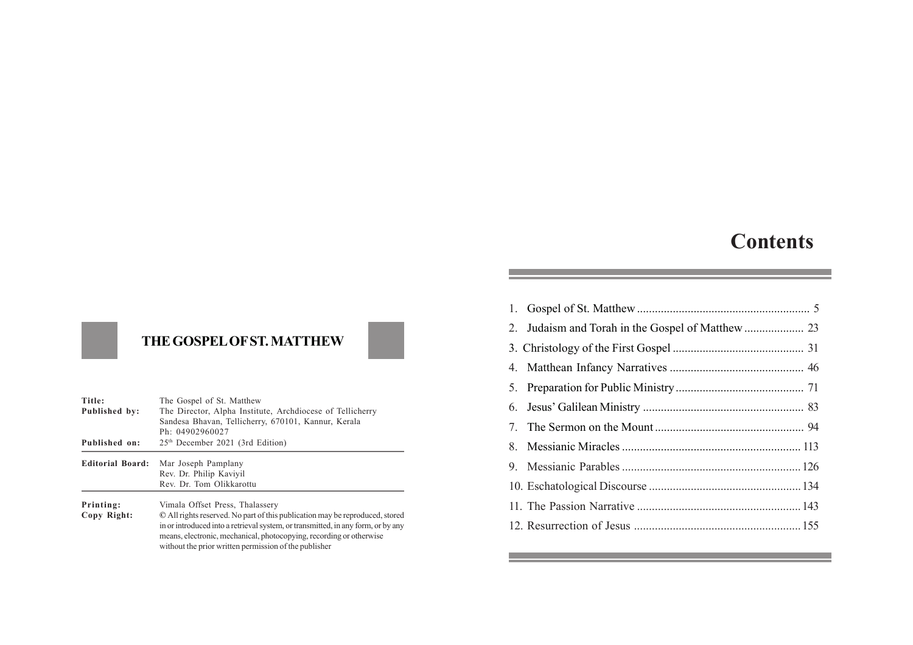# **Contents**

**The Company** 

the control of the control of the

## **THE GOSPEL OF ST. MATTHEW**

| Title:                  | The Gospel of St. Matthew                                                                                                                                                                                        |  |  |  |
|-------------------------|------------------------------------------------------------------------------------------------------------------------------------------------------------------------------------------------------------------|--|--|--|
| Published by:           | The Director, Alpha Institute, Archdiocese of Tellicherry                                                                                                                                                        |  |  |  |
|                         | Sandesa Bhavan, Tellicherry, 670101, Kannur, Kerala                                                                                                                                                              |  |  |  |
|                         | Ph: 04902960027                                                                                                                                                                                                  |  |  |  |
| Published on:           | 25 <sup>th</sup> December 2021 (3rd Edition)                                                                                                                                                                     |  |  |  |
| <b>Editorial Board:</b> | Mar Joseph Pamplany                                                                                                                                                                                              |  |  |  |
|                         | Rev. Dr. Philip Kaviyil                                                                                                                                                                                          |  |  |  |
|                         | Rev. Dr. Tom Olikkarottu                                                                                                                                                                                         |  |  |  |
| Printing:               | Vimala Offset Press, Thalassery                                                                                                                                                                                  |  |  |  |
| Copy Right:             | © All rights reserved. No part of this publication may be reproduced, stored                                                                                                                                     |  |  |  |
|                         | in or introduced into a retrieval system, or transmitted, in any form, or by any<br>means, electronic, mechanical, photocopying, recording or otherwise<br>without the prior written permission of the publisher |  |  |  |
|                         |                                                                                                                                                                                                                  |  |  |  |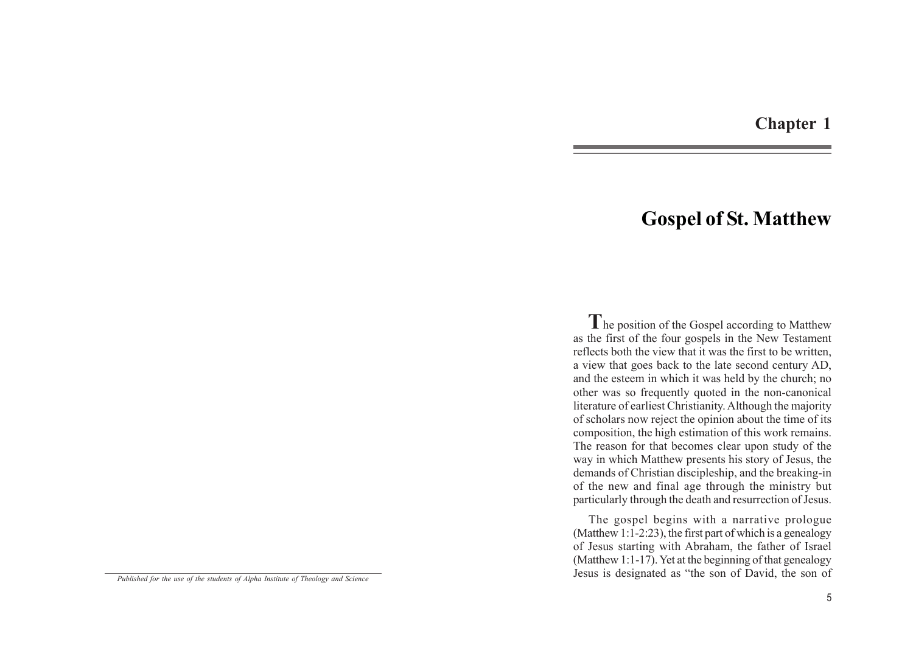**T**he position of the Gospel according to Matthew as the first of the four gospels in the New Testament reflects both the view that it was the first to be written, a view that goes back to the late second century AD, and the esteem in which it was held by the church; no other was so frequently quoted in the non-canonical literature of earliest Christianity. Although the majority of scholars now reject the opinion about the time of its composition, the high estimation of this work remains. The reason for that becomes clear upon study of the way in which Matthew presents his story of Jesus, the demands of Christian discipleship, and the breaking-in of the new and final age through the ministry but particularly through the death and resurrection of Jesus.

The gospel begins with a narrative prologue (Matthew 1:1-2:23), the first part of which is a genealogy of Jesus starting with Abraham, the father of Israel (Matthew 1:1-17). Yet at the beginning of that genealogy Jesus is designated as "the son of David, the son of

*Published for the use of the students of Alpha Institute of Theology and Science*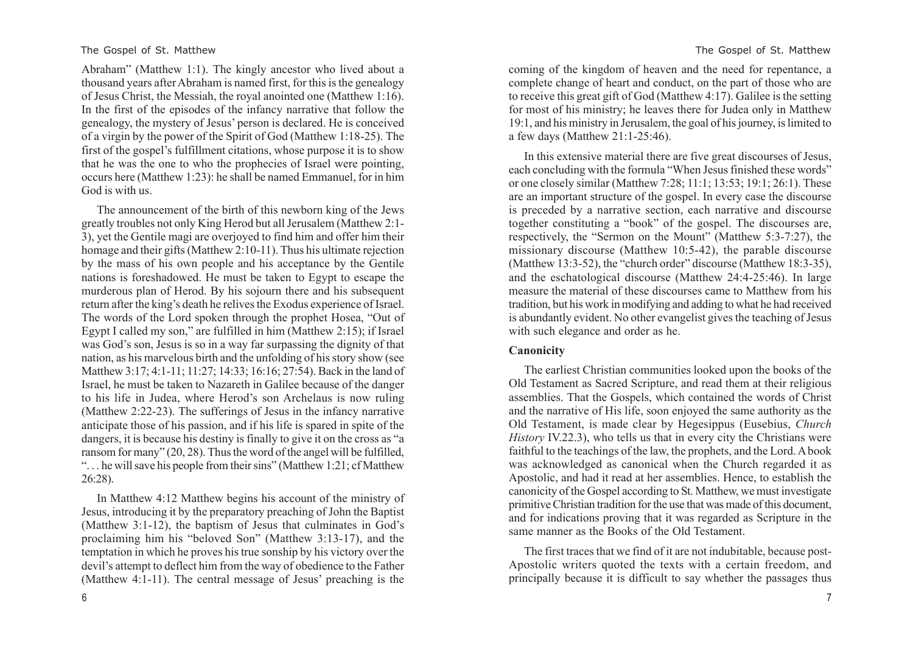Abraham" (Matthew 1:1). The kingly ancestor who lived about a thousand years after Abraham is named first, for this is the genealogy of Jesus Christ, the Messiah, the royal anointed one (Matthew 1:16). In the first of the episodes of the infancy narrative that follow the genealogy, the mystery of Jesus' person is declared. He is conceived of a virgin by the power of the Spirit of God (Matthew 1:18-25). The first of the gospel's fulfillment citations, whose purpose it is to show that he was the one to who the prophecies of Israel were pointing, occurs here (Matthew 1:23): he shall be named Emmanuel, for in him God is with us.

The announcement of the birth of this newborn king of the Jews greatly troubles not only King Herod but all Jerusalem (Matthew 2:1- 3), yet the Gentile magi are overjoyed to find him and offer him their homage and their gifts (Matthew 2:10-11). Thus his ultimate rejection by the mass of his own people and his acceptance by the Gentile nations is foreshadowed. He must be taken to Egypt to escape the murderous plan of Herod. By his sojourn there and his subsequent return after the king's death he relives the Exodus experience of Israel. The words of the Lord spoken through the prophet Hosea, "Out of Egypt I called my son," are fulfilled in him (Matthew 2:15); if Israel was God's son, Jesus is so in a way far surpassing the dignity of that nation, as his marvelous birth and the unfolding of his story show (see Matthew 3:17; 4:1-11; 11:27; 14:33; 16:16; 27:54). Back in the land of Israel, he must be taken to Nazareth in Galilee because of the danger to his life in Judea, where Herod's son Archelaus is now ruling (Matthew 2:22-23). The sufferings of Jesus in the infancy narrative anticipate those of his passion, and if his life is spared in spite of the dangers, it is because his destiny is finally to give it on the cross as "a ransom for many" (20, 28). Thus the word of the angel will be fulfilled, ". . . he will save his people from their sins" (Matthew 1:21; cf Matthew 26:28).

In Matthew 4:12 Matthew begins his account of the ministry of Jesus, introducing it by the preparatory preaching of John the Baptist (Matthew 3:1-12), the baptism of Jesus that culminates in God's proclaiming him his "beloved Son" (Matthew 3:13-17), and the temptation in which he proves his true sonship by his victory over the devil's attempt to deflect him from the way of obedience to the Father (Matthew 4:1-11). The central message of Jesus' preaching is the

coming of the kingdom of heaven and the need for repentance, a complete change of heart and conduct, on the part of those who are to receive this great gift of God (Matthew 4:17). Galilee is the setting for most of his ministry; he leaves there for Judea only in Matthew 19:1, and his ministry in Jerusalem, the goal of his journey, is limited to a few days (Matthew 21:1-25:46).

In this extensive material there are five great discourses of Jesus, each concluding with the formula "When Jesus finished these words" or one closely similar (Matthew 7:28; 11:1; 13:53; 19:1; 26:1). These are an important structure of the gospel. In every case the discourse is preceded by a narrative section, each narrative and discourse together constituting a "book" of the gospel. The discourses are, respectively, the "Sermon on the Mount" (Matthew 5:3-7:27), the missionary discourse (Matthew 10:5-42), the parable discourse (Matthew 13:3-52), the "church order" discourse (Matthew 18:3-35), and the eschatological discourse (Matthew 24:4-25:46). In large measure the material of these discourses came to Matthew from his tradition, but his work in modifying and adding to what he had received is abundantly evident. No other evangelist gives the teaching of Jesus with such elegance and order as he.

## **Canonicity**

The earliest Christian communities looked upon the books of the Old Testament as Sacred Scripture, and read them at their religious assemblies. That the Gospels, which contained the words of Christ and the narrative of His life, soon enjoyed the same authority as the Old Testament, is made clear by Hegesippus (Eusebius, *Church History* IV.22.3), who tells us that in every city the Christians were faithful to the teachings of the law, the prophets, and the Lord. A book was acknowledged as canonical when the Church regarded it as Apostolic, and had it read at her assemblies. Hence, to establish the canonicity of the Gospel according to St. Matthew, we must investigate primitive Christian tradition for the use that was made of this document, and for indications proving that it was regarded as Scripture in the same manner as the Books of the Old Testament.

The first traces that we find of it are not indubitable, because post-Apostolic writers quoted the texts with a certain freedom, and principally because it is difficult to say whether the passages thus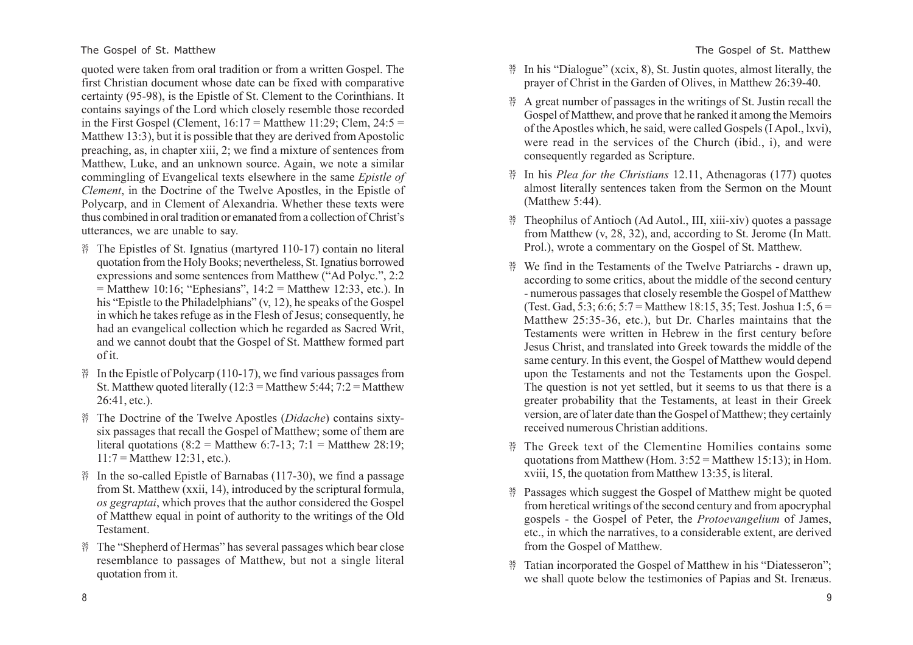quoted were taken from oral tradition or from a written Gospel. The first Christian document whose date can be fixed with comparative certainty (95-98), is the Epistle of St. Clement to the Corinthians. It contains sayings of the Lord which closely resemble those recorded in the First Gospel (Clement,  $16:17 = \text{Matthew } 11:29$ ; Clem,  $24:5 =$ Matthew 13:3), but it is possible that they are derived from Apostolic preaching, as, in chapter xiii, 2; we find a mixture of sentences from Matthew, Luke, and an unknown source. Again, we note a similar commingling of Evangelical texts elsewhere in the same *Epistle of Clement*, in the Doctrine of the Twelve Apostles, in the Epistle of Polycarp, and in Clement of Alexandria. Whether these texts were thus combined in oral tradition or emanated from a collection of Christ's utterances, we are unable to say.

- $\frac{35}{17}$  The Epistles of St. Ignatius (martyred 110-17) contain no literal quotation from the Holy Books; nevertheless, St. Ignatius borrowed expressions and some sentences from Matthew ("Ad Polyc.", 2:2  $=$  Matthew 10:16; "Ephesians", 14:2 = Matthew 12:33, etc.). In his "Epistle to the Philadelphians" (v, 12), he speaks of the Gospel in which he takes refuge as in the Flesh of Jesus; consequently, he had an evangelical collection which he regarded as Sacred Writ, and we cannot doubt that the Gospel of St. Matthew formed part of it.
- $\frac{35}{17}$  In the Epistle of Polycarp (110-17), we find various passages from St. Matthew quoted literally  $(12:3 = \text{Matthew } 5:44; 7:2 = \text{Matthew } 1:34$ 26:41, etc.).
- <sup>35</sup> The Doctrine of the Twelve Apostles (*Didache*) contains sixtysix passages that recall the Gospel of Matthew; some of them are literal quotations (8:2 = Matthew 6:7-13; 7:1 = Matthew 28:19;  $11:7 = \text{Matthew } 12:31, \text{ etc.}).$
- $\frac{35}{17}$  In the so-called Epistle of Barnabas (117-30), we find a passage from St. Matthew (xxii, 14), introduced by the scriptural formula, *os gegraptai*, which proves that the author considered the Gospel of Matthew equal in point of authority to the writings of the Old Testament.
- $\frac{35}{17}$  The "Shepherd of Hermas" has several passages which bear close resemblance to passages of Matthew, but not a single literal quotation from it.
- $\frac{35}{17}$  In his "Dialogue" (xcix, 8), St. Justin quotes, almost literally, the prayer of Christ in the Garden of Olives, in Matthew 26:39-40.
- $^{35}_{17}$  A great number of passages in the writings of St. Justin recall the Gospel of Matthew, and prove that he ranked it among the Memoirs of the Apostles which, he said, were called Gospels (I Apol., lxvi), were read in the services of the Church (ibid., i), and were consequently regarded as Scripture.
- <sup>35</sup>/<sub>17</sub> In his *Plea for the Christians* 12.11, Athenagoras (177) quotes almost literally sentences taken from the Sermon on the Mount (Matthew 5:44).
- $\frac{35}{17}$  Theophilus of Antioch (Ad Autol., III, xiii-xiv) quotes a passage from Matthew (v, 28, 32), and, according to St. Jerome (In Matt. Prol.), wrote a commentary on the Gospel of St. Matthew.
- <sup>35</sup> We find in the Testaments of the Twelve Patriarchs drawn up, according to some critics, about the middle of the second century - numerous passages that closely resemble the Gospel of Matthew (Test. Gad, 5:3; 6:6; 5:7 = Matthew 18:15, 35; Test. Joshua 1:5, 6 = Matthew 25:35-36, etc.), but Dr. Charles maintains that the Testaments were written in Hebrew in the first century before Jesus Christ, and translated into Greek towards the middle of the same century. In this event, the Gospel of Matthew would depend upon the Testaments and not the Testaments upon the Gospel. The question is not yet settled, but it seems to us that there is a greater probability that the Testaments, at least in their Greek version, are of later date than the Gospel of Matthew; they certainly received numerous Christian additions.
- $\frac{35}{17}$  The Greek text of the Clementine Homilies contains some quotations from Matthew (Hom.  $3:52 =$  Matthew 15:13); in Hom. xviii, 15, the quotation from Matthew 13:35, is literal.
- $\frac{35}{17}$  Passages which suggest the Gospel of Matthew might be quoted from heretical writings of the second century and from apocryphal gospels - the Gospel of Peter, the *Protoevangelium* of James, etc., in which the narratives, to a considerable extent, are derived from the Gospel of Matthew.
- <sup>35</sup> Tatian incorporated the Gospel of Matthew in his "Diatesseron"; we shall quote below the testimonies of Papias and St. Irenæus.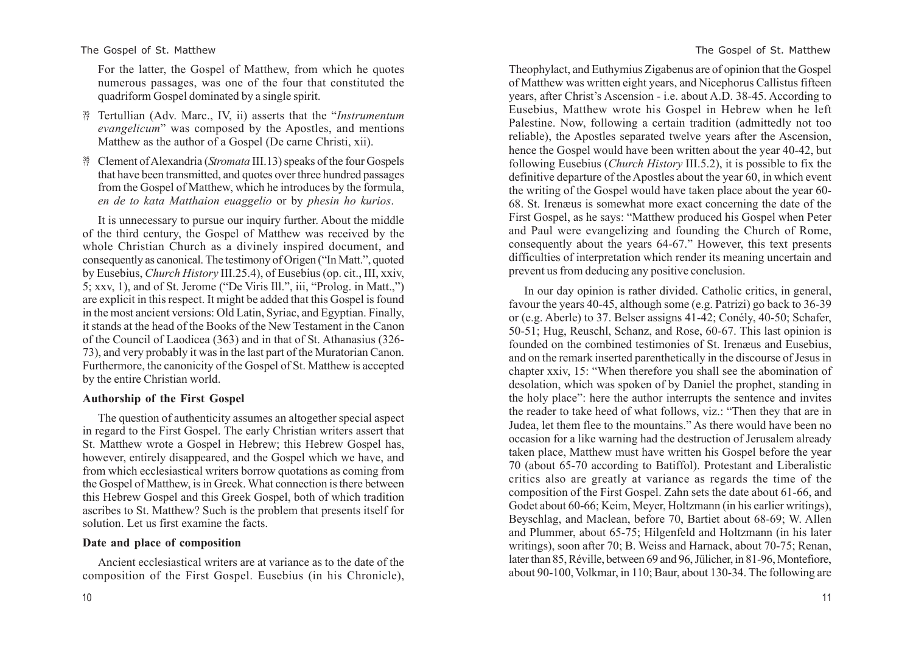#### The Gospel of St. Matthew

For the latter, the Gospel of Matthew, from which he quotes numerous passages, was one of the four that constituted the quadriform Gospel dominated by a single spirit.

- Tertullian (Adv. Marc., IV, ii) asserts that the "*Instrumentum evangelicum*" was composed by the Apostles, and mentions Matthew as the author of a Gospel (De carne Christi, xii).
- Clement of Alexandria ( *Stromata* III.13) speaks of the four Gospels that have been transmitted, and quotes over three hundred passages from the Gospel of Matthew, which he introduces by the formula, *en de to kata Matthaion euaggelio* or by *phesin ho kurios*.

It is unnecessary to pursue our inquiry further. About the middle of the third century, the Gospel of Matthew was received by the whole Christian Church as a divinely inspired document, and consequently as canonical. The testimony of Origen ("In Matt.", quoted by Eusebius, *Church History* III.25.4), of Eusebius (op. cit., III, xxiv, 5; xxv, 1), and of St. Jerome ("De Viris Ill.", iii, "Prolog. in Matt.,") are explicit in this respect. It might be added that this Gospel is found in the most ancient versions: Old Latin, Syriac, and Egyptian. Finally, it stands at the head of the Books of the New Testament in the Canon of the Council of Laodicea (363) and in that of St. Athanasius (326- 73), and very probably it was in the last part of the Muratorian Canon. Furthermore, the canonicity of the Gospel of St. Matthew is accepted by the entire Christian world.

#### **Authorship of the First Gospel**

The question of authenticity assumes an altogether special aspect in regard to the First Gospel. The early Christian writers assert that St. Matthew wrote a Gospel in Hebrew; this Hebrew Gospel has, however, entirely disappeared, and the Gospel which we have, and from which ecclesiastical writers borrow quotations as coming from the Gospel of Matthew, is in Greek. What connection is there between this Hebrew Gospel and this Greek Gospel, both of which tradition ascribes to St. Matthew? Such is the problem that presents itself for solution. Let us first examine the facts.

#### **Date and place of composition**

Ancient ecclesiastical writers are at variance as to the date of the composition of the First Gospel. Eusebius (in his Chronicle), Theophylact, and Euthymius Zigabenus are of opinion that the Gospel of Matthew was written eight years, and Nicephorus Callistus fifteen years, after Christ's Ascension - i.e. about A.D. 38-45. According to Eusebius, Matthew wrote his Gospel in Hebrew when he left Palestine. Now, following a certain tradition (admittedly not too reliable), the Apostles separated twelve years after the Ascension, hence the Gospel would have been written about the year 40-42, but following Eusebius (*Church History* III.5.2), it is possible to fix the definitive departure of the Apostles about the year 60, in which event the writing of the Gospel would have taken place about the year 60- 68. St. Irenæus is somewhat more exact concerning the date of the First Gospel, as he says: "Matthew produced his Gospel when Peter and Paul were evangelizing and founding the Church of Rome, consequently about the years 64-67." However, this text presents difficulties of interpretation which render its meaning uncertain and prevent us from deducing any positive conclusion.

In our day opinion is rather divided. Catholic critics, in general, favour the years 40-45, although some (e.g. Patrizi) go back to 36-39 or (e.g. Aberle) to 37. Belser assigns 41-42; Conély, 40-50; Schafer, 50-51; Hug, Reuschl, Schanz, and Rose, 60-67. This last opinion is founded on the combined testimonies of St. Irenæus and Eusebius, and on the remark inserted parenthetically in the discourse of Jesus in chapter xxiv, 15: "When therefore you shall see the abomination of desolation, which was spoken of by Daniel the prophet, standing in the holy place": here the author interrupts the sentence and invites the reader to take heed of what follows, viz.: "Then they that are in Judea, let them flee to the mountains." As there would have been no occasion for a like warning had the destruction of Jerusalem already taken place, Matthew must have written his Gospel before the year 70 (about 65-70 according to Batiffol). Protestant and Liberalistic critics also are greatly at variance as regards the time of the composition of the First Gospel. Zahn sets the date about 61-66, and Godet about 60-66; Keim, Meyer, Holtzmann (in his earlier writings), Beyschlag, and Maclean, before 70, Bartiet about 68-69; W. Allen and Plummer, about 65-75; Hilgenfeld and Holtzmann (in his later writings), soon after 70; B. Weiss and Harnack, about 70-75; Renan, later than 85, Réville, between 69 and 96, Jülicher, in 81-96, Montefiore, about 90-100, Volkmar, in 110; Baur, about 130-34. The following are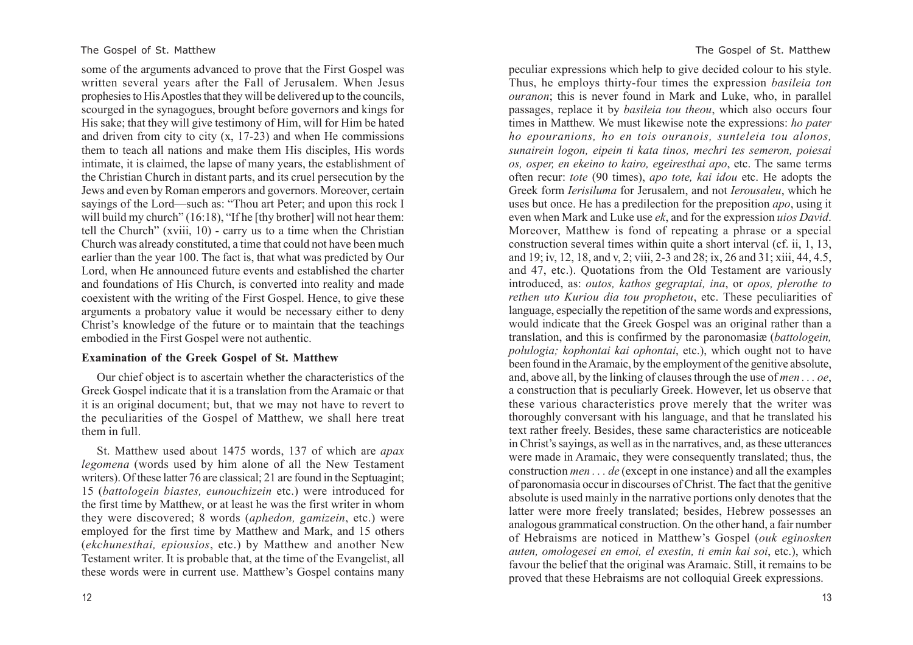some of the arguments advanced to prove that the First Gospel was written several years after the Fall of Jerusalem. When Jesus prophesies to His Apostles that they will be delivered up to the councils, scourged in the synagogues, brought before governors and kings for His sake; that they will give testimony of Him, will for Him be hated and driven from city to city (x, 17-23) and when He commissions them to teach all nations and make them His disciples, His words intimate, it is claimed, the lapse of many years, the establishment of the Christian Church in distant parts, and its cruel persecution by the Jews and even by Roman emperors and governors. Moreover, certain sayings of the Lord—such as: "Thou art Peter; and upon this rock I will build my church" (16:18), "If he [thy brother] will not hear them: tell the Church" (xviii, 10) - carry us to a time when the Christian Church was already constituted, a time that could not have been much earlier than the year 100. The fact is, that what was predicted by Our Lord, when He announced future events and established the charter and foundations of His Church, is converted into reality and made coexistent with the writing of the First Gospel. Hence, to give these arguments a probatory value it would be necessary either to deny Christ's knowledge of the future or to maintain that the teachings embodied in the First Gospel were not authentic.

#### **Examination of the Greek Gospel of St. Matthew**

Our chief object is to ascertain whether the characteristics of the Greek Gospel indicate that it is a translation from the Aramaic or that it is an original document; but, that we may not have to revert to the peculiarities of the Gospel of Matthew, we shall here treat them in full.

St. Matthew used about 1475 words, 137 of which are *apax legomena* (words used by him alone of all the New Testament writers). Of these latter 76 are classical; 21 are found in the Septuagint; 15 (*battologein biastes, eunouchizein* etc.) were introduced for the first time by Matthew, or at least he was the first writer in whom they were discovered; 8 words (*aphedon, gamizein*, etc.) were employed for the first time by Matthew and Mark, and 15 others (*ekchunesthai, epiousios*, etc.) by Matthew and another New Testament writer. It is probable that, at the time of the Evangelist, all these words were in current use. Matthew's Gospel contains many

peculiar expressions which help to give decided colour to his style. Thus, he employs thirty-four times the expression *basileia ton ouranon*; this is never found in Mark and Luke, who, in parallel passages, replace it by *basileia tou theou*, which also occurs four times in Matthew. We must likewise note the expressions: *ho pater ho epouranions, ho en tois ouranois, sunteleia tou alonos, sunairein logon, eipein ti kata tinos, mechri tes semeron, poiesai os, osper, en ekeino to kairo, egeiresthai apo*, etc. The same terms often recur: *tote* (90 times), *apo tote, kai idou* etc. He adopts the Greek form *Ierisiluma* for Jerusalem, and not *Ierousaleu*, which he uses but once. He has a predilection for the preposition *apo*, using it even when Mark and Luke use *ek*, and for the expression *uios David*. Moreover, Matthew is fond of repeating a phrase or a special construction several times within quite a short interval (cf. ii, 1, 13, and 19; iv, 12, 18, and v, 2; viii, 2-3 and 28; ix, 26 and 31; xiii, 44, 4.5, and 47, etc.). Quotations from the Old Testament are variously introduced, as: *outos, kathos gegraptai, ina*, or *opos, plerothe to rethen uto Kuriou dia tou prophetou*, etc. These peculiarities of language, especially the repetition of the same words and expressions, would indicate that the Greek Gospel was an original rather than a translation, and this is confirmed by the paronomasiæ (*battologein, polulogia; kophontai kai ophontai*, etc.), which ought not to have been found in the Aramaic, by the employment of the genitive absolute, and, above all, by the linking of clauses through the use of *men . . . oe*, a construction that is peculiarly Greek. However, let us observe that these various characteristics prove merely that the writer was thoroughly conversant with his language, and that he translated his text rather freely. Besides, these same characteristics are noticeable in Christ's sayings, as well as in the narratives, and, as these utterances were made in Aramaic, they were consequently translated; thus, the construction *men . . . de* (except in one instance) and all the examples of paronomasia occur in discourses of Christ. The fact that the genitive absolute is used mainly in the narrative portions only denotes that the latter were more freely translated; besides, Hebrew possesses an analogous grammatical construction. On the other hand, a fair number of Hebraisms are noticed in Matthew's Gospel (*ouk eginosken auten, omologesei en emoi, el exestin, ti emin kai soi*, etc.), which favour the belief that the original was Aramaic. Still, it remains to be proved that these Hebraisms are not colloquial Greek expressions.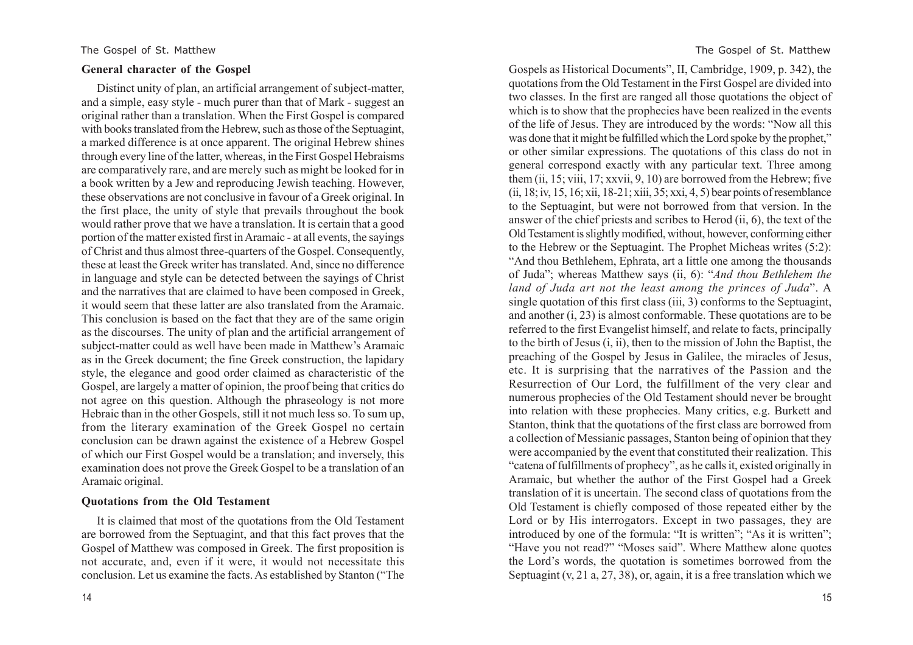#### **General character of the Gospel**

Distinct unity of plan, an artificial arrangement of subject-matter, and a simple, easy style - much purer than that of Mark - suggest an original rather than a translation. When the First Gospel is compared with books translated from the Hebrew, such as those of the Septuagint, a marked difference is at once apparent. The original Hebrew shines through every line of the latter, whereas, in the First Gospel Hebraisms are comparatively rare, and are merely such as might be looked for in a book written by a Jew and reproducing Jewish teaching. However, these observations are not conclusive in favour of a Greek original. In the first place, the unity of style that prevails throughout the book would rather prove that we have a translation. It is certain that a good portion of the matter existed first in Aramaic - at all events, the sayings of Christ and thus almost three-quarters of the Gospel. Consequently, these at least the Greek writer has translated. And, since no difference in language and style can be detected between the sayings of Christ and the narratives that are claimed to have been composed in Greek, it would seem that these latter are also translated from the Aramaic. This conclusion is based on the fact that they are of the same origin as the discourses. The unity of plan and the artificial arrangement of subject-matter could as well have been made in Matthew's Aramaic as in the Greek document; the fine Greek construction, the lapidary style, the elegance and good order claimed as characteristic of the Gospel, are largely a matter of opinion, the proof being that critics do not agree on this question. Although the phraseology is not more Hebraic than in the other Gospels, still it not much less so. To sum up, from the literary examination of the Greek Gospel no certain conclusion can be drawn against the existence of a Hebrew Gospel of which our First Gospel would be a translation; and inversely, this examination does not prove the Greek Gospel to be a translation of an Aramaic original.

## **Quotations from the Old Testament**

It is claimed that most of the quotations from the Old Testament are borrowed from the Septuagint, and that this fact proves that the Gospel of Matthew was composed in Greek. The first proposition is not accurate, and, even if it were, it would not necessitate this conclusion. Let us examine the facts. As established by Stanton ("The

Gospels as Historical Documents", II, Cambridge, 1909, p. 342), the quotations from the Old Testament in the First Gospel are divided into two classes. In the first are ranged all those quotations the object of which is to show that the prophecies have been realized in the events of the life of Jesus. They are introduced by the words: "Now all this was done that it might be fulfilled which the Lord spoke by the prophet," or other similar expressions. The quotations of this class do not in general correspond exactly with any particular text. Three among them (ii, 15; viii, 17; xxvii, 9, 10) are borrowed from the Hebrew; five (ii, 18; iv, 15, 16; xii, 18-21; xiii, 35; xxi, 4, 5) bear points of resemblance to the Septuagint, but were not borrowed from that version. In the answer of the chief priests and scribes to Herod (ii, 6), the text of the Old Testament is slightly modified, without, however, conforming either to the Hebrew or the Septuagint. The Prophet Micheas writes (5:2): "And thou Bethlehem, Ephrata, art a little one among the thousands of Juda"; whereas Matthew says (ii, 6): "*And thou Bethlehem the land of Juda art not the least among the princes of Juda*". A single quotation of this first class (iii, 3) conforms to the Septuagint, and another (i, 23) is almost conformable. These quotations are to be referred to the first Evangelist himself, and relate to facts, principally to the birth of Jesus (i, ii), then to the mission of John the Baptist, the preaching of the Gospel by Jesus in Galilee, the miracles of Jesus, etc. It is surprising that the narratives of the Passion and the Resurrection of Our Lord, the fulfillment of the very clear and numerous prophecies of the Old Testament should never be brought into relation with these prophecies. Many critics, e.g. Burkett and Stanton, think that the quotations of the first class are borrowed from a collection of Messianic passages, Stanton being of opinion that they were accompanied by the event that constituted their realization. This "catena of fulfillments of prophecy", as he calls it, existed originally in Aramaic, but whether the author of the First Gospel had a Greek translation of it is uncertain. The second class of quotations from the Old Testament is chiefly composed of those repeated either by the Lord or by His interrogators. Except in two passages, they are introduced by one of the formula: "It is written"; "As it is written"; "Have you not read?" "Moses said". Where Matthew alone quotes the Lord's words, the quotation is sometimes borrowed from the Septuagint (v, 21 a, 27, 38), or, again, it is a free translation which we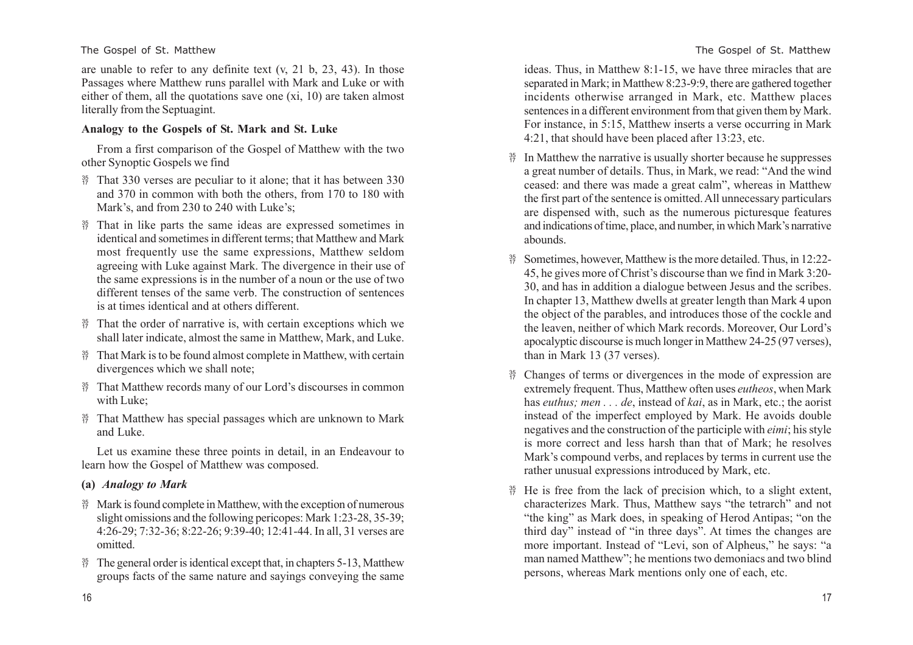are unable to refer to any definite text (v, 21 b, 23, 43). In those Passages where Matthew runs parallel with Mark and Luke or with either of them, all the quotations save one (xi, 10) are taken almost literally from the Septuagint.

## **Analogy to the Gospels of St. Mark and St. Luke**

From a first comparison of the Gospel of Matthew with the two other Synoptic Gospels we find

- $\frac{35}{17}$  That 330 verses are peculiar to it alone; that it has between 330 and 370 in common with both the others, from 170 to 180 with Mark's, and from 230 to 240 with Luke's;
- $\frac{35}{17}$  That in like parts the same ideas are expressed sometimes in identical and sometimes in different terms; that Matthew and Mark most frequently use the same expressions, Matthew seldom agreeing with Luke against Mark. The divergence in their use of the same expressions is in the number of a noun or the use of two different tenses of the same verb. The construction of sentences is at times identical and at others different.
- $\frac{35}{17}$  That the order of narrative is, with certain exceptions which we shall later indicate, almost the same in Matthew, Mark, and Luke.
- $^{35}_{17}$  That Mark is to be found almost complete in Matthew, with certain divergences which we shall note;
- $\frac{35}{17}$  That Matthew records many of our Lord's discourses in common with Luke;
- $\frac{35}{17}$  That Matthew has special passages which are unknown to Mark and Luke.

Let us examine these three points in detail, in an Endeavour to learn how the Gospel of Matthew was composed.

## **(a)** *Analogy to Mark*

- $^{35}_{17}$  Mark is found complete in Matthew, with the exception of numerous slight omissions and the following pericopes: Mark 1:23-28, 35-39; 4:26-29; 7:32-36; 8:22-26; 9:39-40; 12:41-44. In all, 31 verses are omitted.
- $^{35}_{17}$  The general order is identical except that, in chapters 5-13, Matthew groups facts of the same nature and sayings conveying the same

ideas. Thus, in Matthew 8:1-15, we have three miracles that are separated in Mark; in Matthew 8:23-9:9, there are gathered together incidents otherwise arranged in Mark, etc. Matthew places sentences in a different environment from that given them by Mark. For instance, in 5:15, Matthew inserts a verse occurring in Mark 4:21, that should have been placed after 13:23, etc.

- $\frac{35}{17}$  In Matthew the narrative is usually shorter because he suppresses a great number of details. Thus, in Mark, we read: "And the wind ceased: and there was made a great calm", whereas in Matthew the first part of the sentence is omitted. All unnecessary particulars are dispensed with, such as the numerous picturesque features and indications of time, place, and number, in which Mark's narrative abounds.
- $\frac{35}{17}$  Sometimes, however, Matthew is the more detailed. Thus, in 12:22-45, he gives more of Christ's discourse than we find in Mark 3:20- 30, and has in addition a dialogue between Jesus and the scribes. In chapter 13, Matthew dwells at greater length than Mark 4 upon the object of the parables, and introduces those of the cockle and the leaven, neither of which Mark records. Moreover, Our Lord's apocalyptic discourse is much longer in Matthew 24-25 (97 verses), than in Mark 13 (37 verses).
- $\frac{35}{17}$  Changes of terms or divergences in the mode of expression are extremely frequent. Thus, Matthew often uses *eutheos*, when Mark has *euthus; men . . . de*, instead of *kai*, as in Mark, etc.; the aorist instead of the imperfect employed by Mark. He avoids double negatives and the construction of the participle with *eimi*; his style is more correct and less harsh than that of Mark; he resolves Mark's compound verbs, and replaces by terms in current use the rather unusual expressions introduced by Mark, etc.
- $^{35}_{17}$  He is free from the lack of precision which, to a slight extent, characterizes Mark. Thus, Matthew says "the tetrarch" and not "the king" as Mark does, in speaking of Herod Antipas; "on the third day" instead of "in three days". At times the changes are more important. Instead of "Levi, son of Alpheus," he says: "a man named Matthew"; he mentions two demoniacs and two blind persons, whereas Mark mentions only one of each, etc.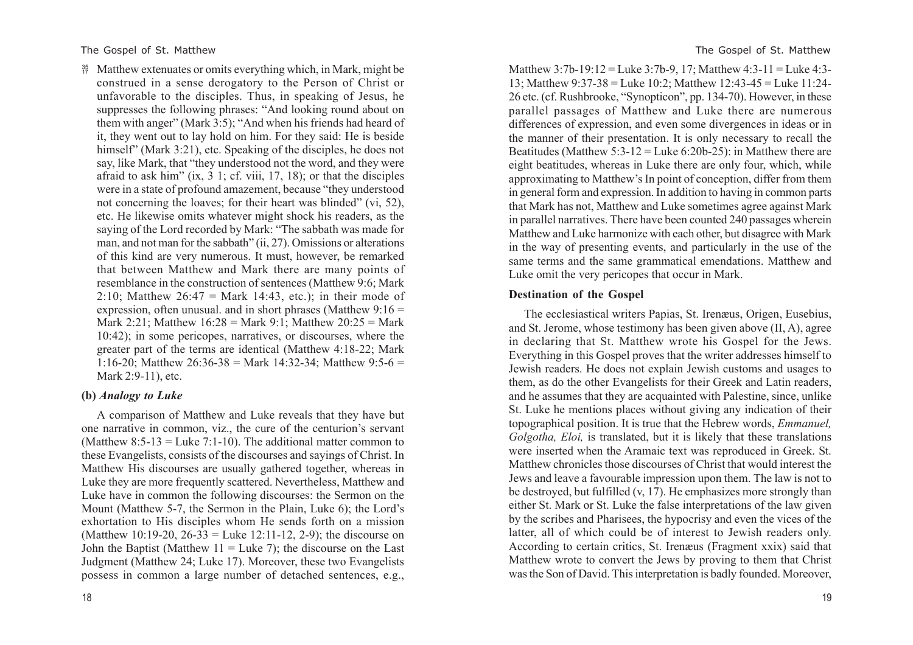$\frac{35}{17}$  Matthew extenuates or omits everything which, in Mark, might be construed in a sense derogatory to the Person of Christ or unfavorable to the disciples. Thus, in speaking of Jesus, he suppresses the following phrases: "And looking round about on them with anger" (Mark 3:5); "And when his friends had heard of it, they went out to lay hold on him. For they said: He is beside himself" (Mark 3:21), etc. Speaking of the disciples, he does not say, like Mark, that "they understood not the word, and they were afraid to ask him" (ix, 3 1; cf. viii, 17, 18); or that the disciples were in a state of profound amazement, because "they understood not concerning the loaves; for their heart was blinded" (vi, 52), etc. He likewise omits whatever might shock his readers, as the saying of the Lord recorded by Mark: "The sabbath was made for man, and not man for the sabbath" (ii, 27). Omissions or alterations of this kind are very numerous. It must, however, be remarked that between Matthew and Mark there are many points of resemblance in the construction of sentences (Matthew 9:6; Mark 2:10; Matthew  $26:47 = \text{Mark } 14:43$ , etc.); in their mode of expression, often unusual. and in short phrases (Matthew  $9:16 =$ Mark 2:21; Matthew  $16:28 =$  Mark 9:1; Matthew  $20:25 =$  Mark 10:42); in some pericopes, narratives, or discourses, where the greater part of the terms are identical (Matthew 4:18-22; Mark 1:16-20; Matthew 26:36-38 = Mark 14:32-34; Matthew 9:5-6 = Mark 2:9-11), etc.

#### **(b)** *Analogy to Luke*

A comparison of Matthew and Luke reveals that they have but one narrative in common, viz., the cure of the centurion's servant (Matthew 8:5-13 = Luke 7:1-10). The additional matter common to these Evangelists, consists of the discourses and sayings of Christ. In Matthew His discourses are usually gathered together, whereas in Luke they are more frequently scattered. Nevertheless, Matthew and Luke have in common the following discourses: the Sermon on the Mount (Matthew 5-7, the Sermon in the Plain, Luke 6); the Lord's exhortation to His disciples whom He sends forth on a mission (Matthew 10:19-20,  $26-33 =$  Luke 12:11-12, 2-9); the discourse on John the Baptist (Matthew  $11 =$  Luke 7); the discourse on the Last Judgment (Matthew 24; Luke 17). Moreover, these two Evangelists possess in common a large number of detached sentences, e.g.,

Matthew 3:7b-19:12 = Luke 3:7b-9, 17; Matthew 4:3-11 = Luke 4:3- 13; Matthew 9:37-38 = Luke 10:2; Matthew 12:43-45 = Luke 11:24- 26 etc. (cf. Rushbrooke, "Synopticon", pp. 134-70). However, in these parallel passages of Matthew and Luke there are numerous differences of expression, and even some divergences in ideas or in the manner of their presentation. It is only necessary to recall the Beatitudes (Matthew 5:3-12 = Luke 6:20b-25): in Matthew there are eight beatitudes, whereas in Luke there are only four, which, while approximating to Matthew's In point of conception, differ from them in general form and expression. In addition to having in common parts that Mark has not, Matthew and Luke sometimes agree against Mark in parallel narratives. There have been counted 240 passages wherein Matthew and Luke harmonize with each other, but disagree with Mark in the way of presenting events, and particularly in the use of the same terms and the same grammatical emendations. Matthew and Luke omit the very pericopes that occur in Mark.

#### **Destination of the Gospel**

The ecclesiastical writers Papias, St. Irenæus, Origen, Eusebius, and St. Jerome, whose testimony has been given above (II, A), agree in declaring that St. Matthew wrote his Gospel for the Jews. Everything in this Gospel proves that the writer addresses himself to Jewish readers. He does not explain Jewish customs and usages to them, as do the other Evangelists for their Greek and Latin readers, and he assumes that they are acquainted with Palestine, since, unlike St. Luke he mentions places without giving any indication of their topographical position. It is true that the Hebrew words, *Emmanuel, Golgotha, Eloi,* is translated, but it is likely that these translations were inserted when the Aramaic text was reproduced in Greek. St. Matthew chronicles those discourses of Christ that would interest the Jews and leave a favourable impression upon them. The law is not to be destroyed, but fulfilled (v, 17). He emphasizes more strongly than either St. Mark or St. Luke the false interpretations of the law given by the scribes and Pharisees, the hypocrisy and even the vices of the latter, all of which could be of interest to Jewish readers only. According to certain critics, St. Irenæus (Fragment xxix) said that Matthew wrote to convert the Jews by proving to them that Christ was the Son of David. This interpretation is badly founded. Moreover,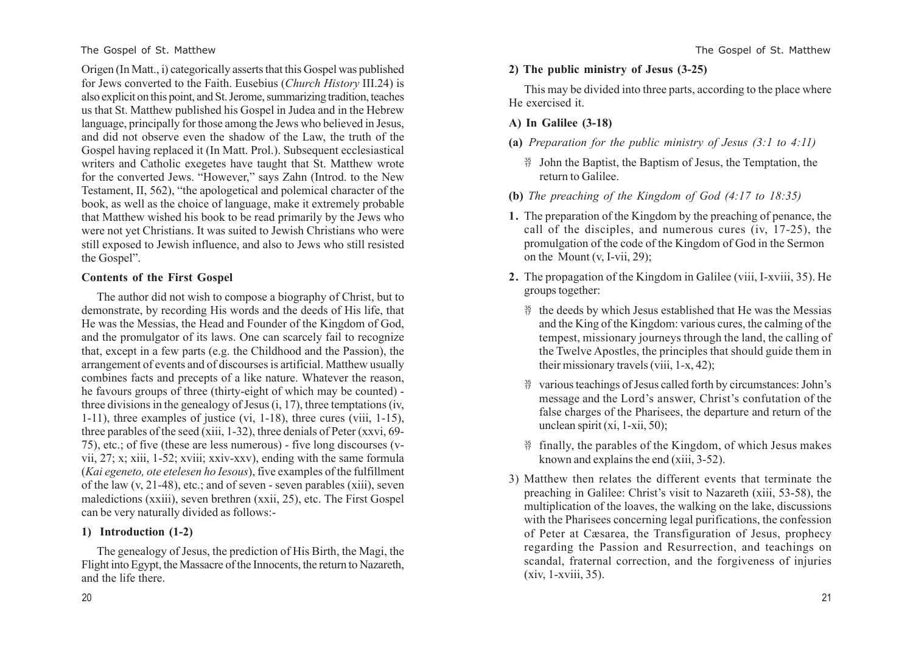Origen (In Matt., i) categorically asserts that this Gospel was published for Jews converted to the Faith. Eusebius (*Church History* III.24) is also explicit on this point, and St. Jerome, summarizing tradition, teaches us that St. Matthew published his Gospel in Judea and in the Hebrew language, principally for those among the Jews who believed in Jesus, and did not observe even the shadow of the Law, the truth of the Gospel having replaced it (In Matt. Prol.). Subsequent ecclesiastical writers and Catholic exegetes have taught that St. Matthew wrote for the converted Jews. "However," says Zahn (Introd. to the New Testament, II, 562), "the apologetical and polemical character of the book, as well as the choice of language, make it extremely probable that Matthew wished his book to be read primarily by the Jews who were not yet Christians. It was suited to Jewish Christians who were still exposed to Jewish influence, and also to Jews who still resisted the Gospel".

## **Contents of the First Gospel**

The author did not wish to compose a biography of Christ, but to demonstrate, by recording His words and the deeds of His life, that He was the Messias, the Head and Founder of the Kingdom of God, and the promulgator of its laws. One can scarcely fail to recognize that, except in a few parts (e.g. the Childhood and the Passion), the arrangement of events and of discourses is artificial. Matthew usually combines facts and precepts of a like nature. Whatever the reason, he favours groups of three (thirty-eight of which may be counted) three divisions in the genealogy of Jesus (i, 17), three temptations (iv, 1-11), three examples of justice (vi, 1-18), three cures (viii, 1-15), three parables of the seed (xiii, 1-32), three denials of Peter (xxvi, 69- 75), etc.; of five (these are less numerous) - five long discourses (vvii, 27; x; xiii, 1-52; xviii; xxiv-xxv), ending with the same formula (*Kai egeneto, ote etelesen ho Iesous*), five examples of the fulfillment of the law (v, 21-48), etc.; and of seven - seven parables (xiii), seven maledictions (xxiii), seven brethren (xxii, 25), etc. The First Gospel can be very naturally divided as follows:-

## **1) Introduction (1-2)**

The genealogy of Jesus, the prediction of His Birth, the Magi, the Flight into Egypt, the Massacre of the Innocents, the return to Nazareth, and the life there.

## **2) The public ministry of Jesus (3-25)**

This may be divided into three parts, according to the place where He exercised it.

## **A) In Galilee (3-18)**

- **(a)** *Preparation for the public ministry of Jesus (3:1 to 4:11)*
	- <sup>35</sup> John the Baptist, the Baptism of Jesus, the Temptation, the return to Galilee.
- **(b)** *The preaching of the Kingdom of God (4:17 to 18:35)*
- **1.** The preparation of the Kingdom by the preaching of penance, the call of the disciples, and numerous cures (iv, 17-25), the promulgation of the code of the Kingdom of God in the Sermon on the Mount (v, I-vii, 29);
- **2.** The propagation of the Kingdom in Galilee (viii, I-xviii, 35). He groups together:
	- $\frac{35}{17}$  the deeds by which Jesus established that He was the Messias and the King of the Kingdom: various cures, the calming of the tempest, missionary journeys through the land, the calling of the Twelve Apostles, the principles that should guide them in their missionary travels (viii,  $1-x$ , 42);
	- $\frac{35}{17}$  various teachings of Jesus called forth by circumstances: John's message and the Lord's answer, Christ's confutation of the false charges of the Pharisees, the departure and return of the unclean spirit (xi, 1-xii, 50);
	- $\frac{35}{17}$  finally, the parables of the Kingdom, of which Jesus makes known and explains the end (xiii, 3-52).
- 3) Matthew then relates the different events that terminate the preaching in Galilee: Christ's visit to Nazareth (xiii, 53-58), the multiplication of the loaves, the walking on the lake, discussions with the Pharisees concerning legal purifications, the confession of Peter at Cæsarea, the Transfiguration of Jesus, prophecy regarding the Passion and Resurrection, and teachings on scandal, fraternal correction, and the forgiveness of injuries (xiv, 1-xviii, 35).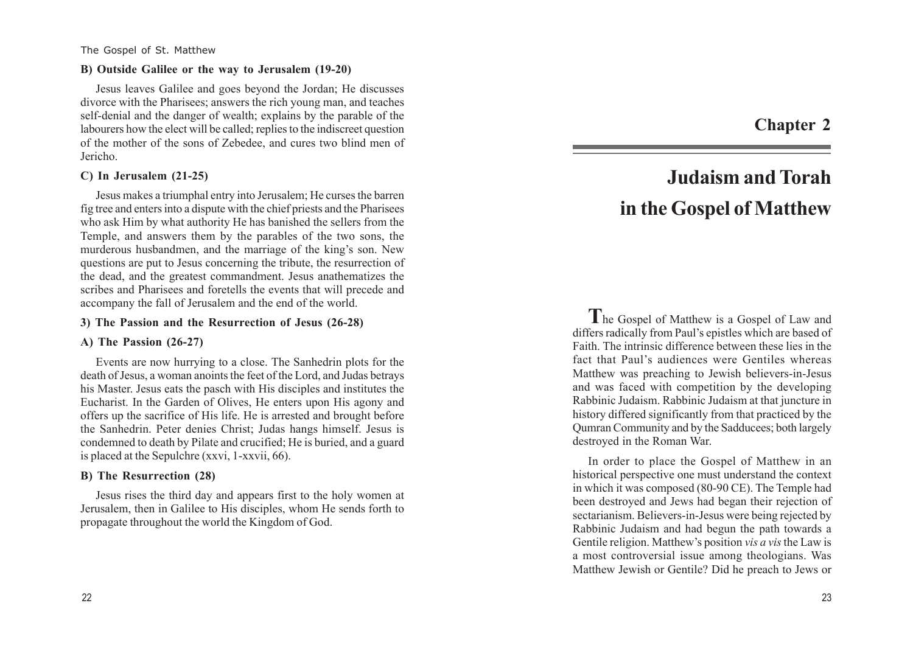#### **B) Outside Galilee or the way to Jerusalem (19-20)**

Jesus leaves Galilee and goes beyond the Jordan; He discusses divorce with the Pharisees; answers the rich young man, and teaches self-denial and the danger of wealth; explains by the parable of the labourers how the elect will be called; replies to the indiscreet question of the mother of the sons of Zebedee, and cures two blind men of Jericho.

#### **C) In Jerusalem (21-25)**

Jesus makes a triumphal entry into Jerusalem; He curses the barren fig tree and enters into a dispute with the chief priests and the Pharisees who ask Him by what authority He has banished the sellers from the Temple, and answers them by the parables of the two sons, the murderous husbandmen, and the marriage of the king's son. New questions are put to Jesus concerning the tribute, the resurrection of the dead, and the greatest commandment. Jesus anathematizes the scribes and Pharisees and foretells the events that will precede and accompany the fall of Jerusalem and the end of the world.

#### **3) The Passion and the Resurrection of Jesus (26-28)**

#### **A) The Passion (26-27)**

Events are now hurrying to a close. The Sanhedrin plots for the death of Jesus, a woman anoints the feet of the Lord, and Judas betrays his Master. Jesus eats the pasch with His disciples and institutes the Eucharist. In the Garden of Olives, He enters upon His agony and offers up the sacrifice of His life. He is arrested and brought before the Sanhedrin. Peter denies Christ; Judas hangs himself. Jesus is condemned to death by Pilate and crucified; He is buried, and a guard is placed at the Sepulchre (xxvi, 1-xxvii, 66).

#### **B) The Resurrection (28)**

Jesus rises the third day and appears first to the holy women at Jerusalem, then in Galilee to His disciples, whom He sends forth to propagate throughout the world the Kingdom of God.

# **Judaism and Torah in the Gospel of Matthew**

**T**he Gospel of Matthew is a Gospel of Law and differs radically from Paul's epistles which are based of Faith. The intrinsic difference between these lies in the fact that Paul's audiences were Gentiles whereas Matthew was preaching to Jewish believers-in-Jesus and was faced with competition by the developing Rabbinic Judaism. Rabbinic Judaism at that juncture in history differed significantly from that practiced by the Qumran Community and by the Sadducees; both largely destroyed in the Roman War.

In order to place the Gospel of Matthew in an historical perspective one must understand the context in which it was composed (80-90 CE). The Temple had been destroyed and Jews had began their rejection of sectarianism. Believers-in-Jesus were being rejected by Rabbinic Judaism and had begun the path towards a Gentile religion. Matthew's position *vis a vis* the Law is a most controversial issue among theologians. Was Matthew Jewish or Gentile? Did he preach to Jews or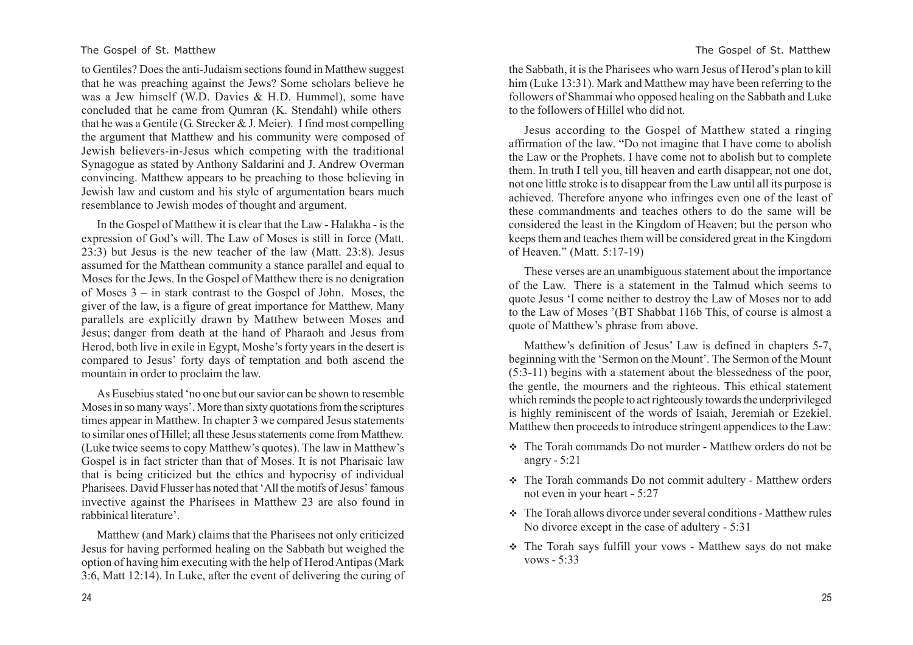to Gentiles? Does the anti-Judaism sections found in Matthew suggest that he was preaching against the Jews? Some scholars believe he was a Jew himself (W.D. Davies & H.D. Hummel), some have concluded that he came from Qumran (K. Stendahl) while others that he was a Gentile (G. Strecker & J. Meier). I find most compelling the argument that Matthew and his community were composed of Jewish believers-in-Jesus which competing with the traditional Synagogue as stated by Anthony Saldarini and J. Andrew Overman convincing. Matthew appears to be preaching to those believing in Jewish law and custom and his style of argumentation bears much resemblance to Jewish modes of thought and argument.

In the Gospel of Matthew it is clear that the Law - Halakha - is the expression of God's will. The Law of Moses is still in force (Matt. 23:3) but Jesus is the new teacher of the law (Matt. 23:8). Jesus assumed for the Matthean community a stance parallel and equal to Moses for the Jews. In the Gospel of Matthew there is no denigration of Moses 3 – in stark contrast to the Gospel of John. Moses, the giver of the law, is a figure of great importance for Matthew. Many parallels are explicitly drawn by Matthew between Moses and Jesus; danger from death at the hand of Pharaoh and Jesus from Herod, both live in exile in Egypt, Moshe's forty years in the desert is compared to Jesus' forty days of temptation and both ascend the mountain in order to proclaim the law.

As Eusebius stated 'no one but our savior can be shown to resemble Moses in so many ways'. More than sixty quotations from the scriptures times appear in Matthew. In chapter 3 we compared Jesus statements to similar ones of Hillel; all these Jesus statements come from Matthew. (Luke twice seems to copy Matthew's quotes). The law in Matthew's Gospel is in fact stricter than that of Moses. It is not Pharisaic law that is being criticized but the ethics and hypocrisy of individual Pharisees. David Flusser has noted that 'All the motifs of Jesus' famous invective against the Pharisees in Matthew 23 are also found in rabbinical literature'.

Matthew (and Mark) claims that the Pharisees not only criticized Jesus for having performed healing on the Sabbath but weighed the option of having him executing with the help of Herod Antipas (Mark 3:6, Matt 12:14). In Luke, after the event of delivering the curing of the Sabbath, it is the Pharisees who warn Jesus of Herod's plan to kill him (Luke 13:31). Mark and Matthew may have been referring to the followers of Shammai who opposed healing on the Sabbath and Luke to the followers of Hillel who did not.

Jesus according to the Gospel of Matthew stated a ringing affirmation of the law. "Do not imagine that I have come to abolish the Law or the Prophets. I have come not to abolish but to complete them. In truth I tell you, till heaven and earth disappear, not one dot, not one little stroke is to disappear from the Law until all its purpose is achieved. Therefore anyone who infringes even one of the least of these commandments and teaches others to do the same will be considered the least in the Kingdom of Heaven; but the person who keeps them and teaches them will be considered great in the Kingdom of Heaven." (Matt. 5:17-19)

These verses are an unambiguous statement about the importance of the Law. There is a statement in the Talmud which seems to quote Jesus 'I come neither to destroy the Law of Moses nor to add to the Law of Moses '(BT Shabbat 116b This, of course is almost a quote of Matthew's phrase from above.

Matthew's definition of Jesus' Law is defined in chapters 5-7, beginning with the 'Sermon on the Mount'. The Sermon of the Mount (5:3-11) begins with a statement about the blessedness of the poor, the gentle, the mourners and the righteous. This ethical statement which reminds the people to act righteously towards the underprivileged is highly reminiscent of the words of Isaiah, Jeremiah or Ezekiel. Matthew then proceeds to introduce stringent appendices to the Law:

- The Torah commands Do not murder Matthew orders do not be angry - 5:21
- The Torah commands Do not commit adultery Matthew orders not even in your heart - 5:27
- $\div$  The Torah allows divorce under several conditions Matthew rules No divorce except in the case of adultery - 5:31
- The Torah says fulfill your vows Matthew says do not make vows - 5:33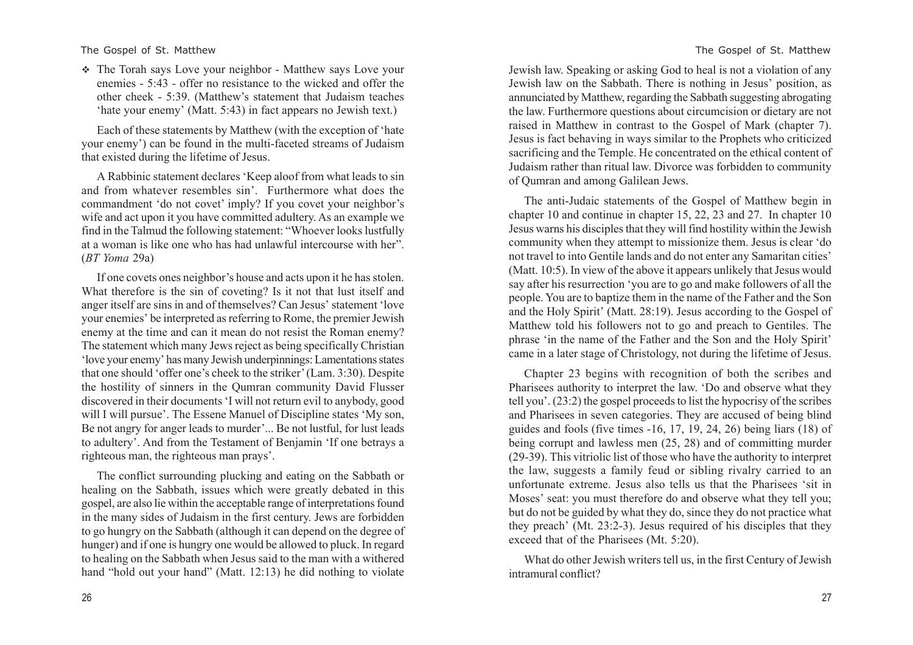• The Torah says Love your neighbor - Matthew says Love your enemies - 5:43 - offer no resistance to the wicked and offer the other cheek - 5:39. (Matthew's statement that Judaism teaches 'hate your enemy' (Matt. 5:43) in fact appears no Jewish text.)

Each of these statements by Matthew (with the exception of 'hate your enemy') can be found in the multi-faceted streams of Judaism that existed during the lifetime of Jesus.

A Rabbinic statement declares 'Keep aloof from what leads to sin and from whatever resembles sin'. Furthermore what does the commandment 'do not covet' imply? If you covet your neighbor's wife and act upon it you have committed adultery. As an example we find in the Talmud the following statement: "Whoever looks lustfully at a woman is like one who has had unlawful intercourse with her". (*BT Yoma* 29a)

If one covets ones neighbor's house and acts upon it he has stolen. What therefore is the sin of coveting? Is it not that lust itself and anger itself are sins in and of themselves? Can Jesus' statement 'love your enemies' be interpreted as referring to Rome, the premier Jewish enemy at the time and can it mean do not resist the Roman enemy? The statement which many Jews reject as being specifically Christian 'love your enemy' has many Jewish underpinnings: Lamentations states that one should 'offer one's cheek to the striker' (Lam. 3:30). Despite the hostility of sinners in the Qumran community David Flusser discovered in their documents 'I will not return evil to anybody, good will I will pursue'. The Essene Manuel of Discipline states 'My son, Be not angry for anger leads to murder'... Be not lustful, for lust leads to adultery'. And from the Testament of Benjamin 'If one betrays a righteous man, the righteous man prays'.

The conflict surrounding plucking and eating on the Sabbath or healing on the Sabbath, issues which were greatly debated in this gospel, are also lie within the acceptable range of interpretations found in the many sides of Judaism in the first century. Jews are forbidden to go hungry on the Sabbath (although it can depend on the degree of hunger) and if one is hungry one would be allowed to pluck. In regard to healing on the Sabbath when Jesus said to the man with a withered hand "hold out your hand" (Matt. 12:13) he did nothing to violate

Jewish law. Speaking or asking God to heal is not a violation of any Jewish law on the Sabbath. There is nothing in Jesus' position, as annunciated by Matthew, regarding the Sabbath suggesting abrogating the law. Furthermore questions about circumcision or dietary are not raised in Matthew in contrast to the Gospel of Mark (chapter 7). Jesus is fact behaving in ways similar to the Prophets who criticized sacrificing and the Temple. He concentrated on the ethical content of Judaism rather than ritual law. Divorce was forbidden to community of Qumran and among Galilean Jews.

The anti-Judaic statements of the Gospel of Matthew begin in chapter 10 and continue in chapter 15, 22, 23 and 27. In chapter 10 Jesus warns his disciples that they will find hostility within the Jewish community when they attempt to missionize them. Jesus is clear 'do not travel to into Gentile lands and do not enter any Samaritan cities' (Matt. 10:5). In view of the above it appears unlikely that Jesus would say after his resurrection 'you are to go and make followers of all the people. You are to baptize them in the name of the Father and the Son and the Holy Spirit' (Matt. 28:19). Jesus according to the Gospel of Matthew told his followers not to go and preach to Gentiles. The phrase 'in the name of the Father and the Son and the Holy Spirit' came in a later stage of Christology, not during the lifetime of Jesus.

Chapter 23 begins with recognition of both the scribes and Pharisees authority to interpret the law. 'Do and observe what they tell you'. (23:2) the gospel proceeds to list the hypocrisy of the scribes and Pharisees in seven categories. They are accused of being blind guides and fools (five times -16, 17, 19, 24, 26) being liars (18) of being corrupt and lawless men (25, 28) and of committing murder (29-39). This vitriolic list of those who have the authority to interpret the law, suggests a family feud or sibling rivalry carried to an unfortunate extreme. Jesus also tells us that the Pharisees 'sit in Moses' seat: you must therefore do and observe what they tell you; but do not be guided by what they do, since they do not practice what they preach' (Mt. 23:2-3). Jesus required of his disciples that they exceed that of the Pharisees (Mt. 5:20).

What do other Jewish writers tell us, in the first Century of Jewish intramural conflict?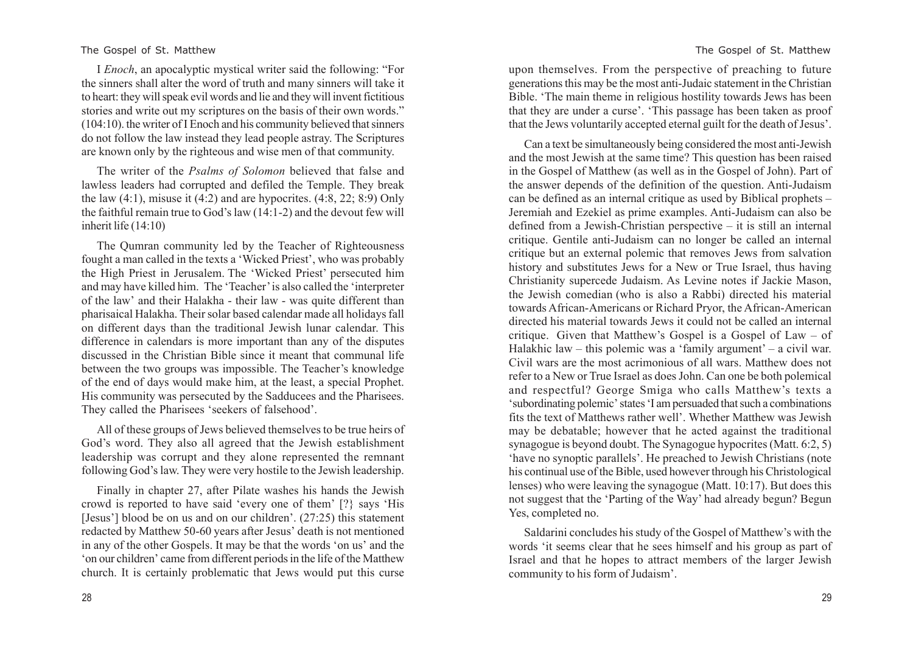I *Enoch*, an apocalyptic mystical writer said the following: "For the sinners shall alter the word of truth and many sinners will take it to heart: they will speak evil words and lie and they will invent fictitious stories and write out my scriptures on the basis of their own words." (104:10). the writer of I Enoch and his community believed that sinners do not follow the law instead they lead people astray. The Scriptures are known only by the righteous and wise men of that community.

The writer of the *Psalms of Solomon* believed that false and lawless leaders had corrupted and defiled the Temple. They break the law  $(4:1)$ , misuse it  $(4:2)$  and are hypocrites.  $(4:8, 22; 8:9)$  Only the faithful remain true to God's law (14:1-2) and the devout few will inherit life (14:10)

The Qumran community led by the Teacher of Righteousness fought a man called in the texts a 'Wicked Priest', who was probably the High Priest in Jerusalem. The 'Wicked Priest' persecuted him and may have killed him. The 'Teacher' is also called the 'interpreter of the law' and their Halakha - their law - was quite different than pharisaical Halakha. Their solar based calendar made all holidays fall on different days than the traditional Jewish lunar calendar. This difference in calendars is more important than any of the disputes discussed in the Christian Bible since it meant that communal life between the two groups was impossible. The Teacher's knowledge of the end of days would make him, at the least, a special Prophet. His community was persecuted by the Sadducees and the Pharisees. They called the Pharisees 'seekers of falsehood'.

All of these groups of Jews believed themselves to be true heirs of God's word. They also all agreed that the Jewish establishment leadership was corrupt and they alone represented the remnant following God's law. They were very hostile to the Jewish leadership.

Finally in chapter 27, after Pilate washes his hands the Jewish crowd is reported to have said 'every one of them' [?} says 'His [Jesus'] blood be on us and on our children'. (27:25) this statement redacted by Matthew 50-60 years after Jesus' death is not mentioned in any of the other Gospels. It may be that the words 'on us' and the 'on our children' came from different periods in the life of the Matthew church. It is certainly problematic that Jews would put this curse upon themselves. From the perspective of preaching to future generations this may be the most anti-Judaic statement in the Christian Bible. 'The main theme in religious hostility towards Jews has been that they are under a curse'. 'This passage has been taken as proof that the Jews voluntarily accepted eternal guilt for the death of Jesus'.

Can a text be simultaneously being considered the most anti-Jewish and the most Jewish at the same time? This question has been raised in the Gospel of Matthew (as well as in the Gospel of John). Part of the answer depends of the definition of the question. Anti-Judaism can be defined as an internal critique as used by Biblical prophets – Jeremiah and Ezekiel as prime examples. Anti-Judaism can also be defined from a Jewish-Christian perspective – it is still an internal critique. Gentile anti-Judaism can no longer be called an internal critique but an external polemic that removes Jews from salvation history and substitutes Jews for a New or True Israel, thus having Christianity supercede Judaism. As Levine notes if Jackie Mason, the Jewish comedian (who is also a Rabbi) directed his material towards African-Americans or Richard Pryor, the African-American directed his material towards Jews it could not be called an internal critique. Given that Matthew's Gospel is a Gospel of Law – of Halakhic law – this polemic was a 'family argument' – a civil war. Civil wars are the most acrimonious of all wars. Matthew does not refer to a New or True Israel as does John. Can one be both polemical and respectful? George Smiga who calls Matthew's texts a 'subordinating polemic' states 'I am persuaded that such a combinations fits the text of Matthews rather well'. Whether Matthew was Jewish may be debatable; however that he acted against the traditional synagogue is beyond doubt. The Synagogue hypocrites (Matt. 6:2, 5) 'have no synoptic parallels'. He preached to Jewish Christians (note his continual use of the Bible, used however through his Christological lenses) who were leaving the synagogue (Matt. 10:17). But does this not suggest that the 'Parting of the Way' had already begun? Begun Yes, completed no.

Saldarini concludes his study of the Gospel of Matthew's with the words 'it seems clear that he sees himself and his group as part of Israel and that he hopes to attract members of the larger Jewish community to his form of Judaism'.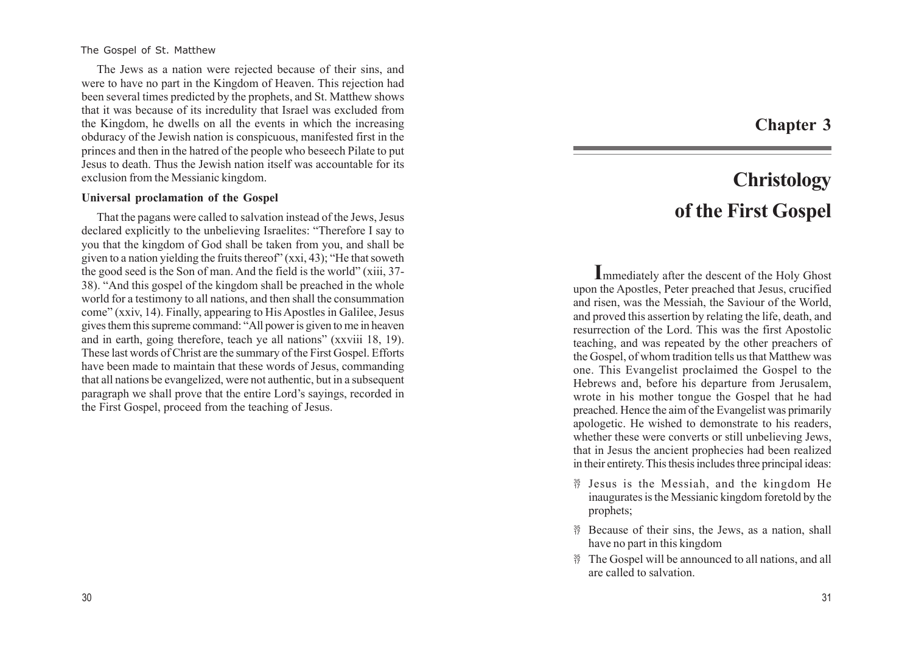The Jews as a nation were rejected because of their sins, and were to have no part in the Kingdom of Heaven. This rejection had been several times predicted by the prophets, and St. Matthew shows that it was because of its incredulity that Israel was excluded from the Kingdom, he dwells on all the events in which the increasing obduracy of the Jewish nation is conspicuous, manifested first in the princes and then in the hatred of the people who beseech Pilate to put Jesus to death. Thus the Jewish nation itself was accountable for its exclusion from the Messianic kingdom.

#### **Universal proclamation of the Gospel**

That the pagans were called to salvation instead of the Jews, Jesus declared explicitly to the unbelieving Israelites: "Therefore I say to you that the kingdom of God shall be taken from you, and shall be given to a nation yielding the fruits thereof" (xxi, 43); "He that soweth the good seed is the Son of man. And the field is the world" (xiii, 37- 38). "And this gospel of the kingdom shall be preached in the whole world for a testimony to all nations, and then shall the consummation come" (xxiv, 14). Finally, appearing to His Apostles in Galilee, Jesus gives them this supreme command: "All power is given to me in heaven and in earth, going therefore, teach ye all nations" (xxviii 18, 19). These last words of Christ are the summary of the First Gospel. Efforts have been made to maintain that these words of Jesus, commanding that all nations be evangelized, were not authentic, but in a subsequent paragraph we shall prove that the entire Lord's sayings, recorded in the First Gospel, proceed from the teaching of Jesus.

## **Chapter 3**

# **Christology of the First Gospel**

**I**mmediately after the descent of the Holy Ghost upon the Apostles, Peter preached that Jesus, crucified and risen, was the Messiah, the Saviour of the World, and proved this assertion by relating the life, death, and resurrection of the Lord. This was the first Apostolic teaching, and was repeated by the other preachers of the Gospel, of whom tradition tells us that Matthew was one. This Evangelist proclaimed the Gospel to the Hebrews and, before his departure from Jerusalem, wrote in his mother tongue the Gospel that he had preached. Hence the aim of the Evangelist was primarily apologetic. He wished to demonstrate to his readers, whether these were converts or still unbelieving Jews, that in Jesus the ancient prophecies had been realized in their entirety. This thesis includes three principal ideas:

- $^{35}_{17}$  Jesus is the Messiah, and the kingdom He inaugurates is the Messianic kingdom foretold by the prophets;
- $^{35}_{17}$  Because of their sins, the Jews, as a nation, shall have no part in this kingdom
- $^{35}_{17}$  The Gospel will be announced to all nations, and all are called to salvation.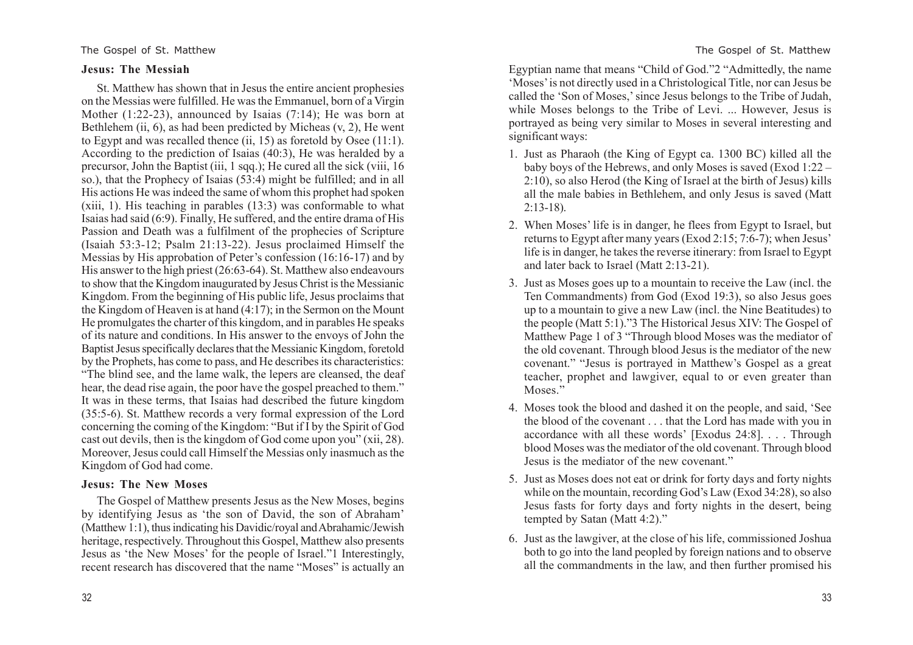## **Jesus: The Messiah**

St. Matthew has shown that in Jesus the entire ancient prophesies on the Messias were fulfilled. He was the Emmanuel, born of a Virgin Mother (1:22-23), announced by Isaias (7:14); He was born at Bethlehem (ii, 6), as had been predicted by Micheas (v, 2), He went to Egypt and was recalled thence (ii, 15) as foretold by Osee (11:1). According to the prediction of Isaias (40:3), He was heralded by a precursor, John the Baptist (iii, 1 sqq.); He cured all the sick (viii, 16 so.), that the Prophecy of Isaias (53:4) might be fulfilled; and in all His actions He was indeed the same of whom this prophet had spoken (xiii, 1). His teaching in parables (13:3) was conformable to what Isaias had said (6:9). Finally, He suffered, and the entire drama of His Passion and Death was a fulfilment of the prophecies of Scripture (Isaiah 53:3-12; Psalm 21:13-22). Jesus proclaimed Himself the Messias by His approbation of Peter's confession (16:16-17) and by His answer to the high priest (26:63-64). St. Matthew also endeavours to show that the Kingdom inaugurated by Jesus Christ is the Messianic Kingdom. From the beginning of His public life, Jesus proclaims that the Kingdom of Heaven is at hand (4:17); in the Sermon on the Mount He promulgates the charter of this kingdom, and in parables He speaks of its nature and conditions. In His answer to the envoys of John the Baptist Jesus specifically declares that the Messianic Kingdom, foretold by the Prophets, has come to pass, and He describes its characteristics: "The blind see, and the lame walk, the lepers are cleansed, the deaf hear, the dead rise again, the poor have the gospel preached to them." It was in these terms, that Isaias had described the future kingdom (35:5-6). St. Matthew records a very formal expression of the Lord concerning the coming of the Kingdom: "But if I by the Spirit of God cast out devils, then is the kingdom of God come upon you" (xii, 28). Moreover, Jesus could call Himself the Messias only inasmuch as the Kingdom of God had come.

## **Jesus: The New Moses**

The Gospel of Matthew presents Jesus as the New Moses, begins by identifying Jesus as 'the son of David, the son of Abraham' (Matthew 1:1), thus indicating his Davidic/royal and Abrahamic/Jewish heritage, respectively. Throughout this Gospel, Matthew also presents Jesus as 'the New Moses' for the people of Israel."1 Interestingly, recent research has discovered that the name "Moses" is actually an Egyptian name that means "Child of God."2 "Admittedly, the name 'Moses' is not directly used in a Christological Title, nor can Jesus be called the 'Son of Moses,' since Jesus belongs to the Tribe of Judah, while Moses belongs to the Tribe of Levi. ... However, Jesus is portrayed as being very similar to Moses in several interesting and significant ways:

- 1. Just as Pharaoh (the King of Egypt ca. 1300 BC) killed all the baby boys of the Hebrews, and only Moses is saved (Exod 1:22 – 2:10), so also Herod (the King of Israel at the birth of Jesus) kills all the male babies in Bethlehem, and only Jesus is saved (Matt 2:13-18).
- 2. When Moses' life is in danger, he flees from Egypt to Israel, but returns to Egypt after many years (Exod 2:15; 7:6-7); when Jesus' life is in danger, he takes the reverse itinerary: from Israel to Egypt and later back to Israel (Matt 2:13-21).
- 3. Just as Moses goes up to a mountain to receive the Law (incl. the Ten Commandments) from God (Exod 19:3), so also Jesus goes up to a mountain to give a new Law (incl. the Nine Beatitudes) to the people (Matt 5:1)."3 The Historical Jesus XIV: The Gospel of Matthew Page 1 of 3 "Through blood Moses was the mediator of the old covenant. Through blood Jesus is the mediator of the new covenant." "Jesus is portrayed in Matthew's Gospel as a great teacher, prophet and lawgiver, equal to or even greater than Moses."
- 4. Moses took the blood and dashed it on the people, and said, 'See the blood of the covenant . . . that the Lord has made with you in accordance with all these words' [Exodus 24:8]. . . . Through blood Moses was the mediator of the old covenant. Through blood Jesus is the mediator of the new covenant."
- 5. Just as Moses does not eat or drink for forty days and forty nights while on the mountain, recording God's Law (Exod 34:28), so also Jesus fasts for forty days and forty nights in the desert, being tempted by Satan (Matt 4:2)."
- 6. Just as the lawgiver, at the close of his life, commissioned Joshua both to go into the land peopled by foreign nations and to observe all the commandments in the law, and then further promised his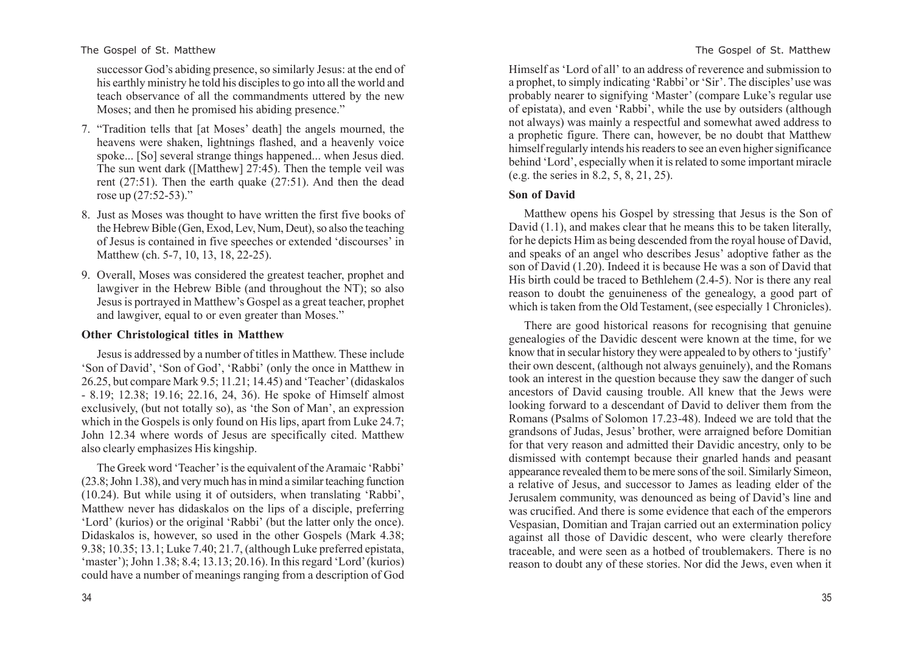successor God's abiding presence, so similarly Jesus: at the end of his earthly ministry he told his disciples to go into all the world and teach observance of all the commandments uttered by the new Moses; and then he promised his abiding presence."

- 7. "Tradition tells that [at Moses' death] the angels mourned, the heavens were shaken, lightnings flashed, and a heavenly voice spoke... [So] several strange things happened... when Jesus died. The sun went dark ([Matthew] 27:45). Then the temple veil was rent (27:51). Then the earth quake (27:51). And then the dead rose up (27:52-53)."
- 8. Just as Moses was thought to have written the first five books of the Hebrew Bible (Gen, Exod, Lev, Num, Deut), so also the teaching of Jesus is contained in five speeches or extended 'discourses' in Matthew (ch. 5-7, 10, 13, 18, 22-25).
- 9. Overall, Moses was considered the greatest teacher, prophet and lawgiver in the Hebrew Bible (and throughout the NT); so also Jesus is portrayed in Matthew's Gospel as a great teacher, prophet and lawgiver, equal to or even greater than Moses."

## **Other Christological titles in Matthew**

Jesus is addressed by a number of titles in Matthew. These include 'Son of David', 'Son of God', 'Rabbi' (only the once in Matthew in 26.25, but compare Mark 9.5; 11.21; 14.45) and 'Teacher' (didaskalos - 8.19; 12.38; 19.16; 22.16, 24, 36). He spoke of Himself almost exclusively, (but not totally so), as 'the Son of Man', an expression which in the Gospels is only found on His lips, apart from Luke 24.7; John 12.34 where words of Jesus are specifically cited. Matthew also clearly emphasizes His kingship.

The Greek word 'Teacher' is the equivalent of the Aramaic 'Rabbi' (23.8; John 1.38), and very much has in mind a similar teaching function (10.24). But while using it of outsiders, when translating 'Rabbi', Matthew never has didaskalos on the lips of a disciple, preferring 'Lord' (kurios) or the original 'Rabbi' (but the latter only the once). Didaskalos is, however, so used in the other Gospels (Mark 4.38; 9.38; 10.35; 13.1; Luke 7.40; 21.7, (although Luke preferred epistata, 'master'); John 1.38; 8.4; 13.13; 20.16). In this regard 'Lord' (kurios) could have a number of meanings ranging from a description of God Himself as 'Lord of all' to an address of reverence and submission to a prophet, to simply indicating 'Rabbi' or 'Sir'. The disciples' use was probably nearer to signifying 'Master' (compare Luke's regular use of epistata), and even 'Rabbi', while the use by outsiders (although not always) was mainly a respectful and somewhat awed address to a prophetic figure. There can, however, be no doubt that Matthew himself regularly intends his readers to see an even higher significance behind 'Lord', especially when it is related to some important miracle (e.g. the series in 8.2, 5, 8, 21, 25).

#### **Son of David**

Matthew opens his Gospel by stressing that Jesus is the Son of David (1.1), and makes clear that he means this to be taken literally, for he depicts Him as being descended from the royal house of David, and speaks of an angel who describes Jesus' adoptive father as the son of David (1.20). Indeed it is because He was a son of David that His birth could be traced to Bethlehem (2.4-5). Nor is there any real reason to doubt the genuineness of the genealogy, a good part of which is taken from the Old Testament, (see especially 1 Chronicles).

There are good historical reasons for recognising that genuine genealogies of the Davidic descent were known at the time, for we know that in secular history they were appealed to by others to 'justify' their own descent, (although not always genuinely), and the Romans took an interest in the question because they saw the danger of such ancestors of David causing trouble. All knew that the Jews were looking forward to a descendant of David to deliver them from the Romans (Psalms of Solomon 17.23-48). Indeed we are told that the grandsons of Judas, Jesus' brother, were arraigned before Domitian for that very reason and admitted their Davidic ancestry, only to be dismissed with contempt because their gnarled hands and peasant appearance revealed them to be mere sons of the soil. Similarly Simeon, a relative of Jesus, and successor to James as leading elder of the Jerusalem community, was denounced as being of David's line and was crucified. And there is some evidence that each of the emperors Vespasian, Domitian and Trajan carried out an extermination policy against all those of Davidic descent, who were clearly therefore traceable, and were seen as a hotbed of troublemakers. There is no reason to doubt any of these stories. Nor did the Jews, even when it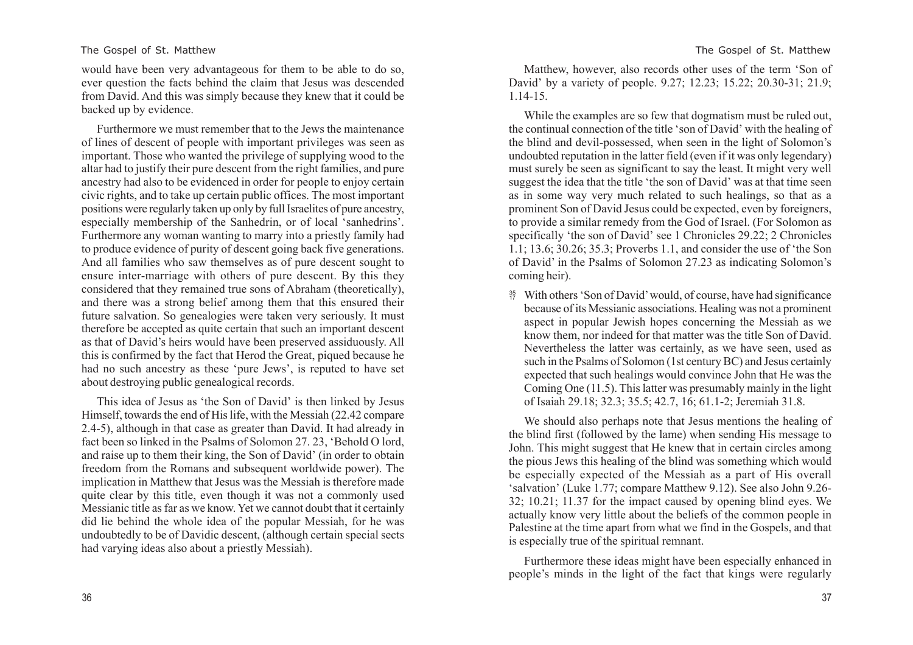would have been very advantageous for them to be able to do so, ever question the facts behind the claim that Jesus was descended from David. And this was simply because they knew that it could be backed up by evidence.

Furthermore we must remember that to the Jews the maintenance of lines of descent of people with important privileges was seen as important. Those who wanted the privilege of supplying wood to the altar had to justify their pure descent from the right families, and pure ancestry had also to be evidenced in order for people to enjoy certain civic rights, and to take up certain public offices. The most important positions were regularly taken up only by full Israelites of pure ancestry, especially membership of the Sanhedrin, or of local 'sanhedrins'. Furthermore any woman wanting to marry into a priestly family had to produce evidence of purity of descent going back five generations. And all families who saw themselves as of pure descent sought to ensure inter-marriage with others of pure descent. By this they considered that they remained true sons of Abraham (theoretically), and there was a strong belief among them that this ensured their future salvation. So genealogies were taken very seriously. It must therefore be accepted as quite certain that such an important descent as that of David's heirs would have been preserved assiduously. All this is confirmed by the fact that Herod the Great, piqued because he had no such ancestry as these 'pure Jews', is reputed to have set about destroying public genealogical records.

This idea of Jesus as 'the Son of David' is then linked by Jesus Himself, towards the end of His life, with the Messiah (22.42 compare 2.4-5), although in that case as greater than David. It had already in fact been so linked in the Psalms of Solomon 27. 23, 'Behold O lord, and raise up to them their king, the Son of David' (in order to obtain freedom from the Romans and subsequent worldwide power). The implication in Matthew that Jesus was the Messiah is therefore made quite clear by this title, even though it was not a commonly used Messianic title as far as we know. Yet we cannot doubt that it certainly did lie behind the whole idea of the popular Messiah, for he was undoubtedly to be of Davidic descent, (although certain special sects had varying ideas also about a priestly Messiah).

Matthew, however, also records other uses of the term 'Son of David' by a variety of people. 9.27; 12.23; 15.22; 20.30-31; 21.9; 1.14-15.

While the examples are so few that dogmatism must be ruled out, the continual connection of the title 'son of David' with the healing of the blind and devil-possessed, when seen in the light of Solomon's undoubted reputation in the latter field (even if it was only legendary) must surely be seen as significant to say the least. It might very well suggest the idea that the title 'the son of David' was at that time seen as in some way very much related to such healings, so that as a prominent Son of David Jesus could be expected, even by foreigners, to provide a similar remedy from the God of Israel. (For Solomon as specifically 'the son of David' see 1 Chronicles 29.22; 2 Chronicles 1.1; 13.6; 30.26; 35.3; Proverbs 1.1, and consider the use of 'the Son of David' in the Psalms of Solomon 27.23 as indicating Solomon's coming heir).

<sup>35</sup> With others 'Son of David' would, of course, have had significance because of its Messianic associations. Healing was not a prominent aspect in popular Jewish hopes concerning the Messiah as we know them, nor indeed for that matter was the title Son of David. Nevertheless the latter was certainly, as we have seen, used as such in the Psalms of Solomon (1st century BC) and Jesus certainly expected that such healings would convince John that He was the Coming One (11.5). This latter was presumably mainly in the light of Isaiah 29.18; 32.3; 35.5; 42.7, 16; 61.1-2; Jeremiah 31.8.

We should also perhaps note that Jesus mentions the healing of the blind first (followed by the lame) when sending His message to John. This might suggest that He knew that in certain circles among the pious Jews this healing of the blind was something which would be especially expected of the Messiah as a part of His overall 'salvation' (Luke 1.77; compare Matthew 9.12). See also John 9.26- 32; 10.21; 11.37 for the impact caused by opening blind eyes. We actually know very little about the beliefs of the common people in Palestine at the time apart from what we find in the Gospels, and that is especially true of the spiritual remnant.

Furthermore these ideas might have been especially enhanced in people's minds in the light of the fact that kings were regularly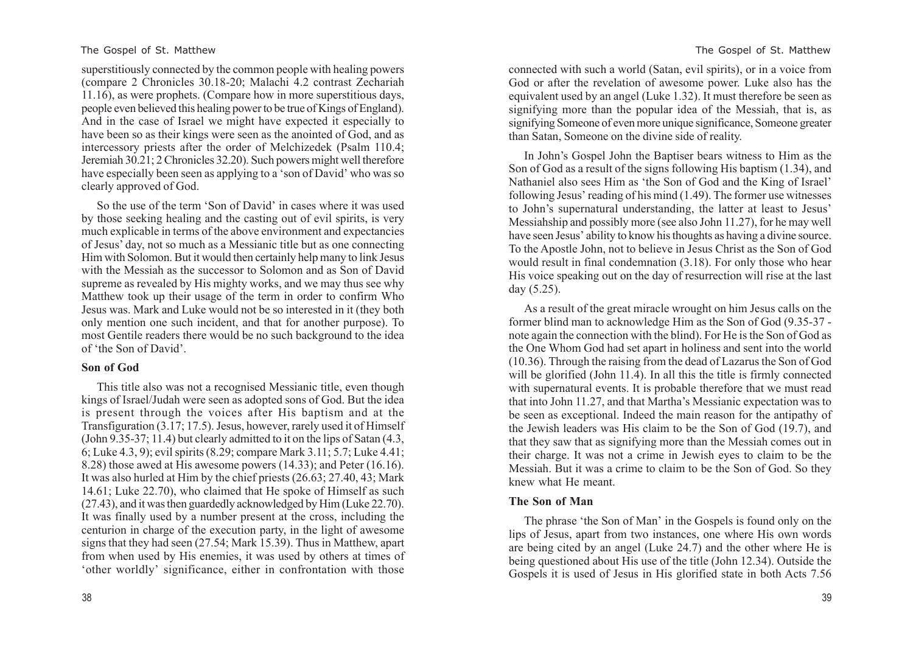superstitiously connected by the common people with healing powers (compare 2 Chronicles 30.18-20; Malachi 4.2 contrast Zechariah 11.16), as were prophets. (Compare how in more superstitious days, people even believed this healing power to be true of Kings of England). And in the case of Israel we might have expected it especially to have been so as their kings were seen as the anointed of God, and as intercessory priests after the order of Melchizedek (Psalm 110.4; Jeremiah 30.21; 2 Chronicles 32.20). Such powers might well therefore have especially been seen as applying to a 'son of David' who was so clearly approved of God.

So the use of the term 'Son of David' in cases where it was used by those seeking healing and the casting out of evil spirits, is very much explicable in terms of the above environment and expectancies of Jesus' day, not so much as a Messianic title but as one connecting Him with Solomon. But it would then certainly help many to link Jesus with the Messiah as the successor to Solomon and as Son of David supreme as revealed by His mighty works, and we may thus see why Matthew took up their usage of the term in order to confirm Who Jesus was. Mark and Luke would not be so interested in it (they both only mention one such incident, and that for another purpose). To most Gentile readers there would be no such background to the idea of 'the Son of David'.

#### **Son of God**

This title also was not a recognised Messianic title, even though kings of Israel/Judah were seen as adopted sons of God. But the idea is present through the voices after His baptism and at the Transfiguration (3.17; 17.5). Jesus, however, rarely used it of Himself (John 9.35-37; 11.4) but clearly admitted to it on the lips of Satan (4.3, 6; Luke 4.3, 9); evil spirits (8.29; compare Mark 3.11; 5.7; Luke 4.41; 8.28) those awed at His awesome powers (14.33); and Peter (16.16). It was also hurled at Him by the chief priests (26.63; 27.40, 43; Mark 14.61; Luke 22.70), who claimed that He spoke of Himself as such (27.43), and it was then guardedly acknowledged by Him (Luke 22.70). It was finally used by a number present at the cross, including the centurion in charge of the execution party, in the light of awesome signs that they had seen (27.54; Mark 15.39). Thus in Matthew, apart from when used by His enemies, it was used by others at times of 'other worldly' significance, either in confrontation with those

connected with such a world (Satan, evil spirits), or in a voice from God or after the revelation of awesome power. Luke also has the equivalent used by an angel (Luke 1.32). It must therefore be seen as signifying more than the popular idea of the Messiah, that is, as signifying Someone of even more unique significance, Someone greater than Satan, Someone on the divine side of reality.

In John's Gospel John the Baptiser bears witness to Him as the Son of God as a result of the signs following His baptism (1.34), and Nathaniel also sees Him as 'the Son of God and the King of Israel' following Jesus' reading of his mind (1.49). The former use witnesses to John's supernatural understanding, the latter at least to Jesus' Messiahship and possibly more (see also John 11.27), for he may well have seen Jesus' ability to know his thoughts as having a divine source. To the Apostle John, not to believe in Jesus Christ as the Son of God would result in final condemnation (3.18). For only those who hear His voice speaking out on the day of resurrection will rise at the last day (5.25).

As a result of the great miracle wrought on him Jesus calls on the former blind man to acknowledge Him as the Son of God (9.35-37 note again the connection with the blind). For He is the Son of God as the One Whom God had set apart in holiness and sent into the world (10.36). Through the raising from the dead of Lazarus the Son of God will be glorified (John 11.4). In all this the title is firmly connected with supernatural events. It is probable therefore that we must read that into John 11.27, and that Martha's Messianic expectation was to be seen as exceptional. Indeed the main reason for the antipathy of the Jewish leaders was His claim to be the Son of God (19.7), and that they saw that as signifying more than the Messiah comes out in their charge. It was not a crime in Jewish eyes to claim to be the Messiah. But it was a crime to claim to be the Son of God. So they knew what He meant.

## **The Son of Man**

The phrase 'the Son of Man' in the Gospels is found only on the lips of Jesus, apart from two instances, one where His own words are being cited by an angel (Luke 24.7) and the other where He is being questioned about His use of the title (John 12.34). Outside the Gospels it is used of Jesus in His glorified state in both Acts 7.56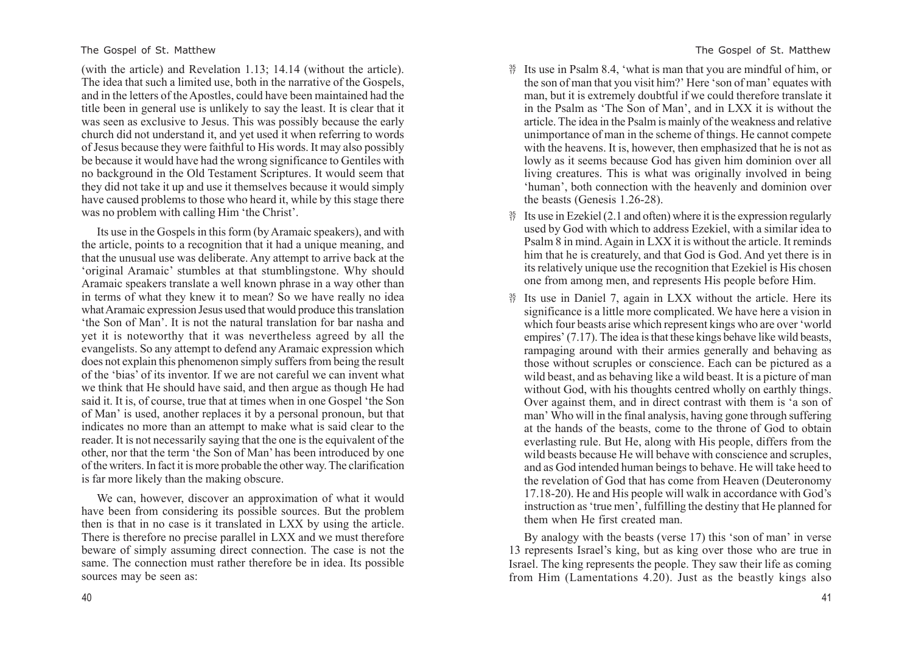(with the article) and Revelation 1.13; 14.14 (without the article). The idea that such a limited use, both in the narrative of the Gospels, and in the letters of the Apostles, could have been maintained had the title been in general use is unlikely to say the least. It is clear that it was seen as exclusive to Jesus. This was possibly because the early church did not understand it, and yet used it when referring to words of Jesus because they were faithful to His words. It may also possibly be because it would have had the wrong significance to Gentiles with no background in the Old Testament Scriptures. It would seem that they did not take it up and use it themselves because it would simply have caused problems to those who heard it, while by this stage there was no problem with calling Him 'the Christ'.

Its use in the Gospels in this form (by Aramaic speakers), and with the article, points to a recognition that it had a unique meaning, and that the unusual use was deliberate. Any attempt to arrive back at the 'original Aramaic' stumbles at that stumblingstone. Why should Aramaic speakers translate a well known phrase in a way other than in terms of what they knew it to mean? So we have really no idea what Aramaic expression Jesus used that would produce this translation 'the Son of Man'. It is not the natural translation for bar nasha and yet it is noteworthy that it was nevertheless agreed by all the evangelists. So any attempt to defend any Aramaic expression which does not explain this phenomenon simply suffers from being the result of the 'bias' of its inventor. If we are not careful we can invent what we think that He should have said, and then argue as though He had said it. It is, of course, true that at times when in one Gospel 'the Son of Man' is used, another replaces it by a personal pronoun, but that indicates no more than an attempt to make what is said clear to the reader. It is not necessarily saying that the one is the equivalent of the other, nor that the term 'the Son of Man' has been introduced by one of the writers. In fact it is more probable the other way. The clarification is far more likely than the making obscure.

We can, however, discover an approximation of what it would have been from considering its possible sources. But the problem then is that in no case is it translated in LXX by using the article. There is therefore no precise parallel in LXX and we must therefore beware of simply assuming direct connection. The case is not the same. The connection must rather therefore be in idea. Its possible sources may be seen as:

- $\frac{35}{17}$  Its use in Psalm 8.4, 'what is man that you are mindful of him, or the son of man that you visit him?' Here 'son of man' equates with man, but it is extremely doubtful if we could therefore translate it in the Psalm as 'The Son of Man', and in LXX it is without the article. The idea in the Psalm is mainly of the weakness and relative unimportance of man in the scheme of things. He cannot compete with the heavens. It is, however, then emphasized that he is not as lowly as it seems because God has given him dominion over all living creatures. This is what was originally involved in being 'human', both connection with the heavenly and dominion over the beasts (Genesis 1.26-28).
- $\frac{35}{17}$  Its use in Ezekiel (2.1 and often) where it is the expression regularly used by God with which to address Ezekiel, with a similar idea to Psalm 8 in mind. Again in LXX it is without the article. It reminds him that he is creaturely, and that God is God. And yet there is in its relatively unique use the recognition that Ezekiel is His chosen one from among men, and represents His people before Him.
- $^{35}_{17}$  Its use in Daniel 7, again in LXX without the article. Here its significance is a little more complicated. We have here a vision in which four beasts arise which represent kings who are over 'world empires' (7.17). The idea is that these kings behave like wild beasts, rampaging around with their armies generally and behaving as those without scruples or conscience. Each can be pictured as a wild beast, and as behaving like a wild beast. It is a picture of man without God, with his thoughts centred wholly on earthly things. Over against them, and in direct contrast with them is 'a son of man' Who will in the final analysis, having gone through suffering at the hands of the beasts, come to the throne of God to obtain everlasting rule. But He, along with His people, differs from the wild beasts because He will behave with conscience and scruples, and as God intended human beings to behave. He will take heed to the revelation of God that has come from Heaven (Deuteronomy 17.18-20). He and His people will walk in accordance with God's instruction as 'true men', fulfilling the destiny that He planned for them when He first created man.

By analogy with the beasts (verse 17) this 'son of man' in verse 13 represents Israel's king, but as king over those who are true in Israel. The king represents the people. They saw their life as coming from Him (Lamentations 4.20). Just as the beastly kings also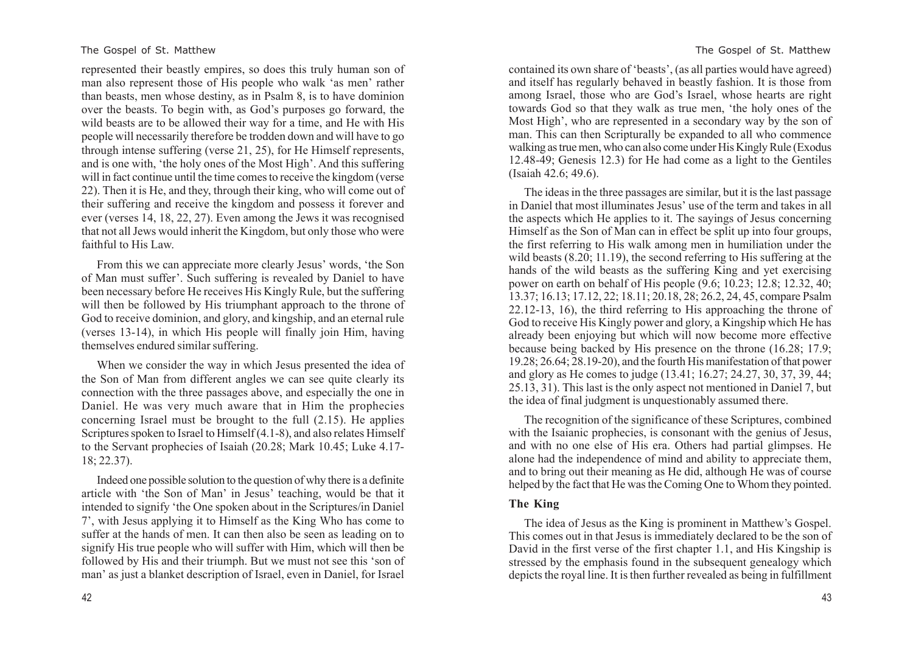represented their beastly empires, so does this truly human son of man also represent those of His people who walk 'as men' rather than beasts, men whose destiny, as in Psalm 8, is to have dominion over the beasts. To begin with, as God's purposes go forward, the wild beasts are to be allowed their way for a time, and He with His people will necessarily therefore be trodden down and will have to go through intense suffering (verse 21, 25), for He Himself represents, and is one with, 'the holy ones of the Most High'. And this suffering will in fact continue until the time comes to receive the kingdom (verse 22). Then it is He, and they, through their king, who will come out of their suffering and receive the kingdom and possess it forever and ever (verses 14, 18, 22, 27). Even among the Jews it was recognised that not all Jews would inherit the Kingdom, but only those who were faithful to His Law.

From this we can appreciate more clearly Jesus' words, 'the Son of Man must suffer'. Such suffering is revealed by Daniel to have been necessary before He receives His Kingly Rule, but the suffering will then be followed by His triumphant approach to the throne of God to receive dominion, and glory, and kingship, and an eternal rule (verses 13-14), in which His people will finally join Him, having themselves endured similar suffering.

When we consider the way in which Jesus presented the idea of the Son of Man from different angles we can see quite clearly its connection with the three passages above, and especially the one in Daniel. He was very much aware that in Him the prophecies concerning Israel must be brought to the full (2.15). He applies Scriptures spoken to Israel to Himself (4.1-8), and also relates Himself to the Servant prophecies of Isaiah (20.28; Mark 10.45; Luke 4.17- 18; 22.37).

Indeed one possible solution to the question of why there is a definite article with 'the Son of Man' in Jesus' teaching, would be that it intended to signify 'the One spoken about in the Scriptures/in Daniel 7', with Jesus applying it to Himself as the King Who has come to suffer at the hands of men. It can then also be seen as leading on to signify His true people who will suffer with Him, which will then be followed by His and their triumph. But we must not see this 'son of man' as just a blanket description of Israel, even in Daniel, for Israel

contained its own share of 'beasts', (as all parties would have agreed) and itself has regularly behaved in beastly fashion. It is those from among Israel, those who are God's Israel, whose hearts are right towards God so that they walk as true men, 'the holy ones of the Most High', who are represented in a secondary way by the son of man. This can then Scripturally be expanded to all who commence walking as true men, who can also come under His Kingly Rule (Exodus 12.48-49; Genesis 12.3) for He had come as a light to the Gentiles (Isaiah 42.6; 49.6).

The ideas in the three passages are similar, but it is the last passage in Daniel that most illuminates Jesus' use of the term and takes in all the aspects which He applies to it. The sayings of Jesus concerning Himself as the Son of Man can in effect be split up into four groups, the first referring to His walk among men in humiliation under the wild beasts (8.20; 11.19), the second referring to His suffering at the hands of the wild beasts as the suffering King and yet exercising power on earth on behalf of His people (9.6; 10.23; 12.8; 12.32, 40; 13.37; 16.13; 17.12, 22; 18.11; 20.18, 28; 26.2, 24, 45, compare Psalm 22.12-13, 16), the third referring to His approaching the throne of God to receive His Kingly power and glory, a Kingship which He has already been enjoying but which will now become more effective because being backed by His presence on the throne (16.28; 17.9; 19.28; 26.64; 28.19-20), and the fourth His manifestation of that power and glory as He comes to judge (13.41; 16.27; 24.27, 30, 37, 39, 44; 25.13, 31). This last is the only aspect not mentioned in Daniel 7, but the idea of final judgment is unquestionably assumed there.

The recognition of the significance of these Scriptures, combined with the Isaianic prophecies, is consonant with the genius of Jesus, and with no one else of His era. Others had partial glimpses. He alone had the independence of mind and ability to appreciate them, and to bring out their meaning as He did, although He was of course helped by the fact that He was the Coming One to Whom they pointed.

## **The King**

The idea of Jesus as the King is prominent in Matthew's Gospel. This comes out in that Jesus is immediately declared to be the son of David in the first verse of the first chapter 1.1, and His Kingship is stressed by the emphasis found in the subsequent genealogy which depicts the royal line. It is then further revealed as being in fulfillment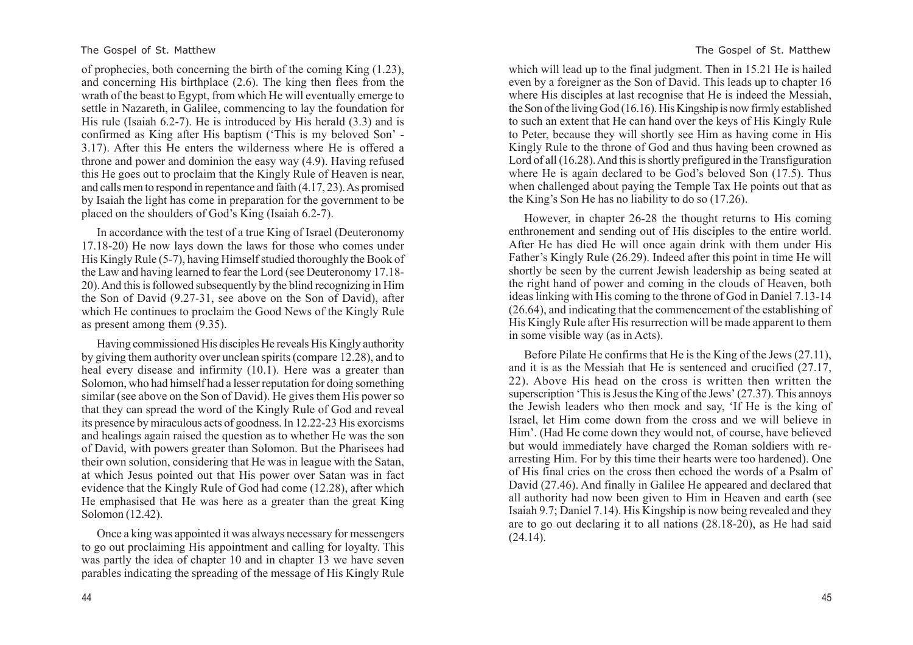of prophecies, both concerning the birth of the coming King (1.23), and concerning His birthplace (2.6). The king then flees from the wrath of the beast to Egypt, from which He will eventually emerge to settle in Nazareth, in Galilee, commencing to lay the foundation for His rule (Isaiah 6.2-7). He is introduced by His herald (3.3) and is confirmed as King after His baptism ('This is my beloved Son' - 3.17). After this He enters the wilderness where He is offered a throne and power and dominion the easy way (4.9). Having refused this He goes out to proclaim that the Kingly Rule of Heaven is near, and calls men to respond in repentance and faith (4.17, 23). As promised by Isaiah the light has come in preparation for the government to be placed on the shoulders of God's King (Isaiah 6.2-7).

In accordance with the test of a true King of Israel (Deuteronomy 17.18-20) He now lays down the laws for those who comes under His Kingly Rule (5-7), having Himself studied thoroughly the Book of the Law and having learned to fear the Lord (see Deuteronomy 17.18- 20). And this is followed subsequently by the blind recognizing in Him the Son of David (9.27-31, see above on the Son of David), after which He continues to proclaim the Good News of the Kingly Rule as present among them (9.35).

Having commissioned His disciples He reveals His Kingly authority by giving them authority over unclean spirits (compare 12.28), and to heal every disease and infirmity (10.1). Here was a greater than Solomon, who had himself had a lesser reputation for doing something similar (see above on the Son of David). He gives them His power so that they can spread the word of the Kingly Rule of God and reveal its presence by miraculous acts of goodness. In 12.22-23 His exorcisms and healings again raised the question as to whether He was the son of David, with powers greater than Solomon. But the Pharisees had their own solution, considering that He was in league with the Satan, at which Jesus pointed out that His power over Satan was in fact evidence that the Kingly Rule of God had come (12.28), after which He emphasised that He was here as a greater than the great King Solomon (12.42).

Once a king was appointed it was always necessary for messengers to go out proclaiming His appointment and calling for loyalty. This was partly the idea of chapter 10 and in chapter 13 we have seven parables indicating the spreading of the message of His Kingly Rule which will lead up to the final judgment. Then in 15.21 He is hailed even by a foreigner as the Son of David. This leads up to chapter 16 where His disciples at last recognise that He is indeed the Messiah, the Son of the living God (16.16). His Kingship is now firmly established to such an extent that He can hand over the keys of His Kingly Rule to Peter, because they will shortly see Him as having come in His Kingly Rule to the throne of God and thus having been crowned as Lord of all (16.28). And this is shortly prefigured in the Transfiguration where He is again declared to be God's beloved Son (17.5). Thus when challenged about paying the Temple Tax He points out that as the King's Son He has no liability to do so (17.26).

However, in chapter 26-28 the thought returns to His coming enthronement and sending out of His disciples to the entire world. After He has died He will once again drink with them under His Father's Kingly Rule (26.29). Indeed after this point in time He will shortly be seen by the current Jewish leadership as being seated at the right hand of power and coming in the clouds of Heaven, both ideas linking with His coming to the throne of God in Daniel 7.13-14 (26.64), and indicating that the commencement of the establishing of His Kingly Rule after His resurrection will be made apparent to them in some visible way (as in Acts).

Before Pilate He confirms that He is the King of the Jews (27.11), and it is as the Messiah that He is sentenced and crucified (27.17, 22). Above His head on the cross is written then written the superscription 'This is Jesus the King of the Jews' (27.37). This annoys the Jewish leaders who then mock and say, 'If He is the king of Israel, let Him come down from the cross and we will believe in Him'. (Had He come down they would not, of course, have believed but would immediately have charged the Roman soldiers with rearresting Him. For by this time their hearts were too hardened). One of His final cries on the cross then echoed the words of a Psalm of David (27.46). And finally in Galilee He appeared and declared that all authority had now been given to Him in Heaven and earth (see Isaiah 9.7; Daniel 7.14). His Kingship is now being revealed and they are to go out declaring it to all nations (28.18-20), as He had said  $(24.14)$ .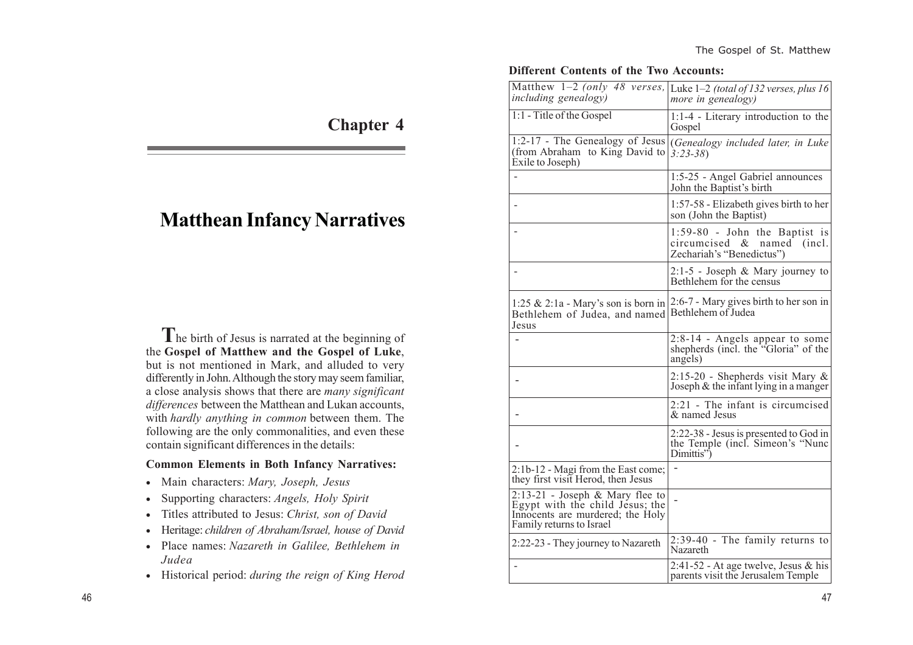### **Different Contents of the Two Accounts:**

| Matthew $1-2$ (only 48 verses,<br>including genealogy)                                                                               | Luke $1-2$ (total of 132 verses, plus 16)<br>more in genealogy)                                      |
|--------------------------------------------------------------------------------------------------------------------------------------|------------------------------------------------------------------------------------------------------|
| 1:1 - Title of the Gospel                                                                                                            | 1:1-4 - Literary introduction to the<br>Gospel                                                       |
| 1:2-17 - The Genealogy of Jesus<br>(from Abraham to King David to<br>Exile to Joseph)                                                | (Genealogy included later, in Luke<br>$3:23-38$                                                      |
|                                                                                                                                      | 1:5-25 - Angel Gabriel announces<br>John the Baptist's birth                                         |
|                                                                                                                                      | 1:57-58 - Elizabeth gives birth to her<br>son (John the Baptist)                                     |
|                                                                                                                                      | 1:59-80 - John the Baptist is<br>circumcised<br>$\&$<br>named (incl.<br>Zechariah's "Benedictus")    |
|                                                                                                                                      | 2:1-5 - Joseph & Mary journey to<br>Bethlehem for the census                                         |
| 1:25 & 2:1a - Mary's son is born in<br>Bethlehem of Judea, and named<br>Jesus                                                        | 2:6-7 - Mary gives birth to her son in<br>Bethlehem of Judea                                         |
|                                                                                                                                      | 2:8-14 - Angels appear to some<br>shepherds (incl. the "Gloria" of the<br>angels)                    |
|                                                                                                                                      | 2:15-20 - Shepherds visit Mary &<br>Joseph & the infant lying in a manger                            |
|                                                                                                                                      | 2:21 - The infant is circumcised<br>& named Jesus                                                    |
|                                                                                                                                      | 2:22-38 - Jesus is presented to God in<br>the Temple (incl. Simeon's "Nunc<br>Dimittis <sup>"*</sup> |
| 2:1b-12 - Magi from the East come;<br>they first visit Herod, then Jesus                                                             |                                                                                                      |
| $2:13-21$ - Joseph & Mary flee to<br>Egypt with the child Jesus; the<br>Innocents are murdered; the Holy<br>Family returns to Israel |                                                                                                      |
| 2:22-23 - They journey to Nazareth                                                                                                   | 2:39-40 - The family returns to<br>Nazareth                                                          |
|                                                                                                                                      | 2:41-52 - At age twelve, Jesus $\&$ his<br>parents visit the Jerusalem Temple                        |

## **Chapter 4**

## **Matthean Infancy Narratives**

**T**he birth of Jesus is narrated at the beginning of the **Gospel of Matthew and the Gospel of Luke**, but is not mentioned in Mark, and alluded to very differently in John. Although the story may seem familiar, a close analysis shows that there are *many significant differences* between the Matthean and Lukan accounts, with *hardly anything in common* between them. The following are the only commonalities, and even these contain significant differences in the details:

## **Common Elements in Both Infancy Narratives:**

- · Main characters: *Mary, Joseph, Jesus*
- · Supporting characters: *Angels, Holy Spirit*
- · Titles attributed to Jesus: *Christ, son of David*
- · Heritage: *children of Abraham/Israel, house of David*
- · Place names: *Nazareth in Galilee, Bethlehem in Judea*
- · Historical period: *during the reign of King Herod*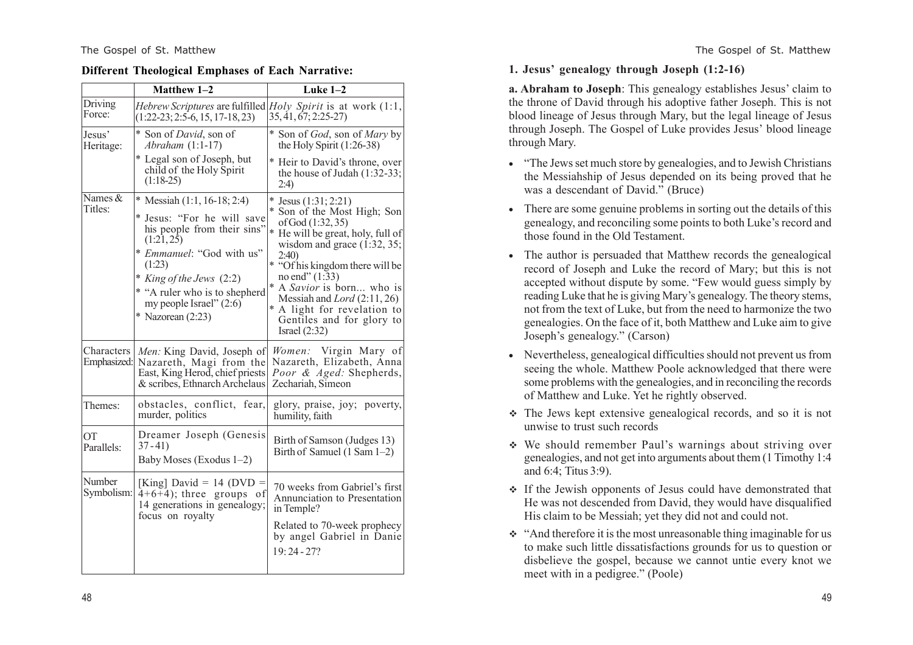#### **Different Theological Emphases of Each Narrative:**

|                           | Matthew 1-2                                                                                                                                                                                                                                                     | Luke 1-2                                                                                                                                                                                                                                                                                                                                                            |
|---------------------------|-----------------------------------------------------------------------------------------------------------------------------------------------------------------------------------------------------------------------------------------------------------------|---------------------------------------------------------------------------------------------------------------------------------------------------------------------------------------------------------------------------------------------------------------------------------------------------------------------------------------------------------------------|
| Driving<br>Force:         | $(1:22-23; 2:5-6, 15, 17-18, 23)$                                                                                                                                                                                                                               | <i>Hebrew Scriptures</i> are fulfilled <i>Holy Spirit</i> is at work (1:1,<br>35, 41, 67; 2:25-27)                                                                                                                                                                                                                                                                  |
| Jesus'<br>Heritage:       | * Son of David, son of<br>Abraham $(1:1-17)$                                                                                                                                                                                                                    | * Son of God, son of Mary by<br>the Holy Spirit (1:26-38)                                                                                                                                                                                                                                                                                                           |
|                           | * Legal son of Joseph, but<br>child of the Holy Spirit<br>$(1:18-25)$                                                                                                                                                                                           | * Heir to David's throne, over<br>the house of Judah (1:32-33;<br>2:4)                                                                                                                                                                                                                                                                                              |
| Names &<br>Titles:        | * Messiah $(1:1, 16-18; 2:4)$<br>* Jesus: "For he will save<br>his people from their sins"<br>(1:21,25)<br>* Emmanuel: "God with us"<br>(1:23)<br>* King of the Jews (2:2)<br>* "A ruler who is to shepherd<br>my people Israel" $(2:6)$<br>* Nazorean $(2:23)$ | * Jesus $(1:31; 2:21)$<br>* Son of the Most High; Son<br>of God (1:32, 35)<br>* He will be great, holy, full of<br>wisdom and grace $(1:32, 35)$ ;<br>2:40)<br>* "Of his kingdom there will be<br>no end" $(1:\bar{3}3)$<br>A Savior is born who is<br>Messiah and Lord $(2:11, 26)$<br>* A light for revelation to<br>Gentiles and for glory to<br>Israel $(2:32)$ |
| Characters<br>Emphasized: | Men: King David, Joseph of<br>Nazareth, Magi from the<br>East, King Herod, chief priests<br>& scribes, Ethnarch Archelaus                                                                                                                                       | Women: Virgin Mary of<br>Nazareth, Elizabeth, Anna<br>Poor & Aged: Shepherds,<br>Zechariah, Simeon                                                                                                                                                                                                                                                                  |
| Themes:                   | obstacles, conflict, fear,<br>murder, politics                                                                                                                                                                                                                  | glory, praise, joy; poverty,<br>humility, faith                                                                                                                                                                                                                                                                                                                     |
| ОT<br>Parallels:          | Dreamer Joseph (Genesis<br>$37 - 41$<br>Baby Moses (Exodus 1–2)                                                                                                                                                                                                 | Birth of Samson (Judges 13)<br>Birth of Samuel (1 Sam 1-2)                                                                                                                                                                                                                                                                                                          |
| Number<br>Symbolism:      | [King] David = 14 (DVD =<br>$4+6+4$ ; three groups of<br>14 generations in genealogy;<br>focus on royalty                                                                                                                                                       | 70 weeks from Gabriel's first<br>Annunciation to Presentation<br>in Temple?                                                                                                                                                                                                                                                                                         |
|                           |                                                                                                                                                                                                                                                                 | Related to 70-week prophecy<br>by angel Gabriel in Danie<br>$19:24 - 27?$                                                                                                                                                                                                                                                                                           |

## **1. Jesus' genealogy through Joseph (1:2-16)**

**a. Abraham to Joseph**: This genealogy establishes Jesus' claim to the throne of David through his adoptive father Joseph. This is not blood lineage of Jesus through Mary, but the legal lineage of Jesus through Joseph. The Gospel of Luke provides Jesus' blood lineage through Mary.

- · "The Jews set much store by genealogies, and to Jewish Christians the Messiahship of Jesus depended on its being proved that he was a descendant of David." (Bruce)
- · There are some genuine problems in sorting out the details of this genealogy, and reconciling some points to both Luke's record and those found in the Old Testament.
- · The author is persuaded that Matthew records the genealogical record of Joseph and Luke the record of Mary; but this is not accepted without dispute by some. "Few would guess simply by reading Luke that he is giving Mary's genealogy. The theory stems, not from the text of Luke, but from the need to harmonize the two genealogies. On the face of it, both Matthew and Luke aim to give Joseph's genealogy." (Carson)
- · Nevertheless, genealogical difficulties should not prevent us from seeing the whole. Matthew Poole acknowledged that there were some problems with the genealogies, and in reconciling the records of Matthew and Luke. Yet he rightly observed.
- \* The Jews kept extensive genealogical records, and so it is not unwise to trust such records
- We should remember Paul's warnings about striving over genealogies, and not get into arguments about them (1 Timothy 1:4 and 6:4; Titus 3:9).
- If the Jewish opponents of Jesus could have demonstrated that He was not descended from David, they would have disqualified His claim to be Messiah; yet they did not and could not.
- $\div$  "And therefore it is the most unreasonable thing imaginable for us to make such little dissatisfactions grounds for us to question or disbelieve the gospel, because we cannot untie every knot we meet with in a pedigree." (Poole)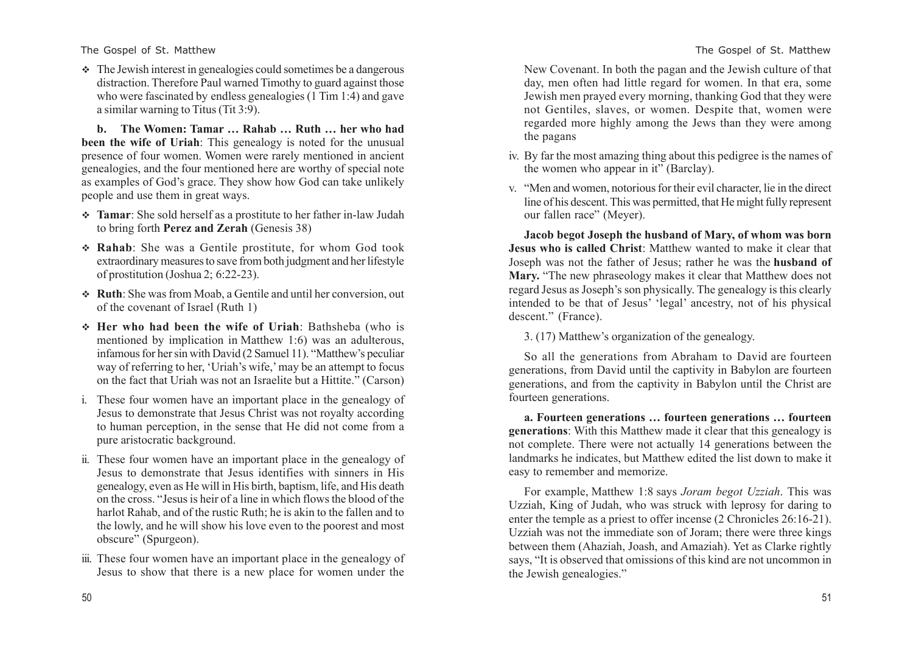$\cdot$  The Jewish interest in genealogies could sometimes be a dangerous distraction. Therefore Paul warned Timothy to guard against those who were fascinated by endless genealogies (1 Tim 1:4) and gave a similar warning to Titus (Tit 3:9).

**b. The Women: Tamar … Rahab … Ruth … her who had been the wife of Uriah**: This genealogy is noted for the unusual presence of four women. Women were rarely mentioned in ancient genealogies, and the four mentioned here are worthy of special note as examples of God's grace. They show how God can take unlikely people and use them in great ways.

- **\*** Tamar: She sold herself as a prostitute to her father in-law Judah to bring forth **Perez and Zerah** (Genesis 38)
- <sup>v</sup> **Rahab**: She was a Gentile prostitute, for whom God took extraordinary measures to save from both judgment and her lifestyle of prostitution (Joshua 2; 6:22-23).
- <sup>v</sup> **Ruth**: She was from Moab, a Gentile and until her conversion, out of the covenant of Israel (Ruth 1)
- <sup>v</sup> **Her who had been the wife of Uriah**: Bathsheba (who is mentioned by implication in Matthew 1:6) was an adulterous, infamous for her sin with David (2 Samuel 11). "Matthew's peculiar way of referring to her, 'Uriah's wife,' may be an attempt to focus on the fact that Uriah was not an Israelite but a Hittite." (Carson)
- i. These four women have an important place in the genealogy of Jesus to demonstrate that Jesus Christ was not royalty according to human perception, in the sense that He did not come from a pure aristocratic background.
- ii. These four women have an important place in the genealogy of Jesus to demonstrate that Jesus identifies with sinners in His genealogy, even as He will in His birth, baptism, life, and His death on the cross. "Jesus is heir of a line in which flows the blood of the harlot Rahab, and of the rustic Ruth; he is akin to the fallen and to the lowly, and he will show his love even to the poorest and most obscure" (Spurgeon).
- iii. These four women have an important place in the genealogy of Jesus to show that there is a new place for women under the

New Covenant. In both the pagan and the Jewish culture of that day, men often had little regard for women. In that era, some Jewish men prayed every morning, thanking God that they were not Gentiles, slaves, or women. Despite that, women were regarded more highly among the Jews than they were among the pagans

- iv. By far the most amazing thing about this pedigree is the names of the women who appear in it" (Barclay).
- v. "Men and women, notorious for their evil character, lie in the direct line of his descent. This was permitted, that He might fully represent our fallen race" (Meyer).

**Jacob begot Joseph the husband of Mar y, of whom was born Jesus who is called Christ**: Matthew wanted to make it clear that Joseph was not the father of Jesus; rather he was the **husband of Mary.** "The new phraseology makes it clear that Matthew does not regard Jesus as Joseph's son physically. The genealogy is this clearly intended to be that of Jesus' 'legal' ancestry, not of his physical descent." (France).

3. (17) Matthew's organization of the genealogy.

So all the generations from Abraham to David are fourteen generations, from David until the captivity in Babylon are fourteen generations, and from the captivity in Babylon until the Christ are fourteen generations.

**a. Fourteen generations … fourteen generations … fourteen generations**: With this Matthew made it clear that this genealogy is not complete. There were not actually 14 generations between the landmarks he indicates, but Matthew edited the list down to make it easy to remember and memorize.

For example, Matthew 1:8 says *Joram begot Uzziah*. This was Uzziah, King of Judah, who was struck with leprosy for daring to enter the temple as a priest to offer incense (2 Chronicles 26:16-21). Uzziah was not the immediate son of Joram; there were three kings between them (Ahaziah, Joash, and Amaziah). Yet as Clarke rightly says, "It is observed that omissions of this kind are not uncommon in the Jewish genealogies."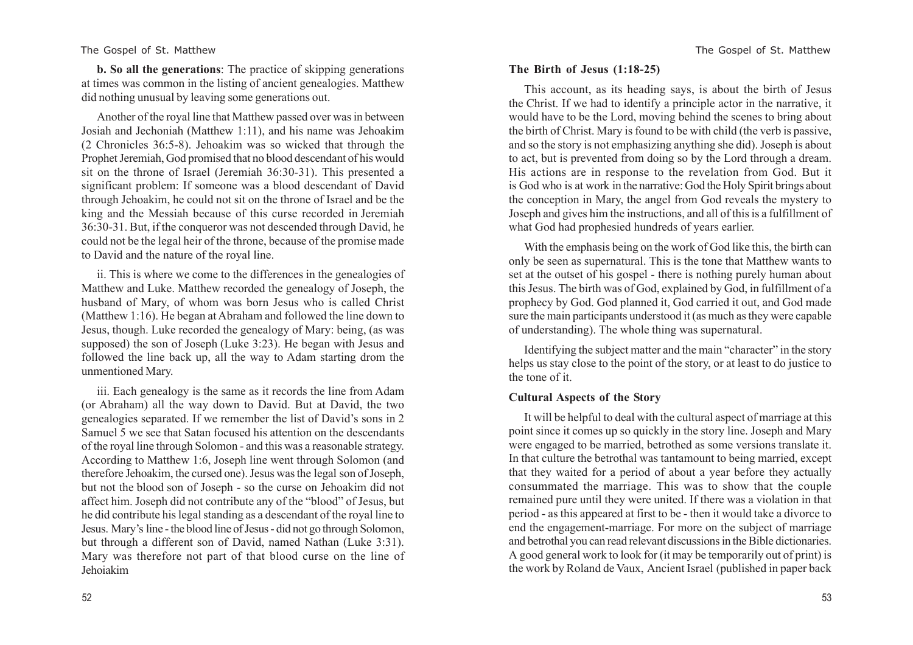**b. So all the generations**: The practice of skipping generations at times was common in the listing of ancient genealogies. Matthew did nothing unusual by leaving some generations out.

Another of the royal line that Matthew passed over was in between Josiah and Jechoniah (Matthew 1:11), and his name was Jehoakim (2 Chronicles 36:5-8). Jehoakim was so wicked that through the Prophet Jeremiah, God promised that no blood descendant of his would sit on the throne of Israel (Jeremiah 36:30-31). This presented a significant problem: If someone was a blood descendant of David through Jehoakim, he could not sit on the throne of Israel and be the king and the Messiah because of this curse recorded in Jeremiah 36:30-31. But, if the conqueror was not descended through David, he could not be the legal heir of the throne, because of the promise made to David and the nature of the royal line.

ii. This is where we come to the differences in the genealogies of Matthew and Luke. Matthew recorded the genealogy of Joseph, the husband of Mary, of whom was born Jesus who is called Christ (Matthew 1:16). He began at Abraham and followed the line down to Jesus, though. Luke recorded the genealogy of Mary: being, (as was supposed) the son of Joseph (Luke 3:23). He began with Jesus and followed the line back up, all the way to Adam starting drom the unmentioned Mary.

iii. Each genealogy is the same as it records the line from Adam (or Abraham) all the way down to David. But at David, the two genealogies separated. If we remember the list of David's sons in 2 Samuel 5 we see that Satan focused his attention on the descendants of the royal line through Solomon - and this was a reasonable strategy. According to Matthew 1:6, Joseph line went through Solomon (and therefore Jehoakim, the cursed one). Jesus was the legal son of Joseph, but not the blood son of Joseph - so the curse on Jehoakim did not affect him. Joseph did not contribute any of the "blood" of Jesus, but he did contribute his legal standing as a descendant of the royal line to Jesus. Mary's line - the blood line of Jesus - did not go through Solomon, but through a different son of David, named Nathan (Luke 3:31). Mary was therefore not part of that blood curse on the line of Jehoiakim

## **The Birth of Jesus (1:18-25)**

This account, as its heading says, is about the birth of Jesus the Christ. If we had to identify a principle actor in the narrative, it would have to be the Lord, moving behind the scenes to bring about the birth of Christ. Mary is found to be with child (the verb is passive, and so the story is not emphasizing anything she did). Joseph is about to act, but is prevented from doing so by the Lord through a dream. His actions are in response to the revelation from God. But it is God who is at work in the narrative: God the Holy Spirit brings about the conception in Mary, the angel from God reveals the mystery to Joseph and gives him the instructions, and all of this is a fulfillment of what God had prophesied hundreds of years earlier.

With the emphasis being on the work of God like this, the birth can only be seen as supernatural. This is the tone that Matthew wants to set at the outset of his gospel - there is nothing purely human about this Jesus. The birth was of God, explained by God, in fulfillment of a prophecy by God. God planned it, God carried it out, and God made sure the main participants understood it (as much as they were capable of understanding). The whole thing was supernatural.

Identifying the subject matter and the main "character" in the story helps us stay close to the point of the story, or at least to do justice to the tone of it.

## **Cultural Aspects of the Stor y**

It will be helpful to deal with the cultural aspect of marriage at this point since it comes up so quickly in the story line. Joseph and Mary were engaged to be married, betrothed as some versions translate it. In that culture the betrothal was tantamount to being married, except that they waited for a period of about a year before they actually consummated the marriage. This was to show that the couple remained pure until they were united. If there was a violation in that period - as this appeared at first to be - then it would take a divorce to end the engagement-marriage. For more on the subject of marriage and betrothal you can read relevant discussions in the Bible dictionaries. A good general work to look for (it may be temporarily out of print) is the work by Roland de Vaux, Ancient Israel (published in paper back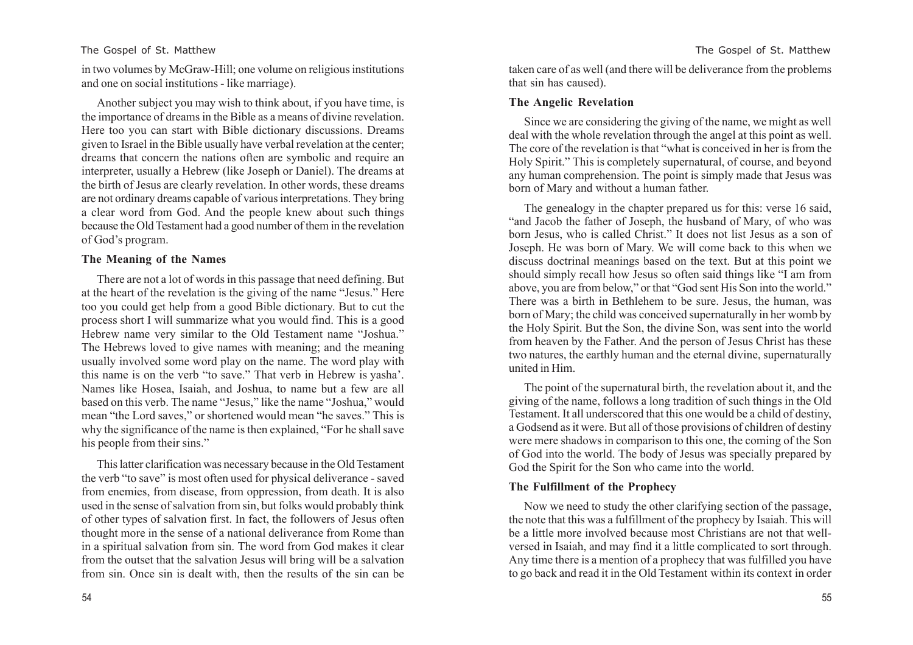in two volumes by McGraw-Hill; one volume on religious institutions and one on social institutions - like marriage).

Another subject you may wish to think about, if you have time, is the importance of dreams in the Bible as a means of divine revelation. Here too you can start with Bible dictionary discussions. Dreams given to Israel in the Bible usually have verbal revelation at the center; dreams that concern the nations often are symbolic and require an interpreter, usually a Hebrew (like Joseph or Daniel). The dreams at the birth of Jesus are clearly revelation. In other words, these dreams are not ordinary dreams capable of various interpretations. They bring a clear word from God. And the people knew about such things because the Old Testament had a good number of them in the revelation of God's program.

## **The Meaning of the Names**

There are not a lot of words in this passage that need defining. But at the heart of the revelation is the giving of the name "Jesus." Here too you could get help from a good Bible dictionary. But to cut the process short I will summarize what you would find. This is a good Hebrew name very similar to the Old Testament name "Joshua." The Hebrews loved to give names with meaning; and the meaning usually involved some word play on the name. The word play with this name is on the verb "to save." That verb in Hebrew is yasha'. Names like Hosea, Isaiah, and Joshua, to name but a few are all based on this verb. The name "Jesus," like the name "Joshua," would mean "the Lord saves," or shortened would mean "he saves." This is why the significance of the name is then explained, "For he shall save his people from their sins."

This latter clarification was necessary because in the Old Testament the verb "to save" is most often used for physical deliverance - saved from enemies, from disease, from oppression, from death. It is also used in the sense of salvation from sin, but folks would probably think of other types of salvation first. In fact, the followers of Jesus often thought more in the sense of a national deliverance from Rome than in a spiritual salvation from sin. The word from God makes it clear from the outset that the salvation Jesus will bring will be a salvation from sin. Once sin is dealt with, then the results of the sin can be

taken care of as well (and there will be deliverance from the problems that sin has caused).

## **The Angelic Revelation**

Since we are considering the giving of the name, we might as well deal with the whole revelation through the angel at this point as well. The core of the revelation is that "what is conceived in her is from the Holy Spirit." This is completely supernatural, of course, and beyond any human comprehension. The point is simply made that Jesus was born of Mary and without a human father.

The genealogy in the chapter prepared us for this: verse 16 said, "and Jacob the father of Joseph, the husband of Mary, of who was born Jesus, who is called Christ." It does not list Jesus as a son of Joseph. He was born of Mary. We will come back to this when we discuss doctrinal meanings based on the text. But at this point we should simply recall how Jesus so often said things like "I am from above, you are from below," or that "God sent His Son into the world." There was a birth in Bethlehem to be sure. Jesus, the human, was born of Mary; the child was conceived supernaturally in her womb by the Holy Spirit. But the Son, the divine Son, was sent into the world from heaven by the Father. And the person of Jesus Christ has these two natures, the earthly human and the eternal divine, supernaturally united in Him.

The point of the supernatural birth, the revelation about it, and the giving of the name, follows a long tradition of such things in the Old Testament. It all underscored that this one would be a child of destiny, a Godsend as it were. But all of those provisions of children of destiny were mere shadows in comparison to this one, the coming of the Son of God into the world. The body of Jesus was specially prepared by God the Spirit for the Son who came into the world.

## **The Fulfillment of the Prophecy**

Now we need to study the other clarifying section of the passage, the note that this was a fulfillment of the prophecy by Isaiah. This will be a little more involved because most Christians are not that wellversed in Isaiah, and may find it a little complicated to sort through. Any time there is a mention of a prophecy that was fulfilled you have to go back and read it in the Old Testament within its context in order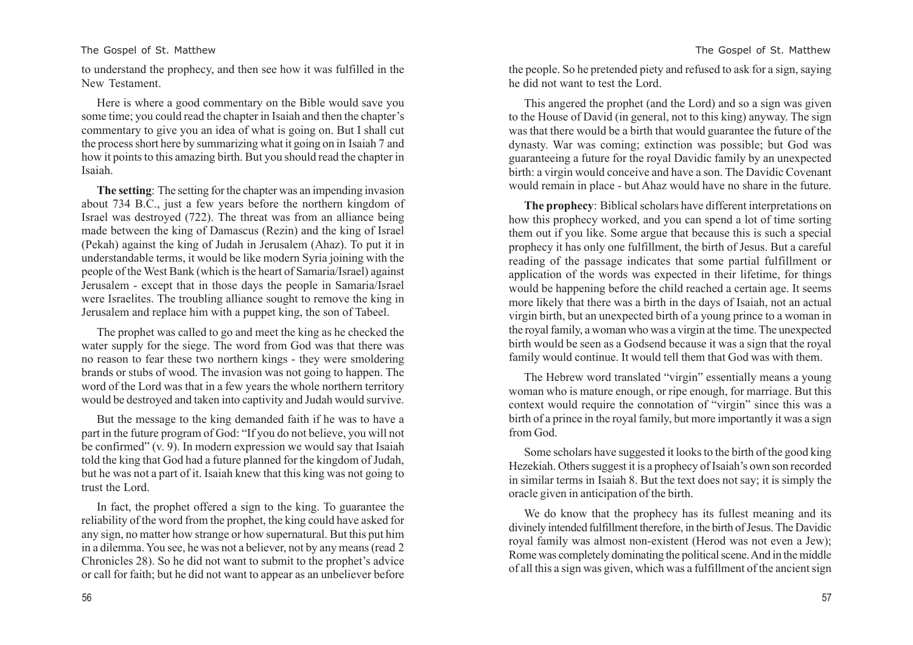to understand the prophecy, and then see how it was fulfilled in the New Testament.

Here is where a good commentary on the Bible would save you some time; you could read the chapter in Isaiah and then the chapter's commentary to give you an idea of what is going on. But I shall cut the process short here by summarizing what it going on in Isaiah 7 and how it points to this amazing birth. But you should read the chapter in Isaiah.

**The setting**: The setting for the chapter was an impending invasion about 734 B.C., just a few years before the northern kingdom of Israel was destroyed (722). The threat was from an alliance being made between the king of Damascus (Rezin) and the king of Israel (Pekah) against the king of Judah in Jerusalem (Ahaz). To put it in understandable terms, it would be like modern Syria joining with the people of the West Bank (which is the heart of Samaria/Israel) against Jerusalem - except that in those days the people in Samaria/Israel were Israelites. The troubling alliance sought to remove the king in Jerusalem and replace him with a puppet king, the son of Tabeel.

The prophet was called to go and meet the king as he checked the water supply for the siege. The word from God was that there was no reason to fear these two northern kings - they were smoldering brands or stubs of wood. The invasion was not going to happen. The word of the Lord was that in a few years the whole northern territory would be destroyed and taken into captivity and Judah would survive.

But the message to the king demanded faith if he was to have a part in the future program of God: "If you do not believe, you will not be confirmed" (v. 9). In modern expression we would say that Isaiah told the king that God had a future planned for the kingdom of Judah, but he was not a part of it. Isaiah knew that this king was not going to trust the Lord.

In fact, the prophet offered a sign to the king. To guarantee the reliability of the word from the prophet, the king could have asked for any sign, no matter how strange or how supernatural. But this put him in a dilemma. You see, he was not a believer, not by any means (read 2 Chronicles 28). So he did not want to submit to the prophet's advice or call for faith; but he did not want to appear as an unbeliever before

the people. So he pretended piety and refused to ask for a sign, saying he did not want to test the Lord.

This angered the prophet (and the Lord) and so a sign was given to the House of David (in general, not to this king) anyway. The sign was that there would be a birth that would guarantee the future of the dynasty. War was coming; extinction was possible; but God was guaranteeing a future for the royal Davidic family by an unexpected birth: a virgin would conceive and have a son. The Davidic Covenant would remain in place - but Ahaz would have no share in the future.

**The prophecy**: Biblical scholars have different interpretations on how this prophecy worked, and you can spend a lot of time sorting them out if you like. Some argue that because this is such a special prophecy it has only one fulfillment, the birth of Jesus. But a careful reading of the passage indicates that some partial fulfillment or application of the words was expected in their lifetime, for things would be happening before the child reached a certain age. It seems more likely that there was a birth in the days of Isaiah, not an actual virgin birth, but an unexpected birth of a young prince to a woman in the royal family, a woman who was a virgin at the time. The unexpected birth would be seen as a Godsend because it was a sign that the royal family would continue. It would tell them that God was with them.

The Hebrew word translated "virgin" essentially means a young woman who is mature enough, or ripe enough, for marriage. But this context would require the connotation of "virgin" since this was a birth of a prince in the royal family, but more importantly it was a sign from God.

Some scholars have suggested it looks to the birth of the good king Hezekiah. Others suggest it is a prophecy of Isaiah's own son recorded in similar terms in Isaiah 8. But the text does not say; it is simply the oracle given in anticipation of the birth.

We do know that the prophecy has its fullest meaning and its divinely intended fulfillment therefore, in the birth of Jesus. The Davidic royal family was almost non-existent (Herod was not even a Jew); Rome was completely dominating the political scene. And in the middle of all this a sign was given, which was a fulfillment of the ancient sign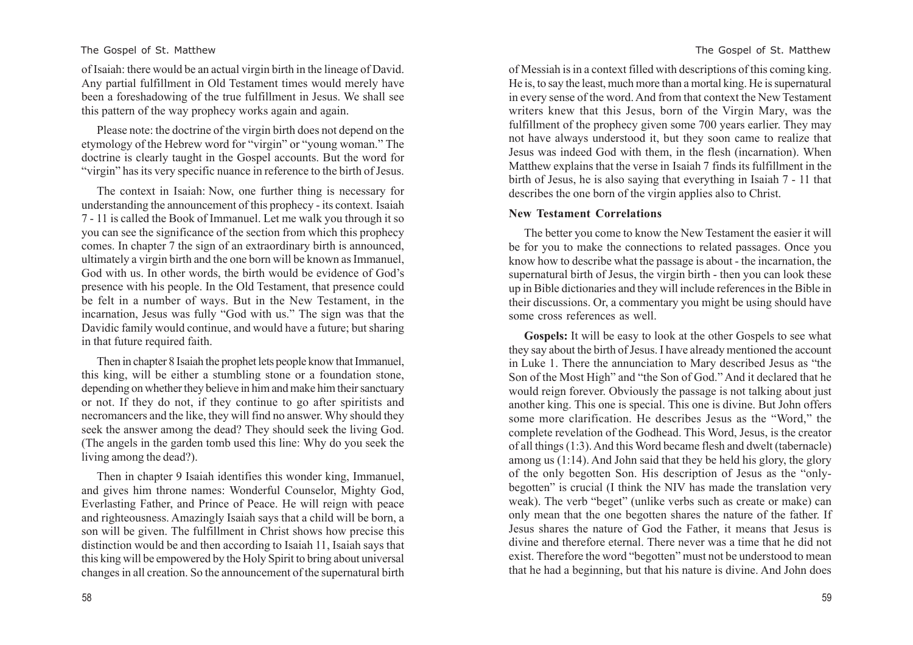of Isaiah: there would be an actual virgin birth in the lineage of David. Any partial fulfillment in Old Testament times would merely have been a foreshadowing of the true fulfillment in Jesus. We shall see this pattern of the way prophecy works again and again.

Please note: the doctrine of the virgin birth does not depend on the etymology of the Hebrew word for "virgin" or "young woman." The doctrine is clearly taught in the Gospel accounts. But the word for "virgin" has its very specific nuance in reference to the birth of Jesus.

The context in Isaiah: Now, one further thing is necessary for understanding the announcement of this prophecy - its context. Isaiah 7 - 11 is called the Book of Immanuel. Let me walk you through it so you can see the significance of the section from which this prophecy comes. In chapter 7 the sign of an extraordinary birth is announced, ultimately a virgin birth and the one born will be known as Immanuel, God with us. In other words, the birth would be evidence of God's presence with his people. In the Old Testament, that presence could be felt in a number of ways. But in the New Testament, in the incarnation, Jesus was fully "God with us." The sign was that the Davidic family would continue, and would have a future; but sharing in that future required faith.

Then in chapter 8 Isaiah the prophet lets people know that Immanuel, this king, will be either a stumbling stone or a foundation stone, depending on whether they believe in him and make him their sanctuary or not. If they do not, if they continue to go after spiritists and necromancers and the like, they will find no answer. Why should they seek the answer among the dead? They should seek the living God. (The angels in the garden tomb used this line: Why do you seek the living among the dead?).

Then in chapter 9 Isaiah identifies this wonder king, Immanuel, and gives him throne names: Wonderful Counselor, Mighty God, Everlasting Father, and Prince of Peace. He will reign with peace and righteousness. Amazingly Isaiah says that a child will be born, a son will be given. The fulfillment in Christ shows how precise this distinction would be and then according to Isaiah 11, Isaiah says that this king will be empowered by the Holy Spirit to bring about universal changes in all creation. So the announcement of the supernatural birth

of Messiah is in a context filled with descriptions of this coming king. He is, to say the least, much more than a mortal king. He is supernatural in every sense of the word. And from that context the New Testament writers knew that this Jesus, born of the Virgin Mary, was the fulfillment of the prophecy given some 700 years earlier. They may not have always understood it, but they soon came to realize that Jesus was indeed God with them, in the flesh (incarnation). When Matthew explains that the verse in Isaiah 7 finds its fulfillment in the birth of Jesus, he is also saying that everything in Isaiah 7 - 11 that describes the one born of the virgin applies also to Christ.

#### **New Testament Correlations**

The better you come to know the New Testament the easier it will be for you to make the connections to related passages. Once you know how to describe what the passage is about - the incarnation, the supernatural birth of Jesus, the virgin birth - then you can look these up in Bible dictionaries and they will include references in the Bible in their discussions. Or, a commentary you might be using should have some cross references as well.

**Gospels:** It will be easy to look at the other Gospels to see what they say about the birth of Jesus. I have already mentioned the account in Luke 1. There the annunciation to Mary described Jesus as "the Son of the Most High" and "the Son of God." And it declared that he would reign forever. Obviously the passage is not talking about just another king. This one is special. This one is divine. But John offers some more clarification. He describes Jesus as the "Word," the complete revelation of the Godhead. This Word, Jesus, is the creator of all things (1:3). And this Word became flesh and dwelt (tabernacle) among us (1:14). And John said that they be held his glory, the glory of the only begotten Son. His description of Jesus as the "onlybegotten" is crucial (I think the NIV has made the translation very weak). The verb "beget" (unlike verbs such as create or make) can only mean that the one begotten shares the nature of the father. If Jesus shares the nature of God the Father, it means that Jesus is divine and therefore eternal. There never was a time that he did not exist. Therefore the word "begotten" must not be understood to mean that he had a beginning, but that his nature is divine. And John does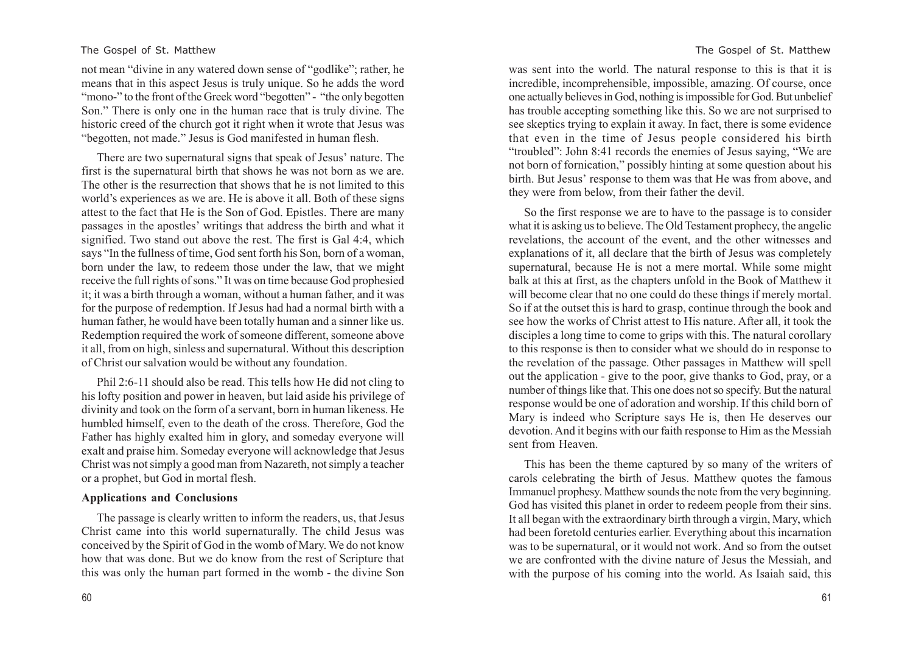not mean "divine in any watered down sense of "godlike"; rather, he means that in this aspect Jesus is truly unique. So he adds the word "mono-" to the front of the Greek word "begotten" - "the only begotten" Son." There is only one in the human race that is truly divine. The historic creed of the church got it right when it wrote that Jesus was "begotten, not made." Jesus is God manifested in human flesh.

There are two supernatural signs that speak of Jesus' nature. The first is the supernatural birth that shows he was not born as we are. The other is the resurrection that shows that he is not limited to this world's experiences as we are. He is above it all. Both of these signs attest to the fact that He is the Son of God. Epistles. There are many passages in the apostles' writings that address the birth and what it signified. Two stand out above the rest. The first is Gal 4:4, which says "In the fullness of time, God sent forth his Son, born of a woman, born under the law, to redeem those under the law, that we might receive the full rights of sons." It was on time because God prophesied it; it was a birth through a woman, without a human father, and it was for the purpose of redemption. If Jesus had had a normal birth with a human father, he would have been totally human and a sinner like us. Redemption required the work of someone different, someone above it all, from on high, sinless and supernatural. Without this description of Christ our salvation would be without any foundation.

Phil 2:6-11 should also be read. This tells how He did not cling to his lofty position and power in heaven, but laid aside his privilege of divinity and took on the form of a servant, born in human likeness. He humbled himself, even to the death of the cross. Therefore, God the Father has highly exalted him in glory, and someday everyone will exalt and praise him. Someday everyone will acknowledge that Jesus Christ was not simply a good man from Nazareth, not simply a teacher or a prophet, but God in mortal flesh.

## **Applications and Conclusions**

The passage is clearly written to inform the readers, us, that Jesus Christ came into this world supernaturally. The child Jesus was conceived by the Spirit of God in the womb of Mary. We do not know how that was done. But we do know from the rest of Scripture that this was only the human part formed in the womb - the divine Son

was sent into the world. The natural response to this is that it is incredible, incomprehensible, impossible, amazing. Of course, once one actually believes in God, nothing is impossible for God. But unbelief has trouble accepting something like this. So we are not surprised to see skeptics trying to explain it away. In fact, there is some evidence that even in the time of Jesus people considered his birth "troubled": John 8:41 records the enemies of Jesus saying, "We are not born of fornication," possibly hinting at some question about his birth. But Jesus' response to them was that He was from above, and they were from below, from their father the devil.

So the first response we are to have to the passage is to consider what it is asking us to believe. The Old Testament prophecy, the angelic revelations, the account of the event, and the other witnesses and explanations of it, all declare that the birth of Jesus was completely supernatural, because He is not a mere mortal. While some might balk at this at first, as the chapters unfold in the Book of Matthew it will become clear that no one could do these things if merely mortal. So if at the outset this is hard to grasp, continue through the book and see how the works of Christ attest to His nature. After all, it took the disciples a long time to come to grips with this. The natural corollary to this response is then to consider what we should do in response to the revelation of the passage. Other passages in Matthew will spell out the application - give to the poor, give thanks to God, pray, or a number of things like that. This one does not so specify. But the natural response would be one of adoration and worship. If this child born of Mary is indeed who Scripture says He is, then He deserves our devotion. And it begins with our faith response to Him as the Messiah sent from Heaven.

This has been the theme captured by so many of the writers of carols celebrating the birth of Jesus. Matthew quotes the famous Immanuel prophesy. Matthew sounds the note from the very beginning. God has visited this planet in order to redeem people from their sins. It all began with the extraordinary birth through a virgin, Mary, which had been foretold centuries earlier. Everything about this incarnation was to be supernatural, or it would not work. And so from the outset we are confronted with the divine nature of Jesus the Messiah, and with the purpose of his coming into the world. As Isaiah said, this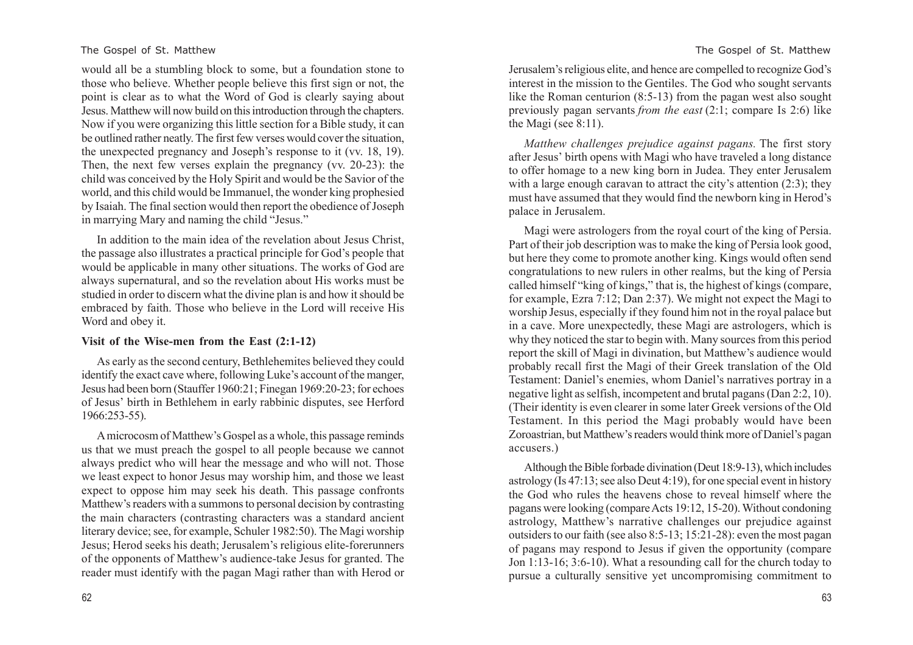would all be a stumbling block to some, but a foundation stone to those who believe. Whether people believe this first sign or not, the point is clear as to what the Word of God is clearly saying about Jesus. Matthew will now build on this introduction through the chapters. Now if you were organizing this little section for a Bible study, it can be outlined rather neatly. The first few verses would cover the situation, the unexpected pregnancy and Joseph's response to it (vv. 18, 19). Then, the next few verses explain the pregnancy (vv. 20-23): the child was conceived by the Holy Spirit and would be the Savior of the world, and this child would be Immanuel, the wonder king prophesied by Isaiah. The final section would then report the obedience of Joseph in marrying Mary and naming the child "Jesus."

In addition to the main idea of the revelation about Jesus Christ, the passage also illustrates a practical principle for God's people that would be applicable in many other situations. The works of God are always supernatural, and so the revelation about His works must be studied in order to discern what the divine plan is and how it should be embraced by faith. Those who believe in the Lord will receive His Word and obey it.

#### **Visit of the Wise-men from the East (2:1-12)**

As early as the second century, Bethlehemites believed they could identify the exact cave where, following Luke's account of the manger, Jesus had been born (Stauffer 1960:21; Finegan 1969:20-23; for echoes of Jesus' birth in Bethlehem in early rabbinic disputes, see Herford 1966:253-55).

A microcosm of Matthew's Gospel as a whole, this passage reminds us that we must preach the gospel to all people because we cannot always predict who will hear the message and who will not. Those we least expect to honor Jesus may worship him, and those we least expect to oppose him may seek his death. This passage confronts Matthew's readers with a summons to personal decision by contrasting the main characters (contrasting characters was a standard ancient literary device; see, for example, Schuler 1982:50). The Magi worship Jesus; Herod seeks his death; Jerusalem's religious elite-forerunners of the opponents of Matthew's audience-take Jesus for granted. The reader must identify with the pagan Magi rather than with Herod or

Jerusalem's religious elite, and hence are compelled to recognize God's interest in the mission to the Gentiles. The God who sought servants like the Roman centurion (8:5-13) from the pagan west also sought previously pagan servants *from the east* (2:1; compare Is 2:6) like the Magi (see 8:11).

*Matthew challenges prejudice against pagans.* The first story after Jesus' birth opens with Magi who have traveled a long distance to offer homage to a new king born in Judea. They enter Jerusalem with a large enough caravan to attract the city's attention (2:3); they must have assumed that they would find the newborn king in Herod's palace in Jerusalem.

Magi were astrologers from the royal court of the king of Persia. Part of their job description was to make the king of Persia look good, but here they come to promote another king. Kings would often send congratulations to new rulers in other realms, but the king of Persia called himself "king of kings," that is, the highest of kings (compare, for example, Ezra 7:12; Dan 2:37). We might not expect the Magi to worship Jesus, especially if they found him not in the royal palace but in a cave. More unexpectedly, these Magi are astrologers, which is why they noticed the star to begin with. Many sources from this period report the skill of Magi in divination, but Matthew's audience would probably recall first the Magi of their Greek translation of the Old Testament: Daniel's enemies, whom Daniel's narratives portray in a negative light as selfish, incompetent and brutal pagans (Dan 2:2, 10). (Their identity is even clearer in some later Greek versions of the Old Testament. In this period the Magi probably would have been Zoroastrian, but Matthew's readers would think more of Daniel's pagan accusers.)

Although the Bible forbade divination (Deut 18:9-13), which includes astrology (Is 47:13; see also Deut 4:19), for one special event in history the God who rules the heavens chose to reveal himself where the pagans were looking (compare Acts 19:12, 15-20). Without condoning astrology, Matthew's narrative challenges our prejudice against outsiders to our faith (see also 8:5-13; 15:21-28): even the most pagan of pagans may respond to Jesus if given the opportunity (compare Jon 1:13-16; 3:6-10). What a resounding call for the church today to pursue a culturally sensitive yet uncompromising commitment to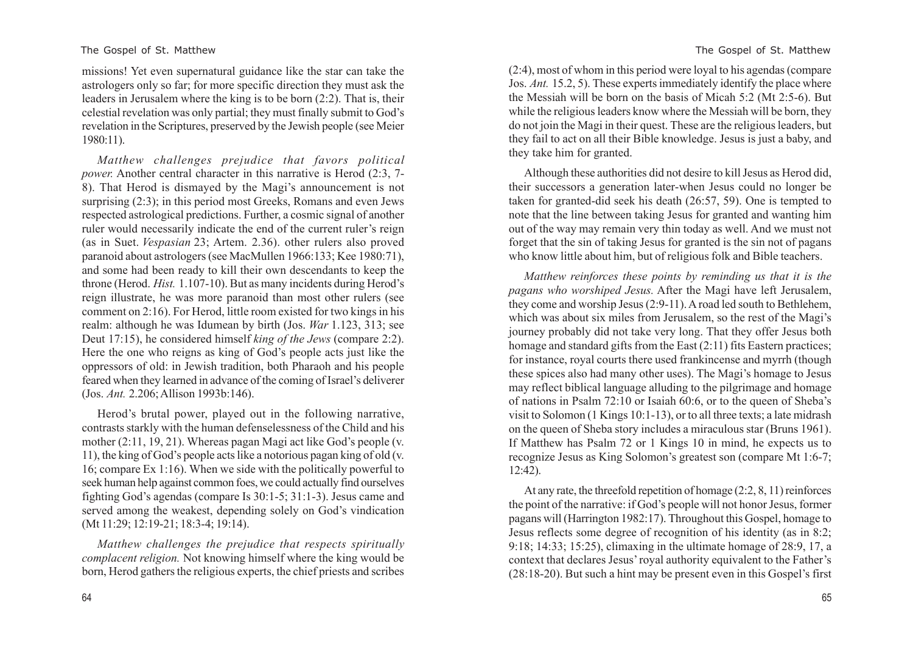missions! Yet even supernatural guidance like the star can take the astrologers only so far; for more specific direction they must ask the leaders in Jerusalem where the king is to be born (2:2). That is, their celestial revelation was only partial; they must finally submit to God's revelation in the Scriptures, preserved by the Jewish people (see Meier 1980:11).

*Matthew challenges prejudice that favors political power.* Another central character in this narrative is Herod (2:3, 7- 8). That Herod is dismayed by the Magi's announcement is not surprising (2:3); in this period most Greeks, Romans and even Jews respected astrological predictions. Further, a cosmic signal of another ruler would necessarily indicate the end of the current ruler's reign (as in Suet. *Vespasian* 23; Artem. 2.36). other rulers also proved paranoid about astrologers (see MacMullen 1966:133; Kee 1980:71), and some had been ready to kill their own descendants to keep the throne (Herod. *Hist.* 1.107-10). But as many incidents during Herod's reign illustrate, he was more paranoid than most other rulers (see comment on 2:16). For Herod, little room existed for two kings in his realm: although he was Idumean by birth (Jos. *War* 1.123, 313; see Deut 17:15), he considered himself *king of the Jews* (compare 2:2). Here the one who reigns as king of God's people acts just like the oppressors of old: in Jewish tradition, both Pharaoh and his people feared when they learned in advance of the coming of Israel's deliverer (Jos. *Ant.* 2.206; Allison 1993b:146).

Herod's brutal power, played out in the following narrative, contrasts starkly with the human defenselessness of the Child and his mother (2:11, 19, 21). Whereas pagan Magi act like God's people (v. 11), the king of God's people acts like a notorious pagan king of old (v. 16; compare Ex 1:16). When we side with the politically powerful to seek human help against common foes, we could actually find ourselves fighting God's agendas (compare Is 30:1-5; 31:1-3). Jesus came and served among the weakest, depending solely on God's vindication (Mt 11:29; 12:19-21; 18:3-4; 19:14).

*Matthew challenges the prejudice that respects spiritually complacent religion.* Not knowing himself where the king would be born, Herod gathers the religious experts, the chief priests and scribes (2:4), most of whom in this period were loyal to his agendas (compare Jos. *Ant.* 15.2, 5). These experts immediately identify the place where the Messiah will be born on the basis of Micah 5:2 (Mt 2:5-6). But while the religious leaders know where the Messiah will be born, they do not join the Magi in their quest. These are the religious leaders, but they fail to act on all their Bible knowledge. Jesus is just a baby, and they take him for granted.

Although these authorities did not desire to kill Jesus as Herod did, their successors a generation later-when Jesus could no longer be taken for granted-did seek his death (26:57, 59). One is tempted to note that the line between taking Jesus for granted and wanting him out of the way may remain very thin today as well. And we must not forget that the sin of taking Jesus for granted is the sin not of pagans who know little about him, but of religious folk and Bible teachers.

*Matthew reinforces these points by reminding us that it is the pagans who worshiped Jesus.* After the Magi have left Jerusalem, they come and worship Jesus (2:9-11). A road led south to Bethlehem, which was about six miles from Jerusalem, so the rest of the Magi's journey probably did not take very long. That they offer Jesus both homage and standard gifts from the East (2:11) fits Eastern practices; for instance, royal courts there used frankincense and myrrh (though these spices also had many other uses). The Magi's homage to Jesus may reflect biblical language alluding to the pilgrimage and homage of nations in Psalm 72:10 or Isaiah 60:6, or to the queen of Sheba's visit to Solomon (1 Kings 10:1-13), or to all three texts; a late midrash on the queen of Sheba story includes a miraculous star (Bruns 1961). If Matthew has Psalm 72 or 1 Kings 10 in mind, he expects us to recognize Jesus as King Solomon's greatest son (compare Mt 1:6-7; 12:42).

At any rate, the threefold repetition of homage (2:2, 8, 11) reinforces the point of the narrative: if God's people will not honor Jesus, former pagans will (Harrington 1982:17). Throughout this Gospel, homage to Jesus reflects some degree of recognition of his identity (as in 8:2; 9:18; 14:33; 15:25), climaxing in the ultimate homage of 28:9, 17, a context that declares Jesus' royal authority equivalent to the Father's (28:18-20). But such a hint may be present even in this Gospel's first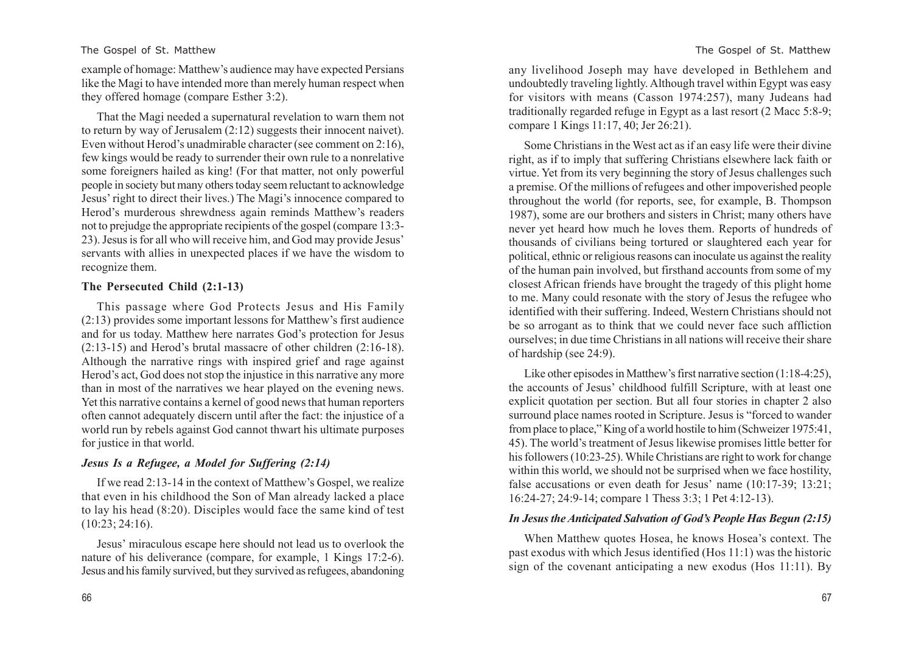example of homage: Matthew's audience may have expected Persians like the Magi to have intended more than merely human respect when they offered homage (compare Esther 3:2).

That the Magi needed a supernatural revelation to warn them not to return by way of Jerusalem (2:12) suggests their innocent naivet). Even without Herod's unadmirable character (see comment on 2:16), few kings would be ready to surrender their own rule to a nonrelative some foreigners hailed as king! (For that matter, not only powerful people in society but many others today seem reluctant to acknowledge Jesus' right to direct their lives.) The Magi's innocence compared to Herod's murderous shrewdness again reminds Matthew's readers not to prejudge the appropriate recipients of the gospel (compare 13:3- 23). Jesus is for all who will receive him, and God may provide Jesus' servants with allies in unexpected places if we have the wisdom to recognize them.

## **The Persecuted Child (2:1-13)**

This passage where God Protects Jesus and His Family (2:13) provides some important lessons for Matthew's first audience and for us today. Matthew here narrates God's protection for Jesus (2:13-15) and Herod's brutal massacre of other children (2:16-18). Although the narrative rings with inspired grief and rage against Herod's act, God does not stop the injustice in this narrative any more than in most of the narratives we hear played on the evening news. Yet this narrative contains a kernel of good news that human reporters often cannot adequately discern until after the fact: the injustice of a world run by rebels against God cannot thwart his ultimate purposes for justice in that world.

## *Jesus Is a Refugee, a Model for Suffering (2:14)*

If we read 2:13-14 in the context of Matthew's Gospel, we realize that even in his childhood the Son of Man already lacked a place to lay his head (8:20). Disciples would face the same kind of test (10:23; 24:16).

Jesus' miraculous escape here should not lead us to overlook the nature of his deliverance (compare, for example, 1 Kings 17:2-6). Jesus and his family survived, but they survived as refugees, abandoning

any livelihood Joseph may have developed in Bethlehem and undoubtedly traveling lightly. Although travel within Egypt was easy for visitors with means (Casson 1974:257), many Judeans had traditionally regarded refuge in Egypt as a last resort (2 Macc 5:8-9; compare 1 Kings 11:17, 40; Jer 26:21).

Some Christians in the West act as if an easy life were their divine right, as if to imply that suffering Christians elsewhere lack faith or virtue. Yet from its very beginning the story of Jesus challenges such a premise. Of the millions of refugees and other impoverished people throughout the world (for reports, see, for example, B. Thompson 1987), some are our brothers and sisters in Christ; many others have never yet heard how much he loves them. Reports of hundreds of thousands of civilians being tortured or slaughtered each year for political, ethnic or religious reasons can inoculate us against the reality of the human pain involved, but firsthand accounts from some of my closest African friends have brought the tragedy of this plight home to me. Many could resonate with the story of Jesus the refugee who identified with their suffering. Indeed, Western Christians should not be so arrogant as to think that we could never face such affliction ourselves; in due time Christians in all nations will receive their share of hardship (see 24:9).

Like other episodes in Matthew's first narrative section (1:18-4:25), the accounts of Jesus' childhood fulfill Scripture, with at least one explicit quotation per section. But all four stories in chapter 2 also surround place names rooted in Scripture. Jesus is "forced to wander from place to place," King of a world hostile to him (Schweizer 1975:41, 45). The world's treatment of Jesus likewise promises little better for his followers (10:23-25). While Christians are right to work for change within this world, we should not be surprised when we face hostility, false accusations or even death for Jesus' name (10:17-39; 13:21; 16:24-27; 24:9-14; compare 1 Thess 3:3; 1 Pet 4:12-13).

## *In Jesus the Anticipated Salvation of God's People Has Begun (2:15)*

When Matthew quotes Hosea, he knows Hosea's context. The past exodus with which Jesus identified (Hos 11:1) was the historic sign of the covenant anticipating a new exodus (Hos 11:11). By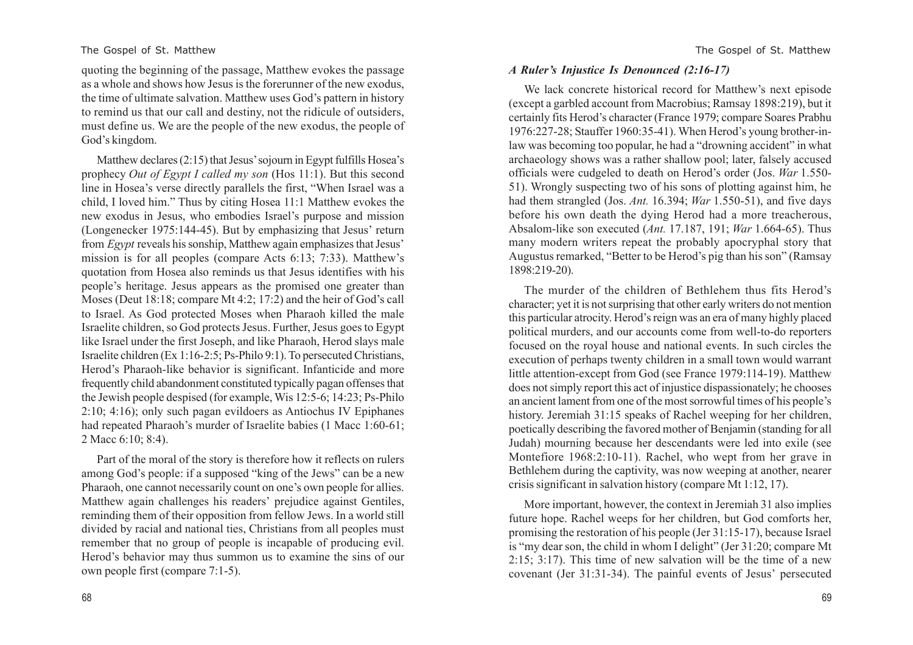quoting the beginning of the passage, Matthew evokes the passage as a whole and shows how Jesus is the forerunner of the new exodus, the time of ultimate salvation. Matthew uses God's pattern in history to remind us that our call and destiny, not the ridicule of outsiders, must define us. We are the people of the new exodus, the people of God's kingdom.

Matthew declares (2:15) that Jesus' sojourn in Egypt fulfills Hosea's prophecy *Out of Egypt I called my son* (Hos 11:1). But this second line in Hosea's verse directly parallels the first, "When Israel was a child, I loved him." Thus by citing Hosea 11:1 Matthew evokes the new exodus in Jesus, who embodies Israel's purpose and mission (Longenecker 1975:144-45). But by emphasizing that Jesus' return from *Egypt* reveals his sonship, Matthew again emphasizes that Jesus' mission is for all peoples (compare Acts 6:13; 7:33). Matthew's quotation from Hosea also reminds us that Jesus identifies with his people's heritage. Jesus appears as the promised one greater than Moses (Deut 18:18; compare Mt 4:2; 17:2) and the heir of God's call to Israel. As God protected Moses when Pharaoh killed the male Israelite children, so God protects Jesus. Further, Jesus goes to Egypt like Israel under the first Joseph, and like Pharaoh, Herod slays male Israelite children (Ex 1:16-2:5; Ps-Philo 9:1). To persecuted Christians, Herod's Pharaoh-like behavior is significant. Infanticide and more frequently child abandonment constituted typically pagan offenses that the Jewish people despised (for example, Wis 12:5-6; 14:23; Ps-Philo 2:10; 4:16); only such pagan evildoers as Antiochus IV Epiphanes had repeated Pharaoh's murder of Israelite babies (1 Macc 1:60-61; 2 Macc 6:10; 8:4).

Part of the moral of the story is therefore how it reflects on rulers among God's people: if a supposed "king of the Jews" can be a new Pharaoh, one cannot necessarily count on one's own people for allies. Matthew again challenges his readers' prejudice against Gentiles, reminding them of their opposition from fellow Jews. In a world still divided by racial and national ties, Christians from all peoples must remember that no group of people is incapable of producing evil. Herod's behavior may thus summon us to examine the sins of our own people first (compare 7:1-5).

## *A Ruler's Injustice Is Denounced (2:16-17)*

We lack concrete historical record for Matthew's next episode (except a garbled account from Macrobius; Ramsay 1898:219), but it certainly fits Herod's character (France 1979; compare Soares Prabhu 1976:227-28; Stauffer 1960:35-41). When Herod's young brother-inlaw was becoming too popular, he had a "drowning accident" in what archaeology shows was a rather shallow pool; later, falsely accused officials were cudgeled to death on Herod's order (Jos. *War* 1.550- 51). Wrongly suspecting two of his sons of plotting against him, he had them strangled (Jos. *Ant.* 16.394; *War* 1.550-51), and five days before his own death the dying Herod had a more treacherous, Absalom-like son executed (*Ant.* 17.187, 191; *War* 1.664-65). Thus many modern writers repeat the probably apocryphal story that Augustus remarked, "Better to be Herod's pig than his son" (Ramsay 1898:219-20).

The murder of the children of Bethlehem thus fits Herod's character; yet it is not surprising that other early writers do not mention this particular atrocity. Herod's reign was an era of many highly placed political murders, and our accounts come from well-to-do reporters focused on the royal house and national events. In such circles the execution of perhaps twenty children in a small town would warrant little attention-except from God (see France 1979:114-19). Matthew does not simply report this act of injustice dispassionately; he chooses an ancient lament from one of the most sorrowful times of his people's history. Jeremiah 31:15 speaks of Rachel weeping for her children, poetically describing the favored mother of Benjamin (standing for all Judah) mourning because her descendants were led into exile (see Montefiore 1968:2:10-11). Rachel, who wept from her grave in Bethlehem during the captivity, was now weeping at another, nearer crisis significant in salvation history (compare Mt 1:12, 17).

More important, however, the context in Jeremiah 31 also implies future hope. Rachel weeps for her children, but God comforts her, promising the restoration of his people (Jer 31:15-17), because Israel is "my dear son, the child in whom I delight" (Jer 31:20; compare Mt 2:15; 3:17). This time of new salvation will be the time of a new covenant (Jer 31:31-34). The painful events of Jesus' persecuted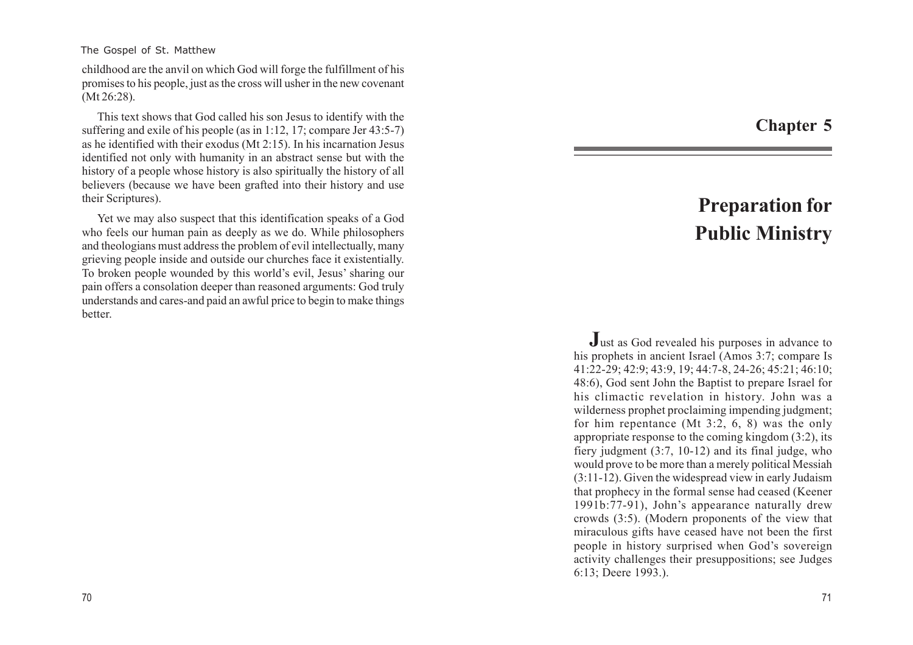childhood are the anvil on which God will forge the fulfillment of his promises to his people, just as the cross will usher in the new covenant (Mt 26:28).

This text shows that God called his son Jesus to identify with the suffering and exile of his people (as in 1:12, 17; compare Jer 43:5-7) as he identified with their exodus (Mt 2:15). In his incarnation Jesus identified not only with humanity in an abstract sense but with the history of a people whose history is also spiritually the history of all believers (because we have been grafted into their history and use their Scriptures).

Yet we may also suspect that this identification speaks of a God who feels our human pain as deeply as we do. While philosophers and theologians must address the problem of evil intellectually, many grieving people inside and outside our churches face it existentially. To broken people wounded by this world's evil, Jesus' sharing our pain offers a consolation deeper than reasoned arguments: God truly understands and cares-and paid an awful price to begin to make things better.

## **Chapter 5**

# **Preparation for Public Ministry**

**J**ust as God revealed his purposes in advance to his prophets in ancient Israel (Amos 3:7; compare Is 41:22-29; 42:9; 43:9, 19; 44:7-8, 24-26; 45:21; 46:10; 48:6), God sent John the Baptist to prepare Israel for his climactic revelation in history. John was a wilderness prophet proclaiming impending judgment; for him repentance (Mt 3:2, 6, 8) was the only appropriate response to the coming kingdom (3:2), its fiery judgment (3:7, 10-12) and its final judge, who would prove to be more than a merely political Messiah (3:11-12). Given the widespread view in early Judaism that prophecy in the formal sense had ceased (Keener 1991b:77-91), John's appearance naturally drew crowds (3:5). (Modern proponents of the view that miraculous gifts have ceased have not been the first people in history surprised when God's sovereign activity challenges their presuppositions; see Judges 6:13; Deere 1993.).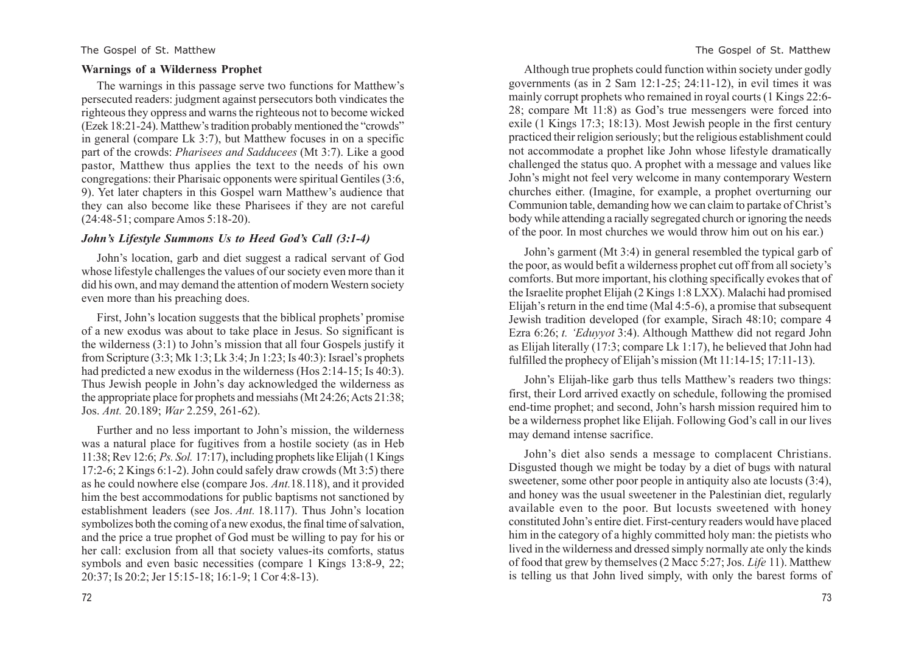#### **Warnings of a Wilderness Prophet**

The warnings in this passage serve two functions for Matthew's persecuted readers: judgment against persecutors both vindicates the righteous they oppress and warns the righteous not to become wicked (Ezek 18:21-24). Matthew's tradition probably mentioned the "crowds" in general (compare Lk 3:7), but Matthew focuses in on a specific part of the crowds: *Pharisees and Sadducees* (Mt 3:7). Like a good pastor, Matthew thus applies the text to the needs of his own congregations: their Pharisaic opponents were spiritual Gentiles (3:6, 9). Yet later chapters in this Gospel warn Matthew's audience that they can also become like these Pharisees if they are not careful (24:48-51; compare Amos 5:18-20).

## *John's Lifestyle Summons Us to Heed God's Call (3:1-4)*

John's location, garb and diet suggest a radical servant of God whose lifestyle challenges the values of our society even more than it did his own, and may demand the attention of modern Western society even more than his preaching does.

First, John's location suggests that the biblical prophets' promise of a new exodus was about to take place in Jesus. So significant is the wilderness (3:1) to John's mission that all four Gospels justify it from Scripture (3:3; Mk 1:3; Lk 3:4; Jn 1:23; Is 40:3): Israel's prophets had predicted a new exodus in the wilderness (Hos 2:14-15; Is 40:3). Thus Jewish people in John's day acknowledged the wilderness as the appropriate place for prophets and messiahs (Mt 24:26; Acts 21:38; Jos. *Ant.* 20.189; *War* 2.259, 261-62).

Further and no less important to John's mission, the wilderness was a natural place for fugitives from a hostile society (as in Heb 11:38; Rev 12:6; *Ps. Sol.* 17:17), including prophets like Elijah (1 Kings 17:2-6; 2 Kings 6:1-2). John could safely draw crowds (Mt 3:5) there as he could nowhere else (compare Jos. *Ant.*18.118), and it provided him the best accommodations for public baptisms not sanctioned by establishment leaders (see Jos. *Ant.* 18.117). Thus John's location symbolizes both the coming of a new exodus, the final time of salvation, and the price a true prophet of God must be willing to pay for his or her call: exclusion from all that society values-its comforts, status symbols and even basic necessities (compare 1 Kings 13:8-9, 22; 20:37; Is 20:2; Jer 15:15-18; 16:1-9; 1 Cor 4:8-13).

Although true prophets could function within society under godly governments (as in 2 Sam 12:1-25; 24:11-12), in evil times it was mainly corrupt prophets who remained in royal courts (1 Kings 22:6- 28; compare Mt 11:8) as God's true messengers were forced into exile (1 Kings 17:3; 18:13). Most Jewish people in the first century practiced their religion seriously; but the religious establishment could not accommodate a prophet like John whose lifestyle dramatically challenged the status quo. A prophet with a message and values like John's might not feel very welcome in many contemporary Western churches either. (Imagine, for example, a prophet overturning our Communion table, demanding how we can claim to partake of Christ's body while attending a racially segregated church or ignoring the needs of the poor. In most churches we would throw him out on his ear.)

John's garment (Mt 3:4) in general resembled the typical garb of the poor, as would befit a wilderness prophet cut off from all society's comforts. But more important, his clothing specifically evokes that of the Israelite prophet Elijah (2 Kings 1:8 LXX). Malachi had promised Elijah's return in the end time (Mal 4:5-6), a promise that subsequent Jewish tradition developed (for example, Sirach 48:10; compare 4 Ezra 6:26; *t. 'Eduyyot* 3:4). Although Matthew did not regard John as Elijah literally (17:3; compare Lk 1:17), he believed that John had fulfilled the prophecy of Elijah's mission (Mt 11:14-15; 17:11-13).

John's Elijah-like garb thus tells Matthew's readers two things: first, their Lord arrived exactly on schedule, following the promised end-time prophet; and second, John's harsh mission required him to be a wilderness prophet like Elijah. Following God's call in our lives may demand intense sacrifice.

John's diet also sends a message to complacent Christians. Disgusted though we might be today by a diet of bugs with natural sweetener, some other poor people in antiquity also ate locusts (3:4), and honey was the usual sweetener in the Palestinian diet, regularly available even to the poor. But locusts sweetened with honey constituted John's entire diet. First-century readers would have placed him in the category of a highly committed holy man: the pietists who lived in the wilderness and dressed simply normally ate only the kinds of food that grew by themselves (2 Macc 5:27; Jos. *Life* 11). Matthew is telling us that John lived simply, with only the barest forms of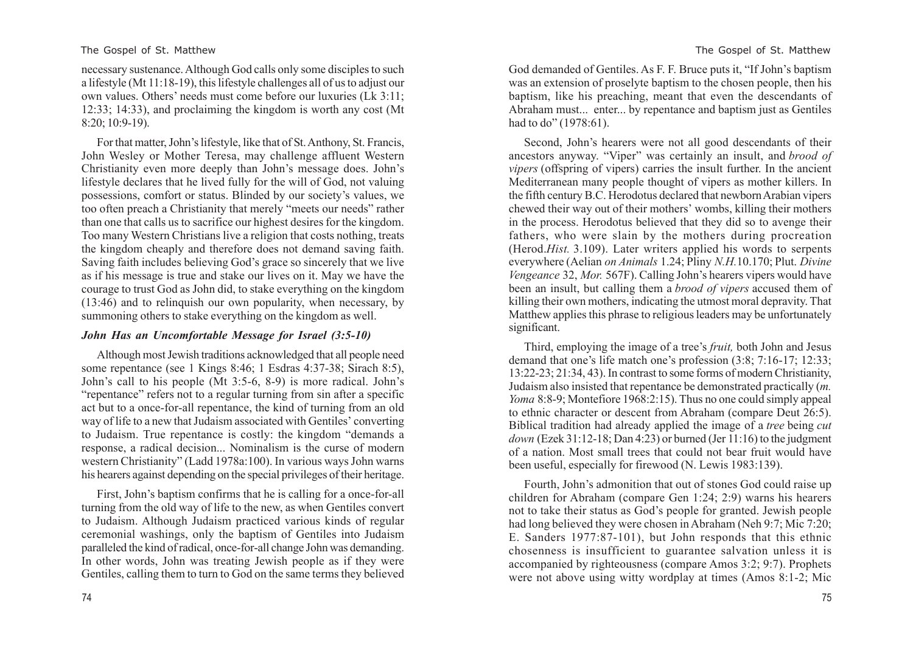necessary sustenance. Although God calls only some disciples to such a lifestyle (Mt 11:18-19), this lifestyle challenges all of us to adjust our own values. Others' needs must come before our luxuries (Lk 3:11; 12:33; 14:33), and proclaiming the kingdom is worth any cost (Mt 8:20; 10:9-19).

For that matter, John's lifestyle, like that of St. Anthony, St. Francis, John Wesley or Mother Teresa, may challenge affluent Western Christianity even more deeply than John's message does. John's lifestyle declares that he lived fully for the will of God, not valuing possessions, comfort or status. Blinded by our society's values, we too often preach a Christianity that merely "meets our needs" rather than one that calls us to sacrifice our highest desires for the kingdom. Too many Western Christians live a religion that costs nothing, treats the kingdom cheaply and therefore does not demand saving faith. Saving faith includes believing God's grace so sincerely that we live as if his message is true and stake our lives on it. May we have the courage to trust God as John did, to stake everything on the kingdom (13:46) and to relinquish our own popularity, when necessary, by summoning others to stake everything on the kingdom as well.

## *John Has an Uncomfortable Message for Israel (3:5-10)*

Although most Jewish traditions acknowledged that all people need some repentance (see 1 Kings 8:46; 1 Esdras 4:37-38; Sirach 8:5), John's call to his people (Mt 3:5-6, 8-9) is more radical. John's "repentance" refers not to a regular turning from sin after a specific act but to a once-for-all repentance, the kind of turning from an old way of life to a new that Judaism associated with Gentiles' converting to Judaism. True repentance is costly: the kingdom "demands a response, a radical decision... Nominalism is the curse of modern western Christianity" (Ladd 1978a:100). In various ways John warns his hearers against depending on the special privileges of their heritage.

First, John's baptism confirms that he is calling for a once-for-all turning from the old way of life to the new, as when Gentiles convert to Judaism. Although Judaism practiced various kinds of regular ceremonial washings, only the baptism of Gentiles into Judaism paralleled the kind of radical, once-for-all change John was demanding. In other words, John was treating Jewish people as if they were Gentiles, calling them to turn to God on the same terms they believed God demanded of Gentiles. As F. F. Bruce puts it, "If John's baptism was an extension of proselyte baptism to the chosen people, then his baptism, like his preaching, meant that even the descendants of Abraham must... enter... by repentance and baptism just as Gentiles had to do" (1978:61).

Second, John's hearers were not all good descendants of their ancestors anyway. "Viper" was certainly an insult, and *brood of vipers* (offspring of vipers) carries the insult further. In the ancient Mediterranean many people thought of vipers as mother killers. In the fifth century B.C. Herodotus declared that newborn Arabian vipers chewed their way out of their mothers' wombs, killing their mothers in the process. Herodotus believed that they did so to avenge their fathers, who were slain by the mothers during procreation (Herod.*Hist.* 3.109). Later writers applied his words to serpents everywhere (Aelian *on Animals* 1.24; Pliny *N.H.*10.170; Plut. *Divine Vengeance* 32, *Mor.* 567F). Calling John's hearers vipers would have been an insult, but calling them a *brood of vipers* accused them of killing their own mothers, indicating the utmost moral depravity. That Matthew applies this phrase to religious leaders may be unfortunately significant.

Third, employing the image of a tree's *fruit,* both John and Jesus demand that one's life match one's profession (3:8; 7:16-17; 12:33; 13:22-23; 21:34, 43). In contrast to some forms of modern Christianity, Judaism also insisted that repentance be demonstrated practically (*m. Yoma* 8:8-9; Montefiore 1968:2:15). Thus no one could simply appeal to ethnic character or descent from Abraham (compare Deut 26:5). Biblical tradition had already applied the image of a *tree* being *cut down* (Ezek 31:12-18; Dan 4:23) or burned (Jer 11:16) to the judgment of a nation. Most small trees that could not bear fruit would have been useful, especially for firewood (N. Lewis 1983:139).

Fourth, John's admonition that out of stones God could raise up children for Abraham (compare Gen 1:24; 2:9) warns his hearers not to take their status as God's people for granted. Jewish people had long believed they were chosen in Abraham (Neh 9:7; Mic 7:20; E. Sanders 1977:87-101), but John responds that this ethnic chosenness is insufficient to guarantee salvation unless it is accompanied by righteousness (compare Amos 3:2; 9:7). Prophets were not above using witty wordplay at times (Amos 8:1-2; Mic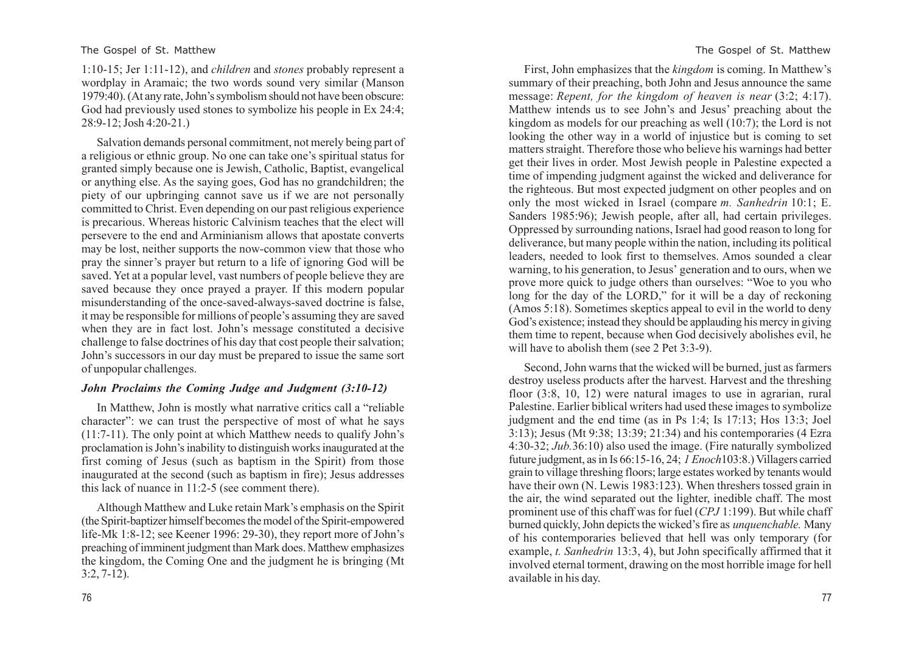The Gospel of St. Matthew

1:10-15; Jer 1:11-12), and *children* and *stones* probably represent a wordplay in Aramaic; the two words sound very similar (Manson 1979:40). (At any rate, John's symbolism should not have been obscure: God had previously used stones to symbolize his people in Ex 24:4; 28:9-12; Josh 4:20-21.)

Salvation demands personal commitment, not merely being part of a religious or ethnic group. No one can take one's spiritual status for granted simply because one is Jewish, Catholic, Baptist, evangelical or anything else. As the saying goes, God has no grandchildren; the piety of our upbringing cannot save us if we are not personally committed to Christ. Even depending on our past religious experience is precarious. Whereas historic Calvinism teaches that the elect will persevere to the end and Arminianism allows that apostate converts may be lost, neither supports the now-common view that those who pray the sinner's prayer but return to a life of ignoring God will be saved. Yet at a popular level, vast numbers of people believe they are saved because they once prayed a prayer. If this modern popular misunderstanding of the once-saved-always-saved doctrine is false, it may be responsible for millions of people's assuming they are saved when they are in fact lost. John's message constituted a decisive challenge to false doctrines of his day that cost people their salvation; John's successors in our day must be prepared to issue the same sort of unpopular challenges.

## *John Proclaims the Coming Judge and Judgment (3:10-12)*

In Matthew, John is mostly what narrative critics call a "reliable character": we can trust the perspective of most of what he says (11:7-11). The only point at which Matthew needs to qualify John's proclamation is John's inability to distinguish works inaugurated at the first coming of Jesus (such as baptism in the Spirit) from those inaugurated at the second (such as baptism in fire); Jesus addresses this lack of nuance in 11:2-5 (see comment there).

Although Matthew and Luke retain Mark's emphasis on the Spirit (the Spirit-baptizer himself becomes the model of the Spirit-empowered life-Mk 1:8-12; see Keener 1996: 29-30), they report more of John's preaching of imminent judgment than Mark does. Matthew emphasizes the kingdom, the Coming One and the judgment he is bringing (Mt 3:2, 7-12).

76 77

First, John emphasizes that the *kingdom* is coming. In Matthew's summary of their preaching, both John and Jesus announce the same message: *Repent, for the kingdom of heaven is near* (3:2; 4:17). Matthew intends us to see John's and Jesus' preaching about the kingdom as models for our preaching as well  $(10:7)$ ; the Lord is not looking the other way in a world of injustice but is coming to set matters straight. Therefore those who believe his warnings had better get their lives in order. Most Jewish people in Palestine expected a time of impending judgment against the wicked and deliverance for the righteous. But most expected judgment on other peoples and on only the most wicked in Israel (compare *m. Sanhedrin* 10:1; E. Sanders 1985:96); Jewish people, after all, had certain privileges. Oppressed by surrounding nations, Israel had good reason to long for deliverance, but many people within the nation, including its political leaders, needed to look first to themselves. Amos sounded a clear warning, to his generation, to Jesus' generation and to ours, when we prove more quick to judge others than ourselves: "Woe to you who long for the day of the LORD," for it will be a day of reckoning (Amos 5:18). Sometimes skeptics appeal to evil in the world to deny God's existence; instead they should be applauding his mercy in giving them time to repent, because when God decisively abolishes evil, he will have to abolish them (see 2 Pet 3:3-9).

Second, John warns that the wicked will be burned, just as farmers destroy useless products after the harvest. Harvest and the threshing floor (3:8, 10, 12) were natural images to use in agrarian, rural Palestine. Earlier biblical writers had used these images to symbolize judgment and the end time (as in Ps 1:4; Is 17:13; Hos 13:3; Joel 3:13); Jesus (Mt 9:38; 13:39; 21:34) and his contemporaries (4 Ezra 4:30-32; *Jub.*36:10) also used the image. (Fire naturally symbolized future judgment, as in Is 66:15-16, 24; *1 Enoch*103:8.) Villagers carried grain to village threshing floors; large estates worked by tenants would have their own (N. Lewis 1983:123). When threshers tossed grain in the air, the wind separated out the lighter, inedible chaff. The most prominent use of this chaff was for fuel (*CPJ* 1:199). But while chaff burned quickly, John depicts the wicked's fire as *unquenchable.* Many of his contemporaries believed that hell was only temporary (for example, *t. Sanhedrin* 13:3, 4), but John specifically affirmed that it involved eternal torment, drawing on the most horrible image for hell available in his day.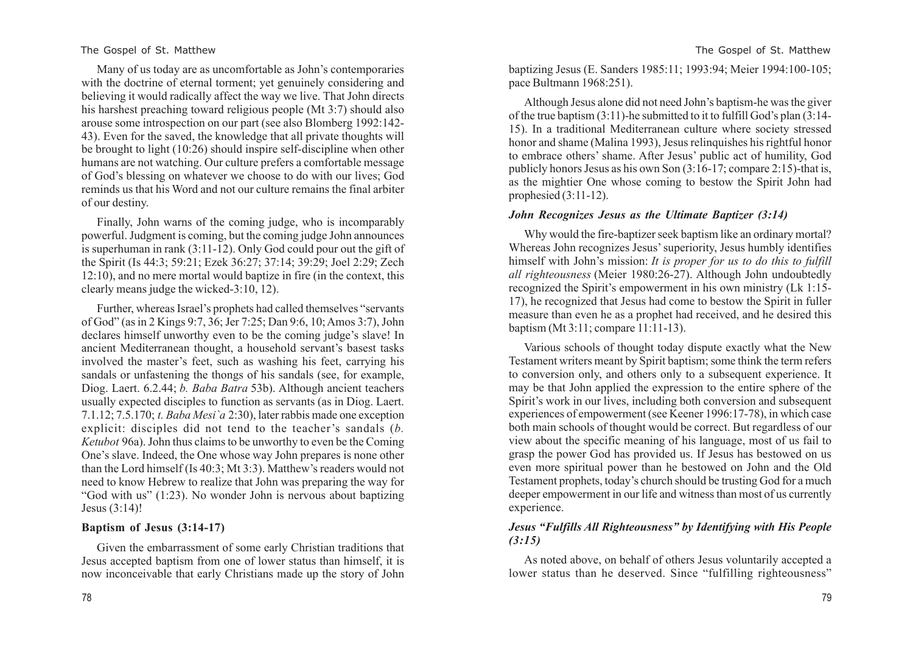Many of us today are as uncomfortable as John's contemporaries with the doctrine of eternal torment; yet genuinely considering and believing it would radically affect the way we live. That John directs his harshest preaching toward religious people (Mt 3:7) should also arouse some introspection on our part (see also Blomberg 1992:142- 43). Even for the saved, the knowledge that all private thoughts will be brought to light (10:26) should inspire self-discipline when other humans are not watching. Our culture prefers a comfortable message of God's blessing on whatever we choose to do with our lives; God reminds us that his Word and not our culture remains the final arbiter of our destiny.

Finally, John warns of the coming judge, who is incomparably powerful. Judgment is coming, but the coming judge John announces is superhuman in rank (3:11-12). Only God could pour out the gift of the Spirit (Is 44:3; 59:21; Ezek 36:27; 37:14; 39:29; Joel 2:29; Zech 12:10), and no mere mortal would baptize in fire (in the context, this clearly means judge the wicked-3:10, 12).

Further, whereas Israel's prophets had called themselves "servants of God" (as in 2 Kings 9:7, 36; Jer 7:25; Dan 9:6, 10; Amos 3:7), John declares himself unworthy even to be the coming judge's slave! In ancient Mediterranean thought, a household servant's basest tasks involved the master's feet, such as washing his feet, carrying his sandals or unfastening the thongs of his sandals (see, for example, Diog. Laert. 6.2.44; *b. Baba Batra* 53b). Although ancient teachers usually expected disciples to function as servants (as in Diog. Laert. 7.1.12; 7.5.170; *t. Baba Mesi`a* 2:30), later rabbis made one exception explicit: disciples did not tend to the teacher's sandals (*b. Ketubot* 96a). John thus claims to be unworthy to even be the Coming One's slave. Indeed, the One whose way John prepares is none other than the Lord himself (Is 40:3; Mt 3:3). Matthew's readers would not need to know Hebrew to realize that John was preparing the way for "God with us" (1:23). No wonder John is nervous about baptizing Jesus (3:14)!

## **Baptism of Jesus (3:14-17)**

Given the embarrassment of some early Christian traditions that Jesus accepted baptism from one of lower status than himself, it is now inconceivable that early Christians made up the story of John baptizing Jesus (E. Sanders 1985:11; 1993:94; Meier 1994:100-105; pace Bultmann 1968:251).

Although Jesus alone did not need John's baptism-he was the giver of the true baptism (3:11)-he submitted to it to fulfill God's plan (3:14- 15). In a traditional Mediterranean culture where society stressed honor and shame (Malina 1993), Jesus relinquishes his rightful honor to embrace others' shame. After Jesus' public act of humility, God publicly honors Jesus as his own Son (3:16-17; compare 2:15)-that is, as the mightier One whose coming to bestow the Spirit John had prophesied (3:11-12).

## *John Recognizes Jesus as the Ultimate Baptizer (3:14)*

Why would the fire-baptizer seek baptism like an ordinary mortal? Whereas John recognizes Jesus' superiority, Jesus humbly identifies himself with John's mission: *It is proper for us to do this to fulfill all righteousness* (Meier 1980:26-27). Although John undoubtedly recognized the Spirit's empowerment in his own ministry (Lk 1:15- 17), he recognized that Jesus had come to bestow the Spirit in fuller measure than even he as a prophet had received, and he desired this baptism (Mt 3:11; compare 11:11-13).

Various schools of thought today dispute exactly what the New Testament writers meant by Spirit baptism; some think the term refers to conversion only, and others only to a subsequent experience. It may be that John applied the expression to the entire sphere of the Spirit's work in our lives, including both conversion and subsequent experiences of empowerment (see Keener 1996:17-78), in which case both main schools of thought would be correct. But regardless of our view about the specific meaning of his language, most of us fail to grasp the power God has provided us. If Jesus has bestowed on us even more spiritual power than he bestowed on John and the Old Testament prophets, today's church should be trusting God for a much deeper empowerment in our life and witness than most of us currently experience.

## *Jesus "Fulfills All Righteousness" by Identifying with His People (3:15)*

As noted above, on behalf of others Jesus voluntarily accepted a lower status than he deserved. Since "fulfilling righteousness"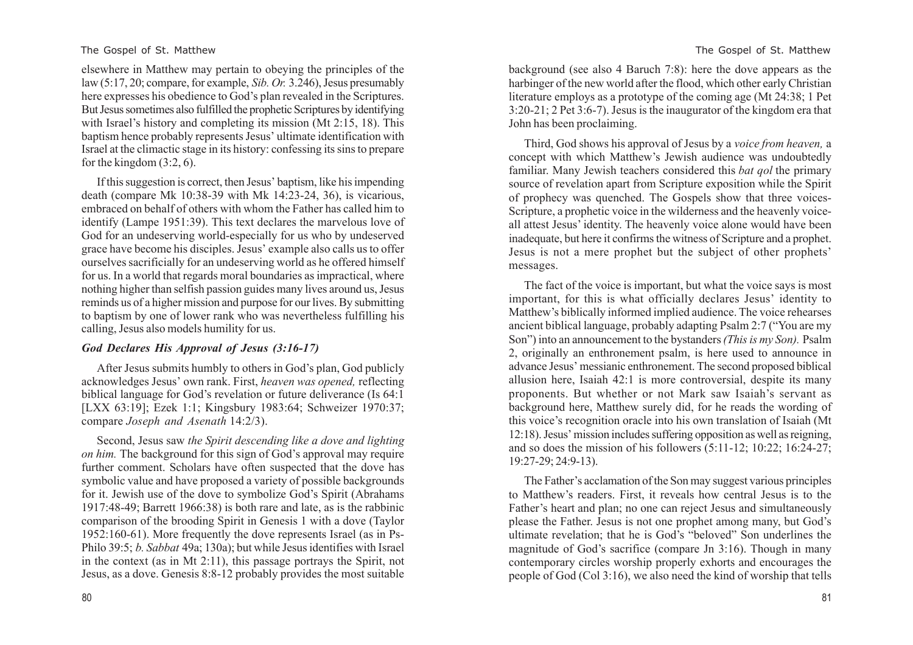elsewhere in Matthew may pertain to obeying the principles of the law (5:17, 20; compare, for example, *Sib. Or.* 3.246), Jesus presumably here expresses his obedience to God's plan revealed in the Scriptures. But Jesus sometimes also fulfilled the prophetic Scriptures by identifying with Israel's history and completing its mission (Mt 2:15, 18). This baptism hence probably represents Jesus' ultimate identification with Israel at the climactic stage in its history: confessing its sins to prepare for the kingdom  $(3:2, 6)$ .

If this suggestion is correct, then Jesus' baptism, like his impending death (compare Mk 10:38-39 with Mk 14:23-24, 36), is vicarious, embraced on behalf of others with whom the Father has called him to identify (Lampe 1951:39). This text declares the marvelous love of God for an undeserving world-especially for us who by undeserved grace have become his disciples. Jesus' example also calls us to offer ourselves sacrificially for an undeserving world as he offered himself for us. In a world that regards moral boundaries as impractical, where nothing higher than selfish passion guides many lives around us, Jesus reminds us of a higher mission and purpose for our lives. By submitting to baptism by one of lower rank who was nevertheless fulfilling his calling, Jesus also models humility for us.

## *God Declares His Approval of Jesus (3:16-17)*

After Jesus submits humbly to others in God's plan, God publicly acknowledges Jesus' own rank. First, *heaven was opened,* reflecting biblical language for God's revelation or future deliverance (Is 64:1 [LXX 63:19]; Ezek 1:1; Kingsbury 1983:64; Schweizer 1970:37; compare *Joseph and Asenath* 14:2/3).

Second, Jesus saw *the Spirit descending like a dove and lighting on him.* The background for this sign of God's approval may require further comment. Scholars have often suspected that the dove has symbolic value and have proposed a variety of possible backgrounds for it. Jewish use of the dove to symbolize God's Spirit (Abrahams 1917:48-49; Barrett 1966:38) is both rare and late, as is the rabbinic comparison of the brooding Spirit in Genesis 1 with a dove (Taylor 1952:160-61). More frequently the dove represents Israel (as in Ps-Philo 39:5; *b. Sabbat* 49a; 130a); but while Jesus identifies with Israel in the context (as in Mt 2:11), this passage portrays the Spirit, not Jesus, as a dove. Genesis 8:8-12 probably provides the most suitable

background (see also 4 Baruch 7:8): here the dove appears as the harbinger of the new world after the flood, which other early Christian literature employs as a prototype of the coming age (Mt 24:38; 1 Pet 3:20-21; 2 Pet 3:6-7). Jesus is the inaugurator of the kingdom era that John has been proclaiming.

Third, God shows his approval of Jesus by a *voice from heaven,*<sup>a</sup> concept with which Matthew's Jewish audience was undoubtedly familiar. Many Jewish teachers considered this *bat qol* the primary source of revelation apart from Scripture exposition while the Spirit of prophecy was quenched. The Gospels show that three voices-Scripture, a prophetic voice in the wilderness and the heavenly voiceall attest Jesus' identity. The heavenly voice alone would have been inadequate, but here it confirms the witness of Scripture and a prophet. Jesus is not a mere prophet but the subject of other prophets' messages.

The fact of the voice is important, but what the voice says is most important, for this is what officially declares Jesus' identity to Matthew's biblically informed implied audience. The voice rehearses ancient biblical language, probably adapting Psalm 2:7 ("You are my Son") into an announcement to the bystanders *(This is my Son).* Psalm 2, originally an enthronement psalm, is here used to announce in advance Jesus' messianic enthronement. The second proposed biblical allusion here, Isaiah 42:1 is more controversial, despite its many proponents. But whether or not Mark saw Isaiah's servant as background here, Matthew surely did, for he reads the wording of this voice's recognition oracle into his own translation of Isaiah (Mt 12:18). Jesus' mission includes suffering opposition as well as reigning, and so does the mission of his followers (5:11-12; 10:22; 16:24-27; 19:27-29; 24:9-13).

The Father's acclamation of the Son may suggest various principles to Matthew's readers. First, it reveals how central Jesus is to the Father's heart and plan; no one can reject Jesus and simultaneously please the Father. Jesus is not one prophet among many, but God's ultimate revelation; that he is God's "beloved" Son underlines the magnitude of God's sacrifice (compare Jn 3:16). Though in many contemporary circles worship properly exhorts and encourages the people of God (Col 3:16), we also need the kind of worship that tells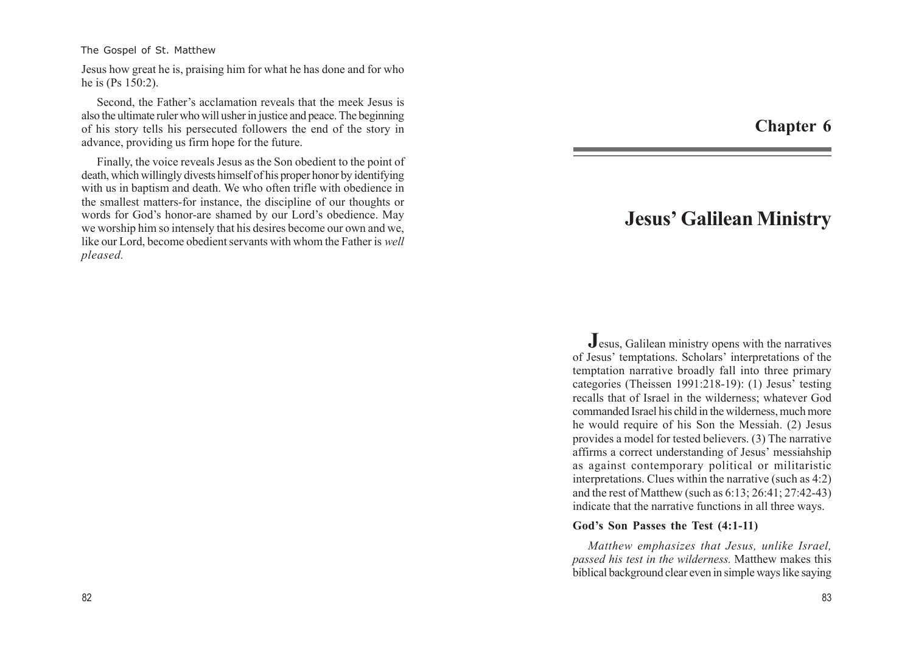Jesus how great he is, praising him for what he has done and for who he is (Ps 150:2).

Second, the Father's acclamation reveals that the meek Jesus is also the ultimate ruler who will usher in justice and peace. The beginning of his story tells his persecuted followers the end of the story in advance, providing us firm hope for the future.

Finally, the voice reveals Jesus as the Son obedient to the point of death, which willingly divests himself of his proper honor by identifying with us in baptism and death. We who often trifle with obedience in the smallest matters-for instance, the discipline of our thoughts or words for God's honor-are shamed by our Lord's obedience. May we worship him so intensely that his desires become our own and we, like our Lord, become obedient servants with whom the Father is *well pleased.*

## **Chapter 6**

# **Jesus' Galilean Ministry**

**J**esus, Galilean ministry opens with the narratives of Jesus' temptations. Scholars' interpretations of the temptation narrative broadly fall into three primary categories (Theissen 1991:218-19): (1) Jesus' testing recalls that of Israel in the wilderness; whatever God commanded Israel his child in the wilderness, much more he would require of his Son the Messiah. (2) Jesus provides a model for tested believers. (3) The narrative affirms a correct understanding of Jesus' messiahship as against contemporary political or militaristic interpretations. Clues within the narrative (such as 4:2) and the rest of Matthew (such as 6:13; 26:41; 27:42-43) indicate that the narrative functions in all three ways.

#### **God's Son Passes the Test (4:1-11)**

*Matthew emphasizes that Jesus, unlike Israel, passed his test in the wilderness.* Matthew makes this biblical background clear even in simple ways like saying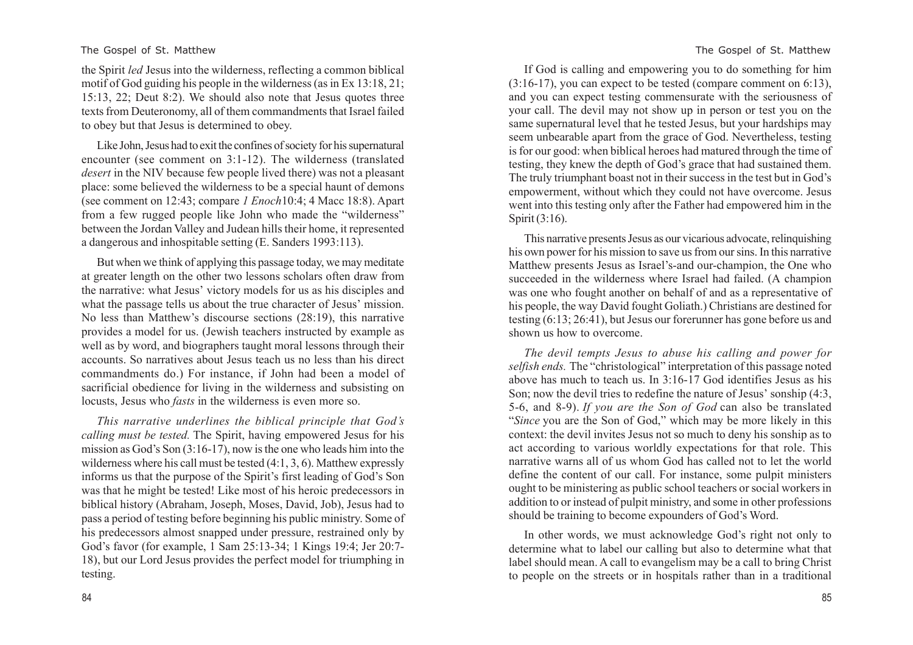the Spirit *led* Jesus into the wilderness, reflecting a common biblical motif of God guiding his people in the wilderness (as in Ex 13:18, 21; 15:13, 22; Deut 8:2). We should also note that Jesus quotes three texts from Deuteronomy, all of them commandments that Israel failed to obey but that Jesus is determined to obey.

Like John, Jesus had to exit the confines of society for his supernatural encounter (see comment on 3:1-12). The wilderness (translated *desert* in the NIV because few people lived there) was not a pleasant place: some believed the wilderness to be a special haunt of demons (see comment on 12:43; compare *1 Enoch*10:4; 4 Macc 18:8). Apart from a few rugged people like John who made the "wilderness" between the Jordan Valley and Judean hills their home, it represented a dangerous and inhospitable setting (E. Sanders 1993:113).

But when we think of applying this passage today, we may meditate at greater length on the other two lessons scholars often draw from the narrative: what Jesus' victory models for us as his disciples and what the passage tells us about the true character of Jesus' mission. No less than Matthew's discourse sections (28:19), this narrative provides a model for us. (Jewish teachers instructed by example as well as by word, and biographers taught moral lessons through their accounts. So narratives about Jesus teach us no less than his direct commandments do.) For instance, if John had been a model of sacrificial obedience for living in the wilderness and subsisting on locusts, Jesus who *fasts* in the wilderness is even more so.

*This narrative underlines the biblical principle that God's calling must be tested.* The Spirit, having empowered Jesus for his mission as God's Son (3:16-17), now is the one who leads him into the wilderness where his call must be tested (4:1, 3, 6). Matthew expressly informs us that the purpose of the Spirit's first leading of God's Son was that he might be tested! Like most of his heroic predecessors in biblical history (Abraham, Joseph, Moses, David, Job), Jesus had to pass a period of testing before beginning his public ministry. Some of his predecessors almost snapped under pressure, restrained only by God's favor (for example, 1 Sam 25:13-34; 1 Kings 19:4; Jer 20:7- 18), but our Lord Jesus provides the perfect model for triumphing in testing.

If God is calling and empowering you to do something for him (3:16-17), you can expect to be tested (compare comment on 6:13), and you can expect testing commensurate with the seriousness of your call. The devil may not show up in person or test you on the same supernatural level that he tested Jesus, but your hardships may seem unbearable apart from the grace of God. Nevertheless, testing is for our good: when biblical heroes had matured through the time of testing, they knew the depth of God's grace that had sustained them. The truly triumphant boast not in their success in the test but in God's empowerment, without which they could not have overcome. Jesus went into this testing only after the Father had empowered him in the Spirit (3:16).

This narrative presents Jesus as our vicarious advocate, relinquishing his own power for his mission to save us from our sins. In this narrative Matthew presents Jesus as Israel's-and our-champion, the One who succeeded in the wilderness where Israel had failed. (A champion was one who fought another on behalf of and as a representative of his people, the way David fought Goliath.) Christians are destined for testing (6:13; 26:41), but Jesus our forerunner has gone before us and shown us how to overcome.

*The devil tempts Jesus to abuse his calling and power for selfish ends.* The "christological" interpretation of this passage noted above has much to teach us. In 3:16-17 God identifies Jesus as his Son; now the devil tries to redefine the nature of Jesus' sonship (4:3, 5-6, and 8-9). *If you are the Son of God* can also be translated "*Since* you are the Son of God," which may be more likely in this context: the devil invites Jesus not so much to deny his sonship as to act according to various worldly expectations for that role. This narrative warns all of us whom God has called not to let the world define the content of our call. For instance, some pulpit ministers ought to be ministering as public school teachers or social workers in addition to or instead of pulpit ministry, and some in other professions should be training to become expounders of God's Word.

In other words, we must acknowledge God's right not only to determine what to label our calling but also to determine what that label should mean. A call to evangelism may be a call to bring Christ to people on the streets or in hospitals rather than in a traditional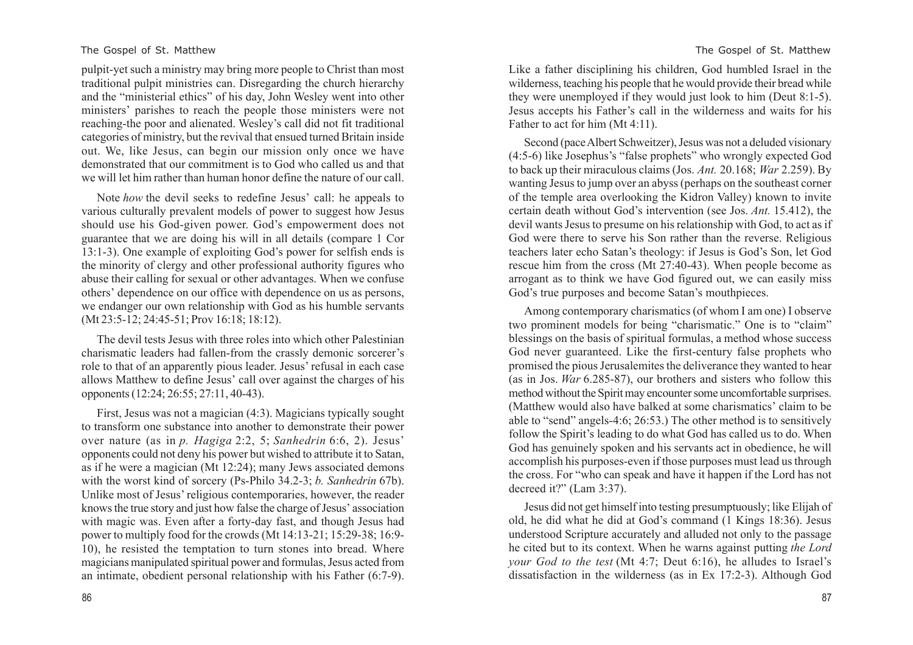pulpit-yet such a ministry may bring more people to Christ than most traditional pulpit ministries can. Disregarding the church hierarchy and the "ministerial ethics" of his day, John Wesley went into other ministers' parishes to reach the people those ministers were not reaching-the poor and alienated. Wesley's call did not fit traditional categories of ministry, but the revival that ensued turned Britain inside out. We, like Jesus, can begin our mission only once we have demonstrated that our commitment is to God who called us and that we will let him rather than human honor define the nature of our call.

Note *how* the devil seeks to redefine Jesus' call: he appeals to various culturally prevalent models of power to suggest how Jesus should use his God-given power. God's empowerment does not guarantee that we are doing his will in all details (compare 1 Cor 13:1-3). One example of exploiting God's power for selfish ends is the minority of clergy and other professional authority figures who abuse their calling for sexual or other advantages. When we confuse others' dependence on our office with dependence on us as persons, we endanger our own relationship with God as his humble servants (Mt 23:5-12; 24:45-51; Prov 16:18; 18:12).

The devil tests Jesus with three roles into which other Palestinian charismatic leaders had fallen-from the crassly demonic sorcerer's role to that of an apparently pious leader. Jesus' refusal in each case allows Matthew to define Jesus' call over against the charges of his opponents (12:24; 26:55; 27:11, 40-43).

First, Jesus was not a magician (4:3). Magicians typically sought to transform one substance into another to demonstrate their power over nature (as in *p. Hagiga* 2:2, 5; *Sanhedrin* 6:6, 2). Jesus' opponents could not deny his power but wished to attribute it to Satan, as if he were a magician (Mt 12:24); many Jews associated demons with the worst kind of sorcery (Ps-Philo 34.2-3; *b. Sanhedrin* 67b). Unlike most of Jesus' religious contemporaries, however, the reader knows the true story and just how false the charge of Jesus' association with magic was. Even after a forty-day fast, and though Jesus had power to multiply food for the crowds (Mt 14:13-21; 15:29-38; 16:9- 10), he resisted the temptation to turn stones into bread. Where magicians manipulated spiritual power and formulas, Jesus acted from an intimate, obedient personal relationship with his Father (6:7-9).

86 associates and the set of the set of the set of the set of the set of the set of the set of the set of the s

Like a father disciplining his children, God humbled Israel in the wilderness, teaching his people that he would provide their bread while they were unemployed if they would just look to him (Deut 8:1-5). Jesus accepts his Father's call in the wilderness and waits for his Father to act for him (Mt 4:11).

Second (pace Albert Schweitzer), Jesus was not a deluded visionary (4:5-6) like Josephus's "false prophets" who wrongly expected God to back up their miraculous claims (Jos. *Ant.* 20.168; *War* 2.259). By wanting Jesus to jump over an abyss (perhaps on the southeast corner of the temple area overlooking the Kidron Valley) known to invite certain death without God's intervention (see Jos. *Ant.* 15.412), the devil wants Jesus to presume on his relationship with God, to act as if God were there to serve his Son rather than the reverse. Religious teachers later echo Satan's theology: if Jesus is God's Son, let God rescue him from the cross (Mt 27:40-43). When people become as arrogant as to think we have God figured out, we can easily miss God's true purposes and become Satan's mouthpieces.

Among contemporary charismatics (of whom I am one) I observe two prominent models for being "charismatic." One is to "claim" blessings on the basis of spiritual formulas, a method whose success God never guaranteed. Like the first-century false prophets who promised the pious Jerusalemites the deliverance they wanted to hear (as in Jos. *War* 6.285-87), our brothers and sisters who follow this method without the Spirit may encounter some uncomfortable surprises. (Matthew would also have balked at some charismatics' claim to be able to "send" angels-4:6; 26:53.) The other method is to sensitively follow the Spirit's leading to do what God has called us to do. When God has genuinely spoken and his servants act in obedience, he will accomplish his purposes-even if those purposes must lead us through the cross. For "who can speak and have it happen if the Lord has not decreed it?" (Lam 3:37).

Jesus did not get himself into testing presumptuously; like Elijah of old, he did what he did at God's command (1 Kings 18:36). Jesus understood Scripture accurately and alluded not only to the passage he cited but to its context. When he warns against putting *the Lord your God to the test* (Mt 4:7; Deut 6:16), he alludes to Israel's dissatisfaction in the wilderness (as in Ex 17:2-3). Although God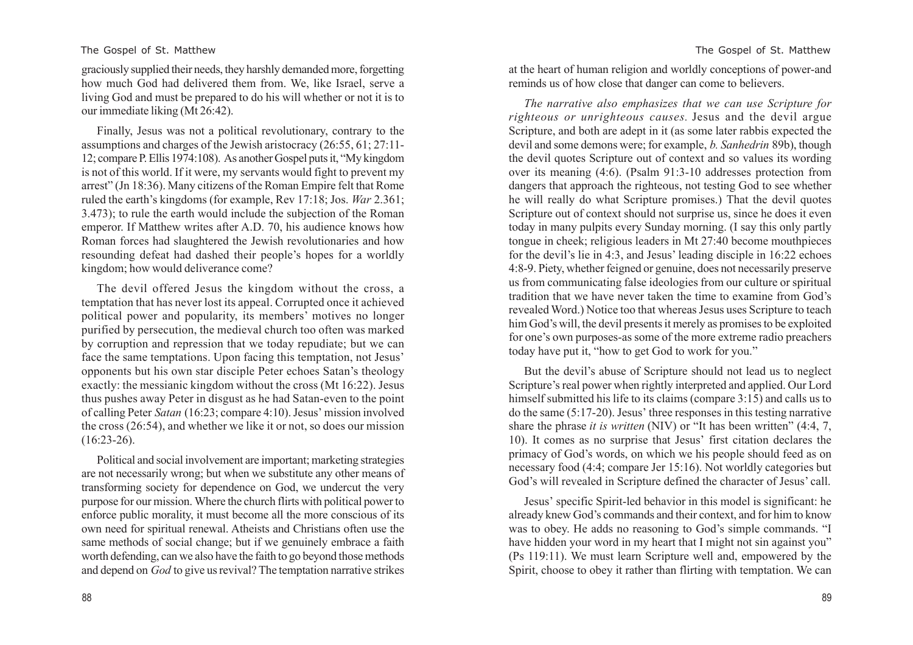graciously supplied their needs, they harshly demanded more, forgetting how much God had delivered them from. We, like Israel, serve a living God and must be prepared to do his will whether or not it is to our immediate liking (Mt 26:42).

Finally, Jesus was not a political revolutionary, contrary to the assumptions and charges of the Jewish aristocracy (26:55, 61; 27:11- 12; compare P. Ellis 1974:108). As another Gospel puts it, "My kingdom is not of this world. If it were, my servants would fight to prevent my arrest" (Jn 18:36). Many citizens of the Roman Empire felt that Rome ruled the earth's kingdoms (for example, Rev 17:18; Jos. *War* 2.361; 3.473); to rule the earth would include the subjection of the Roman emperor. If Matthew writes after A.D. 70, his audience knows how Roman forces had slaughtered the Jewish revolutionaries and how resounding defeat had dashed their people's hopes for a worldly kingdom; how would deliverance come?

The devil offered Jesus the kingdom without the cross, a temptation that has never lost its appeal. Corrupted once it achieved political power and popularity, its members' motives no longer purified by persecution, the medieval church too often was marked by corruption and repression that we today repudiate; but we can face the same temptations. Upon facing this temptation, not Jesus' opponents but his own star disciple Peter echoes Satan's theology exactly: the messianic kingdom without the cross (Mt 16:22). Jesus thus pushes away Peter in disgust as he had Satan-even to the point of calling Peter *Satan* (16:23; compare 4:10). Jesus' mission involved the cross (26:54), and whether we like it or not, so does our mission (16:23-26).

Political and social involvement are important; marketing strategies are not necessarily wrong; but when we substitute any other means of transforming society for dependence on God, we undercut the very purpose for our mission. Where the church flirts with political power to enforce public morality, it must become all the more conscious of its own need for spiritual renewal. Atheists and Christians often use the same methods of social change; but if we genuinely embrace a faith worth defending, can we also have the faith to go beyond those methods and depend on *God* to give us revival? The temptation narrative strikes

at the heart of human religion and worldly conceptions of power-and reminds us of how close that danger can come to believers.

*The narrative also emphasizes that we can use Scripture for righteous or unrighteous causes.* Jesus and the devil argue Scripture, and both are adept in it (as some later rabbis expected the devil and some demons were; for example, *b. Sanhedrin* 89b), though the devil quotes Scripture out of context and so values its wording over its meaning (4:6). (Psalm 91:3-10 addresses protection from dangers that approach the righteous, not testing God to see whether he will really do what Scripture promises.) That the devil quotes Scripture out of context should not surprise us, since he does it even today in many pulpits every Sunday morning. (I say this only partly tongue in cheek; religious leaders in Mt 27:40 become mouthpieces for the devil's lie in 4:3, and Jesus' leading disciple in 16:22 echoes 4:8-9. Piety, whether feigned or genuine, does not necessarily preserve us from communicating false ideologies from our culture or spiritual tradition that we have never taken the time to examine from God's revealed Word.) Notice too that whereas Jesus uses Scripture to teach him God's will, the devil presents it merely as promises to be exploited for one's own purposes-as some of the more extreme radio preachers today have put it, "how to get God to work for you."

But the devil's abuse of Scripture should not lead us to neglect Scripture's real power when rightly interpreted and applied. Our Lord himself submitted his life to its claims (compare 3:15) and calls us to do the same (5:17-20). Jesus' three responses in this testing narrative share the phrase *it is written* (NIV) or "It has been written" (4:4, 7, 10). It comes as no surprise that Jesus' first citation declares the primacy of God's words, on which we his people should feed as on necessary food (4:4; compare Jer 15:16). Not worldly categories but God's will revealed in Scripture defined the character of Jesus' call.

Jesus' specific Spirit-led behavior in this model is significant: he already knew God's commands and their context, and for him to know was to obey. He adds no reasoning to God's simple commands. "I have hidden your word in my heart that I might not sin against you" (Ps 119:11). We must learn Scripture well and, empowered by the Spirit, choose to obey it rather than flirting with temptation. We can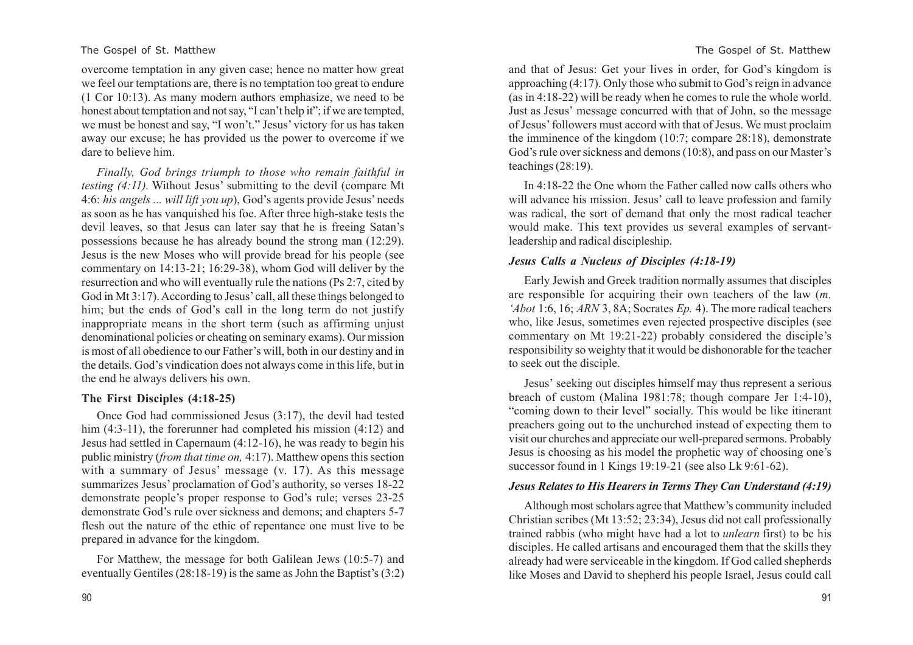#### The Gospel of St. Matthew

overcome temptation in any given case; hence no matter how great we feel our temptations are, there is no temptation too great to endure (1 Cor 10:13). As many modern authors emphasize, we need to be honest about temptation and not say, "I can't help it"; if we are tempted, we must be honest and say, "I won't." Jesus' victory for us has taken away our excuse; he has provided us the power to overcome if we dare to believe him.

*Finally, God brings triumph to those who remain faithful in testing (4:11).* Without Jesus' submitting to the devil (compare Mt) 4:6: *his angels ... will lift you up*), God's agents provide Jesus' needs as soon as he has vanquished his foe. After three high-stake tests the devil leaves, so that Jesus can later say that he is freeing Satan's possessions because he has already bound the strong man (12:29). Jesus is the new Moses who will provide bread for his people (see commentary on 14:13-21; 16:29-38), whom God will deliver by the resurrection and who will eventually rule the nations (Ps 2:7, cited by God in Mt 3:17). According to Jesus' call, all these things belonged to him; but the ends of God's call in the long term do not justify inappropriate means in the short term (such as affirming unjust denominational policies or cheating on seminary exams). Our mission is most of all obedience to our Father's will, both in our destiny and in the details. God's vindication does not always come in this life, but in the end he always delivers his own.

#### **The First Disciples (4:18-25)**

Once God had commissioned Jesus (3:17), the devil had tested him (4:3-11), the forerunner had completed his mission (4:12) and Jesus had settled in Capernaum (4:12-16), he was ready to begin his public ministry (*from that time on,* 4:17). Matthew opens this section with a summary of Jesus' message (v. 17). As this message summarizes Jesus' proclamation of God's authority, so verses 18-22 demonstrate people's proper response to God's rule; verses 23-25 demonstrate God's rule over sickness and demons; and chapters 5-7 flesh out the nature of the ethic of repentance one must live to be prepared in advance for the kingdom.

For Matthew, the message for both Galilean Jews (10:5-7) and eventually Gentiles (28:18-19) is the same as John the Baptist's (3:2) and that of Jesus: Get your lives in order, for God's kingdom is approaching (4:17). Only those who submit to God's reign in advance (as in 4:18-22) will be ready when he comes to rule the whole world. Just as Jesus' message concurred with that of John, so the message of Jesus' followers must accord with that of Jesus. We must proclaim the imminence of the kingdom (10:7; compare 28:18), demonstrate God's rule over sickness and demons (10:8), and pass on our Master's teachings (28:19).

In 4:18-22 the One whom the Father called now calls others who will advance his mission. Jesus' call to leave profession and family was radical, the sort of demand that only the most radical teacher would make. This text provides us several examples of servantleadership and radical discipleship.

## *Jesus Calls a Nucleus of Disciples (4:18-19)*

Early Jewish and Greek tradition normally assumes that disciples are responsible for acquiring their own teachers of the law (*m. 'Abot* 1:6, 16; *ARN* 3, 8A; Socrates *Ep.* 4). The more radical teachers who, like Jesus, sometimes even rejected prospective disciples (see commentary on Mt 19:21-22) probably considered the disciple's responsibility so weighty that it would be dishonorable for the teacher to seek out the disciple.

Jesus' seeking out disciples himself may thus represent a serious breach of custom (Malina 1981:78; though compare Jer 1:4-10), "coming down to their level" socially. This would be like itinerant preachers going out to the unchurched instead of expecting them to visit our churches and appreciate our well-prepared sermons. Probably Jesus is choosing as his model the prophetic way of choosing one's successor found in 1 Kings 19:19-21 (see also Lk 9:61-62).

## *Jesus Relates to His Hearers in Terms They Can Understand (4:19)*

Although most scholars agree that Matthew's community included Christian scribes (Mt 13:52; 23:34), Jesus did not call professionally trained rabbis (who might have had a lot to *unlearn* first) to be his disciples. He called artisans and encouraged them that the skills they already had were serviceable in the kingdom. If God called shepherds like Moses and David to shepherd his people Israel, Jesus could call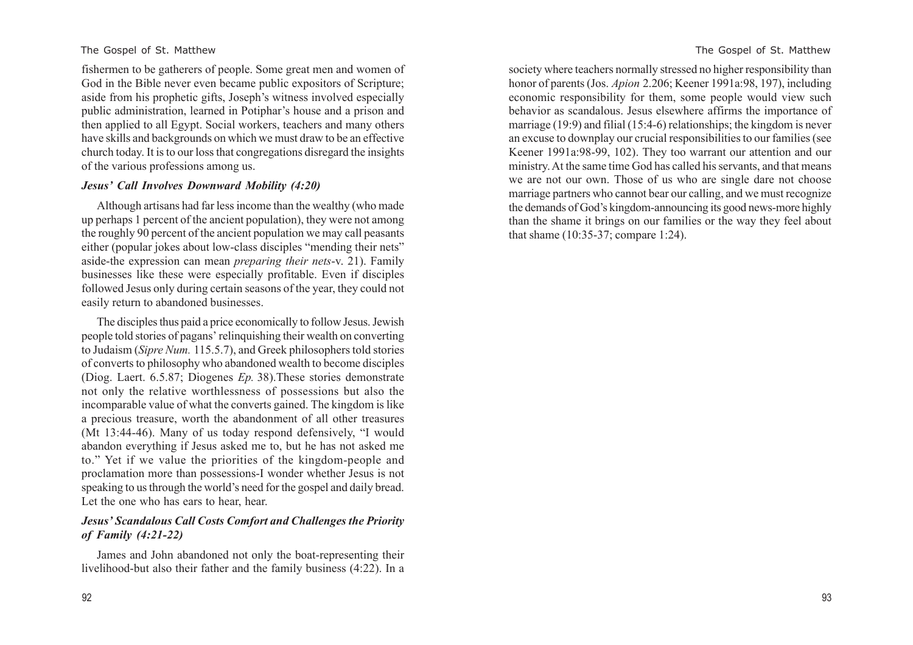fishermen to be gatherers of people. Some great men and women of God in the Bible never even became public expositors of Scripture; aside from his prophetic gifts, Joseph's witness involved especially public administration, learned in Potiphar's house and a prison and then applied to all Egypt. Social workers, teachers and many others have skills and backgrounds on which we must draw to be an effective church today. It is to our loss that congregations disregard the insights of the various professions among us.

## *Jesus' Call Involves Downward Mobility (4:20)*

Although artisans had far less income than the wealthy (who made up perhaps 1 percent of the ancient population), they were not among the roughly 90 percent of the ancient population we may call peasants either (popular jokes about low-class disciples "mending their nets" aside-the expression can mean *preparing their nets*-v. 21). Family businesses like these were especially profitable. Even if disciples followed Jesus only during certain seasons of the year, they could not easily return to abandoned businesses.

The disciples thus paid a price economically to follow Jesus. Jewish people told stories of pagans' relinquishing their wealth on converting to Judaism (*Sipre Num.* 115.5.7), and Greek philosophers told stories of converts to philosophy who abandoned wealth to become disciples (Diog. Laert. 6.5.87; Diogenes *Ep.* 38).These stories demonstrate not only the relative worthlessness of possessions but also the incomparable value of what the converts gained. The kingdom is like a precious treasure, worth the abandonment of all other treasures (Mt 13:44-46). Many of us today respond defensively, "I would abandon everything if Jesus asked me to, but he has not asked me to." Yet if we value the priorities of the kingdom-people and proclamation more than possessions-I wonder whether Jesus is not speaking to us through the world's need for the gospel and daily bread. Let the one who has ears to hear, hear.

## *Jesus' Scandalous Call Costs Comfort and Challenges the Priority of Family (4:21-22)*

James and John abandoned not only the boat-representing their livelihood-but also their father and the family business (4:22). In a society where teachers normally stressed no higher responsibility than honor of parents (Jos. *Apion* 2.206; Keener 1991a:98, 197), including economic responsibility for them, some people would view such behavior as scandalous. Jesus elsewhere affirms the importance of marriage (19:9) and filial (15:4-6) relationships; the kingdom is never an excuse to downplay our crucial responsibilities to our families (see Keener 1991a:98-99, 102). They too warrant our attention and our ministry. At the same time God has called his servants, and that means we are not our own. Those of us who are single dare not choose marriage partners who cannot bear our calling, and we must recognize the demands of God's kingdom-announcing its good news-more highly than the shame it brings on our families or the way they feel about that shame (10:35-37; compare 1:24).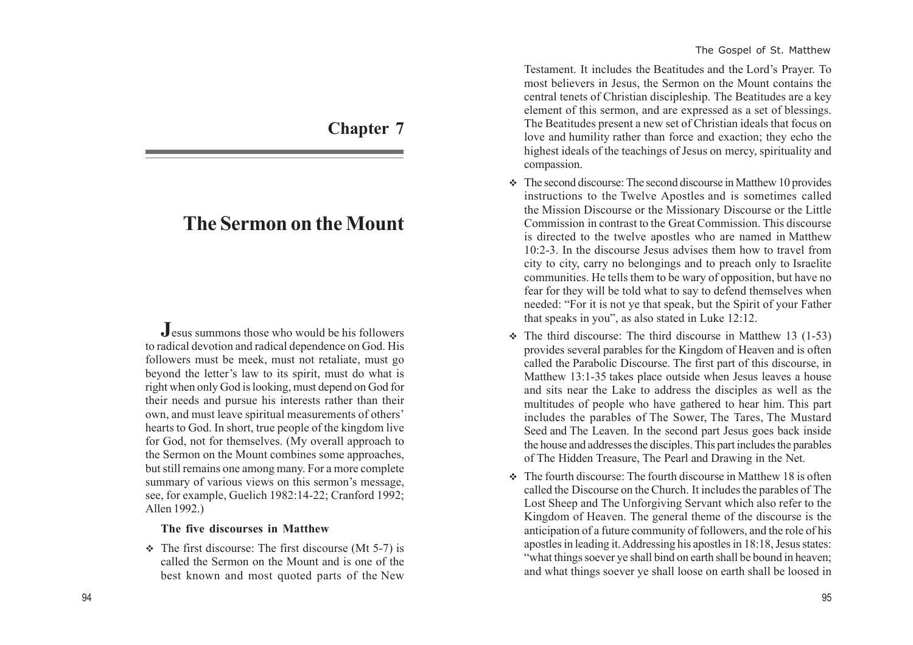# **Chapter 7**

# **The Sermon on the Mount**

**J**esus summons those who would be his followers to radical devotion and radical dependence on God. His followers must be meek, must not retaliate, must go beyond the letter's law to its spirit, must do what is right when only God is looking, must depend on God for their needs and pursue his interests rather than their own, and must leave spiritual measurements of others' hearts to God. In short, true people of the kingdom live for God, not for themselves. (My overall approach to the Sermon on the Mount combines some approaches, but still remains one among many. For a more complete summary of various views on this sermon's message, see, for example, Guelich 1982:14-22; Cranford 1992; Allen 1992.)

## **The five discourses in Matthew**

 $\div$  The first discourse: The first discourse (Mt 5-7) is called the Sermon on the Mount and is one of the best known and most quoted parts of the New Testament. It includes the Beatitudes and the Lord's Prayer. To most believers in Jesus, the Sermon on the Mount contains the central tenets of Christian discipleship. The Beatitudes are a key element of this sermon, and are expressed as a set of blessings. The Beatitudes present a new set of Christian ideals that focus on love and humility rather than force and exaction; they echo the highest ideals of the teachings of Jesus on mercy, spirituality and compassion.

- $\div$  The second discourse: The second discourse in Matthew 10 provides instructions to the Twelve Apostles and is sometimes called the Mission Discourse or the Missionary Discourse or the Little Commission in contrast to the Great Commission. This discourse is directed to the twelve apostles who are named in Matthew 10:2-3. In the discourse Jesus advises them how to travel from city to city, carry no belongings and to preach only to Israelite communities. He tells them to be wary of opposition, but have no fear for they will be told what to say to defend themselves when needed: "For it is not ye that speak, but the Spirit of your Father that speaks in you", as also stated in Luke 12:12.
- $\div$  The third discourse: The third discourse in Matthew 13 (1-53) provides several parables for the Kingdom of Heaven and is often called the Parabolic Discourse. The first part of this discourse, in Matthew 13:1-35 takes place outside when Jesus leaves a house and sits near the Lake to address the disciples as well as the multitudes of people who have gathered to hear him. This part includes the parables of The Sower, The Tares, The Mustard Seed and The Leaven. In the second part Jesus goes back inside the house and addresses the disciples. This part includes the parables of The Hidden Treasure, The Pearl and Drawing in the Net.
- $\cdot$  The fourth discourse: The fourth discourse in Matthew 18 is often called the Discourse on the Church. It includes the parables of The Lost Sheep and The Unforgiving Servant which also refer to the Kingdom of Heaven. The general theme of the discourse is the anticipation of a future community of followers, and the role of his apostles in leading it. Addressing his apostles in 18:18, Jesus states: "what things soever ye shall bind on earth shall be bound in heaven; and what things soever ye shall loose on earth shall be loosed in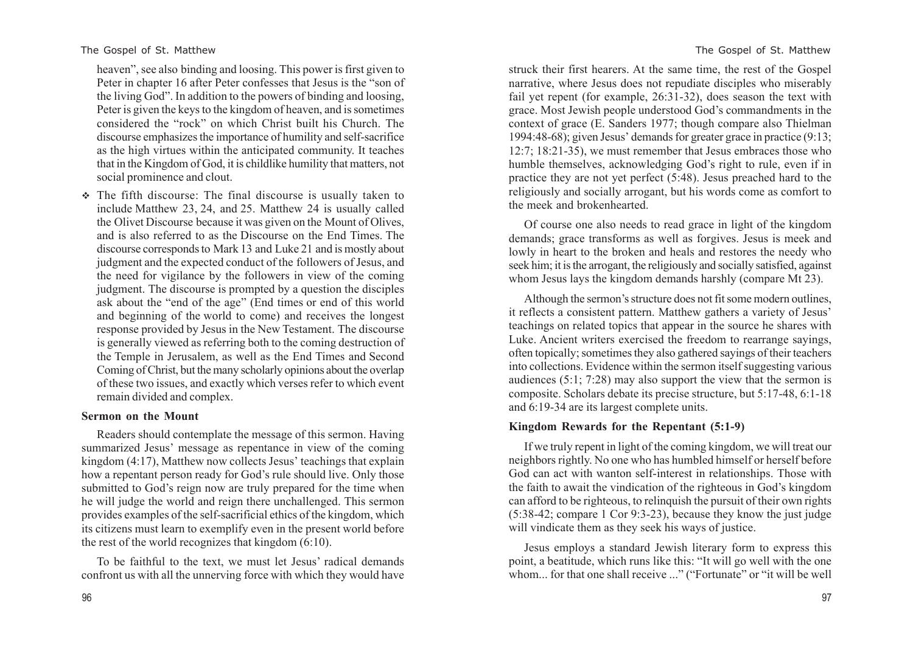heaven", see also binding and loosing. This power is first given to Peter in chapter 16 after Peter confesses that Jesus is the "son of the living God". In addition to the powers of binding and loosing, Peter is given the keys to the kingdom of heaven, and is sometimes considered the "rock" on which Christ built his Church. The discourse emphasizes the importance of humility and self-sacrifice as the high virtues within the anticipated community. It teaches that in the Kingdom of God, it is childlike humility that matters, not social prominence and clout.

\* The fifth discourse: The final discourse is usually taken to include Matthew 23, 24, and 25. Matthew 24 is usually called the Olivet Discourse because it was given on the Mount of Olives, and is also referred to as the Discourse on the End Times. The discourse corresponds to Mark 13 and Luke 21 and is mostly about judgment and the expected conduct of the followers of Jesus, and the need for vigilance by the followers in view of the coming judgment. The discourse is prompted by a question the disciples ask about the "end of the age" (End times or end of this world and beginning of the world to come) and receives the longest response provided by Jesus in the New Testament. The discourse is generally viewed as referring both to the coming destruction of the Temple in Jerusalem, as well as the End Times and Second Coming of Christ, but the many scholarly opinions about the overlap of these two issues, and exactly which verses refer to which event remain divided and complex.

## **Sermon on the Mount**

Readers should contemplate the message of this sermon. Having summarized Jesus' message as repentance in view of the coming kingdom (4:17), Matthew now collects Jesus' teachings that explain how a repentant person ready for God's rule should live. Only those submitted to God's reign now are truly prepared for the time when he will judge the world and reign there unchallenged. This sermon provides examples of the self-sacrificial ethics of the kingdom, which its citizens must learn to exemplify even in the present world before the rest of the world recognizes that kingdom (6:10).

To be faithful to the text, we must let Jesus' radical demands confront us with all the unnerving force with which they would have struck their first hearers. At the same time, the rest of the Gospel narrative, where Jesus does not repudiate disciples who miserably fail yet repent (for example, 26:31-32), does season the text with grace. Most Jewish people understood God's commandments in the context of grace (E. Sanders 1977; though compare also Thielman 1994:48-68); given Jesus' demands for greater grace in practice (9:13; 12:7; 18:21-35), we must remember that Jesus embraces those who humble themselves, acknowledging God's right to rule, even if in practice they are not yet perfect (5:48). Jesus preached hard to the religiously and socially arrogant, but his words come as comfort to the meek and brokenhearted.

Of course one also needs to read grace in light of the kingdom demands; grace transforms as well as forgives. Jesus is meek and lowly in heart to the broken and heals and restores the needy who seek him; it is the arrogant, the religiously and socially satisfied, against whom Jesus lays the kingdom demands harshly (compare Mt 23).

Although the sermon's structure does not fit some modern outlines, it reflects a consistent pattern. Matthew gathers a variety of Jesus' teachings on related topics that appear in the source he shares with Luke. Ancient writers exercised the freedom to rearrange sayings, often topically; sometimes they also gathered sayings of their teachers into collections. Evidence within the sermon itself suggesting various audiences (5:1; 7:28) may also support the view that the sermon is composite. Scholars debate its precise structure, but 5:17-48, 6:1-18 and 6:19-34 are its largest complete units.

## **Kingdom Rewards for the Repentant (5:1-9)**

If we truly repent in light of the coming kingdom, we will treat our neighbors rightly. No one who has humbled himself or herself before God can act with wanton self-interest in relationships. Those with the faith to await the vindication of the righteous in God's kingdom can afford to be righteous, to relinquish the pursuit of their own rights (5:38-42; compare 1 Cor 9:3-23), because they know the just judge will vindicate them as they seek his ways of justice.

Jesus employs a standard Jewish literary form to express this point, a beatitude, which runs like this: "It will go well with the one whom... for that one shall receive ..." ("Fortunate" or "it will be well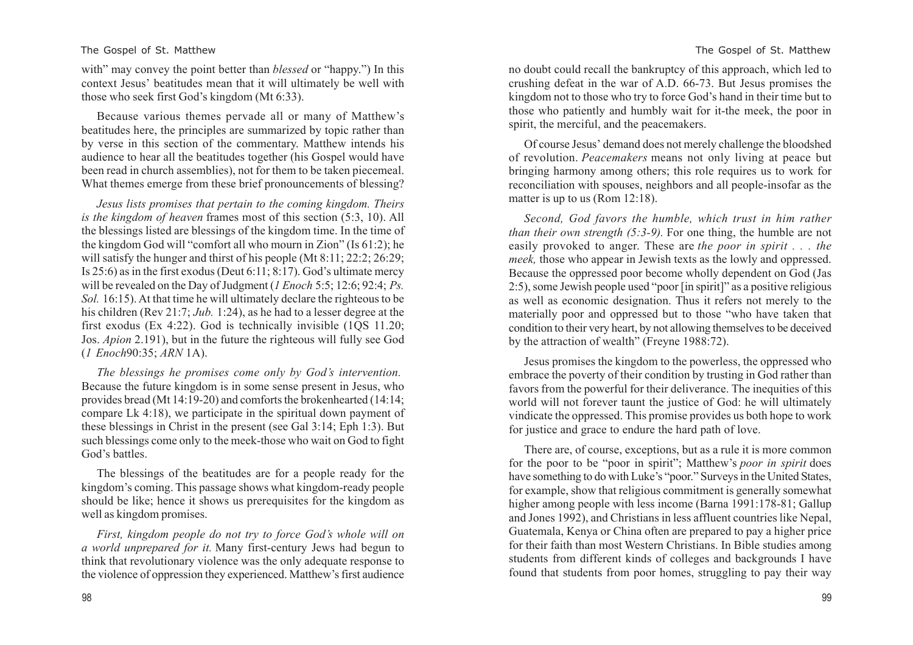with" may convey the point better than *blessed* or "happy.") In this context Jesus' beatitudes mean that it will ultimately be well with those who seek first God's kingdom (Mt 6:33).

Because various themes pervade all or many of Matthew's beatitudes here, the principles are summarized by topic rather than by verse in this section of the commentary. Matthew intends his audience to hear all the beatitudes together (his Gospel would have been read in church assemblies), not for them to be taken piecemeal. What themes emerge from these brief pronouncements of blessing?

*Jesus lists promises that pertain to the coming kingdom. Theirs is the kingdom of heaven* frames most of this section (5:3, 10). All the blessings listed are blessings of the kingdom time. In the time of the kingdom God will "comfort all who mourn in Zion" (Is 61:2); he will satisfy the hunger and thirst of his people (Mt 8:11; 22:2; 26:29; Is 25:6) as in the first exodus (Deut 6:11; 8:17). God's ultimate mercy will be revealed on the Day of Judgment (*1 Enoch* 5:5; 12:6; 92:4; *Ps. Sol.* 16:15). At that time he will ultimately declare the righteous to be his children (Rev 21:7; *Jub.* 1:24), as he had to a lesser degree at the first exodus (Ex 4:22). God is technically invisible (1QS 11.20; Jos. *Apion* 2.191), but in the future the righteous will fully see God (*1 Enoch*90:35; *ARN* 1A).

*The blessings he promises come only by God's intervention.* Because the future kingdom is in some sense present in Jesus, who provides bread (Mt 14:19-20) and comforts the brokenhearted (14:14; compare Lk 4:18), we participate in the spiritual down payment of these blessings in Christ in the present (see Gal 3:14; Eph 1:3). But such blessings come only to the meek-those who wait on God to fight God's battles.

The blessings of the beatitudes are for a people ready for the kingdom's coming. This passage shows what kingdom-ready people should be like; hence it shows us prerequisites for the kingdom as well as kingdom promises.

*First, kingdom people do not try to force God's whole will on a world unprepared for it.* Many first-century Jews had begun to think that revolutionary violence was the only adequate response to the violence of oppression they experienced. Matthew's first audience no doubt could recall the bankruptcy of this approach, which led to crushing defeat in the war of A.D. 66-73. But Jesus promises the kingdom not to those who try to force God's hand in their time but to those who patiently and humbly wait for it-the meek, the poor in spirit, the merciful, and the peacemakers.

Of course Jesus' demand does not merely challenge the bloodshed of revolution. *Peacemakers* means not only living at peace but bringing harmony among others; this role requires us to work for reconciliation with spouses, neighbors and all people-insofar as the matter is up to us (Rom 12:18).

*Second, God favors the humble, which trust in him rather than their own strength (5:3-9).* For one thing, the humble are not easily provoked to anger. These are *the poor in spirit . . . the meek,* those who appear in Jewish texts as the lowly and oppressed. Because the oppressed poor become wholly dependent on God (Jas 2:5), some Jewish people used "poor [in spirit]" as a positive religious as well as economic designation. Thus it refers not merely to the materially poor and oppressed but to those "who have taken that condition to their very heart, by not allowing themselves to be deceived by the attraction of wealth" (Freyne 1988:72).

Jesus promises the kingdom to the powerless, the oppressed who embrace the poverty of their condition by trusting in God rather than favors from the powerful for their deliverance. The inequities of this world will not forever taunt the justice of God: he will ultimately vindicate the oppressed. This promise provides us both hope to work for justice and grace to endure the hard path of love.

There are, of course, exceptions, but as a rule it is more common for the poor to be "poor in spirit"; Matthew's *poor in spirit* does have something to do with Luke's "poor." Surveys in the United States, for example, show that religious commitment is generally somewhat higher among people with less income (Barna 1991:178-81; Gallup and Jones 1992), and Christians in less affluent countries like Nepal, Guatemala, Kenya or China often are prepared to pay a higher price for their faith than most Western Christians. In Bible studies among students from different kinds of colleges and backgrounds I have found that students from poor homes, struggling to pay their way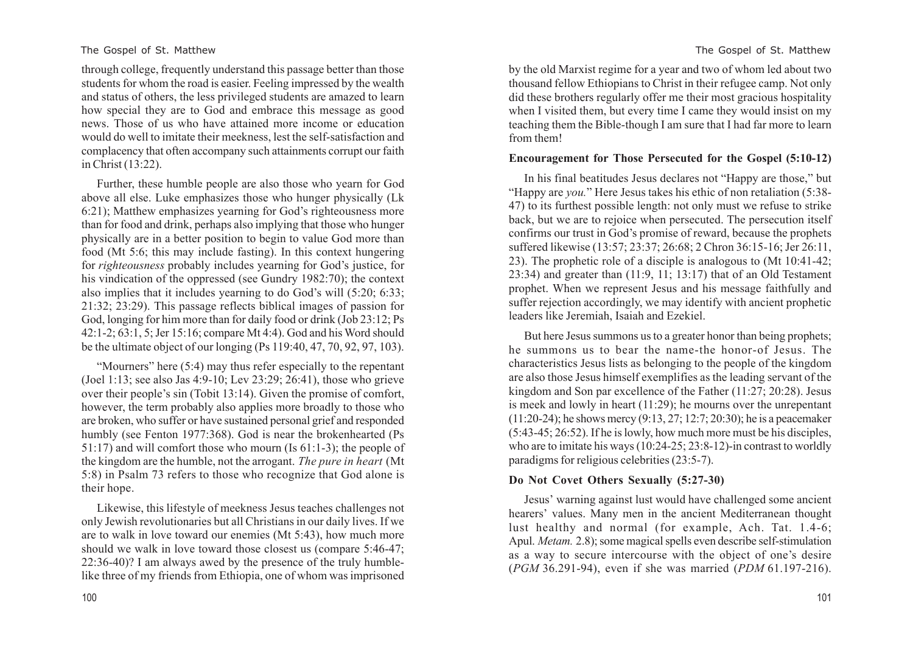through college, frequently understand this passage better than those students for whom the road is easier. Feeling impressed by the wealth and status of others, the less privileged students are amazed to learn how special they are to God and embrace this message as good news. Those of us who have attained more income or education would do well to imitate their meekness, lest the self-satisfaction and complacency that often accompany such attainments corrupt our faith in Christ (13:22).

Further, these humble people are also those who yearn for God above all else. Luke emphasizes those who hunger physically (Lk 6:21); Matthew emphasizes yearning for God's righteousness more than for food and drink, perhaps also implying that those who hunger physically are in a better position to begin to value God more than food (Mt 5:6; this may include fasting). In this context hungering for *righteousness* probably includes yearning for God's justice, for his vindication of the oppressed (see Gundry 1982:70); the context also implies that it includes yearning to do God's will (5:20; 6:33; 21:32; 23:29). This passage reflects biblical images of passion for God, longing for him more than for daily food or drink (Job 23:12; Ps 42:1-2; 63:1, 5; Jer 15:16; compare Mt 4:4). God and his Word should be the ultimate object of our longing (Ps 119:40, 47, 70, 92, 97, 103).

"Mourners" here (5:4) may thus refer especially to the repentant (Joel 1:13; see also Jas 4:9-10; Lev 23:29; 26:41), those who grieve over their people's sin (Tobit 13:14). Given the promise of comfort, however, the term probably also applies more broadly to those who are broken, who suffer or have sustained personal grief and responded humbly (see Fenton 1977:368). God is near the brokenhearted (Ps 51:17) and will comfort those who mourn (Is 61:1-3); the people of the kingdom are the humble, not the arrogant. *The pure in heart* (Mt 5:8) in Psalm 73 refers to those who recognize that God alone is their hope.

Likewise, this lifestyle of meekness Jesus teaches challenges not only Jewish revolutionaries but all Christians in our daily lives. If we are to walk in love toward our enemies (Mt 5:43), how much more should we walk in love toward those closest us (compare 5:46-47; 22:36-40)? I am always awed by the presence of the truly humblelike three of my friends from Ethiopia, one of whom was imprisoned

by the old Marxist regime for a year and two of whom led about two thousand fellow Ethiopians to Christ in their refugee camp. Not only did these brothers regularly offer me their most gracious hospitality when I visited them, but every time I came they would insist on my teaching them the Bible-though I am sure that I had far more to learn from them!

## **Encouragement for Those Persecuted for the Gospel (5:10-12)**

In his final beatitudes Jesus declares not "Happy are those," but "Happy are *you.*" Here Jesus takes his ethic of non retaliation (5:38- 47) to its furthest possible length: not only must we refuse to strike back, but we are to rejoice when persecuted. The persecution itself confirms our trust in God's promise of reward, because the prophets suffered likewise (13:57; 23:37; 26:68; 2 Chron 36:15-16; Jer 26:11, 23). The prophetic role of a disciple is analogous to (Mt 10:41-42; 23:34) and greater than (11:9, 11; 13:17) that of an Old Testament prophet. When we represent Jesus and his message faithfully and suffer rejection accordingly, we may identify with ancient prophetic leaders like Jeremiah, Isaiah and Ezekiel.

But here Jesus summons us to a greater honor than being prophets; he summons us to bear the name-the honor-of Jesus. The characteristics Jesus lists as belonging to the people of the kingdom are also those Jesus himself exemplifies as the leading servant of the kingdom and Son par excellence of the Father (11:27; 20:28). Jesus is meek and lowly in heart (11:29); he mourns over the unrepentant (11:20-24); he shows mercy (9:13, 27; 12:7; 20:30); he is a peacemaker (5:43-45; 26:52). If he is lowly, how much more must be his disciples, who are to imitate his ways (10:24-25; 23:8-12)-in contrast to worldly paradigms for religious celebrities (23:5-7).

## **Do Not Covet Others Sexually (5:27-30)**

Jesus' warning against lust would have challenged some ancient hearers' values. Many men in the ancient Mediterranean thought lust healthy and normal (for example, Ach. Tat. 1.4-6; Apul. *Metam.* 2.8); some magical spells even describe self-stimulation as a way to secure intercourse with the object of one's desire (*PGM* 36.291-94), even if she was married (*PDM* 61.197-216).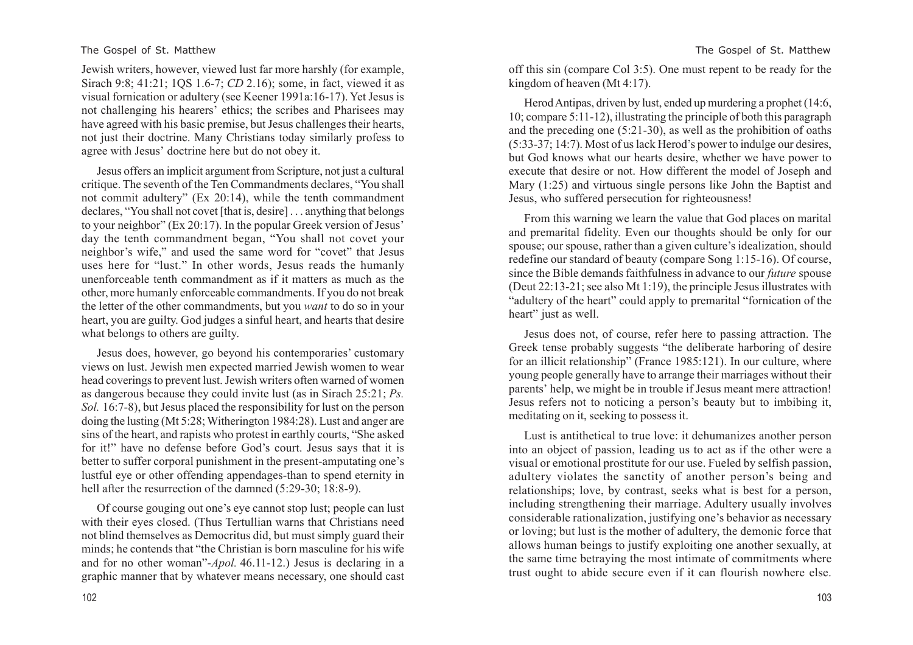Jewish writers, however, viewed lust far more harshly (for example, Sirach 9:8; 41:21; 1QS 1.6-7; *CD* 2.16); some, in fact, viewed it as visual fornication or adultery (see Keener 1991a:16-17). Yet Jesus is not challenging his hearers' ethics; the scribes and Pharisees may have agreed with his basic premise, but Jesus challenges their hearts, not just their doctrine. Many Christians today similarly profess to agree with Jesus' doctrine here but do not obey it.

Jesus offers an implicit argument from Scripture, not just a cultural critique. The seventh of the Ten Commandments declares, "You shall not commit adultery" (Ex 20:14), while the tenth commandment declares, "You shall not covet [that is, desire] . . . anything that belongs to your neighbor" (Ex 20:17). In the popular Greek version of Jesus' day the tenth commandment began, "You shall not covet your neighbor's wife," and used the same word for "covet" that Jesus uses here for "lust." In other words, Jesus reads the humanly unenforceable tenth commandment as if it matters as much as the other, more humanly enforceable commandments. If you do not break the letter of the other commandments, but you *want* to do so in your heart, you are guilty. God judges a sinful heart, and hearts that desire what belongs to others are guilty.

Jesus does, however, go beyond his contemporaries' customary views on lust. Jewish men expected married Jewish women to wear head coverings to prevent lust. Jewish writers often warned of women as dangerous because they could invite lust (as in Sirach 25:21; *Ps. Sol.* 16:7-8), but Jesus placed the responsibility for lust on the person doing the lusting (Mt 5:28; Witherington 1984:28). Lust and anger are sins of the heart, and rapists who protest in earthly courts, "She asked for it!" have no defense before God's court. Jesus says that it is better to suffer corporal punishment in the present-amputating one's lustful eye or other offending appendages-than to spend eternity in hell after the resurrection of the damned (5:29-30; 18:8-9).

Of course gouging out one's eye cannot stop lust; people can lust with their eyes closed. (Thus Tertullian warns that Christians need not blind themselves as Democritus did, but must simply guard their minds; he contends that "the Christian is born masculine for his wife and for no other woman"-*Apol.* 46.11-12.) Jesus is declaring in a graphic manner that by whatever means necessary, one should cast

off this sin (compare Col 3:5). One must repent to be ready for the kingdom of heaven (Mt 4:17).

Herod Antipas, driven by lust, ended up murdering a prophet (14:6, 10; compare 5:11-12), illustrating the principle of both this paragraph and the preceding one (5:21-30), as well as the prohibition of oaths (5:33-37; 14:7). Most of us lack Herod's power to indulge our desires, but God knows what our hearts desire, whether we have power to execute that desire or not. How different the model of Joseph and Mary (1:25) and virtuous single persons like John the Baptist and Jesus, who suffered persecution for righteousness!

From this warning we learn the value that God places on marital and premarital fidelity. Even our thoughts should be only for our spouse; our spouse, rather than a given culture's idealization, should redefine our standard of beauty (compare Song 1:15-16). Of course, since the Bible demands faithfulness in advance to our *future* spouse (Deut 22:13-21; see also Mt 1:19), the principle Jesus illustrates with "adultery of the heart" could apply to premarital "fornication of the heart" just as well.

Jesus does not, of course, refer here to passing attraction. The Greek tense probably suggests "the deliberate harboring of desire for an illicit relationship" (France 1985:121). In our culture, where young people generally have to arrange their marriages without their parents' help, we might be in trouble if Jesus meant mere attraction! Jesus refers not to noticing a person's beauty but to imbibing it, meditating on it, seeking to possess it.

Lust is antithetical to true love: it dehumanizes another person into an object of passion, leading us to act as if the other were a visual or emotional prostitute for our use. Fueled by selfish passion, adultery violates the sanctity of another person's being and relationships; love, by contrast, seeks what is best for a person, including strengthening their marriage. Adultery usually involves considerable rationalization, justifying one's behavior as necessary or loving; but lust is the mother of adultery, the demonic force that allows human beings to justify exploiting one another sexually, at the same time betraying the most intimate of commitments where trust ought to abide secure even if it can flourish nowhere else.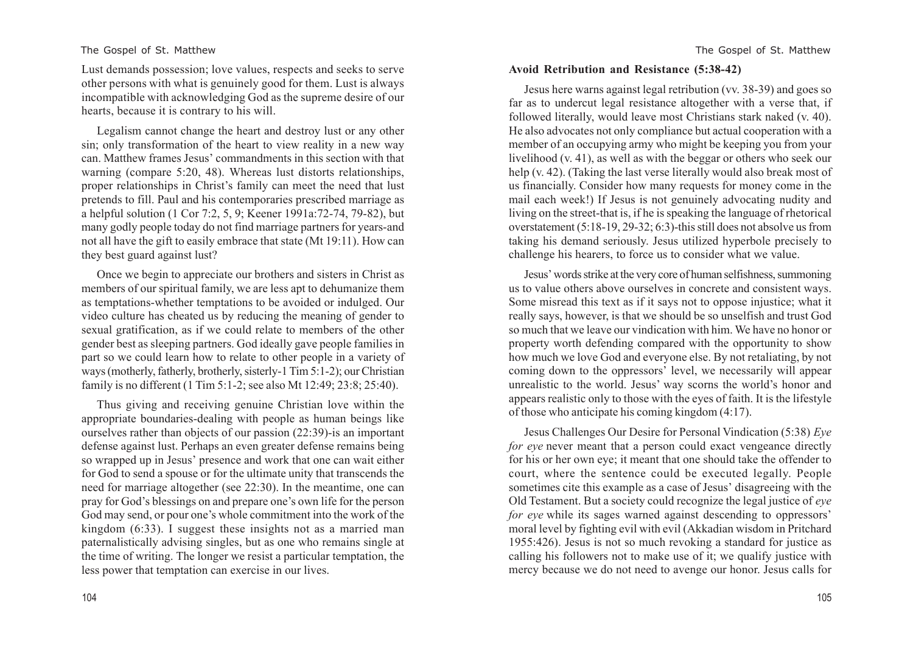Lust demands possession; love values, respects and seeks to serve other persons with what is genuinely good for them. Lust is always incompatible with acknowledging God as the supreme desire of our hearts, because it is contrary to his will.

Legalism cannot change the heart and destroy lust or any other sin; only transformation of the heart to view reality in a new way can. Matthew frames Jesus' commandments in this section with that warning (compare 5:20, 48). Whereas lust distorts relationships, proper relationships in Christ's family can meet the need that lust pretends to fill. Paul and his contemporaries prescribed marriage as a helpful solution (1 Cor 7:2, 5, 9; Keener 1991a:72-74, 79-82), but many godly people today do not find marriage partners for years-and not all have the gift to easily embrace that state (Mt 19:11). How can they best guard against lust?

Once we begin to appreciate our brothers and sisters in Christ as members of our spiritual family, we are less apt to dehumanize them as temptations-whether temptations to be avoided or indulged. Our video culture has cheated us by reducing the meaning of gender to sexual gratification, as if we could relate to members of the other gender best as sleeping partners. God ideally gave people families in part so we could learn how to relate to other people in a variety of ways (motherly, fatherly, brotherly, sisterly-1 Tim 5:1-2); our Christian family is no different (1 Tim 5:1-2; see also Mt 12:49; 23:8; 25:40).

Thus giving and receiving genuine Christian love within the appropriate boundaries-dealing with people as human beings like ourselves rather than objects of our passion (22:39)-is an important defense against lust. Perhaps an even greater defense remains being so wrapped up in Jesus' presence and work that one can wait either for God to send a spouse or for the ultimate unity that transcends the need for marriage altogether (see 22:30). In the meantime, one can pray for God's blessings on and prepare one's own life for the person God may send, or pour one's whole commitment into the work of the kingdom (6:33). I suggest these insights not as a married man paternalistically advising singles, but as one who remains single at the time of writing. The longer we resist a particular temptation, the less power that temptation can exercise in our lives.

## **Avoid Retribution and Resistance (5:38-42)**

Jesus here warns against legal retribution (vv. 38-39) and goes so far as to undercut legal resistance altogether with a verse that, if followed literally, would leave most Christians stark naked (v. 40). He also advocates not only compliance but actual cooperation with a member of an occupying army who might be keeping you from your livelihood (v. 41), as well as with the beggar or others who seek our help (v. 42). (Taking the last verse literally would also break most of us financially. Consider how many requests for money come in the mail each week!) If Jesus is not genuinely advocating nudity and living on the street-that is, if he is speaking the language of rhetorical overstatement (5:18-19, 29-32; 6:3)-this still does not absolve us from taking his demand seriously. Jesus utilized hyperbole precisely to challenge his hearers, to force us to consider what we value.

Jesus' words strike at the very core of human selfishness, summoning us to value others above ourselves in concrete and consistent ways. Some misread this text as if it says not to oppose injustice; what it really says, however, is that we should be so unselfish and trust God so much that we leave our vindication with him. We have no honor or property worth defending compared with the opportunity to show how much we love God and everyone else. By not retaliating, by not coming down to the oppressors' level, we necessarily will appear unrealistic to the world. Jesus' way scorns the world's honor and appears realistic only to those with the eyes of faith. It is the lifestyle of those who anticipate his coming kingdom (4:17).

Jesus Challenges Our Desire for Personal Vindication (5:38) *Eye for eye* never meant that a person could exact vengeance directly for his or her own eye; it meant that one should take the offender to court, where the sentence could be executed legally. People sometimes cite this example as a case of Jesus' disagreeing with the Old Testament. But a society could recognize the legal justice of *eye for eye* while its sages warned against descending to oppressors<sup>'</sup> moral level by fighting evil with evil (Akkadian wisdom in Pritchard 1955:426). Jesus is not so much revoking a standard for justice as calling his followers not to make use of it; we qualify justice with mercy because we do not need to avenge our honor. Jesus calls for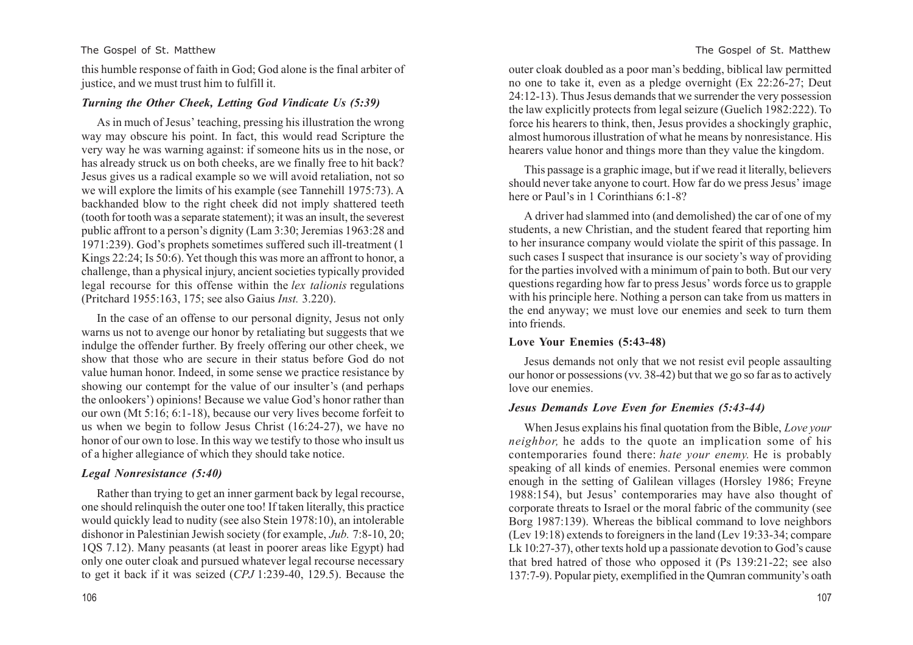this humble response of faith in God; God alone is the final arbiter of justice, and we must trust him to fulfill it.

## *Turning the Other Cheek, Letting God Vindicate Us (5:39)*

As in much of Jesus' teaching, pressing his illustration the wrong way may obscure his point. In fact, this would read Scripture the very way he was warning against: if someone hits us in the nose, or has already struck us on both cheeks, are we finally free to hit back? Jesus gives us a radical example so we will avoid retaliation, not so we will explore the limits of his example (see Tannehill 1975:73). A backhanded blow to the right cheek did not imply shattered teeth (tooth for tooth was a separate statement); it was an insult, the severest public affront to a person's dignity (Lam 3:30; Jeremias 1963:28 and 1971:239). God's prophets sometimes suffered such ill-treatment (1 Kings 22:24; Is 50:6). Yet though this was more an affront to honor, a challenge, than a physical injury, ancient societies typically provided legal recourse for this offense within the *lex talionis* regulations (Pritchard 1955:163, 175; see also Gaius *Inst.* 3.220).

In the case of an offense to our personal dignity, Jesus not only warns us not to avenge our honor by retaliating but suggests that we indulge the offender further. By freely offering our other cheek, we show that those who are secure in their status before God do not value human honor. Indeed, in some sense we practice resistance by showing our contempt for the value of our insulter's (and perhaps the onlookers') opinions! Because we value God's honor rather than our own (Mt 5:16; 6:1-18), because our very lives become forfeit to us when we begin to follow Jesus Christ (16:24-27), we have no honor of our own to lose. In this way we testify to those who insult us of a higher allegiance of which they should take notice.

## *Legal Nonresistance (5:40)*

Rather than trying to get an inner garment back by legal recourse, one should relinquish the outer one too! If taken literally, this practice would quickly lead to nudity (see also Stein 1978:10), an intolerable dishonor in Palestinian Jewish society (for example, *Jub.* 7:8-10, 20; 1QS 7.12). Many peasants (at least in poorer areas like Egypt) had only one outer cloak and pursued whatever legal recourse necessary to get it back if it was seized (*CPJ* 1:239-40, 129.5). Because the

outer cloak doubled as a poor man's bedding, biblical law permitted no one to take it, even as a pledge overnight (Ex 22:26-27; Deut 24:12-13). Thus Jesus demands that we surrender the very possession the law explicitly protects from legal seizure (Guelich 1982:222). To force his hearers to think, then, Jesus provides a shockingly graphic, almost humorous illustration of what he means by nonresistance. His hearers value honor and things more than they value the kingdom.

This passage is a graphic image, but if we read it literally, believers should never take anyone to court. How far do we press Jesus' image here or Paul's in 1 Corinthians 6:1-8?

A driver had slammed into (and demolished) the car of one of my students, a new Christian, and the student feared that reporting him to her insurance company would violate the spirit of this passage. In such cases I suspect that insurance is our society's way of providing for the parties involved with a minimum of pain to both. But our very questions regarding how far to press Jesus' words force us to grapple with his principle here. Nothing a person can take from us matters in the end anyway; we must love our enemies and seek to turn them into friends.

## **Love Your Enemies (5:43-48)**

Jesus demands not only that we not resist evil people assaulting our honor or possessions (vv. 38-42) but that we go so far as to actively love our enemies.

## *Jesus Demands Love Even for Enemies (5:43-44)*

When Jesus explains his final quotation from the Bible, *Love your neighbor,* he adds to the quote an implication some of his contemporaries found there: *hate your enemy.* He is probably speaking of all kinds of enemies. Personal enemies were common enough in the setting of Galilean villages (Horsley 1986; Freyne 1988:154), but Jesus' contemporaries may have also thought of corporate threats to Israel or the moral fabric of the community (see Borg 1987:139). Whereas the biblical command to love neighbors (Lev 19:18) extends to foreigners in the land (Lev 19:33-34; compare Lk 10:27-37), other texts hold up a passionate devotion to God's cause that bred hatred of those who opposed it (Ps 139:21-22; see also 137:7-9). Popular piety, exemplified in the Qumran community's oath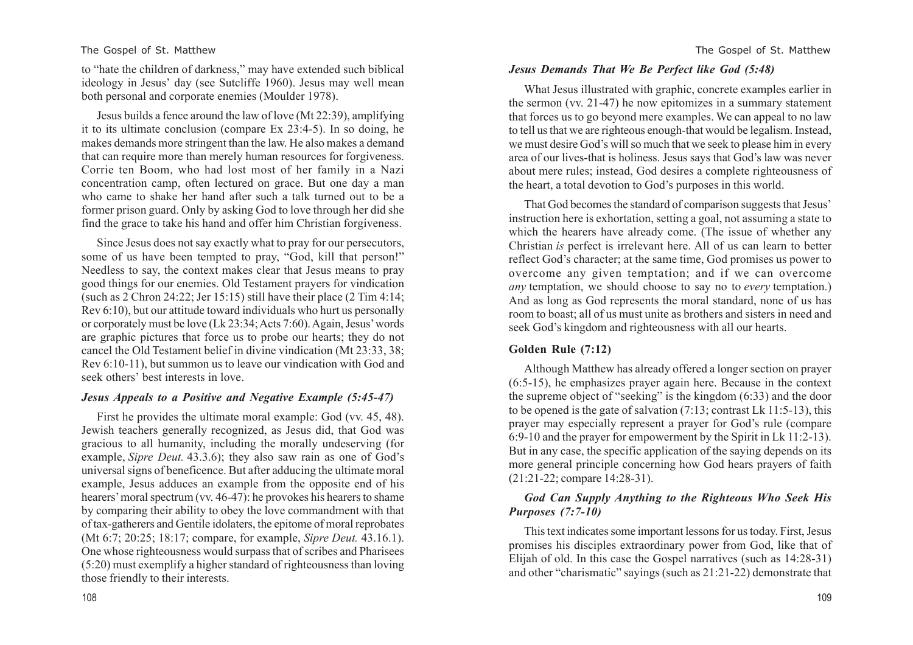to "hate the children of darkness," may have extended such biblical ideology in Jesus' day (see Sutcliffe 1960). Jesus may well mean both personal and corporate enemies (Moulder 1978).

Jesus builds a fence around the law of love (Mt 22:39), amplifying it to its ultimate conclusion (compare Ex 23:4-5). In so doing, he makes demands more stringent than the law. He also makes a demand that can require more than merely human resources for forgiveness. Corrie ten Boom, who had lost most of her family in a Nazi concentration camp, often lectured on grace. But one day a man who came to shake her hand after such a talk turned out to be a former prison guard. Only by asking God to love through her did she find the grace to take his hand and offer him Christian forgiveness.

Since Jesus does not say exactly what to pray for our persecutors, some of us have been tempted to pray, "God, kill that person!" Needless to say, the context makes clear that Jesus means to pray good things for our enemies. Old Testament prayers for vindication (such as 2 Chron 24:22; Jer 15:15) still have their place (2 Tim 4:14; Rev 6:10), but our attitude toward individuals who hurt us personally or corporately must be love (Lk 23:34; Acts 7:60). Again, Jesus' words are graphic pictures that force us to probe our hearts; they do not cancel the Old Testament belief in divine vindication (Mt 23:33, 38; Rev 6:10-11), but summon us to leave our vindication with God and seek others' best interests in love.

## *Jesus Appeals to a Positive and Negative Example (5:45-47)*

First he provides the ultimate moral example: God (vv. 45, 48). Jewish teachers generally recognized, as Jesus did, that God was gracious to all humanity, including the morally undeserving (for example, *Sipre Deut.* 43.3.6); they also saw rain as one of God's universal signs of beneficence. But after adducing the ultimate moral example, Jesus adduces an example from the opposite end of his hearers' moral spectrum (vv. 46-47): he provokes his hearers to shame by comparing their ability to obey the love commandment with that of tax-gatherers and Gentile idolaters, the epitome of moral reprobates (Mt 6:7; 20:25; 18:17; compare, for example, *Sipre Deut.* 43.16.1). One whose righteousness would surpass that of scribes and Pharisees (5:20) must exemplify a higher standard of righteousness than loving those friendly to their interests.

## *Jesus Demands That We Be Perfect like God (5:48)*

What Jesus illustrated with graphic, concrete examples earlier in the sermon (vv. 21-47) he now epitomizes in a summary statement that forces us to go beyond mere examples. We can appeal to no law to tell us that we are righteous enough-that would be legalism. Instead, we must desire God's will so much that we seek to please him in every area of our lives-that is holiness. Jesus says that God's law was never about mere rules; instead, God desires a complete righteousness of the heart, a total devotion to God's purposes in this world.

That God becomes the standard of comparison suggests that Jesus' instruction here is exhortation, setting a goal, not assuming a state to which the hearers have already come. (The issue of whether any Christian *is* perfect is irrelevant here. All of us can learn to better reflect God's character; at the same time, God promises us power to overcome any given temptation; and if we can overcome *any* temptation, we should choose to say no to *every* temptation.) And as long as God represents the moral standard, none of us has room to boast; all of us must unite as brothers and sisters in need and seek God's kingdom and righteousness with all our hearts.

## **Golden Rule (7:12)**

Although Matthew has already offered a longer section on prayer (6:5-15), he emphasizes prayer again here. Because in the context the supreme object of "seeking" is the kingdom (6:33) and the door to be opened is the gate of salvation (7:13; contrast Lk 11:5-13), this prayer may especially represent a prayer for God's rule (compare 6:9-10 and the prayer for empowerment by the Spirit in Lk 11:2-13). But in any case, the specific application of the saying depends on its more general principle concerning how God hears prayers of faith (21:21-22; compare 14:28-31).

## *God Can Supply Anything to the Righteous Who Seek His Purposes (7:7-10)*

This text indicates some important lessons for us today. First, Jesus promises his disciples extraordinary power from God, like that of Elijah of old. In this case the Gospel narratives (such as 14:28-31) and other "charismatic" sayings (such as 21:21-22) demonstrate that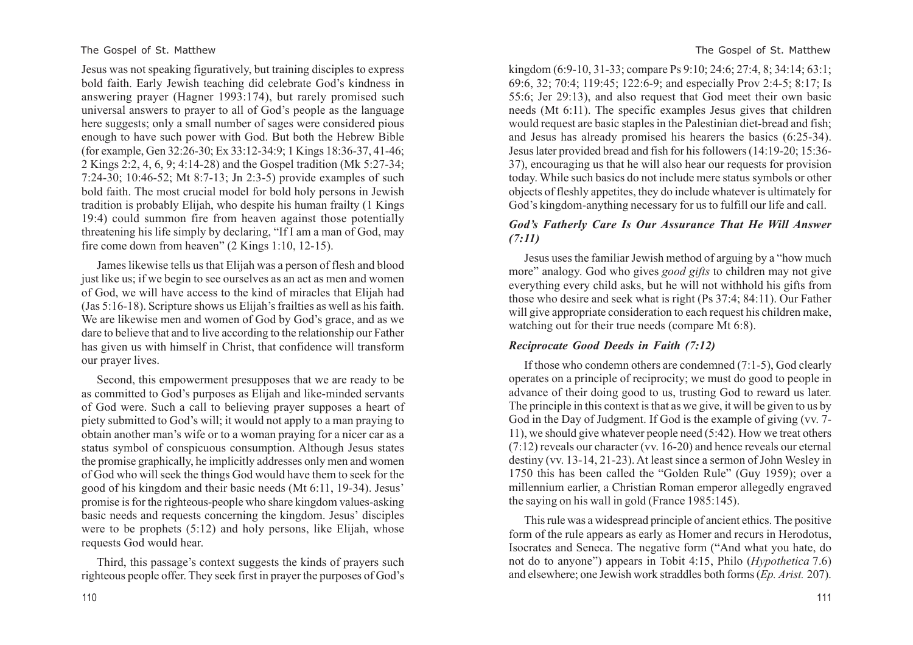Jesus was not speaking figuratively, but training disciples to express bold faith. Early Jewish teaching did celebrate God's kindness in answering prayer (Hagner 1993:174), but rarely promised such universal answers to prayer to all of God's people as the language here suggests; only a small number of sages were considered pious enough to have such power with God. But both the Hebrew Bible (for example, Gen 32:26-30; Ex 33:12-34:9; 1 Kings 18:36-37, 41-46; 2 Kings 2:2, 4, 6, 9; 4:14-28) and the Gospel tradition (Mk 5:27-34; 7:24-30; 10:46-52; Mt 8:7-13; Jn 2:3-5) provide examples of such bold faith. The most crucial model for bold holy persons in Jewish tradition is probably Elijah, who despite his human frailty (1 Kings 19:4) could summon fire from heaven against those potentially threatening his life simply by declaring, "If I am a man of God, may fire come down from heaven" (2 Kings 1:10, 12-15).

James likewise tells us that Elijah was a person of flesh and blood just like us; if we begin to see ourselves as an act as men and women of God, we will have access to the kind of miracles that Elijah had (Jas 5:16-18). Scripture shows us Elijah's frailties as well as his faith. We are likewise men and women of God by God's grace, and as we dare to believe that and to live according to the relationship our Father has given us with himself in Christ, that confidence will transform our prayer lives.

Second, this empowerment presupposes that we are ready to be as committed to God's purposes as Elijah and like-minded servants of God were. Such a call to believing prayer supposes a heart of piety submitted to God's will; it would not apply to a man praying to obtain another man's wife or to a woman praying for a nicer car as a status symbol of conspicuous consumption. Although Jesus states the promise graphically, he implicitly addresses only men and women of God who will seek the things God would have them to seek for the good of his kingdom and their basic needs (Mt 6:11, 19-34). Jesus' promise is for the righteous-people who share kingdom values-asking basic needs and requests concerning the kingdom. Jesus' disciples were to be prophets (5:12) and holy persons, like Elijah, whose requests God would hear.

Third, this passage's context suggests the kinds of prayers such righteous people offer. They seek first in prayer the purposes of God's kingdom (6:9-10, 31-33; compare Ps 9:10; 24:6; 27:4, 8; 34:14; 63:1; 69:6, 32; 70:4; 119:45; 122:6-9; and especially Prov 2:4-5; 8:17; Is 55:6; Jer 29:13), and also request that God meet their own basic needs (Mt 6:11). The specific examples Jesus gives that children would request are basic staples in the Palestinian diet-bread and fish; and Jesus has already promised his hearers the basics (6:25-34). Jesus later provided bread and fish for his followers (14:19-20; 15:36- 37), encouraging us that he will also hear our requests for provision today. While such basics do not include mere status symbols or other objects of fleshly appetites, they do include whatever is ultimately for God's kingdom-anything necessary for us to fulfill our life and call.

## *God's Fatherly Care Is Our Assurance That He Will Answer (7:11)*

Jesus uses the familiar Jewish method of arguing by a "how much more" analogy. God who gives *good gifts* to children may not give everything every child asks, but he will not withhold his gifts from those who desire and seek what is right (Ps 37:4; 84:11). Our Father will give appropriate consideration to each request his children make, watching out for their true needs (compare Mt 6:8).

## *Reciprocate Good Deeds in Faith (7:12)*

If those who condemn others are condemned (7:1-5), God clearly operates on a principle of reciprocity; we must do good to people in advance of their doing good to us, trusting God to reward us later. The principle in this context is that as we give, it will be given to us by God in the Day of Judgment. If God is the example of giving (vv. 7- 11), we should give whatever people need (5:42). How we treat others (7:12) reveals our character (vv. 16-20) and hence reveals our eternal destiny (vv. 13-14, 21-23). At least since a sermon of John Wesley in 1750 this has been called the "Golden Rule" (Guy 1959); over a millennium earlier, a Christian Roman emperor allegedly engraved the saying on his wall in gold (France 1985:145).

This rule was a widespread principle of ancient ethics. The positive form of the rule appears as early as Homer and recurs in Herodotus, Isocrates and Seneca. The negative form ("And what you hate, do not do to anyone") appears in Tobit 4:15, Philo (*Hypothetica* 7.6) and elsewhere; one Jewish work straddles both forms (*Ep. Arist.* 207).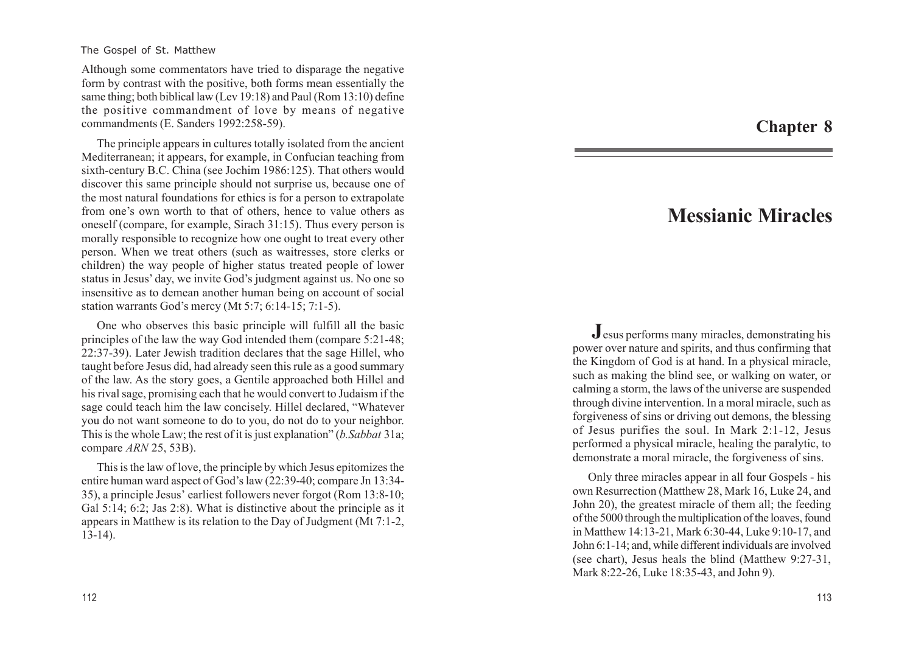Although some commentators have tried to disparage the negative form by contrast with the positive, both forms mean essentially the same thing; both biblical law (Lev 19:18) and Paul (Rom 13:10) define the positive commandment of love by means of negative commandments (E. Sanders 1992:258-59).

The principle appears in cultures totally isolated from the ancient Mediterranean; it appears, for example, in Confucian teaching from sixth-century B.C. China (see Jochim 1986:125). That others would discover this same principle should not surprise us, because one of the most natural foundations for ethics is for a person to extrapolate from one's own worth to that of others, hence to value others as oneself (compare, for example, Sirach 31:15). Thus every person is morally responsible to recognize how one ought to treat every other person. When we treat others (such as waitresses, store clerks or children) the way people of higher status treated people of lower status in Jesus' day, we invite God's judgment against us. No one so insensitive as to demean another human being on account of social station warrants God's mercy (Mt 5:7; 6:14-15; 7:1-5).

One who observes this basic principle will fulfill all the basic principles of the law the way God intended them (compare 5:21-48; 22:37-39). Later Jewish tradition declares that the sage Hillel, who taught before Jesus did, had already seen this rule as a good summary of the law. As the story goes, a Gentile approached both Hillel and his rival sage, promising each that he would convert to Judaism if the sage could teach him the law concisely. Hillel declared, "Whatever you do not want someone to do to you, do not do to your neighbor. This is the whole Law; the rest of it is just explanation" (*b.Sabbat* 31a; compare *ARN* 25, 53B).

This is the law of love, the principle by which Jesus epitomizes the entire human ward aspect of God's law (22:39-40; compare Jn 13:34- 35), a principle Jesus' earliest followers never forgot (Rom 13:8-10; Gal 5:14; 6:2; Jas 2:8). What is distinctive about the principle as it appears in Matthew is its relation to the Day of Judgment (Mt 7:1-2, 13-14).

## **Chapter 8**

## **Messianic Miracles**

**J**esus performs many miracles, demonstrating his power over nature and spirits, and thus confirming that the Kingdom of God is at hand. In a physical miracle, such as making the blind see, or walking on water, or calming a storm, the laws of the universe are suspended through divine intervention. In a moral miracle, such as forgiveness of sins or driving out demons, the blessing of Jesus purifies the soul. In Mark 2:1-12, Jesus performed a physical miracle, healing the paralytic, to demonstrate a moral miracle, the forgiveness of sins.

Only three miracles appear in all four Gospels - his own Resurrection (Matthew 28, Mark 16, Luke 24, and John 20), the greatest miracle of them all; the feeding of the 5000 through the multiplication of the loaves, found in Matthew 14:13-21, Mark 6:30-44, Luke 9:10-17, and John 6:1-14; and, while different individuals are involved (see chart), Jesus heals the blind (Matthew 9:27-31, Mark 8:22-26, Luke 18:35-43, and John 9).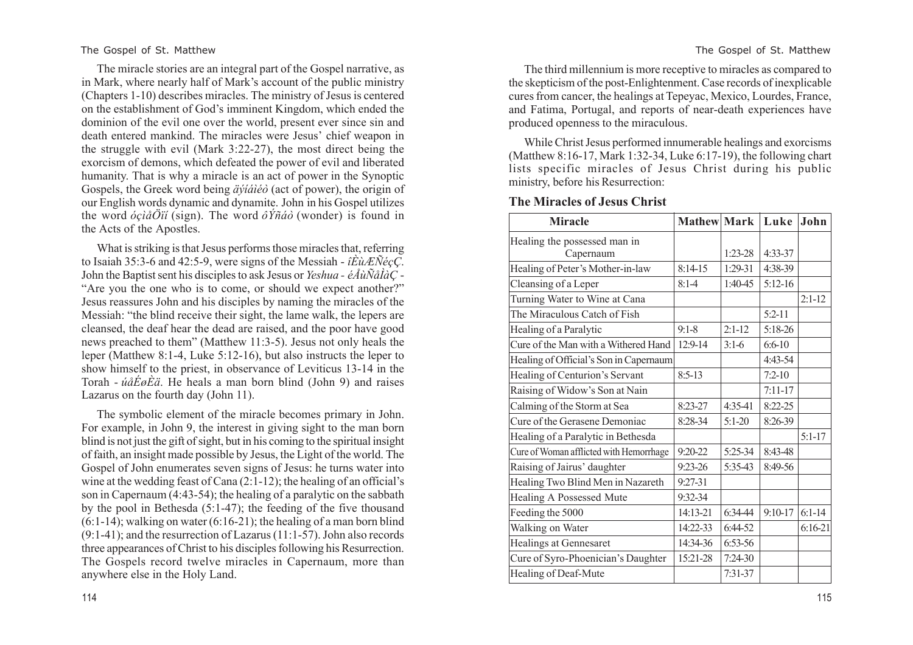The miracle stories are an integral part of the Gospel narrative, as in Mark, where nearly half of Mark's account of the public ministry (Chapters 1-10) describes miracles. The ministry of Jesus is centered on the establishment of God's imminent Kingdom, which ended the dominion of the evil one over the world, present ever since sin and death entered mankind. The miracles were Jesus' chief weapon in the struggle with evil (Mark 3:22-27), the most direct being the exorcism of demons, which defeated the power of evil and liberated humanity. That is why a miracle is an act of power in the Synoptic Gospels, the Greek word being *äýíáìéò* (act of power), the origin of our English words dynamic and dynamite. John in his Gospel utilizes the word *óçìåÖïí* (sign). The word *ôÝñáò* (wonder) is found in the Acts of the Apostles.

What is striking is that Jesus performs those miracles that, referring to Isaiah 35:3-6 and 42:5-9, were signs of the Messiah - *îÈùÆÑéçÇ*. John the Baptist sent his disciples to ask Jesus or *Yeshua - éÅùÑåÌàÇ* - "Are you the one who is to come, or should we expect another?" Jesus reassures John and his disciples by naming the miracles of the Messiah: "the blind receive their sight, the lame walk, the lepers are cleansed, the deaf hear the dead are raised, and the poor have good news preached to them" (Matthew 11:3-5). Jesus not only heals the leper (Matthew 8:1-4, Luke 5:12-16), but also instructs the leper to show himself to the priest, in observance of Leviticus 13-14 in the Torah - *úåÉøÈä*. He heals a man born blind (John 9) and raises Lazarus on the fourth day (John 11).

The symbolic element of the miracle becomes primary in John. For example, in John 9, the interest in giving sight to the man born blind is not just the gift of sight, but in his coming to the spiritual insight of faith, an insight made possible by Jesus, the Light of the world. The Gospel of John enumerates seven signs of Jesus: he turns water into wine at the wedding feast of Cana (2:1-12); the healing of an official's son in Capernaum (4:43-54); the healing of a paralytic on the sabbath by the pool in Bethesda (5:1-47); the feeding of the five thousand  $(6:1-14)$ ; walking on water  $(6:16-21)$ ; the healing of a man born blind (9:1-41); and the resurrection of Lazarus (11:1-57). John also records three appearances of Christ to his disciples following his Resurrection. The Gospels record twelve miracles in Capernaum, more than anywhere else in the Holy Land.

The third millennium is more receptive to miracles as compared to the skepticism of the post-Enlightenment. Case records of inexplicable cures from cancer, the healings at Tepeyac, Mexico, Lourdes, France, and Fatima, Portugal, and reports of near-death experiences have produced openness to the miraculous.

While Christ Jesus performed innumerable healings and exorcisms (Matthew 8:16-17, Mark 1:32-34, Luke 6:17-19), the following chart lists specific miracles of Jesus Christ during his public ministry, before his Resurrection:

## **The Miracles of Jesus Christ**

| <b>Miracle</b>                            | <b>Mathew Mark Luke</b> |           |             | John      |
|-------------------------------------------|-------------------------|-----------|-------------|-----------|
| Healing the possessed man in<br>Capernaum |                         | $1:23-28$ | $4:33-37$   |           |
| Healing of Peter's Mother-in-law          | $8:14-15$               | $1:29-31$ | 4:38-39     |           |
| Cleansing of a Leper                      | $8:1-4$                 | 1:40-45   | $5:12-16$   |           |
| Turning Water to Wine at Cana             |                         |           |             | $2:1-12$  |
| The Miraculous Catch of Fish              |                         |           | $5:2 - 11$  |           |
| Healing of a Paralytic                    | $9:1-8$                 | $2:1-12$  | $5:18-26$   |           |
| Cure of the Man with a Withered Hand      | 12:9-14                 | $3:1-6$   | $6:6 - 10$  |           |
| Healing of Official's Son in Capernaum    |                         |           | 4:43-54     |           |
| Healing of Centurion's Servant            | $8:5-13$                |           | $7:2 - 10$  |           |
| Raising of Widow's Son at Nain            |                         |           | $7:11-17$   |           |
| Calming of the Storm at Sea               | $8:23-27$               | $4:35-41$ | $8:22 - 25$ |           |
| Cure of the Gerasene Demoniac             | $8:28-34$               | $5:1-20$  | 8:26-39     |           |
| Healing of a Paralytic in Bethesda        |                         |           |             | $5:1-17$  |
| Cure of Woman afflicted with Hemorrhage   | $9:20 - 22$             | 5:25-34   | 8:43-48     |           |
| Raising of Jairus' daughter               | $9:23-26$               | 5:35-43   | 8:49-56     |           |
| Healing Two Blind Men in Nazareth         | $9:27-31$               |           |             |           |
| Healing A Possessed Mute                  | $9:32-34$               |           |             |           |
| Feeding the 5000                          | 14:13-21                | 6:34-44   | $9:10-17$   | $6:1-14$  |
| Walking on Water                          | 14:22-33                | $6:44-52$ |             | $6:16-21$ |
| Healings at Gennesaret                    | 14:34-36                | $6:53-56$ |             |           |
| Cure of Syro-Phoenician's Daughter        | 15:21-28                | $7:24-30$ |             |           |
| Healing of Deaf-Mute                      |                         | 7:31-37   |             |           |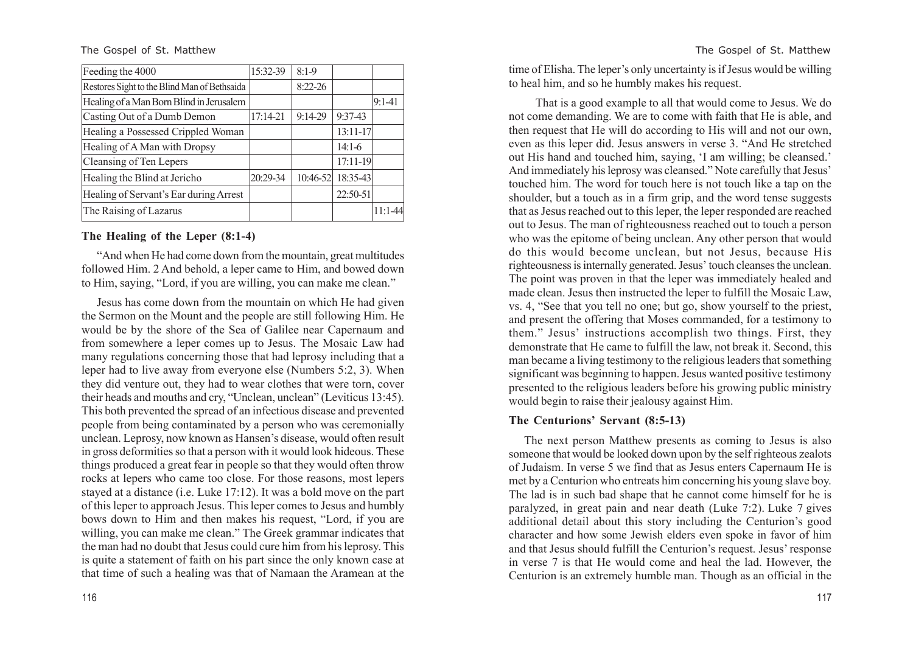|  |  |  |  | The Gospel of St. Matthew |
|--|--|--|--|---------------------------|
|--|--|--|--|---------------------------|

| 15:32-39 | $8:1-9$     |          |                                               |
|----------|-------------|----------|-----------------------------------------------|
|          | $8:22 - 26$ |          |                                               |
|          |             |          | $9:1-41$                                      |
| 17:14-21 | 9:14-29     | 9:37-43  |                                               |
|          |             |          |                                               |
|          |             | $14:1-6$ |                                               |
|          |             |          |                                               |
| 20:29-34 |             |          |                                               |
|          |             | 22:50-51 |                                               |
|          |             |          | $11 \cdot 1 - 44$                             |
|          |             |          | $13:11-17$<br>$17:11-19$<br>10:46-52 18:35-43 |

## **The Healing of the Leper (8:1-4)**

"And when He had come down from the mountain, great multitudes followed Him. 2 And behold, a leper came to Him, and bowed down to Him, saying, "Lord, if you are willing, you can make me clean."

Jesus has come down from the mountain on which He had given the Sermon on the Mount and the people are still following Him. He would be by the shore of the Sea of Galilee near Capernaum and from somewhere a leper comes up to Jesus. The Mosaic Law had many regulations concerning those that had leprosy including that a leper had to live away from everyone else (Numbers 5:2, 3). When they did venture out, they had to wear clothes that were torn, cover their heads and mouths and cry, "Unclean, unclean" (Leviticus 13:45). This both prevented the spread of an infectious disease and prevented people from being contaminated by a person who was ceremonially unclean. Leprosy, now known as Hansen's disease, would often result in gross deformities so that a person with it would look hideous. These things produced a great fear in people so that they would often throw rocks at lepers who came too close. For those reasons, most lepers stayed at a distance (i.e. Luke 17:12). It was a bold move on the part of this leper to approach Jesus. This leper comes to Jesus and humbly bows down to Him and then makes his request, "Lord, if you are willing, you can make me clean." The Greek grammar indicates that the man had no doubt that Jesus could cure him from his leprosy. This is quite a statement of faith on his part since the only known case at that time of such a healing was that of Namaan the Aramean at the

time of Elisha. The leper's only uncertainty is if Jesus would be willing to heal him, and so he humbly makes his request.

That is a good example to all that would come to Jesus. We do not come demanding. We are to come with faith that He is able, and then request that He will do according to His will and not our own, even as this leper did. Jesus answers in verse 3. "And He stretched out His hand and touched him, saying, 'I am willing; be cleansed.' And immediately his leprosy was cleansed." Note carefully that Jesus' touched him. The word for touch here is not touch like a tap on the shoulder, but a touch as in a firm grip, and the word tense suggests that as Jesus reached out to this leper, the leper responded are reached out to Jesus. The man of righteousness reached out to touch a person who was the epitome of being unclean. Any other person that would do this would become unclean, but not Jesus, because His righteousness is internally generated. Jesus' touch cleanses the unclean. The point was proven in that the leper was immediately healed and made clean. Jesus then instructed the leper to fulfill the Mosaic Law, vs. 4, "See that you tell no one; but go, show yourself to the priest, and present the offering that Moses commanded, for a testimony to them." Jesus' instructions accomplish two things. First, they demonstrate that He came to fulfill the law, not break it. Second, this man became a living testimony to the religious leaders that something significant was beginning to happen. Jesus wanted positive testimony presented to the religious leaders before his growing public ministry would begin to raise their jealousy against Him.

## **The Centurions' Servant (8:5-13)**

The next person Matthew presents as coming to Jesus is also someone that would be looked down upon by the self righteous zealots of Judaism. In verse 5 we find that as Jesus enters Capernaum He is met by a Centurion who entreats him concerning his young slave boy. The lad is in such bad shape that he cannot come himself for he is paralyzed, in great pain and near death (Luke 7:2). Luke 7 gives additional detail about this story including the Centurion's good character and how some Jewish elders even spoke in favor of him and that Jesus should fulfill the Centurion's request. Jesus' response in verse 7 is that He would come and heal the lad. However, the Centurion is an extremely humble man. Though as an official in the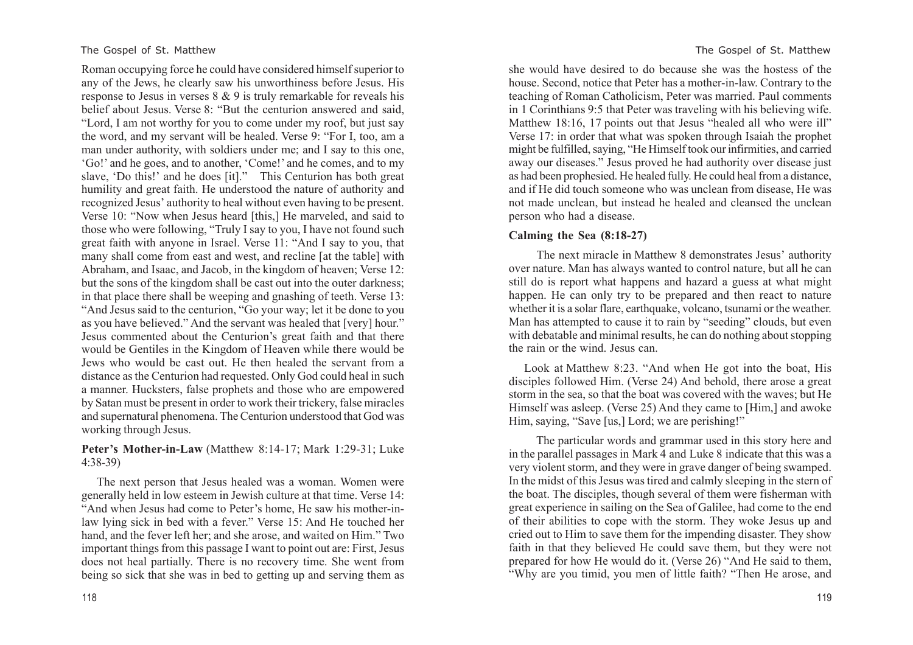Roman occupying force he could have considered himself superior to any of the Jews, he clearly saw his unworthiness before Jesus. His response to Jesus in verses 8 & 9 is truly remarkable for reveals his belief about Jesus. Verse 8: "But the centurion answered and said, "Lord, I am not worthy for you to come under my roof, but just say the word, and my servant will be healed. Verse 9: "For I, too, am a man under authority, with soldiers under me; and I say to this one, 'Go!' and he goes, and to another, 'Come!' and he comes, and to my slave, 'Do this!' and he does [it]." This Centurion has both great humility and great faith. He understood the nature of authority and recognized Jesus' authority to heal without even having to be present. Verse 10: "Now when Jesus heard [this,] He marveled, and said to those who were following, "Truly I say to you, I have not found such great faith with anyone in Israel. Verse 11: "And I say to you, that many shall come from east and west, and recline [at the table] with Abraham, and Isaac, and Jacob, in the kingdom of heaven; Verse 12: but the sons of the kingdom shall be cast out into the outer darkness; in that place there shall be weeping and gnashing of teeth. Verse 13: "And Jesus said to the centurion, "Go your way; let it be done to you as you have believed." And the servant was healed that [very] hour." Jesus commented about the Centurion's great faith and that there would be Gentiles in the Kingdom of Heaven while there would be Jews who would be cast out. He then healed the servant from a distance as the Centurion had requested. Only God could heal in such a manner. Hucksters, false prophets and those who are empowered by Satan must be present in order to work their trickery, false miracles and supernatural phenomena. The Centurion understood that God was working through Jesus.

## **Peter's Mother-in-Law** (Matthew 8:14-17; Mark 1:29-31; Luke 4:38-39)

The next person that Jesus healed was a woman. Women were generally held in low esteem in Jewish culture at that time. Verse 14: "And when Jesus had come to Peter's home, He saw his mother-inlaw lying sick in bed with a fever." Verse 15: And He touched her hand, and the fever left her; and she arose, and waited on Him." Two important things from this passage I want to point out are: First, Jesus does not heal partially. There is no recovery time. She went from being so sick that she was in bed to getting up and serving them as she would have desired to do because she was the hostess of the house. Second, notice that Peter has a mother-in-law. Contrary to the teaching of Roman Catholicism, Peter was married. Paul comments in 1 Corinthians 9:5 that Peter was traveling with his believing wife. Matthew 18:16, 17 points out that Jesus "healed all who were ill" Verse 17: in order that what was spoken through Isaiah the prophet might be fulfilled, saying, "He Himself took our infirmities, and carried away our diseases." Jesus proved he had authority over disease just as had been prophesied. He healed fully. He could heal from a distance, and if He did touch someone who was unclean from disease, He was not made unclean, but instead he healed and cleansed the unclean person who had a disease.

## **Calming the Sea (8:18-27)**

 The next miracle in Matthew 8 demonstrates Jesus' authority over nature. Man has always wanted to control nature, but all he can still do is report what happens and hazard a guess at what might happen. He can only try to be prepared and then react to nature whether it is a solar flare, earthquake, volcano, tsunami or the weather. Man has attempted to cause it to rain by "seeding" clouds, but even with debatable and minimal results, he can do nothing about stopping the rain or the wind. Jesus can.

Look at Matthew 8:23. "And when He got into the boat, His disciples followed Him. (Verse 24) And behold, there arose a great storm in the sea, so that the boat was covered with the waves; but He Himself was asleep. (Verse 25) And they came to [Him,] and awoke Him, saying, "Save [us,] Lord; we are perishing!"

 The particular words and grammar used in this story here and in the parallel passages in Mark 4 and Luke 8 indicate that this was a very violent storm, and they were in grave danger of being swamped. In the midst of this Jesus was tired and calmly sleeping in the stern of the boat. The disciples, though several of them were fisherman with great experience in sailing on the Sea of Galilee, had come to the end of their abilities to cope with the storm. They woke Jesus up and cried out to Him to save them for the impending disaster. They show faith in that they believed He could save them, but they were not prepared for how He would do it. (Verse 26) "And He said to them, "Why are you timid, you men of little faith? "Then He arose, and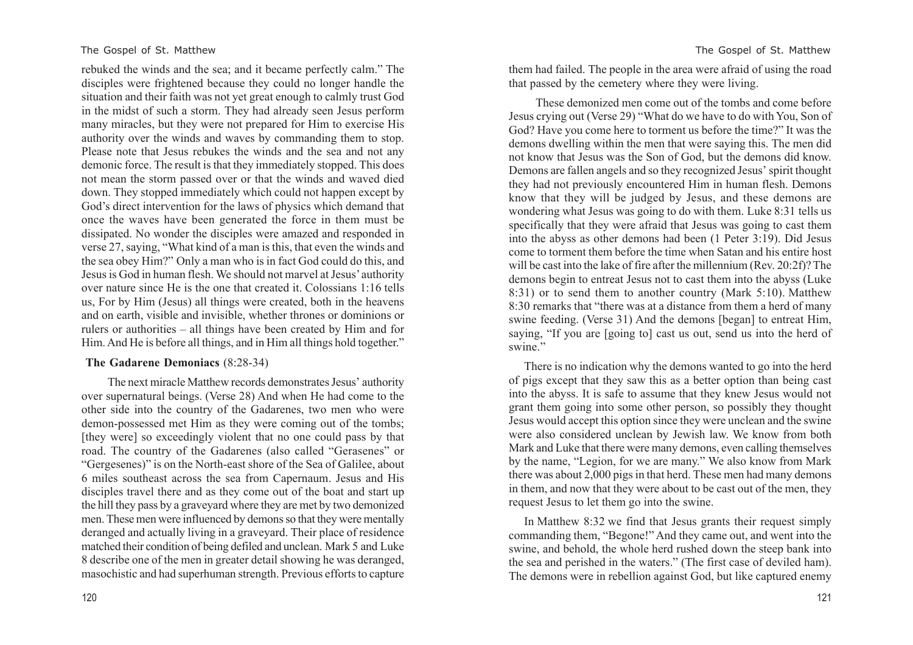rebuked the winds and the sea; and it became perfectly calm." The disciples were frightened because they could no longer handle the situation and their faith was not yet great enough to calmly trust God in the midst of such a storm. They had already seen Jesus perform many miracles, but they were not prepared for Him to exercise His authority over the winds and waves by commanding them to stop. Please note that Jesus rebukes the winds and the sea and not any demonic force. The result is that they immediately stopped. This does not mean the storm passed over or that the winds and waved died down. They stopped immediately which could not happen except by God's direct intervention for the laws of physics which demand that once the waves have been generated the force in them must be dissipated. No wonder the disciples were amazed and responded in verse 27, saying, "What kind of a man is this, that even the winds and the sea obey Him?" Only a man who is in fact God could do this, and Jesus is God in human flesh. We should not marvel at Jesus' authority over nature since He is the one that created it. Colossians 1:16 tells us, For by Him (Jesus) all things were created, both in the heavens and on earth, visible and invisible, whether thrones or dominions or rulers or authorities – all things have been created by Him and for Him. And He is before all things, and in Him all things hold together."

## **The Gadarene Demoniacs** (8:28-34)

 The next miracle Matthew records demonstrates Jesus' authority over supernatural beings. (Verse 28) And when He had come to the other side into the country of the Gadarenes, two men who were demon-possessed met Him as they were coming out of the tombs; [they were] so exceedingly violent that no one could pass by that road. The country of the Gadarenes (also called "Gerasenes" or "Gergesenes)" is on the North-east shore of the Sea of Galilee, about 6 miles southeast across the sea from Capernaum. Jesus and His disciples travel there and as they come out of the boat and start up the hill they pass by a graveyard where they are met by two demonized men. These men were influenced by demons so that they were mentally deranged and actually living in a graveyard. Their place of residence matched their condition of being defiled and unclean. Mark 5 and Luke 8 describe one of the men in greater detail showing he was deranged, masochistic and had superhuman strength. Previous efforts to capture

them had failed. The people in the area were afraid of using the road that passed by the cemetery where they were living.

 These demonized men come out of the tombs and come before Jesus crying out (Verse 29) "What do we have to do with You, Son of God? Have you come here to torment us before the time?" It was the demons dwelling within the men that were saying this. The men did not know that Jesus was the Son of God, but the demons did know. Demons are fallen angels and so they recognized Jesus' spirit thought they had not previously encountered Him in human flesh. Demons know that they will be judged by Jesus, and these demons are wondering what Jesus was going to do with them. Luke 8:31 tells us specifically that they were afraid that Jesus was going to cast them into the abyss as other demons had been (1 Peter 3:19). Did Jesus come to torment them before the time when Satan and his entire host will be cast into the lake of fire after the millennium (Rev. 20:2f)? The demons begin to entreat Jesus not to cast them into the abyss (Luke 8:31) or to send them to another country (Mark 5:10). Matthew 8:30 remarks that "there was at a distance from them a herd of many swine feeding. (Verse 31) And the demons [began] to entreat Him, saying, "If you are [going to] cast us out, send us into the herd of swine."

There is no indication why the demons wanted to go into the herd of pigs except that they saw this as a better option than being cast into the abyss. It is safe to assume that they knew Jesus would not grant them going into some other person, so possibly they thought Jesus would accept this option since they were unclean and the swine were also considered unclean by Jewish law. We know from both Mark and Luke that there were many demons, even calling themselves by the name, "Legion, for we are many." We also know from Mark there was about 2,000 pigs in that herd. These men had many demons in them, and now that they were about to be cast out of the men, they request Jesus to let them go into the swine.

In Matthew 8:32 we find that Jesus grants their request simply commanding them, "Begone!" And they came out, and went into the swine, and behold, the whole herd rushed down the steep bank into the sea and perished in the waters." (The first case of deviled ham). The demons were in rebellion against God, but like captured enemy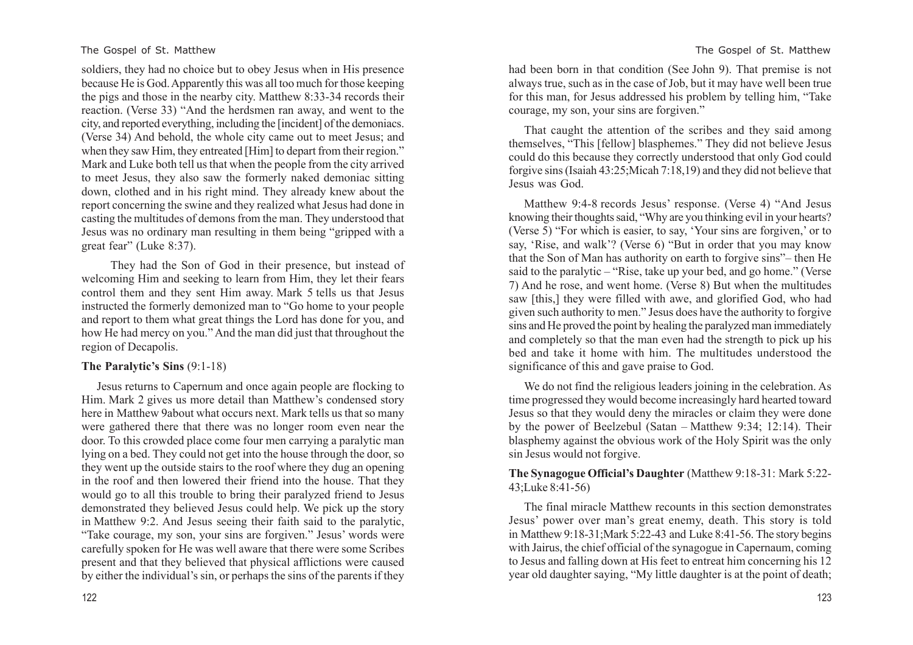soldiers, they had no choice but to obey Jesus when in His presence because He is God. Apparently this was all too much for those keeping the pigs and those in the nearby city. Matthew 8:33-34 records their reaction. (Verse 33) "And the herdsmen ran away, and went to the city, and reported everything, including the [incident] of the demoniacs. (Verse 34) And behold, the whole city came out to meet Jesus; and when they saw Him, they entreated [Him] to depart from their region." Mark and Luke both tell us that when the people from the city arrived to meet Jesus, they also saw the formerly naked demoniac sitting down, clothed and in his right mind. They already knew about the report concerning the swine and they realized what Jesus had done in casting the multitudes of demons from the man. They understood that Jesus was no ordinary man resulting in them being "gripped with a great fear" (Luke 8:37).

 They had the Son of God in their presence, but instead of welcoming Him and seeking to learn from Him, they let their fears control them and they sent Him away. Mark 5 tells us that Jesus instructed the formerly demonized man to "Go home to your people and report to them what great things the Lord has done for you, and how He had mercy on you." And the man did just that throughout the region of Decapolis.

## **The Paralytic's Sins** (9:1-18)

Jesus returns to Capernum and once again people are flocking to Him. Mark 2 gives us more detail than Matthew's condensed story here in Matthew 9about what occurs next. Mark tells us that so many were gathered there that there was no longer room even near the door. To this crowded place come four men carrying a paralytic man lying on a bed. They could not get into the house through the door, so they went up the outside stairs to the roof where they dug an opening in the roof and then lowered their friend into the house. That they would go to all this trouble to bring their paralyzed friend to Jesus demonstrated they believed Jesus could help. We pick up the story in Matthew 9:2. And Jesus seeing their faith said to the paralytic, "Take courage, my son, your sins are forgiven." Jesus' words were carefully spoken for He was well aware that there were some Scribes present and that they believed that physical afflictions were caused by either the individual's sin, or perhaps the sins of the parents if they

had been born in that condition (See John 9). That premise is not always true, such as in the case of Job, but it may have well been true for this man, for Jesus addressed his problem by telling him, "Take courage, my son, your sins are forgiven."

That caught the attention of the scribes and they said among themselves, "This [fellow] blasphemes." They did not believe Jesus could do this because they correctly understood that only God could forgive sins (Isaiah 43:25;Micah 7:18,19) and they did not believe that Jesus was God.

Matthew 9:4-8 records Jesus' response. (Verse 4) "And Jesus knowing their thoughts said, "Why are you thinking evil in your hearts? (Verse 5) "For which is easier, to say, 'Your sins are forgiven,' or to say, 'Rise, and walk'? (Verse 6) "But in order that you may know that the Son of Man has authority on earth to forgive sins"– then He said to the paralytic – "Rise, take up your bed, and go home." (Verse 7) And he rose, and went home. (Verse 8) But when the multitudes saw [this,] they were filled with awe, and glorified God, who had given such authority to men." Jesus does have the authority to forgive sins and He proved the point by healing the paralyzed man immediately and completely so that the man even had the strength to pick up his bed and take it home with him. The multitudes understood the significance of this and gave praise to God.

We do not find the religious leaders joining in the celebration. As time progressed they would become increasingly hard hearted toward Jesus so that they would deny the miracles or claim they were done by the power of Beelzebul (Satan – Matthew 9:34; 12:14). Their blasphemy against the obvious work of the Holy Spirit was the only sin Jesus would not forgive.

## **The Synagogue Official's Daughter** (Matthew 9:18-31: Mark 5:22- 43;Luke 8:41-56)

The final miracle Matthew recounts in this section demonstrates Jesus' power over man's great enemy, death. This story is told in Matthew 9:18-31;Mark 5:22-43 and Luke 8:41-56. The story begins with Jairus, the chief official of the synagogue in Capernaum, coming to Jesus and falling down at His feet to entreat him concerning his 12 year old daughter saying, "My little daughter is at the point of death;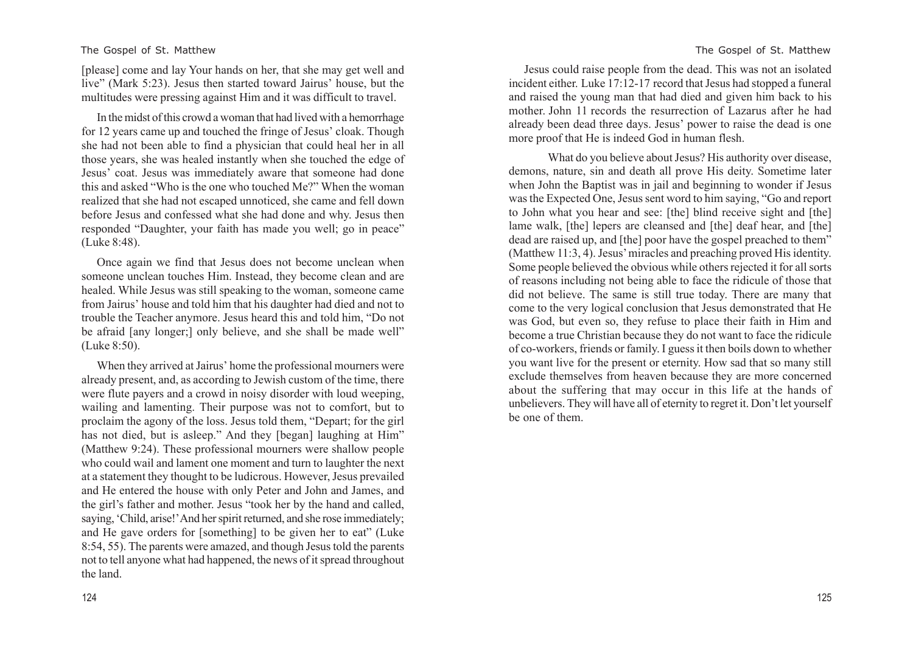[please] come and lay Your hands on her, that she may get well and live" (Mark 5:23). Jesus then started toward Jairus' house, but the multitudes were pressing against Him and it was difficult to travel.

In the midst of this crowd a woman that had lived with a hemorrhage for 12 years came up and touched the fringe of Jesus' cloak. Though she had not been able to find a physician that could heal her in all those years, she was healed instantly when she touched the edge of Jesus' coat. Jesus was immediately aware that someone had done this and asked "Who is the one who touched Me?" When the woman realized that she had not escaped unnoticed, she came and fell down before Jesus and confessed what she had done and why. Jesus then responded "Daughter, your faith has made you well; go in peace" (Luke 8:48).

Once again we find that Jesus does not become unclean when someone unclean touches Him. Instead, they become clean and are healed. While Jesus was still speaking to the woman, someone came from Jairus' house and told him that his daughter had died and not to trouble the Teacher anymore. Jesus heard this and told him, "Do not be afraid [any longer;] only believe, and she shall be made well" (Luke 8:50).

When they arrived at Jairus' home the professional mourners were already present, and, as according to Jewish custom of the time, there were flute payers and a crowd in noisy disorder with loud weeping, wailing and lamenting. Their purpose was not to comfort, but to proclaim the agony of the loss. Jesus told them, "Depart; for the girl has not died, but is asleep." And they [began] laughing at Him" (Matthew 9:24). These professional mourners were shallow people who could wail and lament one moment and turn to laughter the next at a statement they thought to be ludicrous. However, Jesus prevailed and He entered the house with only Peter and John and James, and the girl's father and mother. Jesus "took her by the hand and called, saying, 'Child, arise!' And her spirit returned, and she rose immediately; and He gave orders for [something] to be given her to eat" (Luke 8:54, 55). The parents were amazed, and though Jesus told the parents not to tell anyone what had happened, the news of it spread throughout the land.

Jesus could raise people from the dead. This was not an isolated incident either. Luke 17:12-17 record that Jesus had stopped a funeral and raised the young man that had died and given him back to his mother. John 11 records the resurrection of Lazarus after he had already been dead three days. Jesus' power to raise the dead is one more proof that He is indeed God in human flesh.

What do you believe about Jesus? His authority over disease, demons, nature, sin and death all prove His deity. Sometime later when John the Baptist was in jail and beginning to wonder if Jesus was the Expected One, Jesus sent word to him saying, "Go and report to John what you hear and see: [the] blind receive sight and [the] lame walk, [the] lepers are cleansed and [the] deaf hear, and [the] dead are raised up, and [the] poor have the gospel preached to them" (Matthew 11:3, 4). Jesus' miracles and preaching proved His identity. Some people believed the obvious while others rejected it for all sorts of reasons including not being able to face the ridicule of those that did not believe. The same is still true today. There are many that come to the very logical conclusion that Jesus demonstrated that He was God, but even so, they refuse to place their faith in Him and become a true Christian because they do not want to face the ridicule of co-workers, friends or family. I guess it then boils down to whether you want live for the present or eternity. How sad that so many still exclude themselves from heaven because they are more concerned about the suffering that may occur in this life at the hands of unbelievers. They will have all of eternity to regret it. Don't let yourself be one of them.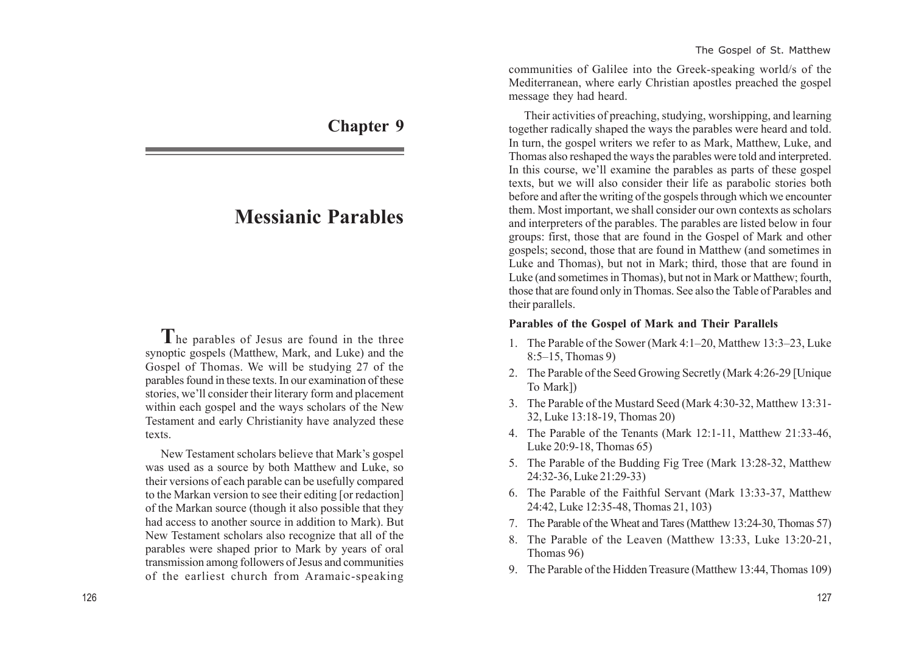**Chapter 9**

# **Messianic Parables**

**T**he parables of Jesus are found in the three synoptic gospels (Matthew, Mark, and Luke) and the Gospel of Thomas. We will be studying 27 of the parables found in these texts. In our examination of these stories, we'll consider their literary form and placement within each gospel and the ways scholars of the New Testament and early Christianity have analyzed these texts.

New Testament scholars believe that Mark's gospel was used as a source by both Matthew and Luke, so their versions of each parable can be usefully compared to the Markan version to see their editing [or redaction] of the Markan source (though it also possible that they had access to another source in addition to Mark). But New Testament scholars also recognize that all of the parables were shaped prior to Mark by years of oral transmission among followers of Jesus and communities of the earliest church from Aramaic-speaking communities of Galilee into the Greek-speaking world/s of the Mediterranean, where early Christian apostles preached the gospel message they had heard.

Their activities of preaching, studying, worshipping, and learning together radically shaped the ways the parables were heard and told. In turn, the gospel writers we refer to as Mark, Matthew, Luke, and Thomas also reshaped the ways the parables were told and interpreted. In this course, we'll examine the parables as parts of these gospel texts, but we will also consider their life as parabolic stories both before and after the writing of the gospels through which we encounter them. Most important, we shall consider our own contexts as scholars and interpreters of the parables. The parables are listed below in four groups: first, those that are found in the Gospel of Mark and other gospels; second, those that are found in Matthew (and sometimes in Luke and Thomas), but not in Mark; third, those that are found in Luke (and sometimes in Thomas), but not in Mark or Matthew; fourth, those that are found only in Thomas. See also the Table of Parables and their parallels.

## **Parables of the Gospel of Mark and Their Parallels**

- 1. The Parable of the Sower (Mark 4:1–20, Matthew 13:3–23, Luke 8:5–15, Thomas 9)
- 2. The Parable of the Seed Growing Secretly (Mark 4:26-29 [Unique To Mark])
- 3. The Parable of the Mustard Seed (Mark 4:30-32, Matthew 13:31- 32, Luke 13:18-19, Thomas 20)
- 4. The Parable of the Tenants (Mark 12:1-11, Matthew 21:33-46, Luke 20:9-18, Thomas 65)
- 5. The Parable of the Budding Fig Tree (Mark 13:28-32, Matthew 24:32-36, Luke 21:29-33)
- 6. The Parable of the Faithful Servant (Mark 13:33-37, Matthew 24:42, Luke 12:35-48, Thomas 21, 103)
- 7. The Parable of the Wheat and Tares (Matthew 13:24-30, Thomas 57)
- 8. The Parable of the Leaven (Matthew 13:33, Luke 13:20-21, Thomas 96)
- 9. The Parable of the Hidden Treasure (Matthew 13:44, Thomas 109)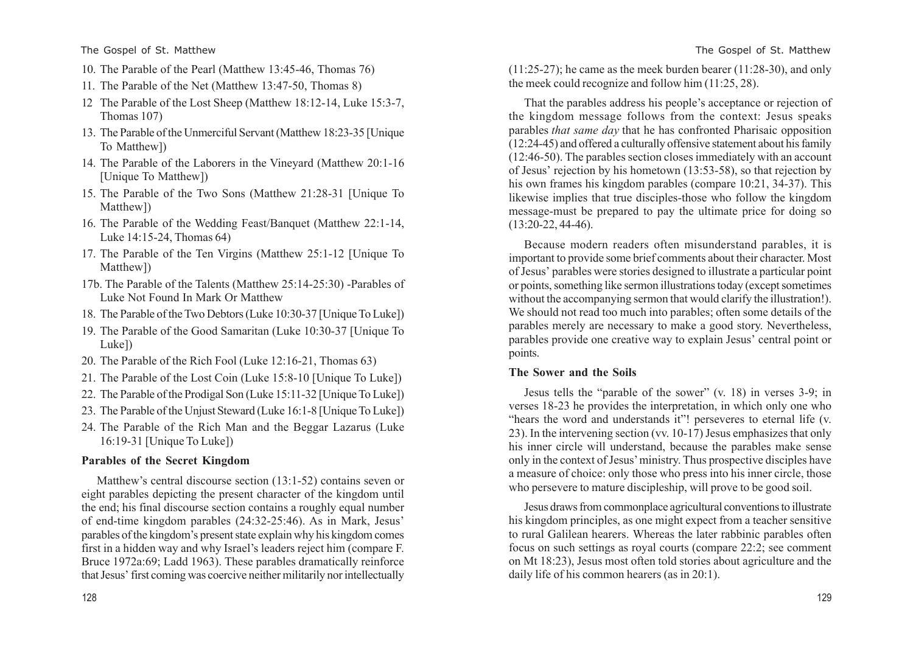- 10. The Parable of the Pearl (Matthew 13:45-46, Thomas 76)
- 11. The Parable of the Net (Matthew 13:47-50, Thomas 8)
- 12 The Parable of the Lost Sheep (Matthew 18:12-14, Luke 15:3-7, Thomas 107)
- 13. The Parable of the Unmerciful Servant (Matthew 18:23-35 [Unique To Matthew])
- 14. The Parable of the Laborers in the Vineyard (Matthew 20:1-16 [Unique To Matthew])
- 15. The Parable of the Two Sons (Matthew 21:28-31 [Unique To Matthew])
- 16. The Parable of the Wedding Feast/Banquet (Matthew 22:1-14, Luke 14:15-24, Thomas 64)
- 17. The Parable of the Ten Virgins (Matthew 25:1-12 [Unique To Matthew])
- 17b. The Parable of the Talents (Matthew 25:14-25:30) -Parables of Luke Not Found In Mark Or Matthew
- 18. The Parable of the Two Debtors (Luke 10:30-37 [Unique To Luke])
- 19. The Parable of the Good Samaritan (Luke 10:30-37 [Unique To Luke])
- 20. The Parable of the Rich Fool (Luke 12:16-21, Thomas 63)
- 21. The Parable of the Lost Coin (Luke 15:8-10 [Unique To Luke])
- 22. The Parable of the Prodigal Son (Luke 15:11-32 [Unique To Luke])
- 23. The Parable of the Unjust Steward (Luke 16:1-8 [Unique To Luke])
- 24. The Parable of the Rich Man and the Beggar Lazarus (Luke 16:19-31 [Unique To Luke])

## **Parables of the Secret Kingdom**

Matthew's central discourse section (13:1-52) contains seven or eight parables depicting the present character of the kingdom until the end; his final discourse section contains a roughly equal number of end-time kingdom parables (24:32-25:46). As in Mark, Jesus' parables of the kingdom's present state explain why his kingdom comes first in a hidden way and why Israel's leaders reject him (compare F. Bruce 1972a:69; Ladd 1963). These parables dramatically reinforce that Jesus' first coming was coercive neither militarily nor intellectually

 $(11:25-27)$ ; he came as the meek burden bearer  $(11:28-30)$ , and only the meek could recognize and follow him (11:25, 28).

That the parables address his people's acceptance or rejection of the kingdom message follows from the context: Jesus speaks parables *that same day* that he has confronted Pharisaic opposition (12:24-45) and offered a culturally offensive statement about his family (12:46-50). The parables section closes immediately with an account of Jesus' rejection by his hometown (13:53-58), so that rejection by his own frames his kingdom parables (compare 10:21, 34-37). This likewise implies that true disciples-those who follow the kingdom message-must be prepared to pay the ultimate price for doing so (13:20-22, 44-46).

Because modern readers often misunderstand parables, it is important to provide some brief comments about their character. Most of Jesus' parables were stories designed to illustrate a particular point or points, something like sermon illustrations today (except sometimes without the accompanying sermon that would clarify the illustration!). We should not read too much into parables; often some details of the parables merely are necessary to make a good story. Nevertheless, parables provide one creative way to explain Jesus' central point or points.

## **The Sower and the Soils**

Jesus tells the "parable of the sower" (v. 18) in verses 3-9; in verses 18-23 he provides the interpretation, in which only one who "hears the word and understands it"! perseveres to eternal life (v. 23). In the intervening section (vv. 10-17) Jesus emphasizes that only his inner circle will understand, because the parables make sense only in the context of Jesus' ministry. Thus prospective disciples have a measure of choice: only those who press into his inner circle, those who persevere to mature discipleship, will prove to be good soil.

Jesus draws from commonplace agricultural conventions to illustrate his kingdom principles, as one might expect from a teacher sensitive to rural Galilean hearers. Whereas the later rabbinic parables often focus on such settings as royal courts (compare 22:2; see comment on Mt 18:23), Jesus most often told stories about agriculture and the daily life of his common hearers (as in 20:1).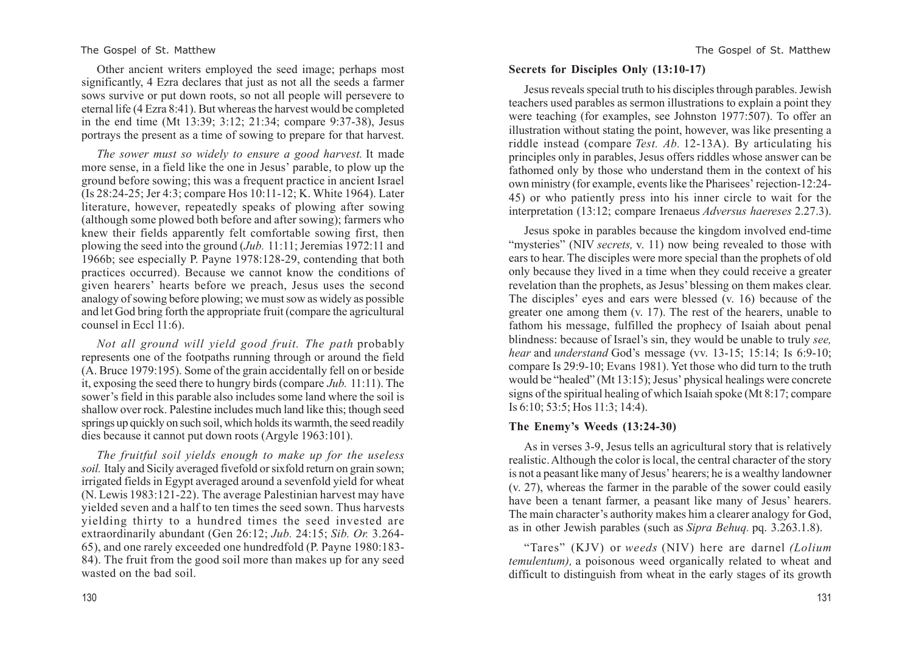Other ancient writers employed the seed image; perhaps most significantly, 4 Ezra declares that just as not all the seeds a farmer sows survive or put down roots, so not all people will persevere to eternal life (4 Ezra 8:41). But whereas the harvest would be completed in the end time (Mt 13:39; 3:12; 21:34; compare 9:37-38), Jesus portrays the present as a time of sowing to prepare for that harvest.

*The sower must so widely to ensure a good harvest.* It made more sense, in a field like the one in Jesus' parable, to plow up the ground before sowing; this was a frequent practice in ancient Israel (Is 28:24-25; Jer 4:3; compare Hos 10:11-12; K. White 1964). Later literature, however, repeatedly speaks of plowing after sowing (although some plowed both before and after sowing); farmers who knew their fields apparently felt comfortable sowing first, then plowing the seed into the ground (*Jub.* 11:11; Jeremias 1972:11 and 1966b; see especially P. Payne 1978:128-29, contending that both practices occurred). Because we cannot know the conditions of given hearers' hearts before we preach, Jesus uses the second analogy of sowing before plowing; we must sow as widely as possible and let God bring forth the appropriate fruit (compare the agricultural counsel in Eccl 11:6).

*Not all ground will yield good fruit. The path* probably represents one of the footpaths running through or around the field (A. Bruce 1979:195). Some of the grain accidentally fell on or beside it, exposing the seed there to hungry birds (compare *Jub.* 11:11). The sower's field in this parable also includes some land where the soil is shallow over rock. Palestine includes much land like this; though seed springs up quickly on such soil, which holds its warmth, the seed readily dies because it cannot put down roots (Argyle 1963:101).

*The fruitful soil yields enough to make up for the useless soil.* Italy and Sicily averaged fivefold or sixfold return on grain sown; irrigated fields in Egypt averaged around a sevenfold yield for wheat (N. Lewis 1983:121-22). The average Palestinian harvest may have yielded seven and a half to ten times the seed sown. Thus harvests yielding thirty to a hundred times the seed invested are extraordinarily abundant (Gen 26:12; *Jub.* 24:15; *Sib. Or.* 3.264- 65), and one rarely exceeded one hundredfold (P. Payne 1980:183- 84). The fruit from the good soil more than makes up for any seed wasted on the bad soil.

## **Secrets for Disciples Only (13:10-17)**

Jesus reveals special truth to his disciples through parables. Jewish teachers used parables as sermon illustrations to explain a point they were teaching (for examples, see Johnston 1977:507). To offer an illustration without stating the point, however, was like presenting a riddle instead (compare *Test. Ab.* 12-13A). By articulating his principles only in parables, Jesus offers riddles whose answer can be fathomed only by those who understand them in the context of his own ministry (for example, events like the Pharisees' rejection-12:24- 45) or who patiently press into his inner circle to wait for the interpretation (13:12; compare Irenaeus *Adversus haereses* 2.27.3).

Jesus spoke in parables because the kingdom involved end-time "mysteries" (NIV *secrets*, v. 11) now being revealed to those with ears to hear. The disciples were more special than the prophets of old only because they lived in a time when they could receive a greater revelation than the prophets, as Jesus' blessing on them makes clear. The disciples' eyes and ears were blessed (v. 16) because of the greater one among them (v. 17). The rest of the hearers, unable to fathom his message, fulfilled the prophecy of Isaiah about penal blindness: because of Israel's sin, they would be unable to truly *see, hear* and *understand* God's message (vv. 13-15; 15:14; Is 6:9-10; compare Is 29:9-10; Evans 1981). Yet those who did turn to the truth would be "healed" (Mt 13:15); Jesus' physical healings were concrete signs of the spiritual healing of which Isaiah spoke (Mt 8:17; compare Is 6:10; 53:5; Hos 11:3; 14:4).

## **The Enemy's Weeds (13:24-30)**

As in verses 3-9, Jesus tells an agricultural story that is relatively realistic. Although the color is local, the central character of the story is not a peasant like many of Jesus' hearers; he is a wealthy landowner (v. 27), whereas the farmer in the parable of the sower could easily have been a tenant farmer, a peasant like many of Jesus' hearers. The main character's authority makes him a clearer analogy for God, as in other Jewish parables (such as *Sipra Behuq.* pq. 3.263.1.8).

"Tares" (KJV) or *weeds* (NIV) here are darnel *(Lolium temulentum),* a poisonous weed organically related to wheat and difficult to distinguish from wheat in the early stages of its growth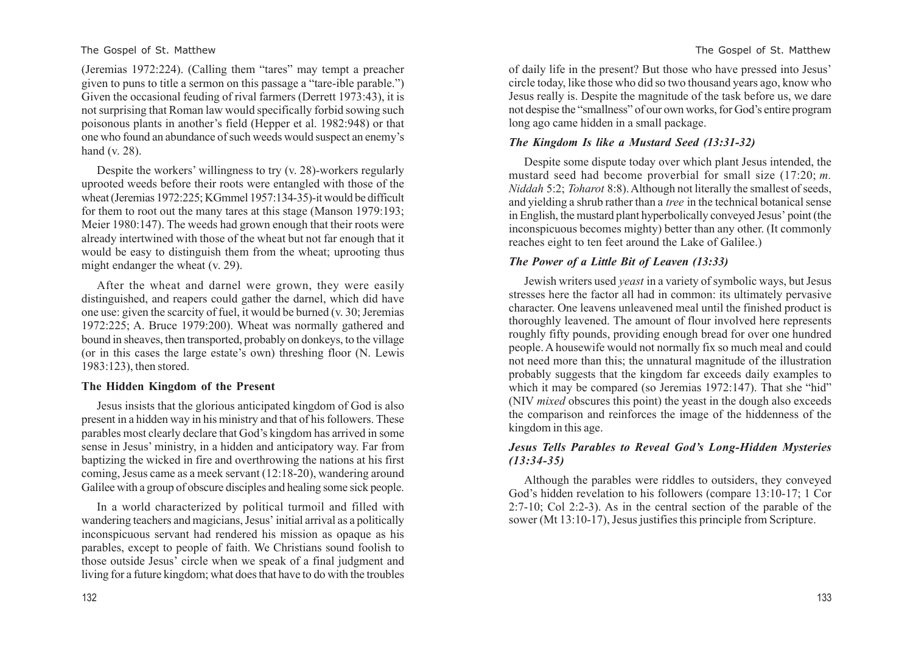(Jeremias 1972:224). (Calling them "tares" may tempt a preacher given to puns to title a sermon on this passage a "tare-ible parable.") Given the occasional feuding of rival farmers (Derrett 1973:43), it is not surprising that Roman law would specifically forbid sowing such poisonous plants in another's field (Hepper et al. 1982:948) or that one who found an abundance of such weeds would suspect an enemy's hand (v. 28).

Despite the workers' willingness to try (v. 28)-workers regularly uprooted weeds before their roots were entangled with those of the wheat (Jeremias 1972:225; KGmmel 1957:134-35)-it would be difficult for them to root out the many tares at this stage (Manson 1979:193; Meier 1980:147). The weeds had grown enough that their roots were already intertwined with those of the wheat but not far enough that it would be easy to distinguish them from the wheat; uprooting thus might endanger the wheat (v. 29).

After the wheat and darnel were grown, they were easily distinguished, and reapers could gather the darnel, which did have one use: given the scarcity of fuel, it would be burned (v. 30; Jeremias 1972:225; A. Bruce 1979:200). Wheat was normally gathered and bound in sheaves, then transported, probably on donkeys, to the village (or in this cases the large estate's own) threshing floor (N. Lewis 1983:123), then stored.

## **The Hidden Kingdom of the Present**

Jesus insists that the glorious anticipated kingdom of God is also present in a hidden way in his ministry and that of his followers. These parables most clearly declare that God's kingdom has arrived in some sense in Jesus' ministry, in a hidden and anticipatory way. Far from baptizing the wicked in fire and overthrowing the nations at his first coming, Jesus came as a meek servant (12:18-20), wandering around Galilee with a group of obscure disciples and healing some sick people.

In a world characterized by political turmoil and filled with wandering teachers and magicians, Jesus' initial arrival as a politically inconspicuous servant had rendered his mission as opaque as his parables, except to people of faith. We Christians sound foolish to those outside Jesus' circle when we speak of a final judgment and living for a future kingdom; what does that have to do with the troubles

of daily life in the present? But those who have pressed into Jesus' circle today, like those who did so two thousand years ago, know who Jesus really is. Despite the magnitude of the task before us, we dare not despise the "smallness" of our own works, for God's entire program long ago came hidden in a small package.

## *The Kingdom Is like a Mustard Seed (13:31-32)*

Despite some dispute today over which plant Jesus intended, the mustard seed had become proverbial for small size (17:20; *m. Niddah* 5:2; *Toharot* 8:8). Although not literally the smallest of seeds, and yielding a shrub rather than a *tree* in the technical botanical sense in English, the mustard plant hyperbolically conveyed Jesus' point (the inconspicuous becomes mighty) better than any other. (It commonly reaches eight to ten feet around the Lake of Galilee.)

## *The Power of a Little Bit of Leaven (13:33)*

Jewish writers used *yeas<sup>t</sup>* in a variety of symbolic ways, but Jesus stresses here the factor all had in common: its ultimately pervasive character. One leavens unleavened meal until the finished product is thoroughly leavened. The amount of flour involved here represents roughly fifty pounds, providing enough bread for over one hundred people. A housewife would not normally fix so much meal and could not need more than this; the unnatural magnitude of the illustration probably suggests that the kingdom far exceeds daily examples to which it may be compared (so Jeremias 1972:147). That she "hid" (NIV *mixed* obscures this point) the yeast in the dough also exceeds the comparison and reinforces the image of the hiddenness of the kingdom in this age.

## *Jesus Tells Parables to Reveal God's Long-Hidden Mysteries (13:34-35)*

Although the parables were riddles to outsiders, they conveyed God's hidden revelation to his followers (compare 13:10-17; 1 Cor 2:7-10; Col 2:2-3). As in the central section of the parable of the sower (Mt 13:10-17), Jesus justifies this principle from Scripture.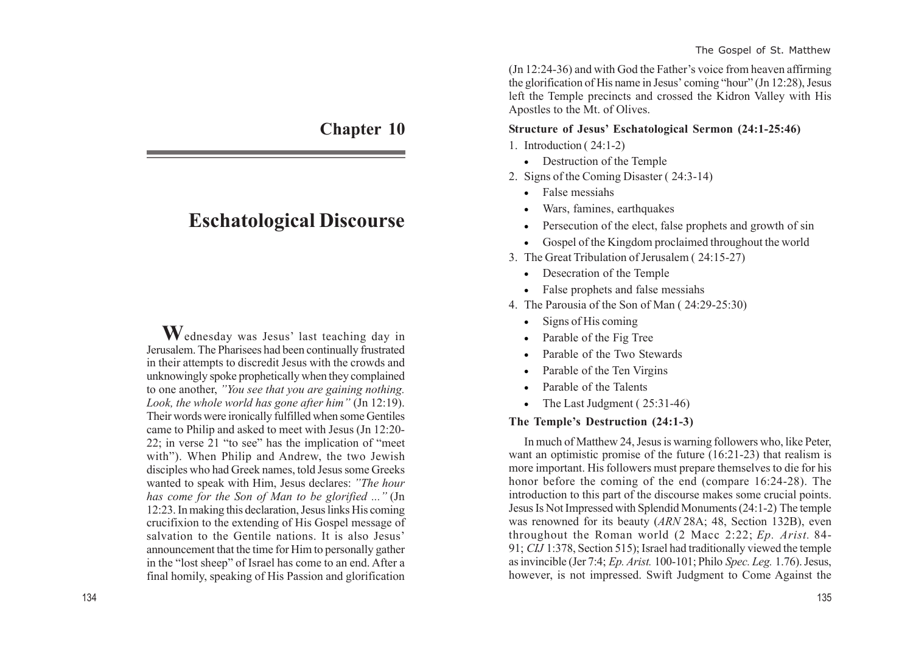(Jn 12:24-36) and with God the Father's voice from heaven affirming the glorification of His name in Jesus' coming "hour" (Jn 12:28), Jesus left the Temple precincts and crossed the Kidron Valley with His Apostles to the Mt. of Olives.

## **Structure of Jesus' Eschatological Sermon (24:1-25:46)**

1. Introduction ( 24:1-2)

- · Destruction of the Temple
- 2. Signs of the Coming Disaster ( 24:3-14)
	- · False messiahs
	- Wars, famines, earthquakes
	- Persecution of the elect, false prophets and growth of sin
	- Gospel of the Kingdom proclaimed throughout the world
- 3. The Great Tribulation of Jerusalem ( 24:15-27)
	- · Desecration of the Temple
	- · False prophets and false messiahs
- 4. The Parousia of the Son of Man ( 24:29-25:30)
	- · Signs of His coming
	- Parable of the Fig Tree
	- Parable of the Two Stewards
	- Parable of the Ten Virgins
	- Parable of the Talents
	- The Last Judgment  $(25:31-46)$

## **The Temple's Destruction (24:1-3)**

In much of Matthew 24, Jesus is warning followers who, like Peter, want an optimistic promise of the future (16:21-23) that realism is more important. His followers must prepare themselves to die for his honor before the coming of the end (compare 16:24-28). The introduction to this part of the discourse makes some crucial points. Jesus Is Not Impressed with Splendid Monuments (24:1-2) The temple was renowned for its beauty (*ARN* 28A; 48, Section 132B), even throughout the Roman world (2 Macc 2:22; *Ep. Arist.* 84- 91; *CIJ* 1:378, Section 515); Israel had traditionally viewed the temple as invincible (Jer 7:4; *Ep. Arist.* 100-101; Philo *Spec. Leg.* 1.76). Jesus, however, is not impressed. Swift Judgment to Come Against the

# **Chapter 10**

# **Eschatological Discourse**

**W**ednesday was Jesus' last teaching day in Jerusalem. The Pharisees had been continually frustrated in their attempts to discredit Jesus with the crowds and unknowingly spoke prophetically when they complained to one another, *"You see that you are gaining nothing. Look, the whole world has gone after him"* (Jn 12:19). Their words were ironically fulfilled when some Gentiles came to Philip and asked to meet with Jesus (Jn 12:20- 22; in verse 21 "to see" has the implication of "meet with"). When Philip and Andrew, the two Jewish disciples who had Greek names, told Jesus some Greeks wanted to speak with Him, Jesus declares: *"The hour has come for the Son of Man to be glorified ..."* (Jn 12:23. In making this declaration, Jesus links His coming crucifixion to the extending of His Gospel message of salvation to the Gentile nations. It is also Jesus' announcement that the time for Him to personally gather in the "lost sheep" of Israel has come to an end. After a final homily, speaking of His Passion and glorification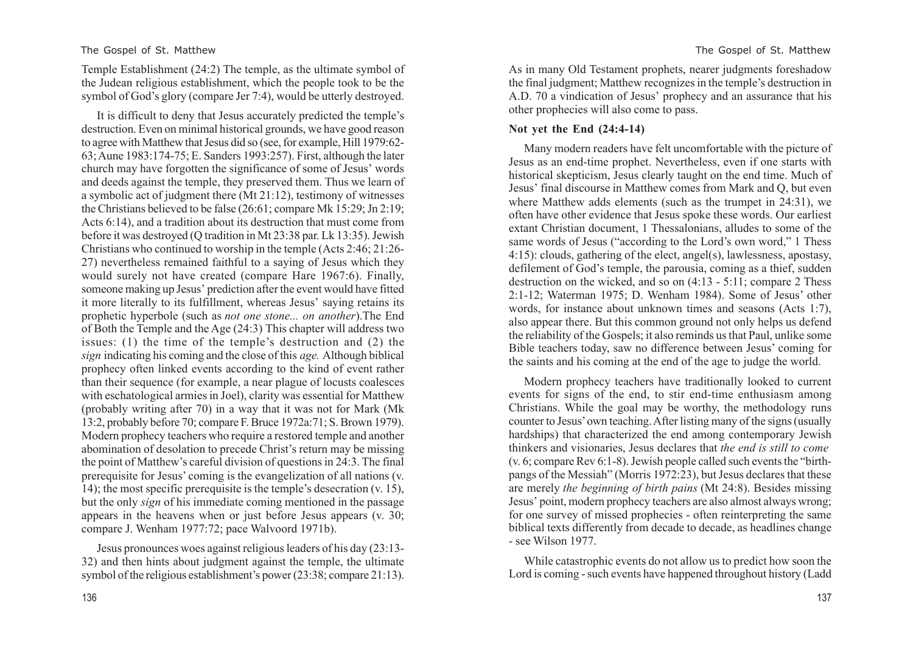Temple Establishment (24:2) The temple, as the ultimate symbol of the Judean religious establishment, which the people took to be the symbol of God's glory (compare Jer 7:4), would be utterly destroyed.

It is difficult to deny that Jesus accurately predicted the temple's destruction. Even on minimal historical grounds, we have good reason to agree with Matthew that Jesus did so (see, for example, Hill 1979:62- 63; Aune 1983:174-75; E. Sanders 1993:257). First, although the later church may have forgotten the significance of some of Jesus' words and deeds against the temple, they preserved them. Thus we learn of a symbolic act of judgment there (Mt 21:12), testimony of witnesses the Christians believed to be false (26:61; compare Mk 15:29; Jn 2:19; Acts 6:14), and a tradition about its destruction that must come from before it was destroyed (Q tradition in Mt 23:38 par. Lk 13:35). Jewish Christians who continued to worship in the temple (Acts 2:46; 21:26- 27) nevertheless remained faithful to a saying of Jesus which they would surely not have created (compare Hare 1967:6). Finally, someone making up Jesus' prediction after the event would have fitted it more literally to its fulfillment, whereas Jesus' saying retains its prophetic hyperbole (such as *not one stone... on another*).The End of Both the Temple and the Age (24:3) This chapter will address two issues: (1) the time of the temple's destruction and (2) the *sign* indicating his coming and the close of this *age.* Although biblical prophecy often linked events according to the kind of event rather than their sequence (for example, a near plague of locusts coalesces with eschatological armies in Joel), clarity was essential for Matthew (probably writing after 70) in a way that it was not for Mark (Mk 13:2, probably before 70; compare F. Bruce 1972a:71; S. Brown 1979). Modern prophecy teachers who require a restored temple and another abomination of desolation to precede Christ's return may be missing the point of Matthew's careful division of questions in 24:3. The final prerequisite for Jesus' coming is the evangelization of all nations (v. 14); the most specific prerequisite is the temple's desecration (v. 15), but the only *sign* of his immediate coming mentioned in the passage appears in the heavens when or just before Jesus appears (v. 30; compare J. Wenham 1977:72; pace Walvoord 1971b).

Jesus pronounces woes against religious leaders of his day (23:13- 32) and then hints about judgment against the temple, the ultimate symbol of the religious establishment's power (23:38; compare 21:13).

As in many Old Testament prophets, nearer judgments foreshadow the final judgment; Matthew recognizes in the temple's destruction in A.D. 70 a vindication of Jesus' prophecy and an assurance that his other prophecies will also come to pass.

## **Not yet the End (24:4-14)**

Many modern readers have felt uncomfortable with the picture of Jesus as an end-time prophet. Nevertheless, even if one starts with historical skepticism, Jesus clearly taught on the end time. Much of Jesus' final discourse in Matthew comes from Mark and Q, but even where Matthew adds elements (such as the trumpet in 24:31), we often have other evidence that Jesus spoke these words. Our earliest extant Christian document, 1 Thessalonians, alludes to some of the same words of Jesus ("according to the Lord's own word," 1 Thess 4:15): clouds, gathering of the elect, angel(s), lawlessness, apostasy, defilement of God's temple, the parousia, coming as a thief, sudden destruction on the wicked, and so on (4:13 - 5:11; compare 2 Thess 2:1-12; Waterman 1975; D. Wenham 1984). Some of Jesus' other words, for instance about unknown times and seasons (Acts 1:7), also appear there. But this common ground not only helps us defend the reliability of the Gospels; it also reminds us that Paul, unlike some Bible teachers today, saw no difference between Jesus' coming for the saints and his coming at the end of the age to judge the world.

Modern prophecy teachers have traditionally looked to current events for signs of the end, to stir end-time enthusiasm among Christians. While the goal may be worthy, the methodology runs counter to Jesus' own teaching. After listing many of the signs (usually hardships) that characterized the end among contemporary Jewish thinkers and visionaries, Jesus declares that *the end is still to come* (v. 6; compare Rev 6:1-8). Jewish people called such events the "birthpangs of the Messiah" (Morris 1972:23), but Jesus declares that these are merely *the beginning of birth pains* (Mt 24:8). Besides missing Jesus' point, modern prophecy teachers are also almost always wrong; for one survey of missed prophecies - often reinterpreting the same biblical texts differently from decade to decade, as headlines change - see Wilson 1977.

While catastrophic events do not allow us to predict how soon the Lord is coming - such events have happened throughout history (Ladd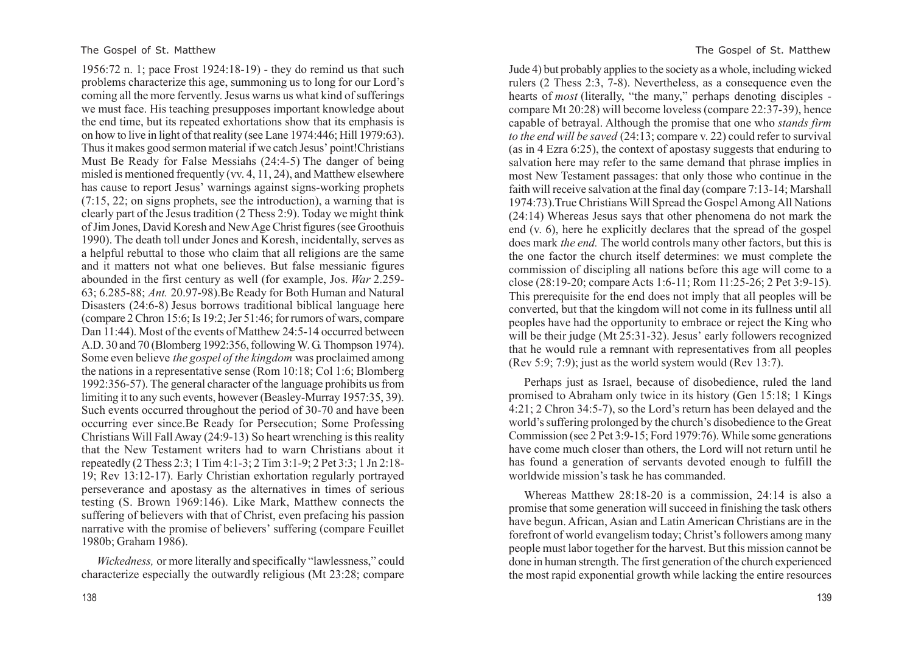1956:72 n. 1; pace Frost 1924:18-19) - they do remind us that such problems characterize this age, summoning us to long for our Lord's coming all the more fervently. Jesus warns us what kind of sufferings we must face. His teaching presupposes important knowledge about the end time, but its repeated exhortations show that its emphasis is on how to live in light of that reality (see Lane 1974:446; Hill 1979:63). Thus it makes good sermon material if we catch Jesus' point!Christians Must Be Ready for False Messiahs (24:4-5) The danger of being misled is mentioned frequently (vv. 4, 11, 24), and Matthew elsewhere has cause to report Jesus' warnings against signs-working prophets (7:15, 22; on signs prophets, see the introduction), a warning that is clearly part of the Jesus tradition (2 Thess 2:9). Today we might think of Jim Jones, David Koresh and New Age Christ figures (see Groothuis 1990). The death toll under Jones and Koresh, incidentally, serves as a helpful rebuttal to those who claim that all religions are the same and it matters not what one believes. But false messianic figures abounded in the first century as well (for example, Jos. *War* 2.259- 63; 6.285-88; *Ant.* 20.97-98).Be Ready for Both Human and Natural Disasters (24:6-8) Jesus borrows traditional biblical language here (compare 2 Chron 15:6; Is 19:2; Jer 51:46; for rumors of wars, compare Dan 11:44). Most of the events of Matthew 24:5-14 occurred between A.D. 30 and 70 (Blomberg 1992:356, following W. G. Thompson 1974). Some even believe *the gospel of the kingdom* was proclaimed among the nations in a representative sense (Rom 10:18; Col 1:6; Blomberg 1992:356-57). The general character of the language prohibits us from limiting it to any such events, however (Beasley-Murray 1957:35, 39). Such events occurred throughout the period of 30-70 and have been occurring ever since.Be Ready for Persecution; Some Professing Christians Will Fall Away (24:9-13) So heart wrenching is this reality that the New Testament writers had to warn Christians about it repeatedly (2 Thess 2:3; 1 Tim 4:1-3; 2 Tim 3:1-9; 2 Pet 3:3; 1 Jn 2:18- 19; Rev 13:12-17). Early Christian exhortation regularly portrayed perseverance and apostasy as the alternatives in times of serious testing (S. Brown 1969:146). Like Mark, Matthew connects the suffering of believers with that of Christ, even prefacing his passion narrative with the promise of believers' suffering (compare Feuillet 1980b; Graham 1986).

*Wickedness,* or more literally and specifically "lawlessness," could characterize especially the outwardly religious (Mt 23:28; compare

Jude 4) but probably applies to the society as a whole, including wicked rulers (2 Thess 2:3, 7-8). Nevertheless, as a consequence even the hearts of *most* (literally, "the many," perhaps denoting disciples compare Mt 20:28) will become loveless (compare 22:37-39), hence capable of betrayal. Although the promise that one who *stands firm to the end will be saved* (24:13; compare v. 22) could refer to survival (as in 4 Ezra 6:25), the context of apostasy suggests that enduring to salvation here may refer to the same demand that phrase implies in most New Testament passages: that only those who continue in the faith will receive salvation at the final day (compare 7:13-14; Marshall 1974:73).True Christians Will Spread the Gospel Among All Nations (24:14) Whereas Jesus says that other phenomena do not mark the end (v. 6), here he explicitly declares that the spread of the gospel does mark *the end.* The world controls many other factors, but this is the one factor the church itself determines: we must complete the commission of discipling all nations before this age will come to a close (28:19-20; compare Acts 1:6-11; Rom 11:25-26; 2 Pet 3:9-15). This prerequisite for the end does not imply that all peoples will be converted, but that the kingdom will not come in its fullness until all peoples have had the opportunity to embrace or reject the King who will be their judge (Mt 25:31-32). Jesus' early followers recognized that he would rule a remnant with representatives from all peoples (Rev 5:9; 7:9); just as the world system would (Rev 13:7).

Perhaps just as Israel, because of disobedience, ruled the land promised to Abraham only twice in its history (Gen 15:18; 1 Kings 4:21; 2 Chron 34:5-7), so the Lord's return has been delayed and the world's suffering prolonged by the church's disobedience to the Great Commission (see 2 Pet 3:9-15; Ford 1979:76). While some generations have come much closer than others, the Lord will not return until he has found a generation of servants devoted enough to fulfill the worldwide mission's task he has commanded.

Whereas Matthew 28:18-20 is a commission, 24:14 is also a promise that some generation will succeed in finishing the task others have begun. African, Asian and Latin American Christians are in the forefront of world evangelism today; Christ's followers among many people must labor together for the harvest. But this mission cannot be done in human strength. The first generation of the church experienced the most rapid exponential growth while lacking the entire resources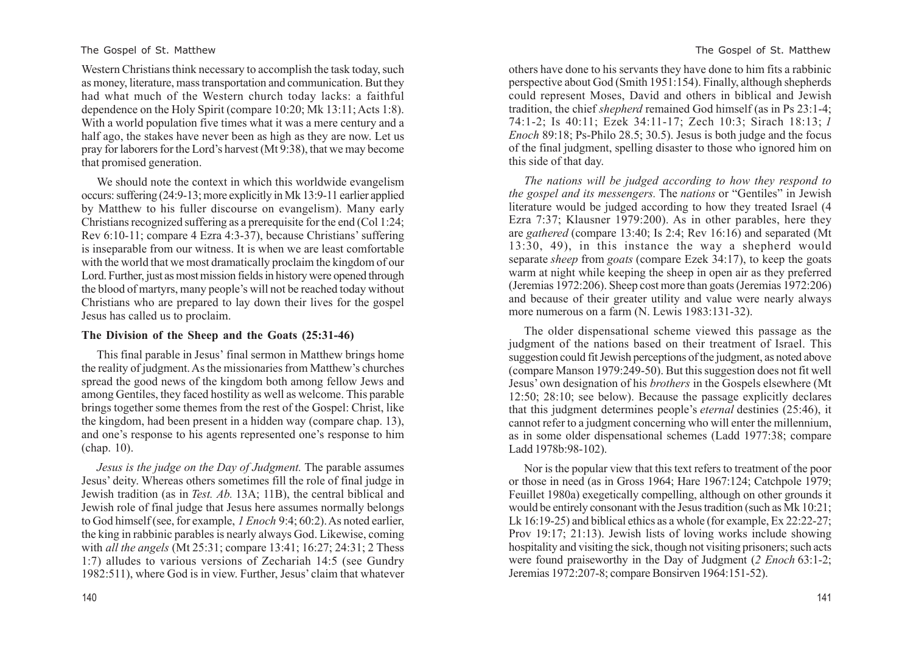Western Christians think necessary to accomplish the task today, such as money, literature, mass transportation and communication. But they had what much of the Western church today lacks: a faithful dependence on the Holy Spirit (compare 10:20; Mk 13:11; Acts 1:8). With a world population five times what it was a mere century and a half ago, the stakes have never been as high as they are now. Let us pray for laborers for the Lord's harvest (Mt 9:38), that we may become that promised generation.

We should note the context in which this worldwide evangelism occurs: suffering (24:9-13; more explicitly in Mk 13:9-11 earlier applied by Matthew to his fuller discourse on evangelism). Many early Christians recognized suffering as a prerequisite for the end (Col 1:24; Rev 6:10-11; compare 4 Ezra 4:3-37), because Christians' suffering is inseparable from our witness. It is when we are least comfortable with the world that we most dramatically proclaim the kingdom of our Lord. Further, just as most mission fields in history were opened through the blood of martyrs, many people's will not be reached today without Christians who are prepared to lay down their lives for the gospel Jesus has called us to proclaim.

## **The Division of the Sheep and the Goats (25:31-46)**

This final parable in Jesus' final sermon in Matthew brings home the reality of judgment. As the missionaries from Matthew's churches spread the good news of the kingdom both among fellow Jews and among Gentiles, they faced hostility as well as welcome. This parable brings together some themes from the rest of the Gospel: Christ, like the kingdom, had been present in a hidden way (compare chap. 13), and one's response to his agents represented one's response to him (chap. 10).

*Jesus is the judge on the Day of Judgment.* The parable assumes Jesus' deity. Whereas others sometimes fill the role of final judge in Jewish tradition (as in *Test. Ab.* 13A; 11B), the central biblical and Jewish role of final judge that Jesus here assumes normally belongs to God himself (see, for example, *1 Enoch* 9:4; 60:2). As noted earlier, the king in rabbinic parables is nearly always God. Likewise, coming with *all the angels* (Mt 25:31; compare 13:41; 16:27; 24:31; 2 Thess 1:7) alludes to various versions of Zechariah 14:5 (see Gundry 1982:511), where God is in view. Further, Jesus' claim that whatever others have done to his servants they have done to him fits a rabbinic perspective about God (Smith 1951:154). Finally, although shepherds could represent Moses, David and others in biblical and Jewish tradition, the chief *shepherd* remained God himself (as in Ps 23:1-4; 74:1-2; Is 40:11; Ezek 34:11-17; Zech 10:3; Sirach 18:13; *1 Enoch* 89:18; Ps-Philo 28.5; 30.5). Jesus is both judge and the focus of the final judgment, spelling disaster to those who ignored him on this side of that day.

*The nations will be judged according to how they respond to the gospel and its messengers.* The *nations* or "Gentiles" in Jewish literature would be judged according to how they treated Israel (4 Ezra 7:37; Klausner 1979:200). As in other parables, here they are *gathered* (compare 13:40; Is 2:4; Rev 16:16) and separated (Mt 13:30, 49), in this instance the way a shepherd would separate *sheep* from *goats* (compare Ezek 34:17), to keep the goats warm at night while keeping the sheep in open air as they preferred (Jeremias 1972:206). Sheep cost more than goats (Jeremias 1972:206) and because of their greater utility and value were nearly always more numerous on a farm (N. Lewis 1983:131-32).

The older dispensational scheme viewed this passage as the judgment of the nations based on their treatment of Israel. This suggestion could fit Jewish perceptions of the judgment, as noted above (compare Manson 1979:249-50). But this suggestion does not fit well Jesus' own designation of his *brothers* in the Gospels elsewhere (Mt 12:50; 28:10; see below). Because the passage explicitly declares that this judgment determines people's *eternal* destinies (25:46), it cannot refer to a judgment concerning who will enter the millennium, as in some older dispensational schemes (Ladd 1977:38; compare Ladd 1978b:98-102).

Nor is the popular view that this text refers to treatment of the poor or those in need (as in Gross 1964; Hare 1967:124; Catchpole 1979; Feuillet 1980a) exegetically compelling, although on other grounds it would be entirely consonant with the Jesus tradition (such as Mk 10:21; Lk 16:19-25) and biblical ethics as a whole (for example, Ex 22:22-27; Prov 19:17; 21:13). Jewish lists of loving works include showing hospitality and visiting the sick, though not visiting prisoners; such acts were found praiseworthy in the Day of Judgment (*2 Enoch* 63:1-2; Jeremias 1972:207-8; compare Bonsirven 1964:151-52).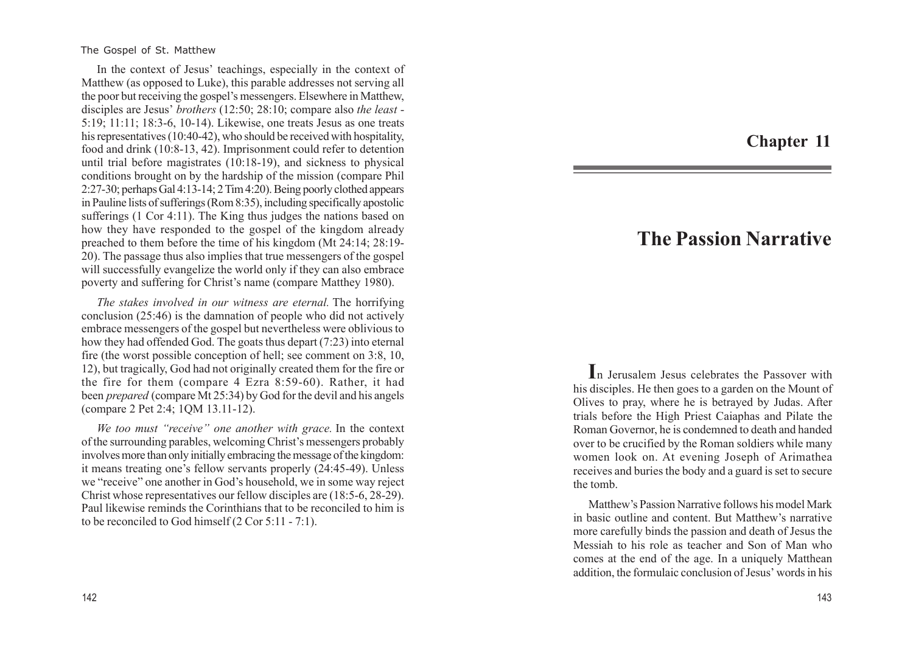In the context of Jesus' teachings, especially in the context of Matthew (as opposed to Luke), this parable addresses not serving all the poor but receiving the gospel's messengers. Elsewhere in Matthew, disciples are Jesus' *brothers* (12:50; 28:10; compare also *the least* - 5:19; 11:11; 18:3-6, 10-14). Likewise, one treats Jesus as one treats his representatives (10:40-42), who should be received with hospitality, food and drink (10:8-13, 42). Imprisonment could refer to detention until trial before magistrates (10:18-19), and sickness to physical conditions brought on by the hardship of the mission (compare Phil 2:27-30; perhaps Gal 4:13-14; 2 Tim 4:20). Being poorly clothed appears in Pauline lists of sufferings (Rom 8:35), including specifically apostolic sufferings (1 Cor 4:11). The King thus judges the nations based on how they have responded to the gospel of the kingdom already preached to them before the time of his kingdom (Mt 24:14; 28:19- 20). The passage thus also implies that true messengers of the gospel will successfully evangelize the world only if they can also embrace poverty and suffering for Christ's name (compare Matthey 1980).

*The stakes involved in our witness are eternal.* The horrifying conclusion (25:46) is the damnation of people who did not actively embrace messengers of the gospel but nevertheless were oblivious to how they had offended God. The goats thus depart (7:23) into eternal fire (the worst possible conception of hell; see comment on 3:8, 10, 12), but tragically, God had not originally created them for the fire or the fire for them (compare 4 Ezra 8:59-60). Rather, it had been *prepared* (compare Mt 25:34) by God for the devil and his angels (compare 2 Pet 2:4; 1QM 13.11-12).

*We too must "receive" one another with grace.* In the context of the surrounding parables, welcoming Christ's messengers probably involves more than only initially embracing the message of the kingdom: it means treating one's fellow servants properly (24:45-49). Unless we "receive" one another in God's household, we in some way reject Christ whose representatives our fellow disciples are (18:5-6, 28-29). Paul likewise reminds the Corinthians that to be reconciled to him is to be reconciled to God himself (2 Cor 5:11 - 7:1).

## **Chapter 1 1**

# **The Passion Narrative**

**I**n Jerusalem Jesus celebrates the Passover with his disciples. He then goes to a garden on the Mount of Olives to pray, where he is betrayed by Judas. After trials before the High Priest Caiaphas and Pilate the Roman Governor, he is condemned to death and handed over to be crucified by the Roman soldiers while many women look on. At evening Joseph of Arimathea receives and buries the body and a guard is set to secure the tomb.

Matthew's Passion Narrative follows his model Mark in basic outline and content. But Matthew's narrative more carefully binds the passion and death of Jesus the Messiah to his role as teacher and Son of Man who comes at the end of the age. In a uniquely Matthean addition, the formulaic conclusion of Jesus' words in his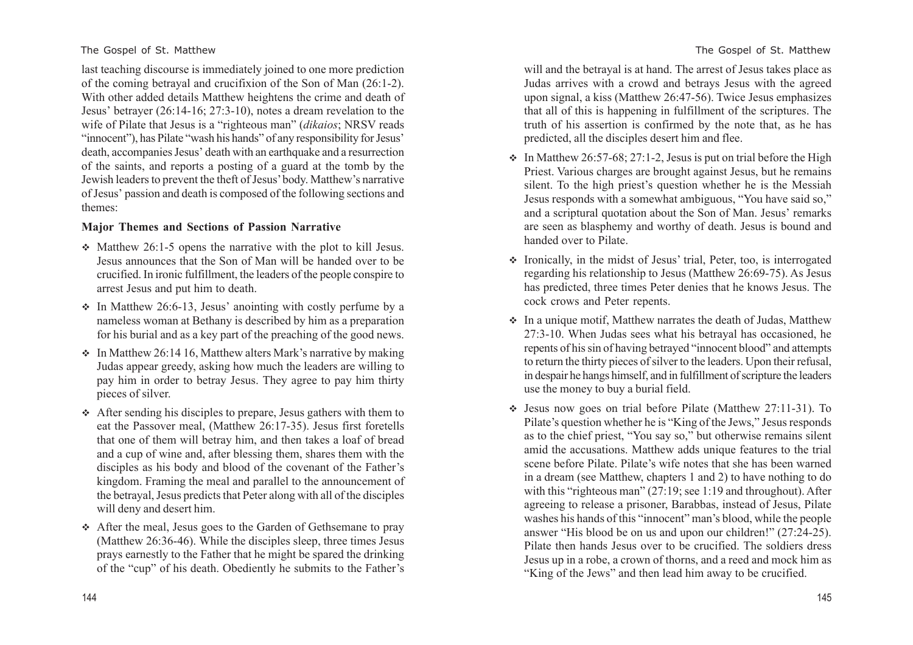last teaching discourse is immediately joined to one more prediction of the coming betrayal and crucifixion of the Son of Man (26:1-2). With other added details Matthew heightens the crime and death of Jesus' betrayer (26:14-16; 27:3-10), notes a dream revelation to the wife of Pilate that Jesus is a "righteous man" (*dikaios*; NRSV reads "innocent"), has Pilate "wash his hands" of any responsibility for Jesus' death, accompanies Jesus' death with an earthquake and a resurrection of the saints, and reports a posting of a guard at the tomb by the Jewish leaders to prevent the theft of Jesus' body. Matthew's narrative of Jesus' passion and death is composed of the following sections and themes:

## **Major Themes and Sections of Passion Narrative**

- $\div$  Matthew 26:1-5 opens the narrative with the plot to kill Jesus. Jesus announces that the Son of Man will be handed over to be crucified. In ironic fulfillment, the leaders of the people conspire to arrest Jesus and put him to death.
- $\div$  In Matthew 26:6-13, Jesus' anointing with costly perfume by a nameless woman at Bethany is described by him as a preparation for his burial and as a key part of the preaching of the good news.
- $\cdot$  In Matthew 26:14 16, Matthew alters Mark's narrative by making Judas appear greedy, asking how much the leaders are willing to pay him in order to betray Jesus. They agree to pay him thirty pieces of silver.
- $\triangle$  After sending his disciples to prepare, Jesus gathers with them to eat the Passover meal, (Matthew 26:17-35). Jesus first foretells that one of them will betray him, and then takes a loaf of bread and a cup of wine and, after blessing them, shares them with the disciples as his body and blood of the covenant of the Father's kingdom. Framing the meal and parallel to the announcement of the betrayal, Jesus predicts that Peter along with all of the disciples will deny and desert him.
- <sup>v</sup> After the meal, Jesus goes to the Garden of Gethsemane to pray (Matthew 26:36-46). While the disciples sleep, three times Jesus prays earnestly to the Father that he might be spared the drinking of the "cup" of his death. Obediently he submits to the Father's

will and the betrayal is at hand. The arrest of Jesus takes place as Judas arrives with a crowd and betrays Jesus with the agreed upon signal, a kiss (Matthew 26:47-56). Twice Jesus emphasizes that all of this is happening in fulfillment of the scriptures. The truth of his assertion is confirmed by the note that, as he has predicted, all the disciples desert him and flee.

- $\cdot$  In Matthew 26:57-68; 27:1-2, Jesus is put on trial before the High Priest. Various charges are brought against Jesus, but he remains silent. To the high priest's question whether he is the Messiah Jesus responds with a somewhat ambiguous, "You have said so," and a scriptural quotation about the Son of Man. Jesus' remarks are seen as blasphemy and worthy of death. Jesus is bound and handed over to Pilate.
- $\cdot$  Ironically, in the midst of Jesus' trial, Peter, too, is interrogated regarding his relationship to Jesus (Matthew 26:69-75). As Jesus has predicted, three times Peter denies that he knows Jesus. The cock crows and Peter repents.
- In a unique motif, Matthew narrates the death of Judas, Matthew 27:3-10. When Judas sees what his betrayal has occasioned, he repents of his sin of having betrayed "innocent blood" and attempts to return the thirty pieces of silver to the leaders. Upon their refusal, in despair he hangs himself, and in fulfillment of scripture the leaders use the money to buy a burial field.
- $\div$  Jesus now goes on trial before Pilate (Matthew 27:11-31). To Pilate's question whether he is "King of the Jews," Jesus responds as to the chief priest, "You say so," but otherwise remains silent amid the accusations. Matthew adds unique features to the trial scene before Pilate. Pilate's wife notes that she has been warned in a dream (see Matthew, chapters 1 and 2) to have nothing to do with this "righteous man" (27:19; see 1:19 and throughout). After agreeing to release a prisoner, Barabbas, instead of Jesus, Pilate washes his hands of this "innocent" man's blood, while the people answer "His blood be on us and upon our children!" (27:24-25). Pilate then hands Jesus over to be crucified. The soldiers dress Jesus up in a robe, a crown of thorns, and a reed and mock him as "King of the Jews" and then lead him away to be crucified.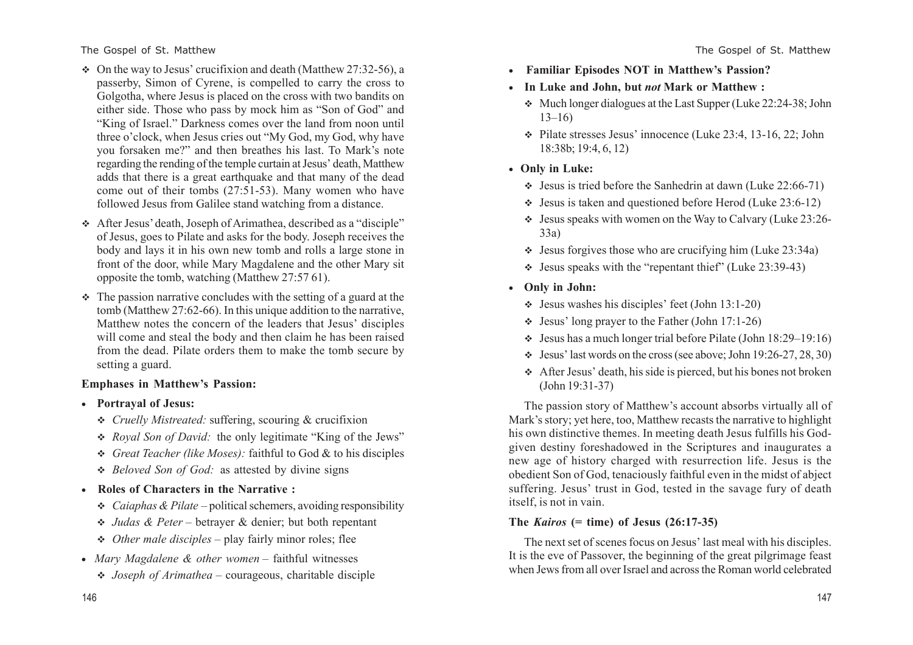- $\div$  On the way to Jesus' crucifixion and death (Matthew 27:32-56), a passerby, Simon of Cyrene, is compelled to carry the cross to Golgotha, where Jesus is placed on the cross with two bandits on either side. Those who pass by mock him as "Son of God" and "King of Israel." Darkness comes over the land from noon until three o'clock, when Jesus cries out "My God, my God, why have you forsaken me?" and then breathes his last. To Mark's note regarding the rending of the temple curtain at Jesus' death, Matthew adds that there is a great earthquake and that many of the dead come out of their tombs (27:51-53). Many women who have followed Jesus from Galilee stand watching from a distance.
- <sup>v</sup> After Jesus' death, Joseph of Arimathea, described as a "disciple" of Jesus, goes to Pilate and asks for the body. Joseph receives the body and lays it in his own new tomb and rolls a large stone in front of the door, while Mary Magdalene and the other Mary sit opposite the tomb, watching (Matthew 27:57 61).
- $\div$  The passion narrative concludes with the setting of a guard at the tomb (Matthew 27:62-66). In this unique addition to the narrative, Matthew notes the concern of the leaders that Jesus' disciples will come and steal the body and then claim he has been raised from the dead. Pilate orders them to make the tomb secure by setting a guard.

# **Emphases in Matthew's Passion:**

- · **Portrayal of Jesus:**
	- <sup>v</sup> *Cruelly Mistreated:* suffering, scouring & crucifixion
	- <sup>v</sup> *Royal Son of David:* the only legitimate "King of the Jews"
	- <sup>v</sup> *Great Teacher (like Moses):* faithful to God & to his disciples
	- <sup>v</sup> *Beloved Son of God:* as attested by divine signs
- · **Roles of Characters in the Narrative :**
	- <sup>v</sup> *Caiaphas & Pilate* political schemers, avoiding responsibility
	- <sup>v</sup> *Judas & Peter* betrayer & denier; but both repentant
	- Other male disciples play fairly minor roles; flee
- · *Mary Magdalene & other women* faithful witnesses
	- <sup>v</sup> *Joseph of Arimathea* courageous, charitable disciple
- · **Familiar Episodes NOT in Matthew's Passion?**
- · **In Luke and John, but** *not* **Mark or Matthew :**
	- $\div$  Much longer dialogues at the Last Supper (Luke 22:24-38; John  $13-16$
	- $\div$  Pilate stresses Jesus' innocence (Luke 23:4, 13-16, 22; John 18:38b; 19:4, 6, 12)
- · **Only in Luke:**
	- $\div$  Jesus is tried before the Sanhedrin at dawn (Luke 22:66-71)
	- $\div$  Jesus is taken and questioned before Herod (Luke 23:6-12)
	- $\cdot$  Jesus speaks with women on the Way to Calvary (Luke 23:26-33a)
	- $\div$  Jesus forgives those who are crucifying him (Luke 23:34a)
	- $\div$  Jesus speaks with the "repentant thief" (Luke 23:39-43)
- · **Only in John:**
	- $\div$  Jesus washes his disciples' feet (John 13:1-20)
	- $\div$  Jesus' long prayer to the Father (John 17:1-26)
	- $\div$  Jesus has a much longer trial before Pilate (John 18:29–19:16)
	- $\div$  Jesus' last words on the cross (see above; John 19:26-27, 28, 30)
	- <sup>v</sup> After Jesus' death, his side is pierced, but his bones not broken (John 19:31-37)

The passion story of Matthew's account absorbs virtually all of Mark's story; yet here, too, Matthew recasts the narrative to highlight his own distinctive themes. In meeting death Jesus fulfills his Godgiven destiny foreshadowed in the Scriptures and inaugurates a new age of history charged with resurrection life. Jesus is the obedient Son of God, tenaciously faithful even in the midst of abject suffering. Jesus' trust in God, tested in the savage fury of death itself, is not in vain.

# **The** *Kairos* **(= time) of Jesus (26:17-35)**

The next set of scenes focus on Jesus' last meal with his disciples. It is the eve of Passover, the beginning of the great pilgrimage feast when Jews from all over Israel and across the Roman world celebrated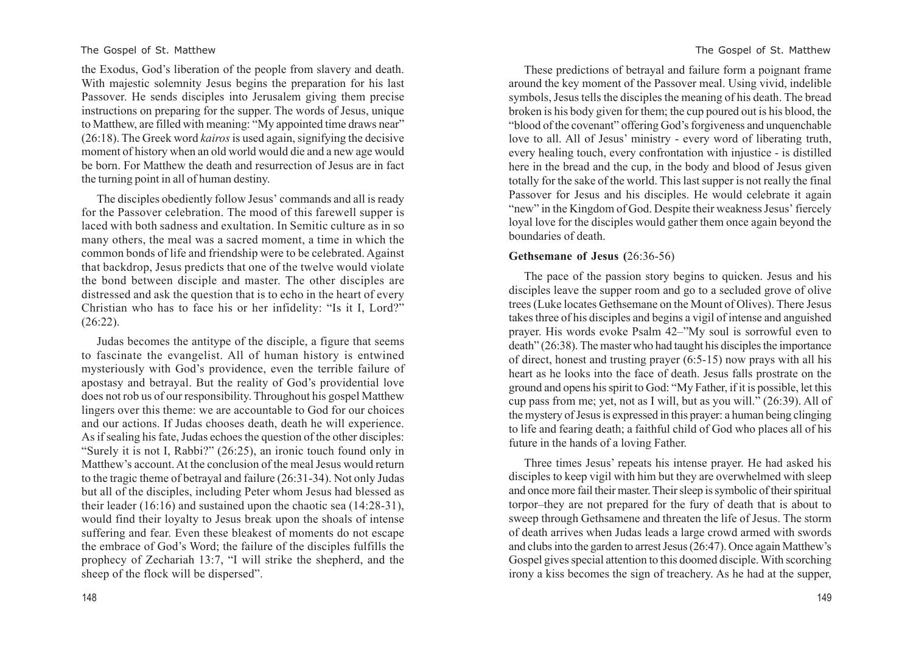the Exodus, God's liberation of the people from slavery and death. With majestic solemnity Jesus begins the preparation for his last Passover. He sends disciples into Jerusalem giving them precise instructions on preparing for the supper. The words of Jesus, unique to Matthew, are filled with meaning: "My appointed time draws near" (26:18). The Greek word *kairos* is used again, signifying the decisive moment of history when an old world would die and a new age would be born. For Matthew the death and resurrection of Jesus are in fact the turning point in all of human destiny.

The disciples obediently follow Jesus' commands and all is ready for the Passover celebration. The mood of this farewell supper is laced with both sadness and exultation. In Semitic culture as in so many others, the meal was a sacred moment, a time in which the common bonds of life and friendship were to be celebrated. Against that backdrop, Jesus predicts that one of the twelve would violate the bond between disciple and master. The other disciples are distressed and ask the question that is to echo in the heart of every Christian who has to face his or her infidelity: "Is it I, Lord?" (26:22).

Judas becomes the antitype of the disciple, a figure that seems to fascinate the evangelist. All of human history is entwined mysteriously with God's providence, even the terrible failure of apostasy and betrayal. But the reality of God's providential love does not rob us of our responsibility. Throughout his gospel Matthew lingers over this theme: we are accountable to God for our choices and our actions. If Judas chooses death, death he will experience. As if sealing his fate, Judas echoes the question of the other disciples: "Surely it is not I, Rabbi?" (26:25), an ironic touch found only in Matthew's account. At the conclusion of the meal Jesus would return to the tragic theme of betrayal and failure (26:31-34). Not only Judas but all of the disciples, including Peter whom Jesus had blessed as their leader (16:16) and sustained upon the chaotic sea (14:28-31), would find their loyalty to Jesus break upon the shoals of intense suffering and fear. Even these bleakest of moments do not escape the embrace of God's Word; the failure of the disciples fulfills the prophecy of Zechariah 13:7, "I will strike the shepherd, and the sheep of the flock will be dispersed".

These predictions of betrayal and failure form a poignant frame around the key moment of the Passover meal. Using vivid, indelible symbols, Jesus tells the disciples the meaning of his death. The bread broken is his body given for them; the cup poured out is his blood, the "blood of the covenant" offering God's forgiveness and unquenchable love to all. All of Jesus' ministry - every word of liberating truth, every healing touch, every confrontation with injustice - is distilled here in the bread and the cup, in the body and blood of Jesus given totally for the sake of the world. This last supper is not really the final Passover for Jesus and his disciples. He would celebrate it again "new" in the Kingdom of God. Despite their weakness Jesus' fiercely loyal love for the disciples would gather them once again beyond the boundaries of death.

## **Gethsemane of Jesus (**26:36-56)

The pace of the passion story begins to quicken. Jesus and his disciples leave the supper room and go to a secluded grove of olive trees (Luke locates Gethsemane on the Mount of Olives). There Jesus takes three of his disciples and begins a vigil of intense and anguished prayer. His words evoke Psalm 42–"My soul is sorrowful even to death" (26:38). The master who had taught his disciples the importance of direct, honest and trusting prayer (6:5-15) now prays with all his heart as he looks into the face of death. Jesus falls prostrate on the ground and opens his spirit to God: "My Father, if it is possible, let this cup pass from me; yet, not as I will, but as you will." (26:39). All of the mystery of Jesus is expressed in this prayer: a human being clinging to life and fearing death; a faithful child of God who places all of his future in the hands of a loving Father.

Three times Jesus' repeats his intense prayer. He had asked his disciples to keep vigil with him but they are overwhelmed with sleep and once more fail their master. Their sleep is symbolic of their spiritual torpor–they are not prepared for the fury of death that is about to sweep through Gethsamene and threaten the life of Jesus. The storm of death arrives when Judas leads a large crowd armed with swords and clubs into the garden to arrest Jesus (26:47). Once again Matthew's Gospel gives special attention to this doomed disciple. With scorching irony a kiss becomes the sign of treachery. As he had at the supper,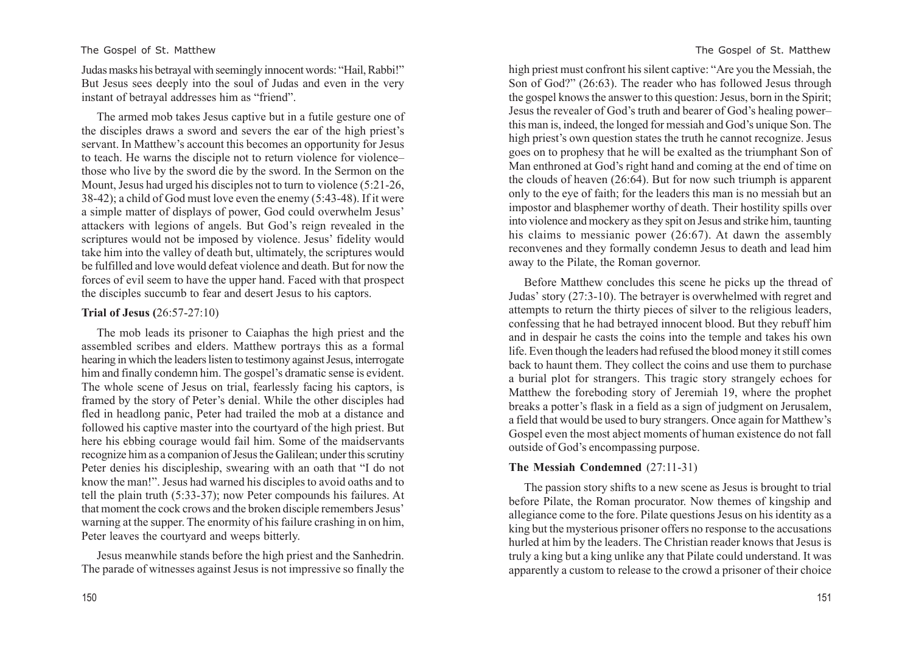## The Gospel of St. Matthew

Judas masks his betrayal with seemingly innocent words: "Hail, Rabbi!" But Jesus sees deeply into the soul of Judas and even in the very instant of betrayal addresses him as "friend".

The armed mob takes Jesus captive but in a futile gesture one of the disciples draws a sword and severs the ear of the high priest's servant. In Matthew's account this becomes an opportunity for Jesus to teach. He warns the disciple not to return violence for violencethose who live by the sword die by the sword. In the Sermon on the Mount, Jesus had urged his disciples not to turn to violence (5:21-26, 38-42); a child of God must love even the enemy (5:43-48). If it were a simple matter of displays of power, God could overwhelm Jesus' attackers with legions of angels. But God's reign revealed in the scriptures would not be imposed by violence. Jesus' fidelity would take him into the valley of death but, ultimately, the scriptures would be fulfilled and love would defeat violence and death. But for now the forces of evil seem to have the upper hand. Faced with that prospect the disciples succumb to fear and desert Jesus to his captors.

#### **Trial of Jesus (**26:57-27:10)

The mob leads its prisoner to Caiaphas the high priest and the assembled scribes and elders. Matthew portrays this as a formal hearing in which the leaders listen to testimony against Jesus, interrogate him and finally condemn him. The gospel's dramatic sense is evident. The whole scene of Jesus on trial, fearlessly facing his captors, is framed by the story of Peter's denial. While the other disciples had fled in headlong panic, Peter had trailed the mob at a distance and followed his captive master into the courtyard of the high priest. But here his ebbing courage would fail him. Some of the maidservants recognize him as a companion of Jesus the Galilean; under this scrutiny Peter denies his discipleship, swearing with an oath that "I do not know the man!". Jesus had warned his disciples to avoid oaths and to tell the plain truth (5:33-37); now Peter compounds his failures. At that moment the cock crows and the broken disciple remembers Jesus' warning at the supper. The enormity of his failure crashing in on him, Peter leaves the courtyard and weeps bitterly.

Jesus meanwhile stands before the high priest and the Sanhedrin. The parade of witnesses against Jesus is not impressive so finally the high priest must confront his silent captive: "Are you the Messiah, the Son of God?" (26:63). The reader who has followed Jesus through the gospel knows the answer to this question: Jesus, born in the Spirit; Jesus the revealer of God's truth and bearer of God's healing power– this man is, indeed, the longed for messiah and God's unique Son. The high priest's own question states the truth he cannot recognize. Jesus goes on to prophesy that he will be exalted as the triumphant Son of Man enthroned at God's right hand and coming at the end of time on the clouds of heaven (26:64). But for now such triumph is apparent only to the eye of faith; for the leaders this man is no messiah but an impostor and blasphemer worthy of death. Their hostility spills over into violence and mockery as they spit on Jesus and strike him, taunting his claims to messianic power (26:67). At dawn the assembly reconvenes and they formally condemn Jesus to death and lead him away to the Pilate, the Roman governor.

Before Matthew concludes this scene he picks up the thread of Judas' story (27:3-10). The betrayer is overwhelmed with regret and attempts to return the thirty pieces of silver to the religious leaders, confessing that he had betrayed innocent blood. But they rebuff him and in despair he casts the coins into the temple and takes his own life. Even though the leaders had refused the blood money it still comes back to haunt them. They collect the coins and use them to purchase a burial plot for strangers. This tragic story strangely echoes for Matthew the foreboding story of Jeremiah 19, where the prophet breaks a potter's flask in a field as a sign of judgment on Jerusalem, a field that would be used to bury strangers. Once again for Matthew's Gospel even the most abject moments of human existence do not fall outside of God's encompassing purpose.

#### **The Messiah Condemned** (27:11-31)

The passion story shifts to a new scene as Jesus is brought to trial before Pilate, the Roman procurator. Now themes of kingship and allegiance come to the fore. Pilate questions Jesus on his identity as a king but the mysterious prisoner offers no response to the accusations hurled at him by the leaders. The Christian reader knows that Jesus is truly a king but a king unlike any that Pilate could understand. It was apparently a custom to release to the crowd a prisoner of their choice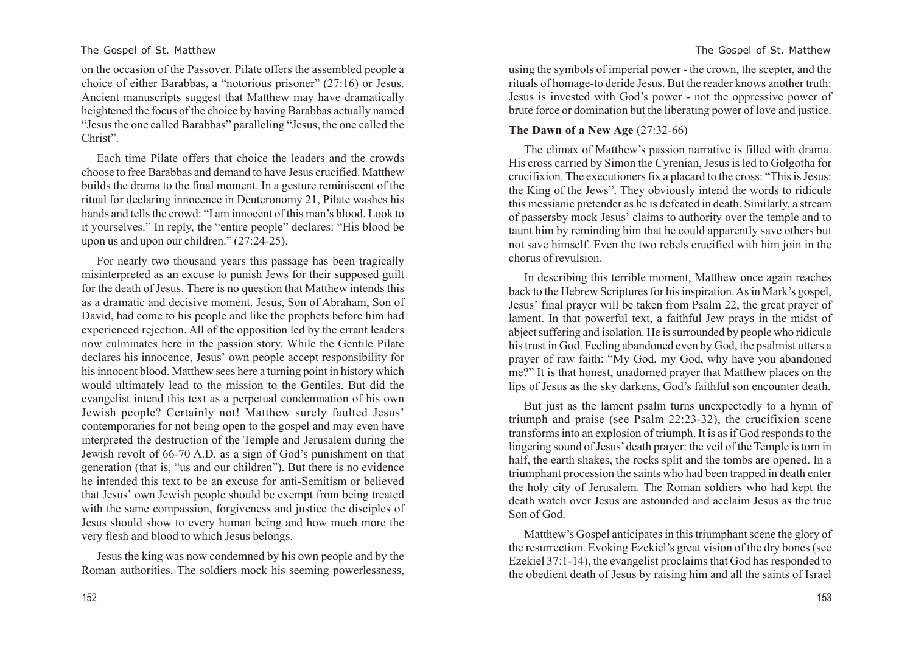on the occasion of the Passover. Pilate offers the assembled people a choice of either Barabbas, a "notorious prisoner" (27:16) or Jesus. Ancient manuscripts suggest that Matthew may have dramatically heightened the focus of the choice by having Barabbas actually named "Jesus the one called Barabbas" paralleling "Jesus, the one called the Christ".

Each time Pilate offers that choice the leaders and the crowds choose to free Barabbas and demand to have Jesus crucified. Matthew builds the drama to the final moment. In a gesture reminiscent of the ritual for declaring innocence in Deuteronomy 21, Pilate washes his hands and tells the crowd: "I am innocent of this man's blood. Look to it yourselves." In reply, the "entire people" declares: "His blood be upon us and upon our children." (27:24-25).

For nearly two thousand years this passage has been tragically misinterpreted as an excuse to punish Jews for their supposed guilt for the death of Jesus. There is no question that Matthew intends this as a dramatic and decisive moment. Jesus, Son of Abraham, Son of David, had come to his people and like the prophets before him had experienced rejection. All of the opposition led by the errant leaders now culminates here in the passion story. While the Gentile Pilate declares his innocence, Jesus' own people accept responsibility for his innocent blood. Matthew sees here a turning point in history which would ultimately lead to the mission to the Gentiles. But did the evangelist intend this text as a perpetual condemnation of his own Jewish people? Certainly not! Matthew surely faulted Jesus' contemporaries for not being open to the gospel and may even have interpreted the destruction of the Temple and Jerusalem during the Jewish revolt of 66-70 A.D. as a sign of God's punishment on that generation (that is, "us and our children"). But there is no evidence he intended this text to be an excuse for anti-Semitism or believed that Jesus' own Jewish people should be exempt from being treated with the same compassion, forgiveness and justice the disciples of Jesus should show to every human being and how much more the very flesh and blood to which Jesus belongs.

Jesus the king was now condemned by his own people and by the Roman authorities. The soldiers mock his seeming powerlessness,

using the symbols of imperial power - the crown, the scepter, and the rituals of homage-to deride Jesus. But the reader knows another truth: Jesus is invested with God's power - not the oppressive power of brute force or domination but the liberating power of love and justice.

## **The Dawn of a New Age** (27:32-66)

The climax of Matthew's passion narrative is filled with drama. His cross carried by Simon the Cyrenian, Jesus is led to Golgotha for crucifixion. The executioners fix a placard to the cross: "This is Jesus: the King of the Jews". They obviously intend the words to ridicule this messianic pretender as he is defeated in death. Similarly, a stream of passersby mock Jesus' claims to authority over the temple and to taunt him by reminding him that he could apparently save others but not save himself. Even the two rebels crucified with him join in the chorus of revulsion.

In describing this terrible moment, Matthew once again reaches back to the Hebrew Scriptures for his inspiration. As in Mark's gospel, Jesus' final prayer will be taken from Psalm 22, the great prayer of lament. In that powerful text, a faithful Jew prays in the midst of abject suffering and isolation. He is surrounded by people who ridicule his trust in God. Feeling abandoned even by God, the psalmist utters a prayer of raw faith: "My God, my God, why have you abandoned me?" It is that honest, unadorned prayer that Matthew places on the lips of Jesus as the sky darkens, God's faithful son encounter death.

But just as the lament psalm turns unexpectedly to a hymn of triumph and praise (see Psalm 22:23-32), the crucifixion scene transforms into an explosion of triumph. It is as if God responds to the lingering sound of Jesus' death prayer: the veil of the Temple is torn in half, the earth shakes, the rocks split and the tombs are opened. In a triumphant procession the saints who had been trapped in death enter the holy city of Jerusalem. The Roman soldiers who had kept the death watch over Jesus are astounded and acclaim Jesus as the true Son of God.

Matthew's Gospel anticipates in this triumphant scene the glory of the resurrection. Evoking Ezekiel's great vision of the dry bones (see Ezekiel 37:1-14), the evangelist proclaims that God has responded to the obedient death of Jesus by raising him and all the saints of Israel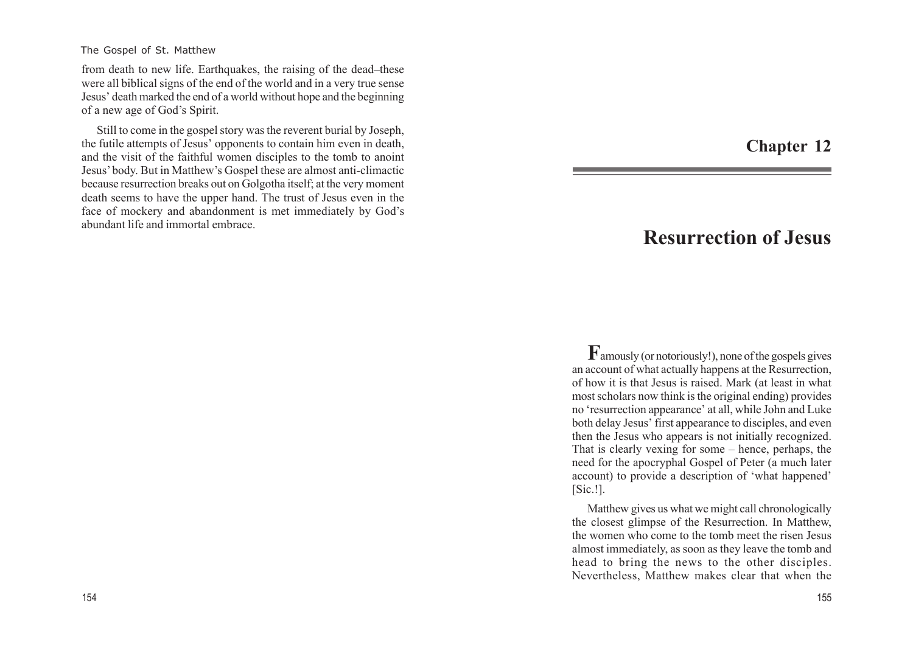from death to new life. Earthquakes, the raising of the dead–these were all biblical signs of the end of the world and in a very true sense Jesus' death marked the end of a world without hope and the beginning of a new age of God's Spirit.

Still to come in the gospel story was the reverent burial by Joseph, the futile attempts of Jesus' opponents to contain him even in death, and the visit of the faithful women disciples to the tomb to anoint Jesus' body. But in Matthew's Gospel these are almost anti-climactic because resurrection breaks out on Golgotha itself; at the very moment death seems to have the upper hand. The trust of Jesus even in the face of mockery and abandonment is met immediately by God's abundant life and immortal embrace.

**Chapter 12**

# **Resurrection of Jesus**

**F**amously (or notoriously!), none of the gospels gives an account of what actually happens at the Resurrection, of how it is that Jesus is raised. Mark (at least in what most scholars now think is the original ending) provides no 'resurrection appearance' at all, while John and Luke both delay Jesus' first appearance to disciples, and even then the Jesus who appears is not initially recognized. That is clearly vexing for some – hence, perhaps, the need for the apocryphal Gospel of Peter (a much later account) to provide a description of 'what happened' [Sic.!].

Matthew gives us what we might call chronologically the closest glimpse of the Resurrection. In Matthew, the women who come to the tomb meet the risen Jesus almost immediately, as soon as they leave the tomb and head to bring the news to the other disciples. Nevertheless, Matthew makes clear that when the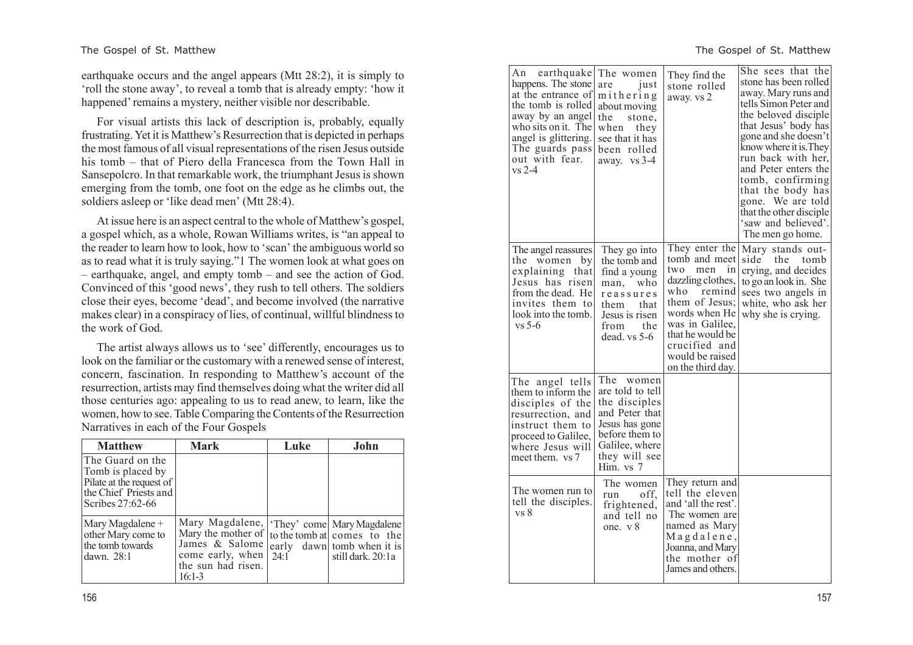earthquake occurs and the angel appears (Mtt 28:2), it is simply to 'roll the stone away', to reveal a tomb that is already empty: 'how it happened' remains a mystery, neither visible nor describable.

For visual artists this lack of description is, probably, equally frustrating. Yet it is Matthew's Resurrection that is depicted in perhaps the most famous of all visual representations of the risen Jesus outside his tomb – that of Piero della Francesca from the Town Hall in Sansepolcro. In that remarkable work, the triumphant Jesus is shown emerging from the tomb, one foot on the edge as he climbs out, the soldiers asleep or 'like dead men' (Mtt 28:4).

At issue here is an aspect central to the whole of Matthew's gospel, a gospel which, as a whole, Rowan Williams writes, is "an appeal to the reader to learn how to look, how to 'scan' the ambiguous world so as to read what it is truly saying."1 The women look at what goes on – earthquake, angel, and empty tomb – and see the action of God. Convinced of this 'good news', they rush to tell others. The soldiers close their eyes, become 'dead', and become involved (the narrative makes clear) in a conspiracy of lies, of continual, willful blindness to the work of God.

The artist always allows us to 'see' differently, encourages us to look on the familiar or the customary with a renewed sense of interest, concern, fascination. In responding to Matthew's account of the resurrection, artists may find themselves doing what the writer did all those centuries ago: appealing to us to read anew, to learn, like the women, how to see. Table Comparing the Contents of the Resurrection Narratives in each of the Four Gospels

| <b>Matthew</b>                                                                                                 | <b>Mark</b>                                                                                                                                 | Luke | John                                                                           |
|----------------------------------------------------------------------------------------------------------------|---------------------------------------------------------------------------------------------------------------------------------------------|------|--------------------------------------------------------------------------------|
| The Guard on the<br>Tomb is placed by<br>Pilate at the request of<br>the Chief Priests and<br>Scribes 27:62-66 |                                                                                                                                             |      |                                                                                |
| Mary Magdalene +<br>other Mary come to<br>the tomb towards<br>dawn. 28:1                                       | Mary Magdalene,   'They' come  Mary Magdalene<br>Mary the mother of<br>James & Salome<br>come early, when<br>the sun had risen.<br>$16:1-3$ | 24:1 | to the tomb at comes to the<br>early dawn tomb when it is<br>still dark. 20:1a |

| earthquake<br>An<br>happens. The stone<br>at the entrance of<br>the tomb is rolled<br>away by an angel<br>who sits on it. The<br>angel is glittering.<br>The guards pass<br>out with fear.<br>vs 2-4 | The women<br>are<br>1ust<br>mithering<br>about moving<br>the<br>stone,<br>when<br>they<br>see that it has<br>been rolled<br>away. vs 3-4                | They find the<br>stone rolled<br>away. ys 2                                                                                                                                                                                  | She sees that the<br>stone has been rolled<br>away. Mary runs and<br>tells Simon Peter and<br>the beloved disciple<br>that Jesus' body has<br>gone and she doesn't<br>know where it is. They<br>run back with her,<br>and Peter enters the<br>tomb, confirming<br>that the body has<br>gone. We are told<br>that the other disciple<br>'saw and believed'.<br>The men go home. |
|------------------------------------------------------------------------------------------------------------------------------------------------------------------------------------------------------|---------------------------------------------------------------------------------------------------------------------------------------------------------|------------------------------------------------------------------------------------------------------------------------------------------------------------------------------------------------------------------------------|--------------------------------------------------------------------------------------------------------------------------------------------------------------------------------------------------------------------------------------------------------------------------------------------------------------------------------------------------------------------------------|
| The angel reassures<br>the women<br>by<br>explaining that<br>Jesus has risen<br>from the dead. He<br>invites them to<br>look into the tomb.<br>$vs$ 5-6                                              | They go into<br>the tomb and<br>find a young<br>who<br>man,<br>reassures<br>that<br>them<br>Jesus is risen<br>the<br>from<br>dead. vs 5-6               | They enter the<br>tomb and meet<br>two<br>men<br>1n<br>dazzling clothes,<br>who<br>remind<br>them of Jesus;<br>words when He<br>was in Galilee,<br>that he would be<br>crucified and<br>would be raised<br>on the third day. | Mary stands out-<br>side<br>the<br>tomb<br>crying, and decides<br>to go an look in. She<br>sees two angels in<br>white, who ask her<br>why she is crying.                                                                                                                                                                                                                      |
| The angel tells<br>them to inform the<br>disciples of the<br>resurrection, and<br>instruct them to<br>proceed to Galilee,<br>where Jesus will<br>meet them. vs 7                                     | The<br>women<br>are told to tell<br>the disciples<br>and Peter that<br>Jesus has gone<br>before them to<br>Galilee, where<br>they will see<br>Him. vs 7 |                                                                                                                                                                                                                              |                                                                                                                                                                                                                                                                                                                                                                                |
| The women run to<br>tell the disciples.<br>vs 8                                                                                                                                                      | The women<br>off,<br>run<br>frightened,<br>and tell no<br>one. $v8$                                                                                     | They return and<br>tell the eleven<br>and 'all the rest'.<br>The women are<br>named as Mary<br>Magdalene,<br>Joanna, and Mary<br>the mother of<br>James and others.                                                          |                                                                                                                                                                                                                                                                                                                                                                                |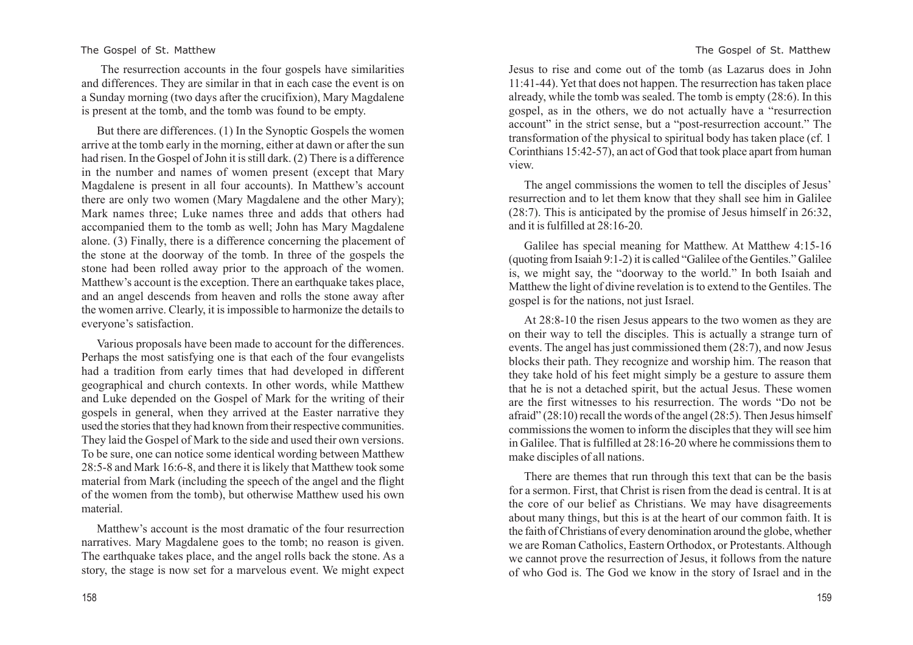The resurrection accounts in the four gospels have similarities and differences. They are similar in that in each case the event is on a Sunday morning (two days after the crucifixion), Mary Magdalene is present at the tomb, and the tomb was found to be empty.

But there are differences. (1) In the Synoptic Gospels the women arrive at the tomb early in the morning, either at dawn or after the sun had risen. In the Gospel of John it is still dark. (2) There is a difference in the number and names of women present (except that Mary Magdalene is present in all four accounts). In Matthew's account there are only two women (Mary Magdalene and the other Mary); Mark names three; Luke names three and adds that others had accompanied them to the tomb as well; John has Mary Magdalene alone. (3) Finally, there is a difference concerning the placement of the stone at the doorway of the tomb. In three of the gospels the stone had been rolled away prior to the approach of the women. Matthew's account is the exception. There an earthquake takes place, and an angel descends from heaven and rolls the stone away after the women arrive. Clearly, it is impossible to harmonize the details to everyone's satisfaction.

Various proposals have been made to account for the differences. Perhaps the most satisfying one is that each of the four evangelists had a tradition from early times that had developed in different geographical and church contexts. In other words, while Matthew and Luke depended on the Gospel of Mark for the writing of their gospels in general, when they arrived at the Easter narrative they used the stories that they had known from their respective communities. They laid the Gospel of Mark to the side and used their own versions. To be sure, one can notice some identical wording between Matthew 28:5-8 and Mark 16:6-8, and there it is likely that Matthew took some material from Mark (including the speech of the angel and the flight of the women from the tomb), but otherwise Matthew used his own material.

Matthew's account is the most dramatic of the four resurrection narratives. Mary Magdalene goes to the tomb; no reason is given. The earthquake takes place, and the angel rolls back the stone. As a story, the stage is now set for a marvelous event. We might expect

Jesus to rise and come out of the tomb (as Lazarus does in John 11:41-44). Yet that does not happen. The resurrection has taken place already, while the tomb was sealed. The tomb is empty (28:6). In this gospel, as in the others, we do not actually have a "resurrection account" in the strict sense, but a "post-resurrection account." The transformation of the physical to spiritual body has taken place (cf. 1 Corinthians 15:42-57), an act of God that took place apart from human view.

The angel commissions the women to tell the disciples of Jesus' resurrection and to let them know that they shall see him in Galilee (28:7). This is anticipated by the promise of Jesus himself in 26:32, and it is fulfilled at 28:16-20.

Galilee has special meaning for Matthew. At Matthew 4:15-16 (quoting from Isaiah 9:1-2) it is called "Galilee of the Gentiles." Galilee is, we might say, the "doorway to the world." In both Isaiah and Matthew the light of divine revelation is to extend to the Gentiles. The gospel is for the nations, not just Israel.

At 28:8-10 the risen Jesus appears to the two women as they are on their way to tell the disciples. This is actually a strange turn of events. The angel has just commissioned them (28:7), and now Jesus blocks their path. They recognize and worship him. The reason that they take hold of his feet might simply be a gesture to assure them that he is not a detached spirit, but the actual Jesus. These women are the first witnesses to his resurrection. The words "Do not be afraid" (28:10) recall the words of the angel (28:5). Then Jesus himself commissions the women to inform the disciples that they will see him in Galilee. That is fulfilled at 28:16-20 where he commissions them to make disciples of all nations.

There are themes that run through this text that can be the basis for a sermon. First, that Christ is risen from the dead is central. It is at the core of our belief as Christians. We may have disagreements about many things, but this is at the heart of our common faith. It is the faith of Christians of every denomination around the globe, whether we are Roman Catholics, Eastern Orthodox, or Protestants. Although we cannot prove the resurrection of Jesus, it follows from the nature of who God is. The God we know in the story of Israel and in the